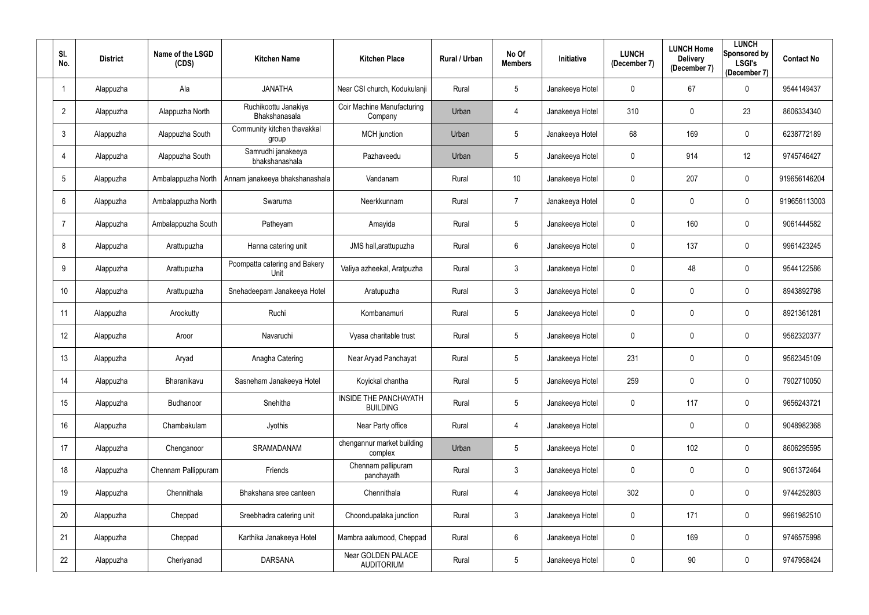| SI.<br>No.     | <b>District</b> | Name of the LSGD<br>(CDS) | <b>Kitchen Name</b>                          | <b>Kitchen Place</b>                     | <b>Rural / Urban</b> | No Of<br><b>Members</b> | Initiative      | <b>LUNCH</b><br>(December 7) | <b>LUNCH Home</b><br><b>Delivery</b><br>(December 7) | <b>LUNCH</b><br>Sponsored by<br><b>LSGI's</b><br>(December 7) | <b>Contact No</b> |
|----------------|-----------------|---------------------------|----------------------------------------------|------------------------------------------|----------------------|-------------------------|-----------------|------------------------------|------------------------------------------------------|---------------------------------------------------------------|-------------------|
|                | Alappuzha       | Ala                       | <b>JANATHA</b>                               | Near CSI church, Kodukulanji             | Rural                | $5\phantom{.0}$         | Janakeeya Hotel | 0                            | 67                                                   | $\mathbf 0$                                                   | 9544149437        |
| $\overline{2}$ | Alappuzha       | Alappuzha North           | Ruchikoottu Janakiya<br><b>Bhakshanasala</b> | Coir Machine Manufacturing<br>Company    | Urban                | 4                       | Janakeeya Hotel | 310                          | $\mathbf 0$                                          | 23                                                            | 8606334340        |
| 3              | Alappuzha       | Alappuzha South           | Community kitchen thavakkal<br>group         | MCH junction                             | Urban                | $5\phantom{.0}$         | Janakeeya Hotel | 68                           | 169                                                  | $\mathbf 0$                                                   | 6238772189        |
|                | Alappuzha       | Alappuzha South           | Samrudhi janakeeya<br>bhakshanashala         | Pazhaveedu                               | Urban                | 5 <sub>5</sub>          | Janakeeya Hotel | 0                            | 914                                                  | 12                                                            | 9745746427        |
| 5              | Alappuzha       | Ambalappuzha North        | Annam janakeeya bhakshanashala               | Vandanam                                 | Rural                | 10 <sup>°</sup>         | Janakeeya Hotel | 0                            | 207                                                  | $\overline{0}$                                                | 919656146204      |
| 6              | Alappuzha       | Ambalappuzha North        | Swaruma                                      | Neerkkunnam                              | Rural                | $\overline{7}$          | Janakeeya Hotel | 0                            | $\mathbf 0$                                          | $\mathbf 0$                                                   | 919656113003      |
|                | Alappuzha       | Ambalappuzha South        | Patheyam                                     | Amayida                                  | Rural                | 5 <sub>5</sub>          | Janakeeya Hotel | 0                            | 160                                                  | $\mathbf 0$                                                   | 9061444582        |
| 8              | Alappuzha       | Arattupuzha               | Hanna catering unit                          | JMS hall, arattupuzha                    | Rural                | 6                       | Janakeeya Hotel | 0                            | 137                                                  | $\mathbf 0$                                                   | 9961423245        |
| 9              | Alappuzha       | Arattupuzha               | Poompatta catering and Bakery<br>Unit        | Valiya azheekal, Aratpuzha               | Rural                | $\mathfrak{Z}$          | Janakeeya Hotel | 0                            | 48                                                   | $\mathbf 0$                                                   | 9544122586        |
| 10             | Alappuzha       | Arattupuzha               | Snehadeepam Janakeeya Hotel                  | Aratupuzha                               | Rural                | $\mathfrak{Z}$          | Janakeeya Hotel | 0                            | $\pmb{0}$                                            | $\mathbf 0$                                                   | 8943892798        |
| 11             | Alappuzha       | Arookutty                 | Ruchi                                        | Kombanamuri                              | Rural                | $5\phantom{.0}$         | Janakeeya Hotel | 0                            | $\mathbf 0$                                          | $\mathbf 0$                                                   | 8921361281        |
| 12             | Alappuzha       | Aroor                     | Navaruchi                                    | Vyasa charitable trust                   | Rural                | 5                       | Janakeeya Hotel | 0                            | $\mathbf 0$                                          | $\mathbf 0$                                                   | 9562320377        |
| 13             | Alappuzha       | Aryad                     | Anagha Catering                              | Near Aryad Panchayat                     | Rural                | 5 <sub>5</sub>          | Janakeeya Hotel | 231                          | $\mathbf 0$                                          | $\mathbf 0$                                                   | 9562345109        |
| 14             | Alappuzha       | Bharanikavu               | Sasneham Janakeeya Hotel                     | Koyickal chantha                         | Rural                | 5                       | Janakeeya Hotel | 259                          | $\mathbf 0$                                          | $\mathbf 0$                                                   | 7902710050        |
| 15             | Alappuzha       | Budhanoor                 | Snehitha                                     | INSIDE THE PANCHAYATH<br><b>BUILDING</b> | Rural                | 5                       | Janakeeya Hotel | $\mathbf 0$                  | 117                                                  | $\overline{0}$                                                | 9656243721        |
| 16             | Alappuzha       | Chambakulam               | Jyothis                                      | Near Party office                        | Rural                | 4                       | Janakeeya Hotel |                              | $\mathbf 0$                                          | $\overline{0}$                                                | 9048982368        |
| 17             | Alappuzha       | Chenganoor                | SRAMADANAM                                   | chengannur market building<br>complex    | Urban                | 5                       | Janakeeya Hotel | 0                            | 102                                                  | $\mathbf 0$                                                   | 8606295595        |
| 18             | Alappuzha       | Chennam Pallippuram       | Friends                                      | Chennam pallipuram<br>panchayath         | Rural                | $\mathfrak{Z}$          | Janakeeya Hotel | $\mathbf 0$                  | $\pmb{0}$                                            | $\overline{0}$                                                | 9061372464        |
| 19             | Alappuzha       | Chennithala               | Bhakshana sree canteen                       | Chennithala                              | Rural                | 4                       | Janakeeya Hotel | 302                          | $\mathbf 0$                                          | $\mathbf 0$                                                   | 9744252803        |
| 20             | Alappuzha       | Cheppad                   | Sreebhadra catering unit                     | Choondupalaka junction                   | Rural                | $\mathfrak{Z}$          | Janakeeya Hotel | $\mathbf 0$                  | 171                                                  | $\mathbf 0$                                                   | 9961982510        |
| 21             | Alappuzha       | Cheppad                   | Karthika Janakeeya Hotel                     | Mambra aalumood, Cheppad                 | Rural                | 6                       | Janakeeya Hotel | $\mathbf 0$                  | 169                                                  | $\mathbf 0$                                                   | 9746575998        |
| 22             | Alappuzha       | Cheriyanad                | <b>DARSANA</b>                               | Near GOLDEN PALACE<br><b>AUDITORIUM</b>  | Rural                | 5                       | Janakeeya Hotel | 0                            | 90                                                   | $\bf{0}$                                                      | 9747958424        |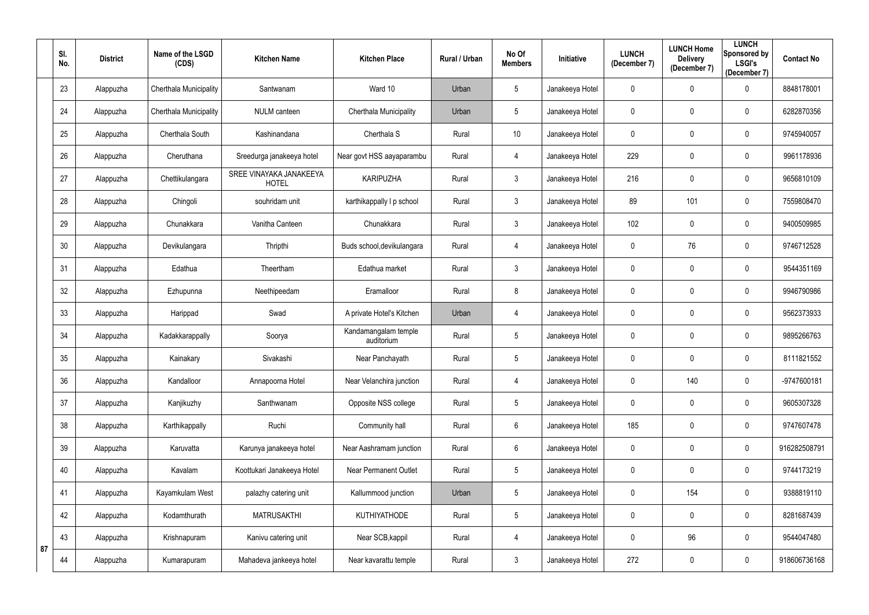|    | SI.<br>No. | <b>District</b> | Name of the LSGD<br>(CDS) | <b>Kitchen Name</b>                     | <b>Kitchen Place</b>               | Rural / Urban | No Of<br><b>Members</b> | Initiative      | <b>LUNCH</b><br>(December 7) | <b>LUNCH Home</b><br><b>Delivery</b><br>(December 7) | <b>LUNCH</b><br>Sponsored by<br><b>LSGI's</b><br>(December 7) | <b>Contact No</b> |
|----|------------|-----------------|---------------------------|-----------------------------------------|------------------------------------|---------------|-------------------------|-----------------|------------------------------|------------------------------------------------------|---------------------------------------------------------------|-------------------|
|    | 23         | Alappuzha       | Cherthala Municipality    | Santwanam                               | Ward 10                            | Urban         | $5\phantom{.0}$         | Janakeeya Hotel | 0                            | $\mathbf 0$                                          | $\mathbf 0$                                                   | 8848178001        |
|    | 24         | Alappuzha       | Cherthala Municipality    | <b>NULM</b> canteen                     | Cherthala Municipality             | Urban         | $5\phantom{.0}$         | Janakeeya Hotel | 0                            | $\mathbf 0$                                          | $\mathbf 0$                                                   | 6282870356        |
|    | 25         | Alappuzha       | Cherthala South           | Kashinandana                            | Cherthala S                        | Rural         | 10 <sup>°</sup>         | Janakeeya Hotel | 0                            | $\mathbf 0$                                          | $\overline{0}$                                                | 9745940057        |
|    | 26         | Alappuzha       | Cheruthana                | Sreedurga janakeeya hotel               | Near govt HSS aayaparambu          | Rural         | 4                       | Janakeeya Hotel | 229                          | $\overline{0}$                                       | $\mathbf 0$                                                   | 9961178936        |
|    | 27         | Alappuzha       | Chettikulangara           | SREE VINAYAKA JANAKEEYA<br><b>HOTEL</b> | <b>KARIPUZHA</b>                   | Rural         | $\mathfrak{Z}$          | Janakeeya Hotel | 216                          | $\mathbf 0$                                          | $\overline{0}$                                                | 9656810109        |
|    | 28         | Alappuzha       | Chingoli                  | souhridam unit                          | karthikappally I p school          | Rural         | $\mathfrak{Z}$          | Janakeeya Hotel | 89                           | 101                                                  | $\boldsymbol{0}$                                              | 7559808470        |
|    | 29         | Alappuzha       | Chunakkara                | Vanitha Canteen                         | Chunakkara                         | Rural         | $\mathfrak{Z}$          | Janakeeya Hotel | 102                          | $\mathbf 0$                                          | $\mathbf 0$                                                   | 9400509985        |
|    | 30         | Alappuzha       | Devikulangara             | Thripthi                                | Buds school, devikulangara         | Rural         | 4                       | Janakeeya Hotel | 0                            | 76                                                   | $\mathbf 0$                                                   | 9746712528        |
|    | 31         | Alappuzha       | Edathua                   | Theertham                               | Edathua market                     | Rural         | $\mathbf{3}$            | Janakeeya Hotel | 0                            | $\mathbf 0$                                          | $\mathbf 0$                                                   | 9544351169        |
|    | 32         | Alappuzha       | Ezhupunna                 | Neethipeedam                            | Eramalloor                         | Rural         | 8                       | Janakeeya Hotel | $\mathbf 0$                  | $\mathbf 0$                                          | $\mathbf 0$                                                   | 9946790986        |
|    | 33         | Alappuzha       | Harippad                  | Swad                                    | A private Hotel's Kitchen          | Urban         | 4                       | Janakeeya Hotel | 0                            | $\mathbf 0$                                          | $\mathbf 0$                                                   | 9562373933        |
|    | 34         | Alappuzha       | Kadakkarappally           | Soorya                                  | Kandamangalam temple<br>auditorium | Rural         | $5\phantom{.0}$         | Janakeeya Hotel | 0                            | $\mathbf 0$                                          | $\overline{0}$                                                | 9895266763        |
|    | 35         | Alappuzha       | Kainakary                 | Sivakashi                               | Near Panchayath                    | Rural         | $5\phantom{.0}$         | Janakeeya Hotel | 0                            | $\mathbf 0$                                          | $\mathbf 0$                                                   | 8111821552        |
|    | 36         | Alappuzha       | Kandalloor                | Annapoorna Hotel                        | Near Velanchira junction           | Rural         | 4                       | Janakeeya Hotel | 0                            | 140                                                  | $\overline{0}$                                                | -9747600181       |
|    | 37         | Alappuzha       | Kanjikuzhy                | Santhwanam                              | Opposite NSS college               | Rural         | $5\phantom{.0}$         | Janakeeya Hotel | $\mathbf 0$                  | $\mathbf 0$                                          | $\overline{0}$                                                | 9605307328        |
|    | 38         | Alappuzha       | Karthikappally            | Ruchi                                   | Community hall                     | Rural         | $6\,$                   | Janakeeya Hotel | 185                          | $\mathbf 0$                                          | $\mathbf 0$                                                   | 9747607478        |
|    | 39         | Alappuzha       | Karuvatta                 | Karunya janakeeya hotel                 | Near Aashramam junction            | Rural         | $6\phantom{.}$          | Janakeeya Hotel | 0                            | $\mathbf 0$                                          | $\mathbf 0$                                                   | 916282508791      |
|    | 40         | Alappuzha       | Kavalam                   | Koottukari Janakeeya Hotel              | <b>Near Permanent Outlet</b>       | Rural         | $5\phantom{.0}$         | Janakeeya Hotel | $\mathbf 0$                  | $\mathbf 0$                                          | $\mathbf 0$                                                   | 9744173219        |
|    | 41         | Alappuzha       | Kayamkulam West           | palazhy catering unit                   | Kallummood junction                | Urban         | $5\phantom{.0}$         | Janakeeya Hotel | $\mathbf 0$                  | 154                                                  | $\overline{0}$                                                | 9388819110        |
|    | 42         | Alappuzha       | Kodamthurath              | <b>MATRUSAKTHI</b>                      | KUTHIYATHODE                       | Rural         | $\overline{5}$          | Janakeeya Hotel | 0                            | $\mathbf 0$                                          | $\mathbf 0$                                                   | 8281687439        |
| 87 | 43         | Alappuzha       | Krishnapuram              | Kanivu catering unit                    | Near SCB, kappil                   | Rural         | 4                       | Janakeeya Hotel | $\pmb{0}$                    | 96                                                   | $\mathbf 0$                                                   | 9544047480        |
|    | 44         | Alappuzha       | Kumarapuram               | Mahadeva jankeeya hotel                 | Near kavarattu temple              | Rural         | $\mathfrak{Z}$          | Janakeeya Hotel | 272                          | $\overline{0}$                                       | $\bf{0}$                                                      | 918606736168      |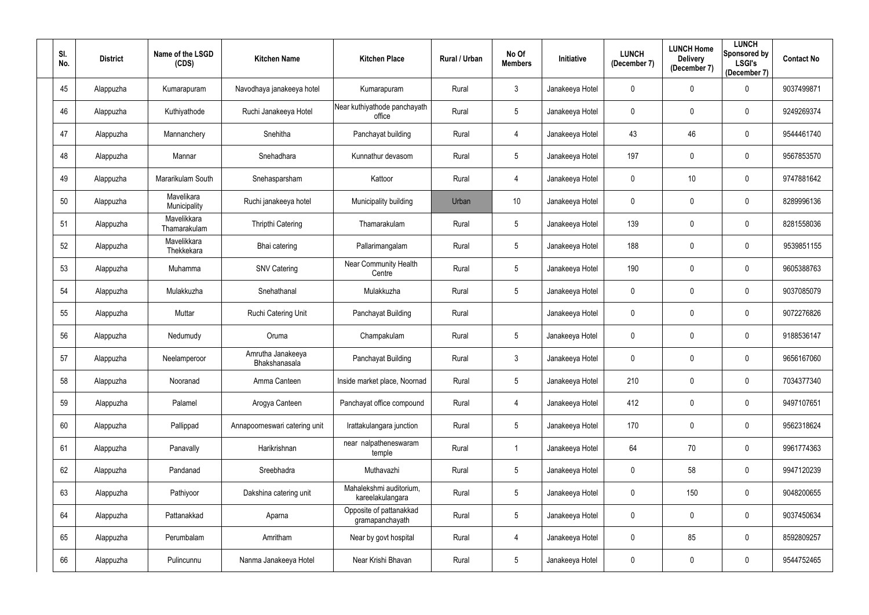| SI.<br>No. | <b>District</b> | Name of the LSGD<br>(CDS)   | <b>Kitchen Name</b>                | <b>Kitchen Place</b>                        | <b>Rural / Urban</b> | No Of<br><b>Members</b> | Initiative      | <b>LUNCH</b><br>(December 7) | <b>LUNCH Home</b><br><b>Delivery</b><br>(December 7) | <b>LUNCH</b><br>Sponsored by<br><b>LSGI's</b><br>(December 7) | <b>Contact No</b> |
|------------|-----------------|-----------------------------|------------------------------------|---------------------------------------------|----------------------|-------------------------|-----------------|------------------------------|------------------------------------------------------|---------------------------------------------------------------|-------------------|
| 45         | Alappuzha       | Kumarapuram                 | Navodhaya janakeeya hotel          | Kumarapuram                                 | Rural                | 3                       | Janakeeya Hotel | 0                            | $\mathbf 0$                                          | $\mathbf 0$                                                   | 9037499871        |
| 46         | Alappuzha       | Kuthiyathode                | Ruchi Janakeeya Hotel              | Near kuthiyathode panchayath<br>office      | Rural                | 5                       | Janakeeya Hotel | 0                            | $\mathbf 0$                                          | $\mathbf 0$                                                   | 9249269374        |
| 47         | Alappuzha       | Mannanchery                 | Snehitha                           | Panchayat building                          | Rural                | 4                       | Janakeeya Hotel | 43                           | 46                                                   | $\mathbf 0$                                                   | 9544461740        |
| 48         | Alappuzha       | Mannar                      | Snehadhara                         | Kunnathur devasom                           | Rural                | $5\phantom{.0}$         | Janakeeya Hotel | 197                          | $\mathbf 0$                                          | $\mathbf 0$                                                   | 9567853570        |
| 49         | Alappuzha       | Mararikulam South           | Snehasparsham                      | Kattoor                                     | Rural                | 4                       | Janakeeya Hotel | 0                            | 10                                                   | $\mathbf 0$                                                   | 9747881642        |
| 50         | Alappuzha       | Mavelikara<br>Municipality  | Ruchi janakeeya hotel              | Municipality building                       | Urban                | 10 <sup>°</sup>         | Janakeeya Hotel | 0                            | $\mathbf 0$                                          | $\mathbf 0$                                                   | 8289996136        |
| 51         | Alappuzha       | Mavelikkara<br>Thamarakulam | <b>Thripthi Catering</b>           | Thamarakulam                                | Rural                | 5                       | Janakeeya Hotel | 139                          | $\mathbf 0$                                          | $\mathbf 0$                                                   | 8281558036        |
| 52         | Alappuzha       | Mavelikkara<br>Thekkekara   | Bhai catering                      | Pallarimangalam                             | Rural                | 5                       | Janakeeya Hotel | 188                          | $\boldsymbol{0}$                                     | $\bf{0}$                                                      | 9539851155        |
| 53         | Alappuzha       | Muhamma                     | <b>SNV Catering</b>                | Near Community Health<br>Centre             | Rural                | 5                       | Janakeeya Hotel | 190                          | $\mathbf 0$                                          | $\mathbf 0$                                                   | 9605388763        |
| 54         | Alappuzha       | Mulakkuzha                  | Snehathanal                        | Mulakkuzha                                  | Rural                | 5                       | Janakeeya Hotel | 0                            | $\mathbf 0$                                          | $\mathbf 0$                                                   | 9037085079        |
| 55         | Alappuzha       | Muttar                      | <b>Ruchi Catering Unit</b>         | Panchayat Building                          | Rural                |                         | Janakeeya Hotel | 0                            | $\mathbf 0$                                          | $\mathbf 0$                                                   | 9072276826        |
| 56         | Alappuzha       | Nedumudy                    | Oruma                              | Champakulam                                 | Rural                | 5                       | Janakeeya Hotel | 0                            | $\boldsymbol{0}$                                     | $\mathbf 0$                                                   | 9188536147        |
| 57         | Alappuzha       | Neelamperoor                | Amrutha Janakeeya<br>Bhakshanasala | Panchayat Building                          | Rural                | 3                       | Janakeeya Hotel | 0                            | $\mathbf 0$                                          | $\boldsymbol{0}$                                              | 9656167060        |
| 58         | Alappuzha       | Nooranad                    | Amma Canteen                       | Inside market place, Noornad                | Rural                | 5                       | Janakeeya Hotel | 210                          | $\mathbf 0$                                          | $\bf{0}$                                                      | 7034377340        |
| 59         | Alappuzha       | Palamel                     | Arogya Canteen                     | Panchayat office compound                   | Rural                | 4                       | Janakeeya Hotel | 412                          | $\pmb{0}$                                            | $\bf{0}$                                                      | 9497107651        |
| 60         | Alappuzha       | Pallippad                   | Annapoorneswari catering unit      | Irattakulangara junction                    | Rural                | 5                       | Janakeeya Hotel | 170                          | $\boldsymbol{0}$                                     | $\mathbf 0$                                                   | 9562318624        |
| 61         | Alappuzha       | Panavally                   | Harikrishnan                       | near nalpatheneswaram<br>temple             | Rural                | $\mathbf{1}$            | Janakeeya Hotel | 64                           | 70                                                   | $\mathbf 0$                                                   | 9961774363        |
| 62         | Alappuzha       | Pandanad                    | Sreebhadra                         | Muthavazhi                                  | Rural                | 5                       | Janakeeya Hotel | $\mathbf 0$                  | 58                                                   | $\overline{0}$                                                | 9947120239        |
| 63         | Alappuzha       | Pathiyoor                   | Dakshina catering unit             | Mahalekshmi auditorium,<br>kareelakulangara | Rural                | 5                       | Janakeeya Hotel | 0                            | 150                                                  | $\mathbf 0$                                                   | 9048200655        |
| 64         | Alappuzha       | Pattanakkad                 | Aparna                             | Opposite of pattanakkad<br>gramapanchayath  | Rural                | 5                       | Janakeeya Hotel | 0                            | $\boldsymbol{0}$                                     | $\overline{0}$                                                | 9037450634        |
| 65         | Alappuzha       | Perumbalam                  | Amritham                           | Near by govt hospital                       | Rural                | 4                       | Janakeeya Hotel | 0                            | 85                                                   | $\pmb{0}$                                                     | 8592809257        |
| 66         | Alappuzha       | Pulincunnu                  | Nanma Janakeeya Hotel              | Near Krishi Bhavan                          | Rural                | $5\phantom{.0}$         | Janakeeya Hotel | 0                            | $\boldsymbol{0}$                                     | $\overline{0}$                                                | 9544752465        |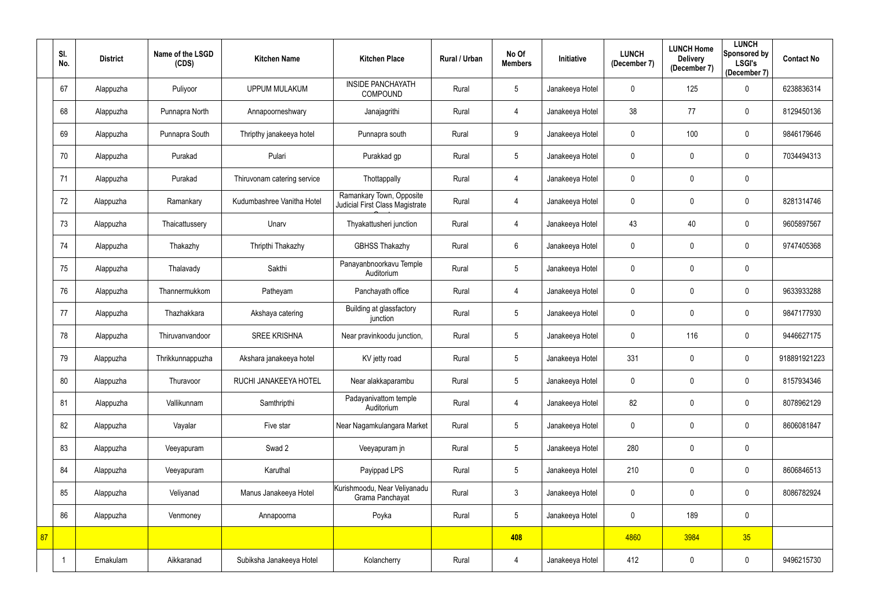|    | SI.<br>No. | <b>District</b> | Name of the LSGD<br>(CDS) | <b>Kitchen Name</b>         | <b>Kitchen Place</b>                                        | Rural / Urban | No Of<br><b>Members</b> | Initiative      | <b>LUNCH</b><br>(December 7) | <b>LUNCH Home</b><br><b>Delivery</b><br>(December 7) | <b>LUNCH</b><br>Sponsored by<br><b>LSGI's</b><br>(December 7) | <b>Contact No</b> |
|----|------------|-----------------|---------------------------|-----------------------------|-------------------------------------------------------------|---------------|-------------------------|-----------------|------------------------------|------------------------------------------------------|---------------------------------------------------------------|-------------------|
|    | 67         | Alappuzha       | Puliyoor                  | <b>UPPUM MULAKUM</b>        | <b>INSIDE PANCHAYATH</b><br><b>COMPOUND</b>                 | Rural         | $5\,$                   | Janakeeya Hotel | $\mathbf 0$                  | 125                                                  | $\mathbf 0$                                                   | 6238836314        |
|    | 68         | Alappuzha       | Punnapra North            | Annapoorneshwary            | Janajagrithi                                                | Rural         | 4                       | Janakeeya Hotel | 38                           | 77                                                   | $\mathbf 0$                                                   | 8129450136        |
|    | 69         | Alappuzha       | Punnapra South            | Thripthy janakeeya hotel    | Punnapra south                                              | Rural         | 9                       | Janakeeya Hotel | $\mathbf 0$                  | 100                                                  | $\pmb{0}$                                                     | 9846179646        |
|    | 70         | Alappuzha       | Purakad                   | Pulari                      | Purakkad gp                                                 | Rural         | $\overline{5}$          | Janakeeya Hotel | $\mathbf 0$                  | $\mathbf 0$                                          | $\mathbf 0$                                                   | 7034494313        |
|    | 71         | Alappuzha       | Purakad                   | Thiruvonam catering service | Thottappally                                                | Rural         | 4                       | Janakeeya Hotel | $\mathbf 0$                  | $\mathbf{0}$                                         | $\pmb{0}$                                                     |                   |
|    | 72         | Alappuzha       | Ramankary                 | Kudumbashree Vanitha Hotel  | Ramankary Town, Opposite<br>Judicial First Class Magistrate | Rural         | 4                       | Janakeeya Hotel | 0                            | $\mathbf 0$                                          | $\mathbf 0$                                                   | 8281314746        |
|    | 73         | Alappuzha       | Thaicattussery            | Unarv                       | Thyakattusheri junction                                     | Rural         | 4                       | Janakeeya Hotel | 43                           | 40                                                   | $\mathbf 0$                                                   | 9605897567        |
|    | 74         | Alappuzha       | Thakazhy                  | Thripthi Thakazhy           | <b>GBHSS Thakazhy</b>                                       | Rural         | $6\,$                   | Janakeeya Hotel | $\mathbf 0$                  | $\mathbf 0$                                          | $\mathbf 0$                                                   | 9747405368        |
|    | 75         | Alappuzha       | Thalavady                 | Sakthi                      | Panayanbnoorkavu Temple<br>Auditorium                       | Rural         | $\overline{5}$          | Janakeeya Hotel | $\mathbf 0$                  | $\mathbf 0$                                          | $\pmb{0}$                                                     |                   |
|    | 76         | Alappuzha       | Thannermukkom             | Patheyam                    | Panchayath office                                           | Rural         | 4                       | Janakeeya Hotel | $\mathbf 0$                  | $\mathbf 0$                                          | $\pmb{0}$                                                     | 9633933288        |
|    | 77         | Alappuzha       | Thazhakkara               | Akshaya catering            | Building at glassfactory<br>junction                        | Rural         | $5\phantom{.0}$         | Janakeeya Hotel | $\mathbf 0$                  | $\mathbf 0$                                          | $\mathbf 0$                                                   | 9847177930        |
|    | 78         | Alappuzha       | Thiruvanvandoor           | <b>SREE KRISHNA</b>         | Near pravinkoodu junction,                                  | Rural         | $\overline{5}$          | Janakeeya Hotel | $\mathbf 0$                  | 116                                                  | $\mathbf 0$                                                   | 9446627175        |
|    | 79         | Alappuzha       | Thrikkunnappuzha          | Akshara janakeeya hotel     | KV jetty road                                               | Rural         | $5\phantom{.0}$         | Janakeeya Hotel | 331                          | $\mathbf 0$                                          | $\mathbf 0$                                                   | 918891921223      |
|    | 80         | Alappuzha       | Thuravoor                 | RUCHI JANAKEEYA HOTEL       | Near alakkaparambu                                          | Rural         | $\sqrt{5}$              | Janakeeya Hotel | $\mathbf 0$                  | $\mathbf 0$                                          | $\mathbf 0$                                                   | 8157934346        |
|    | 81         | Alappuzha       | Vallikunnam               | Samthripthi                 | Padayanivattom temple<br>Auditorium                         | Rural         | 4                       | Janakeeya Hotel | 82                           | $\mathbf 0$                                          | $\mathbf 0$                                                   | 8078962129        |
|    | 82         | Alappuzha       | Vayalar                   | Five star                   | Near Nagamkulangara Market                                  | Rural         | $\sqrt{5}$              | Janakeeya Hotel | 0                            | $\boldsymbol{0}$                                     | $\mathbf 0$                                                   | 8606081847        |
|    | 83         | Alappuzha       | Veeyapuram                | Swad 2                      | Veeyapuram jn                                               | Rural         | $\sqrt{5}$              | Janakeeya Hotel | 280                          | $\mathbf 0$                                          | $\pmb{0}$                                                     |                   |
|    | 84         | Alappuzha       | Veeyapuram                | Karuthal                    | Payippad LPS                                                | Rural         | $\sqrt{5}$              | Janakeeya Hotel | 210                          | $\mathbf 0$                                          | $\mathbf 0$                                                   | 8606846513        |
|    | 85         | Alappuzha       | Veliyanad                 | Manus Janakeeya Hotel       | Kurishmoodu, Near Veliyanadu<br>Grama Panchayat             | Rural         | $\mathfrak{Z}$          | Janakeeya Hotel | 0                            | $\mathbf 0$                                          | $\mathbf 0$                                                   | 8086782924        |
|    | 86         | Alappuzha       | Venmoney                  | Annapoorna                  | Poyka                                                       | Rural         | $5\phantom{.0}$         | Janakeeya Hotel | $\mathbf 0$                  | 189                                                  | $\pmb{0}$                                                     |                   |
| 87 |            |                 |                           |                             |                                                             |               | 408                     |                 | 4860                         | 3984                                                 | 35                                                            |                   |
|    |            | Ernakulam       | Aikkaranad                | Subiksha Janakeeya Hotel    | Kolancherry                                                 | Rural         | 4                       | Janakeeya Hotel | 412                          | $\boldsymbol{0}$                                     | $\mathbf 0$                                                   | 9496215730        |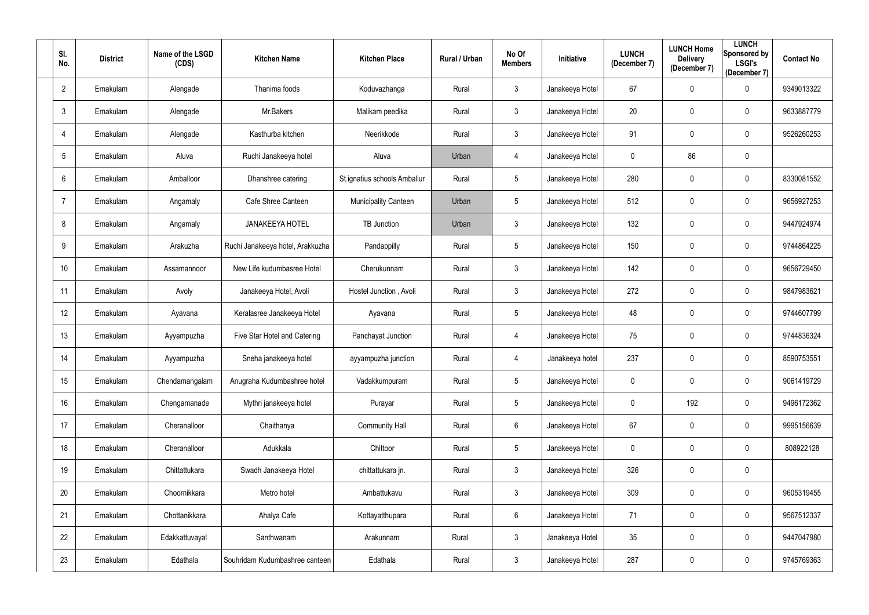| SI.<br>No.      | <b>District</b> | Name of the LSGD<br>(CDS) | <b>Kitchen Name</b>              | <b>Kitchen Place</b>         | <b>Rural / Urban</b> | No Of<br><b>Members</b> | Initiative      | <b>LUNCH</b><br>(December 7) | <b>LUNCH Home</b><br><b>Delivery</b><br>(December 7) | <b>LUNCH</b><br>Sponsored by<br><b>LSGI's</b><br>(December 7) | <b>Contact No</b> |
|-----------------|-----------------|---------------------------|----------------------------------|------------------------------|----------------------|-------------------------|-----------------|------------------------------|------------------------------------------------------|---------------------------------------------------------------|-------------------|
| $\overline{2}$  | Ernakulam       | Alengade                  | Thanima foods                    | Koduvazhanga                 | Rural                | $\mathbf{3}$            | Janakeeya Hotel | 67                           | $\boldsymbol{0}$                                     | $\mathbf 0$                                                   | 9349013322        |
| $\mathbf{3}$    | Ernakulam       | Alengade                  | Mr.Bakers                        | Malikam peedika              | Rural                | $\mathfrak{Z}$          | Janakeeya Hotel | 20                           | $\mathbf 0$                                          | $\mathbf 0$                                                   | 9633887779        |
| $\overline{4}$  | Ernakulam       | Alengade                  | Kasthurba kitchen                | Neerikkode                   | Rural                | $\mathbf{3}$            | Janakeeya Hotel | 91                           | $\pmb{0}$                                            | $\mathbf 0$                                                   | 9526260253        |
| 5               | Ernakulam       | Aluva                     | Ruchi Janakeeya hotel            | Aluva                        | Urban                | 4                       | Janakeeya Hotel | 0                            | 86                                                   | $\pmb{0}$                                                     |                   |
| 6               | Ernakulam       | Amballoor                 | Dhanshree catering               | St.ignatius schools Amballur | Rural                | 5                       | Janakeeya Hotel | 280                          | $\mathbf 0$                                          | $\mathbf 0$                                                   | 8330081552        |
| -7              | Ernakulam       | Angamaly                  | Cafe Shree Canteen               | <b>Municipality Canteen</b>  | Urban                | 5                       | Janakeeya Hotel | 512                          | $\mathbf 0$                                          | $\mathbf 0$                                                   | 9656927253        |
| 8               | Ernakulam       | Angamaly                  | <b>JANAKEEYA HOTEL</b>           | <b>TB Junction</b>           | Urban                | $\mathfrak{Z}$          | Janakeeya Hotel | 132                          | $\mathbf 0$                                          | $\mathbf 0$                                                   | 9447924974        |
| 9               | Ernakulam       | Arakuzha                  | Ruchi Janakeeya hotel, Arakkuzha | Pandappilly                  | Rural                | 5                       | Janakeeya Hotel | 150                          | $\boldsymbol{0}$                                     | $\mathbf 0$                                                   | 9744864225        |
| 10 <sup>1</sup> | Ernakulam       | Assamannoor               | New Life kudumbasree Hotel       | Cherukunnam                  | Rural                | $\mathfrak{Z}$          | Janakeeya Hotel | 142                          | $\boldsymbol{0}$                                     | $\mathbf 0$                                                   | 9656729450        |
| 11              | Ernakulam       | Avoly                     | Janakeeya Hotel, Avoli           | Hostel Junction, Avoli       | Rural                | $\mathbf{3}$            | Janakeeya Hotel | 272                          | $\boldsymbol{0}$                                     | $\mathbf 0$                                                   | 9847983621        |
| 12              | Ernakulam       | Ayavana                   | Keralasree Janakeeya Hotel       | Ayavana                      | Rural                | 5                       | Janakeeya Hotel | 48                           | $\boldsymbol{0}$                                     | $\mathbf 0$                                                   | 9744607799        |
| 13              | Ernakulam       | Ayyampuzha                | Five Star Hotel and Catering     | Panchayat Junction           | Rural                | 4                       | Janakeeya Hotel | 75                           | $\boldsymbol{0}$                                     | $\overline{0}$                                                | 9744836324        |
| 14              | Ernakulam       | Ayyampuzha                | Sneha janakeeya hotel            | ayyampuzha junction          | Rural                | 4                       | Janakeeya hotel | 237                          | $\mathbf 0$                                          | 0                                                             | 8590753551        |
| 15              | Ernakulam       | Chendamangalam            | Anugraha Kudumbashree hotel      | Vadakkumpuram                | Rural                | 5                       | Janakeeya Hotel | $\mathbf 0$                  | $\mathbf 0$                                          | $\bf{0}$                                                      | 9061419729        |
| 16              | Ernakulam       | Chengamanade              | Mythri janakeeya hotel           | Purayar                      | Rural                | 5                       | Janakeeya Hotel | 0                            | 192                                                  | $\bf{0}$                                                      | 9496172362        |
| 17              | Ernakulam       | Cheranalloor              | Chaithanya                       | <b>Community Hall</b>        | Rural                | $6\phantom{.0}$         | Janakeeya Hotel | 67                           | $\boldsymbol{0}$                                     | $\overline{0}$                                                | 9995156639        |
| 18              | Ernakulam       | Cheranalloor              | Adukkala                         | Chittoor                     | Rural                | 5                       | Janakeeya Hotel | $\mathbf 0$                  | $\pmb{0}$                                            | $\mathbf 0$                                                   | 808922128         |
| 19              | Ernakulam       | Chittattukara             | Swadh Janakeeya Hotel            | chittattukara jn.            | Rural                | $\mathfrak{Z}$          | Janakeeya Hotel | 326                          | $\pmb{0}$                                            | $\mathbf 0$                                                   |                   |
| 20              | Ernakulam       | Choornikkara              | Metro hotel                      | Ambattukavu                  | Rural                | $\mathfrak{Z}$          | Janakeeya Hotel | 309                          | $\pmb{0}$                                            | $\bf{0}$                                                      | 9605319455        |
| 21              | Ernakulam       | Chottanikkara             | Ahalya Cafe                      | Kottayatthupara              | Rural                | $6\phantom{.0}$         | Janakeeya Hotel | 71                           | $\boldsymbol{0}$                                     | $\overline{0}$                                                | 9567512337        |
| 22              | Ernakulam       | Edakkattuvayal            | Santhwanam                       | Arakunnam                    | Rural                | $\mathfrak{Z}$          | Janakeeya Hotel | $35\,$                       | $\pmb{0}$                                            | $\overline{0}$                                                | 9447047980        |
| 23              | Ernakulam       | Edathala                  | Souhridam Kudumbashree canteen   | Edathala                     | Rural                | $\mathbf{3}$            | Janakeeya Hotel | 287                          | $\pmb{0}$                                            | $\overline{0}$                                                | 9745769363        |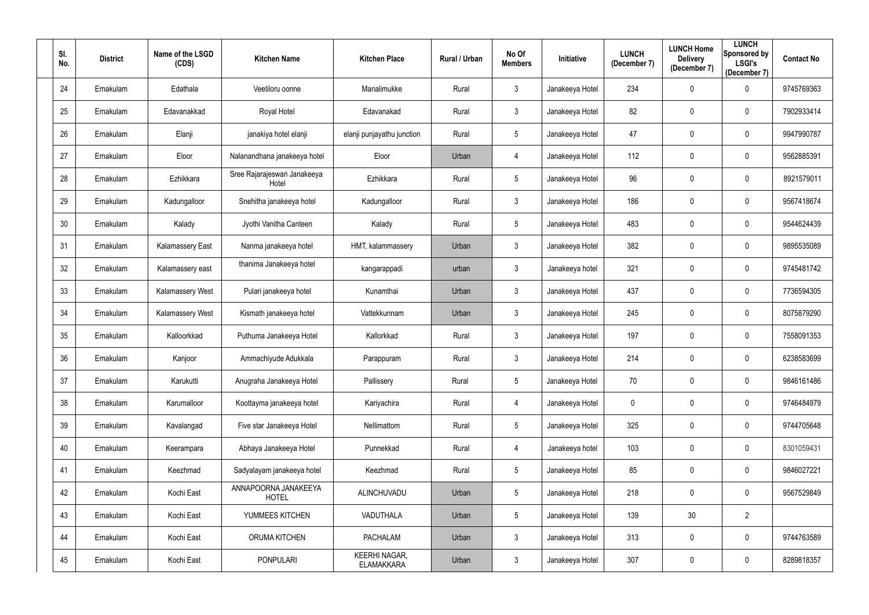| SI.<br>No. | <b>District</b> | Name of the LSGD<br>(CDS) | <b>Kitchen Name</b>                   | <b>Kitchen Place</b>                      | <b>Rural / Urban</b> | No Of<br><b>Members</b> | Initiative      | <b>LUNCH</b><br>(December 7) | <b>LUNCH Home</b><br><b>Delivery</b><br>(December 7) | <b>LUNCH</b><br>Sponsored by<br><b>LSGI's</b><br>(December 7) | <b>Contact No</b> |
|------------|-----------------|---------------------------|---------------------------------------|-------------------------------------------|----------------------|-------------------------|-----------------|------------------------------|------------------------------------------------------|---------------------------------------------------------------|-------------------|
| 24         | Ernakulam       | Edathala                  | Veetiloru oonne                       | Manalimukke                               | Rural                | $\mathbf{3}$            | Janakeeya Hotel | 234                          | $\mathbf 0$                                          | $\mathbf 0$                                                   | 9745769363        |
| 25         | Ernakulam       | Edavanakkad               | Royal Hotel                           | Edavanakad                                | Rural                | $\mathfrak{Z}$          | Janakeeya Hotel | 82                           | $\mathbf 0$                                          | $\mathbf 0$                                                   | 7902933414        |
| 26         | Ernakulam       | Elanji                    | janakiya hotel elanji                 | elanji punjayathu junction                | Rural                | 5                       | Janakeeya Hotel | 47                           | $\mathbf{0}$                                         | $\mathbf 0$                                                   | 9947990787        |
| 27         | Ernakulam       | Eloor                     | Nalanandhana janakeeya hotel          | Eloor                                     | Urban                | 4                       | Janakeeya Hotel | 112                          | $\boldsymbol{0}$                                     | $\mathbf 0$                                                   | 9562885391        |
| 28         | Ernakulam       | Ezhikkara                 | Sree Rajarajeswari Janakeeya<br>Hotel | Ezhikkara                                 | Rural                | 5                       | Janakeeya Hotel | 96                           | $\mathbf 0$                                          | $\mathbf 0$                                                   | 8921579011        |
| 29         | Ernakulam       | Kadungalloor              | Snehitha janakeeya hotel              | Kadungalloor                              | Rural                | $\mathbf{3}$            | Janakeeya Hotel | 186                          | $\mathbf 0$                                          | $\mathbf 0$                                                   | 9567418674        |
| 30         | Ernakulam       | Kalady                    | Jyothi Vanitha Canteen                | Kalady                                    | Rural                | 5                       | Janakeeya Hotel | 483                          | $\mathbf 0$                                          | $\mathbf 0$                                                   | 9544624439        |
| 31         | Ernakulam       | Kalamassery East          | Nanma janakeeya hotel                 | HMT, kalammassery                         | Urban                | $\mathfrak{Z}$          | Janakeeya Hotel | 382                          | $\boldsymbol{0}$                                     | $\mathbf 0$                                                   | 9895535089        |
| 32         | Ernakulam       | Kalamassery east          | thanima Janakeeya hotel               | kangarappadi                              | urban                | $\mathfrak{Z}$          | Janakeeya hotel | 321                          | $\boldsymbol{0}$                                     | $\mathbf 0$                                                   | 9745481742        |
| 33         | Ernakulam       | <b>Kalamassery West</b>   | Pulari janakeeya hotel                | Kunamthai                                 | Urban                | $\mathfrak{Z}$          | Janakeeya Hotel | 437                          | $\pmb{0}$                                            | $\mathbf 0$                                                   | 7736594305        |
| 34         | Ernakulam       | <b>Kalamassery West</b>   | Kismath janakeeya hotel               | Vattekkunnam                              | Urban                | $\mathfrak{Z}$          | Janakeeya Hotel | 245                          | $\mathbf 0$                                          | $\mathbf 0$                                                   | 8075879290        |
| 35         | Ernakulam       | Kalloorkkad               | Puthuma Janakeeya Hotel               | Kallorkkad                                | Rural                | $\mathbf{3}$            | Janakeeya Hotel | 197                          | $\mathbf 0$                                          | $\mathbf 0$                                                   | 7558091353        |
| 36         | Ernakulam       | Kanjoor                   | Ammachiyude Adukkala                  | Parappuram                                | Rural                | 3                       | Janakeeya Hotel | 214                          | $\mathbf 0$                                          | 0                                                             | 6238583699        |
| 37         | Ernakulam       | Karukutti                 | Anugraha Janakeeya Hotel              | Pallissery                                | Rural                | 5                       | Janakeeya Hotel | 70                           | $\mathbf 0$                                          | $\mathbf 0$                                                   | 9846161486        |
| 38         | Ernakulam       | Karumalloor               | Koottayma janakeeya hotel             | Kariyachira                               | Rural                | 4                       | Janakeeya Hotel | $\mathbf 0$                  | $\pmb{0}$                                            | $\mathbf 0$                                                   | 9746484979        |
| 39         | Ernakulam       | Kavalangad                | Five star Janakeeya Hotel             | Nellimattom                               | Rural                | 5                       | Janakeeya Hotel | 325                          | $\pmb{0}$                                            | $\mathbf 0$                                                   | 9744705648        |
| 40         | Ernakulam       | Keerampara                | Abhaya Janakeeya Hotel                | Punnekkad                                 | Rural                | 4                       | Janakeeya hotel | 103                          | $\pmb{0}$                                            | $\mathbf 0$                                                   | 8301059431        |
| 41         | Ernakulam       | Keezhmad                  | Sadyalayam janakeeya hotel            | Keezhmad                                  | Rural                | 5                       | Janakeeya Hotel | 85                           | $\pmb{0}$                                            | $\mathbf 0$                                                   | 9846027221        |
| 42         | Ernakulam       | Kochi East                | ANNAPOORNA JANAKEEYA<br><b>HOTEL</b>  | ALINCHUVADU                               | Urban                | 5                       | Janakeeya Hotel | 218                          | $\boldsymbol{0}$                                     | $\mathbf 0$                                                   | 9567529849        |
| 43         | Ernakulam       | Kochi East                | YUMMEES KITCHEN                       | VADUTHALA                                 | Urban                | 5                       | Janakeeya Hotel | 139                          | 30                                                   | $\overline{2}$                                                |                   |
| 44         | Ernakulam       | Kochi East                | <b>ORUMA KITCHEN</b>                  | <b>PACHALAM</b>                           | Urban                | $\mathfrak{Z}$          | Janakeeya Hotel | 313                          | $\pmb{0}$                                            | $\mathbf 0$                                                   | 9744763589        |
| 45         | Ernakulam       | Kochi East                | <b>PONPULARI</b>                      | <b>KEERHI NAGAR,</b><br><b>ELAMAKKARA</b> | Urban                | $\mathfrak{Z}$          | Janakeeya Hotel | 307                          | $\boldsymbol{0}$                                     | $\overline{0}$                                                | 8289818357        |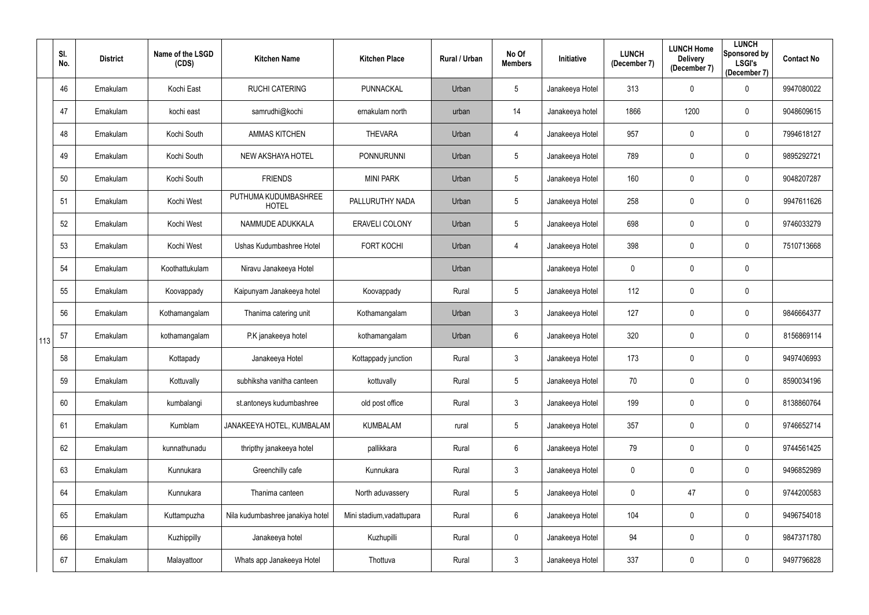|     | SI.<br>No. | <b>District</b> | Name of the LSGD<br>(CDS) | <b>Kitchen Name</b>                  | <b>Kitchen Place</b>      | Rural / Urban | No Of<br><b>Members</b> | Initiative      | <b>LUNCH</b><br>(December 7) | <b>LUNCH Home</b><br><b>Delivery</b><br>(December 7) | <b>LUNCH</b><br>Sponsored by<br><b>LSGI's</b><br>(December 7) | <b>Contact No</b> |
|-----|------------|-----------------|---------------------------|--------------------------------------|---------------------------|---------------|-------------------------|-----------------|------------------------------|------------------------------------------------------|---------------------------------------------------------------|-------------------|
|     | 46         | Ernakulam       | Kochi East                | <b>RUCHI CATERING</b>                | PUNNACKAL                 | Urban         | $5\phantom{.0}$         | Janakeeya Hotel | 313                          | $\overline{0}$                                       | $\mathbf 0$                                                   | 9947080022        |
|     | 47         | Ernakulam       | kochi east                | samrudhi@kochi                       | ernakulam north           | urban         | 14                      | Janakeeya hotel | 1866                         | 1200                                                 | $\mathbf 0$                                                   | 9048609615        |
|     | 48         | Ernakulam       | Kochi South               | <b>AMMAS KITCHEN</b>                 | <b>THEVARA</b>            | Urban         | 4                       | Janakeeya Hotel | 957                          | $\mathbf 0$                                          | $\overline{0}$                                                | 7994618127        |
|     | 49         | Ernakulam       | Kochi South               | NEW AKSHAYA HOTEL                    | <b>PONNURUNNI</b>         | Urban         | $5\phantom{.0}$         | Janakeeya Hotel | 789                          | $\mathbf 0$                                          | $\overline{0}$                                                | 9895292721        |
|     | 50         | Ernakulam       | Kochi South               | <b>FRIENDS</b>                       | <b>MINI PARK</b>          | Urban         | $5\phantom{.0}$         | Janakeeya Hotel | 160                          | $\mathbf 0$                                          | $\overline{0}$                                                | 9048207287        |
|     | 51         | Ernakulam       | Kochi West                | PUTHUMA KUDUMBASHREE<br><b>HOTEL</b> | PALLURUTHY NADA           | Urban         | $5\phantom{.0}$         | Janakeeya Hotel | 258                          | $\mathbf 0$                                          | $\boldsymbol{0}$                                              | 9947611626        |
|     | 52         | Ernakulam       | Kochi West                | NAMMUDE ADUKKALA                     | ERAVELI COLONY            | Urban         | $5\phantom{.0}$         | Janakeeya Hotel | 698                          | $\mathbf{0}$                                         | $\overline{0}$                                                | 9746033279        |
|     | 53         | Ernakulam       | Kochi West                | Ushas Kudumbashree Hotel             | <b>FORT KOCHI</b>         | Urban         | 4                       | Janakeeya Hotel | 398                          | $\mathbf 0$                                          | $\overline{0}$                                                | 7510713668        |
|     | 54         | Ernakulam       | Koothattukulam            | Niravu Janakeeya Hotel               |                           | Urban         |                         | Janakeeya Hotel | 0                            | $\mathbf 0$                                          | $\overline{0}$                                                |                   |
|     | 55         | Ernakulam       | Koovappady                | Kaipunyam Janakeeya hotel            | Koovappady                | Rural         | $5\phantom{.0}$         | Janakeeya Hotel | 112                          | $\mathbf 0$                                          | $\boldsymbol{0}$                                              |                   |
|     | 56         | Ernakulam       | Kothamangalam             | Thanima catering unit                | Kothamangalam             | Urban         | $\mathbf{3}$            | Janakeeya Hotel | 127                          | $\mathbf 0$                                          | $\overline{0}$                                                | 9846664377        |
| 113 | 57         | Ernakulam       | kothamangalam             | P.K janakeeya hotel                  | kothamangalam             | Urban         | $6\phantom{.0}$         | Janakeeya Hotel | 320                          | $\mathbf 0$                                          | $\overline{0}$                                                | 8156869114        |
|     | 58         | Ernakulam       | Kottapady                 | Janakeeya Hotel                      | Kottappady junction       | Rural         | $\mathbf{3}$            | Janakeeya Hotel | 173                          | $\mathbf 0$                                          | $\mathbf 0$                                                   | 9497406993        |
|     | 59         | Ernakulam       | Kottuvally                | subhiksha vanitha canteen            | kottuvally                | Rural         | $5\phantom{.0}$         | Janakeeya Hotel | 70                           | $\mathbf 0$                                          | $\mathbf 0$                                                   | 8590034196        |
|     | 60         | Ernakulam       | kumbalangi                | st.antoneys kudumbashree             | old post office           | Rural         | $\mathfrak{Z}$          | Janakeeya Hotel | 199                          | $\pmb{0}$                                            | $\overline{0}$                                                | 8138860764        |
|     | 61         | Ernakulam       | Kumblam                   | JANAKEEYA HOTEL, KUMBALAM            | <b>KUMBALAM</b>           | rural         | $\overline{5}$          | Janakeeya Hotel | 357                          | $\mathbf 0$                                          | $\mathbf 0$                                                   | 9746652714        |
|     | 62         | Ernakulam       | kunnathunadu              | thripthy janakeeya hotel             | pallikkara                | Rural         | $6\phantom{.0}$         | Janakeeya Hotel | 79                           | $\pmb{0}$                                            | $\mathbf 0$                                                   | 9744561425        |
|     | 63         | Ernakulam       | Kunnukara                 | Greenchilly cafe                     | Kunnukara                 | Rural         | $\mathfrak{Z}$          | Janakeeya Hotel | $\mathbf 0$                  | $\mathbf 0$                                          | $\mathbf 0$                                                   | 9496852989        |
|     | 64         | Ernakulam       | Kunnukara                 | Thanima canteen                      | North aduvassery          | Rural         | $5\phantom{.0}$         | Janakeeya Hotel | $\mathbf 0$                  | 47                                                   | $\overline{0}$                                                | 9744200583        |
|     | 65         | Ernakulam       | Kuttampuzha               | Nila kudumbashree janakiya hotel     | Mini stadium, vadattupara | Rural         | $6\,$                   | Janakeeya Hotel | 104                          | $\mathbf 0$                                          | $\mathbf 0$                                                   | 9496754018        |
|     | 66         | Ernakulam       | Kuzhippilly               | Janakeeya hotel                      | Kuzhupilli                | Rural         | $\mathbf 0$             | Janakeeya Hotel | 94                           | $\overline{0}$                                       | $\mathbf 0$                                                   | 9847371780        |
|     | 67         | Ernakulam       | Malayattoor               | Whats app Janakeeya Hotel            | Thottuva                  | Rural         | $\mathfrak{Z}$          | Janakeeya Hotel | 337                          | $\mathbf 0$                                          | $\overline{0}$                                                | 9497796828        |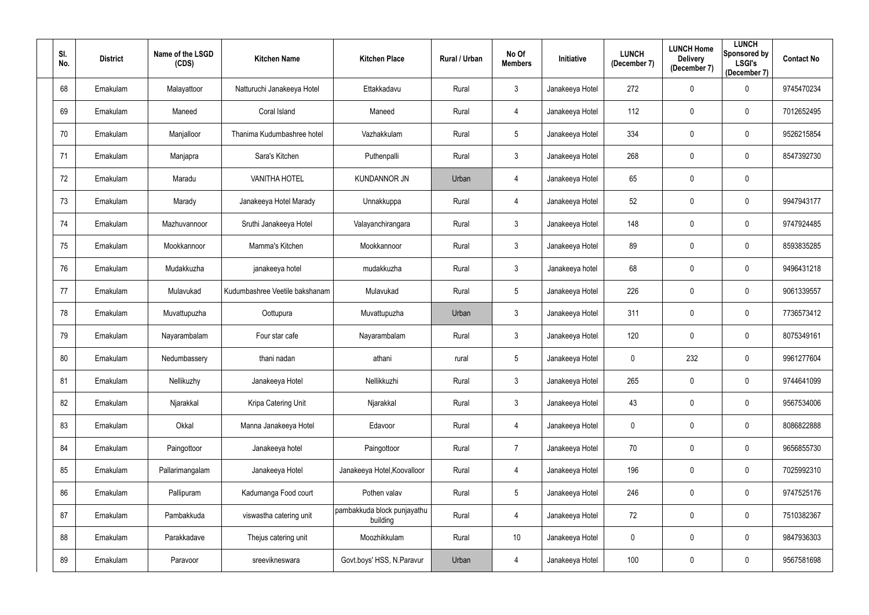| SI.<br>No. | <b>District</b> | Name of the LSGD<br>(CDS) | <b>Kitchen Name</b>            | <b>Kitchen Place</b>                    | <b>Rural / Urban</b> | No Of<br><b>Members</b> | Initiative      | <b>LUNCH</b><br>(December 7) | <b>LUNCH Home</b><br><b>Delivery</b><br>(December 7) | <b>LUNCH</b><br>Sponsored by<br><b>LSGI's</b><br>(December 7) | <b>Contact No</b> |
|------------|-----------------|---------------------------|--------------------------------|-----------------------------------------|----------------------|-------------------------|-----------------|------------------------------|------------------------------------------------------|---------------------------------------------------------------|-------------------|
| 68         | Ernakulam       | Malayattoor               | Natturuchi Janakeeya Hotel     | Ettakkadavu                             | Rural                | $\mathfrak{Z}$          | Janakeeya Hotel | 272                          | $\boldsymbol{0}$                                     | $\mathbf 0$                                                   | 9745470234        |
| 69         | Ernakulam       | Maneed                    | Coral Island                   | Maneed                                  | Rural                | 4                       | Janakeeya Hotel | 112                          | $\mathbf 0$                                          | $\mathbf 0$                                                   | 7012652495        |
| 70         | Ernakulam       | Manjalloor                | Thanima Kudumbashree hotel     | Vazhakkulam                             | Rural                | 5                       | Janakeeya Hotel | 334                          | $\mathbf 0$                                          | $\mathbf 0$                                                   | 9526215854        |
| 71         | Ernakulam       | Manjapra                  | Sara's Kitchen                 | Puthenpalli                             | Rural                | $\mathfrak{Z}$          | Janakeeya Hotel | 268                          | $\boldsymbol{0}$                                     | $\mathbf 0$                                                   | 8547392730        |
| 72         | Ernakulam       | Maradu                    | <b>VANITHA HOTEL</b>           | <b>KUNDANNOR JN</b>                     | Urban                | 4                       | Janakeeya Hotel | 65                           | $\mathbf 0$                                          | $\mathbf 0$                                                   |                   |
| 73         | Ernakulam       | Marady                    | Janakeeya Hotel Marady         | Unnakkuppa                              | Rural                | 4                       | Janakeeya Hotel | 52                           | $\mathbf 0$                                          | $\mathbf 0$                                                   | 9947943177        |
| 74         | Ernakulam       | Mazhuvannoor              | Sruthi Janakeeya Hotel         | Valayanchirangara                       | Rural                | $\mathbf{3}$            | Janakeeya Hotel | 148                          | $\mathbf 0$                                          | $\mathbf 0$                                                   | 9747924485        |
| 75         | Ernakulam       | Mookkannoor               | Mamma's Kitchen                | Mookkannoor                             | Rural                | $\mathfrak{Z}$          | Janakeeya Hotel | 89                           | $\boldsymbol{0}$                                     | $\mathbf 0$                                                   | 8593835285        |
| 76         | Ernakulam       | Mudakkuzha                | janakeeya hotel                | mudakkuzha                              | Rural                | $\mathbf{3}$            | Janakeeya hotel | 68                           | $\boldsymbol{0}$                                     | $\mathbf 0$                                                   | 9496431218        |
| 77         | Ernakulam       | Mulavukad                 | Kudumbashree Veetile bakshanam | Mulavukad                               | Rural                | 5                       | Janakeeya Hotel | 226                          | $\boldsymbol{0}$                                     | $\mathbf 0$                                                   | 9061339557        |
| 78         | Ernakulam       | Muvattupuzha              | Oottupura                      | Muvattupuzha                            | Urban                | $\mathbf{3}$            | Janakeeya Hotel | 311                          | $\mathbf 0$                                          | $\mathbf 0$                                                   | 7736573412        |
| 79         | Ernakulam       | Nayarambalam              | Four star cafe                 | Nayarambalam                            | Rural                | $\mathfrak{Z}$          | Janakeeya Hotel | 120                          | $\mathbf 0$                                          | $\mathbf 0$                                                   | 8075349161        |
| 80         | Ernakulam       | Nedumbassery              | thani nadan                    | athani                                  | rural                | 5                       | Janakeeya Hotel | 0                            | 232                                                  | 0                                                             | 9961277604        |
| 81         | Ernakulam       | Nellikuzhy                | Janakeeya Hotel                | Nellikkuzhi                             | Rural                | $\mathfrak{S}$          | Janakeeya Hotel | 265                          | $\mathbf 0$                                          | $\mathbf 0$                                                   | 9744641099        |
| 82         | Ernakulam       | Njarakkal                 | Kripa Catering Unit            | Njarakkal                               | Rural                | 3 <sup>1</sup>          | Janakeeya Hotel | 43                           | $\pmb{0}$                                            | $\overline{0}$                                                | 9567534006        |
| 83         | Ernakulam       | Okkal                     | Manna Janakeeya Hotel          | Edavoor                                 | Rural                | 4                       | Janakeeya Hotel | $\mathbf 0$                  | $\pmb{0}$                                            | $\mathbf 0$                                                   | 8086822888        |
| 84         | Ernakulam       | Paingottoor               | Janakeeya hotel                | Paingottoor                             | Rural                | $\overline{7}$          | Janakeeya Hotel | 70                           | $\pmb{0}$                                            | $\bf{0}$                                                      | 9656855730        |
| 85         | Ernakulam       | Pallarimangalam           | Janakeeya Hotel                | Janakeeya Hotel, Koovalloor             | Rural                | 4                       | Janakeeya Hotel | 196                          | $\pmb{0}$                                            | $\bf{0}$                                                      | 7025992310        |
| 86         | Ernakulam       | Pallipuram                | Kadumanga Food court           | Pothen valav                            | Rural                | 5                       | Janakeeya Hotel | 246                          | $\boldsymbol{0}$                                     | $\mathbf 0$                                                   | 9747525176        |
| 87         | Ernakulam       | Pambakkuda                | viswastha catering unit        | pambakkuda block punjayathu<br>building | Rural                | 4                       | Janakeeya Hotel | 72                           | $\pmb{0}$                                            | $\overline{0}$                                                | 7510382367        |
| 88         | Ernakulam       | Parakkadave               | Thejus catering unit           | Moozhikkulam                            | Rural                | 10                      | Janakeeya Hotel | $\mathbf 0$                  | $\pmb{0}$                                            | $\overline{0}$                                                | 9847936303        |
| 89         | Ernakulam       | Paravoor                  | sreevikneswara                 | Govt.boys' HSS, N.Paravur               | Urban                | 4                       | Janakeeya Hotel | 100                          | $\boldsymbol{0}$                                     | $\bf{0}$                                                      | 9567581698        |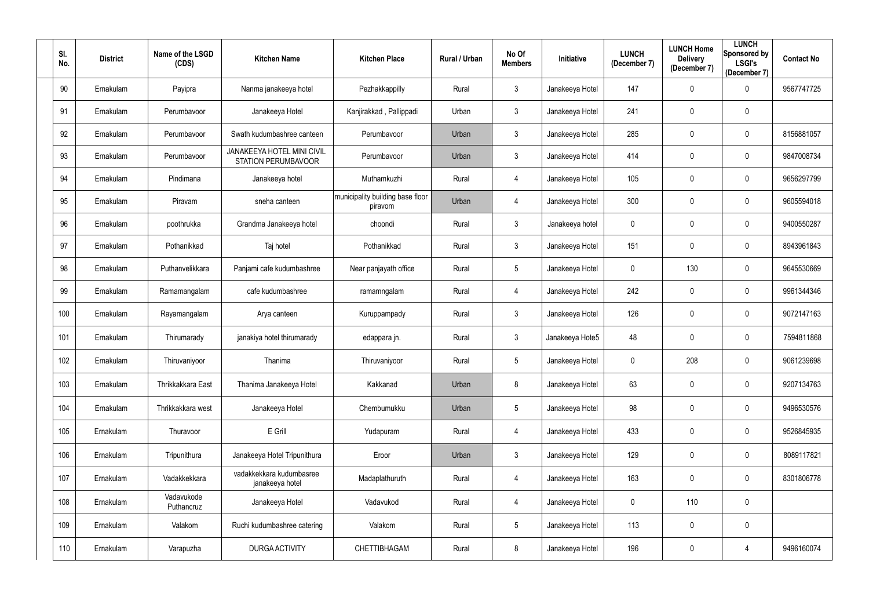| SI.<br>No. | <b>District</b> | Name of the LSGD<br>(CDS) | <b>Kitchen Name</b>                               | <b>Kitchen Place</b>                        | Rural / Urban | No Of<br><b>Members</b> | Initiative      | <b>LUNCH</b><br>(December 7) | <b>LUNCH Home</b><br><b>Delivery</b><br>(December 7) | <b>LUNCH</b><br>Sponsored by<br><b>LSGI's</b><br>(December 7) | <b>Contact No</b> |
|------------|-----------------|---------------------------|---------------------------------------------------|---------------------------------------------|---------------|-------------------------|-----------------|------------------------------|------------------------------------------------------|---------------------------------------------------------------|-------------------|
| 90         | Ernakulam       | Payipra                   | Nanma janakeeya hotel                             | Pezhakkappilly                              | Rural         | $\mathfrak{Z}$          | Janakeeya Hotel | 147                          | $\mathbf 0$                                          | $\overline{0}$                                                | 9567747725        |
| 91         | Ernakulam       | Perumbavoor               | Janakeeya Hotel                                   | Kanjirakkad, Pallippadi                     | Urban         | $\mathfrak{Z}$          | Janakeeya Hotel | 241                          | $\mathbf 0$                                          | $\overline{0}$                                                |                   |
| 92         | Ernakulam       | Perumbavoor               | Swath kudumbashree canteen                        | Perumbavoor                                 | Urban         | $\mathfrak{Z}$          | Janakeeya Hotel | 285                          | $\mathbf 0$                                          | $\overline{0}$                                                | 8156881057        |
| 93         | Ernakulam       | Perumbavoor               | JANAKEEYA HOTEL MINI CIVIL<br>STATION PERUMBAVOOR | Perumbavoor                                 | Urban         | $\mathfrak{Z}$          | Janakeeya Hotel | 414                          | $\mathbf 0$                                          | $\overline{0}$                                                | 9847008734        |
| 94         | Ernakulam       | Pindimana                 | Janakeeya hotel                                   | Muthamkuzhi                                 | Rural         | 4                       | Janakeeya Hotel | 105                          | $\mathbf 0$                                          | $\overline{0}$                                                | 9656297799        |
| 95         | Ernakulam       | Piravam                   | sneha canteen                                     | municipality building base floor<br>piravom | Urban         | 4                       | Janakeeya Hotel | 300                          | $\mathbf 0$                                          | $\overline{0}$                                                | 9605594018        |
| 96         | Ernakulam       | poothrukka                | Grandma Janakeeya hotel                           | choondi                                     | Rural         | $\mathfrak{Z}$          | Janakeeya hotel | 0                            | $\mathbf 0$                                          | $\overline{0}$                                                | 9400550287        |
| 97         | Ernakulam       | Pothanikkad               | Taj hotel                                         | Pothanikkad                                 | Rural         | $\mathfrak{Z}$          | Janakeeya Hotel | 151                          | $\overline{0}$                                       | $\overline{0}$                                                | 8943961843        |
| 98         | Ernakulam       | Puthanvelikkara           | Panjami cafe kudumbashree                         | Near panjayath office                       | Rural         | 5                       | Janakeeya Hotel | 0                            | 130                                                  | $\overline{0}$                                                | 9645530669        |
| 99         | Ernakulam       | Ramamangalam              | cafe kudumbashree                                 | ramamngalam                                 | Rural         | 4                       | Janakeeya Hotel | 242                          | $\mathbf 0$                                          | $\overline{0}$                                                | 9961344346        |
| 100        | Ernakulam       | Rayamangalam              | Arya canteen                                      | Kuruppampady                                | Rural         | $\mathfrak{Z}$          | Janakeeya Hotel | 126                          | $\overline{0}$                                       | $\mathbf 0$                                                   | 9072147163        |
| 101        | Ernakulam       | Thirumarady               | janakiya hotel thirumarady                        | edappara jn.                                | Rural         | $\mathfrak{Z}$          | Janakeeya Hote5 | 48                           | $\mathbf 0$                                          | $\overline{0}$                                                | 7594811868        |
| 102        | Ernakulam       | Thiruvaniyoor             | Thanima                                           | Thiruvaniyoor                               | Rural         | 5                       | Janakeeya Hotel | 0                            | 208                                                  | $\mathbf 0$                                                   | 9061239698        |
| 103        | Ernakulam       | Thrikkakkara East         | Thanima Janakeeya Hotel                           | Kakkanad                                    | Urban         | 8                       | Janakeeya Hotel | 63                           | $\mathbf 0$                                          | $\mathbf 0$                                                   | 9207134763        |
| 104        | Ernakulam       | Thrikkakkara west         | Janakeeya Hotel                                   | Chembumukku                                 | Urban         | $5\phantom{.0}$         | Janakeeya Hotel | 98                           | $\mathbf 0$                                          | $\mathbf 0$                                                   | 9496530576        |
| 105        | Ernakulam       | Thuravoor                 | E Grill                                           | Yudapuram                                   | Rural         | 4                       | Janakeeya Hotel | 433                          | $\mathbf 0$                                          | $\mathbf 0$                                                   | 9526845935        |
| 106        | Ernakulam       | Tripunithura              | Janakeeya Hotel Tripunithura                      | Eroor                                       | Urban         | $\mathfrak{Z}$          | Janakeeya Hotel | 129                          | $\mathbf 0$                                          | $\overline{0}$                                                | 8089117821        |
| 107        | Ernakulam       | Vadakkekkara              | vadakkekkara kudumbasree<br>janakeeya hotel       | Madaplathuruth                              | Rural         | 4                       | Janakeeya Hotel | 163                          | $\mathbf 0$                                          | $\mathbf 0$                                                   | 8301806778        |
| 108        | Ernakulam       | Vadavukode<br>Puthancruz  | Janakeeya Hotel                                   | Vadavukod                                   | Rural         | 4                       | Janakeeya Hotel | $\pmb{0}$                    | 110                                                  | $\overline{0}$                                                |                   |
| 109        | Ernakulam       | Valakom                   | Ruchi kudumbashree catering                       | Valakom                                     | Rural         | $5\phantom{.0}$         | Janakeeya Hotel | 113                          | $\mathbf 0$                                          | $\mathbf 0$                                                   |                   |
| 110        | Ernakulam       | Varapuzha                 | <b>DURGA ACTIVITY</b>                             | CHETTIBHAGAM                                | Rural         | $8\,$                   | Janakeeya Hotel | 196                          | $\pmb{0}$                                            | 4                                                             | 9496160074        |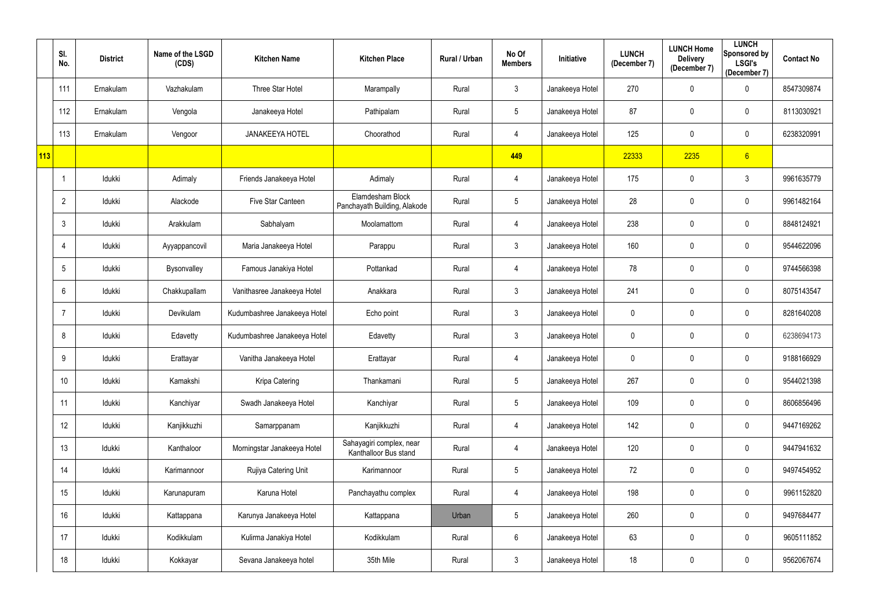|     | SI.<br>No.      | <b>District</b> | Name of the LSGD<br>(CDS) | <b>Kitchen Name</b>          | <b>Kitchen Place</b>                              | Rural / Urban | No Of<br><b>Members</b> | <b>Initiative</b> | <b>LUNCH</b><br>(December 7) | <b>LUNCH Home</b><br><b>Delivery</b><br>(December 7) | <b>LUNCH</b><br>Sponsored by<br><b>LSGI's</b><br>(December 7) | <b>Contact No</b> |
|-----|-----------------|-----------------|---------------------------|------------------------------|---------------------------------------------------|---------------|-------------------------|-------------------|------------------------------|------------------------------------------------------|---------------------------------------------------------------|-------------------|
|     | 111             | Ernakulam       | Vazhakulam                | Three Star Hotel             | Marampally                                        | Rural         | $\mathbf{3}$            | Janakeeya Hotel   | 270                          | $\mathbf 0$                                          | $\mathbf 0$                                                   | 8547309874        |
|     | 112             | Ernakulam       | Vengola                   | Janakeeya Hotel              | Pathipalam                                        | Rural         | $5\phantom{.0}$         | Janakeeya Hotel   | 87                           | $\mathbf 0$                                          | $\mathbf 0$                                                   | 8113030921        |
|     | 113             | Ernakulam       | Vengoor                   | <b>JANAKEEYA HOTEL</b>       | Choorathod                                        | Rural         | 4                       | Janakeeya Hotel   | 125                          | $\mathbf 0$                                          | $\overline{0}$                                                | 6238320991        |
| 113 |                 |                 |                           |                              |                                                   |               | 449                     |                   | 22333                        | 2235                                                 | 6                                                             |                   |
|     |                 | Idukki          | Adimaly                   | Friends Janakeeya Hotel      | Adimaly                                           | Rural         | 4                       | Janakeeya Hotel   | 175                          | $\mathbf 0$                                          | $\mathfrak{Z}$                                                | 9961635779        |
|     | $\overline{2}$  | Idukki          | Alackode                  | Five Star Canteen            | Elamdesham Block<br>Panchayath Building, Alakode  | Rural         | $5\phantom{.0}$         | Janakeeya Hotel   | 28                           | $\mathbf 0$                                          | $\mathbf 0$                                                   | 9961482164        |
|     | 3               | Idukki          | Arakkulam                 | Sabhalyam                    | Moolamattom                                       | Rural         | 4                       | Janakeeya Hotel   | 238                          | $\mathbf 0$                                          | $\mathbf 0$                                                   | 8848124921        |
|     | 4               | Idukki          | Ayyappancovil             | Maria Janakeeya Hotel        | Parappu                                           | Rural         | $\mathfrak{Z}$          | Janakeeya Hotel   | 160                          | $\mathbf 0$                                          | $\mathbf 0$                                                   | 9544622096        |
|     | 5               | Idukki          | Bysonvalley               | Famous Janakiya Hotel        | Pottankad                                         | Rural         | 4                       | Janakeeya Hotel   | 78                           | $\mathbf 0$                                          | $\mathbf 0$                                                   | 9744566398        |
|     | 6               | Idukki          | Chakkupallam              | Vanithasree Janakeeya Hotel  | Anakkara                                          | Rural         | $\mathfrak{Z}$          | Janakeeya Hotel   | 241                          | $\mathbf 0$                                          | $\mathbf 0$                                                   | 8075143547        |
|     |                 | Idukki          | Devikulam                 | Kudumbashree Janakeeya Hotel | Echo point                                        | Rural         | $\mathfrak{Z}$          | Janakeeya Hotel   | $\mathbf 0$                  | $\mathbf 0$                                          | $\mathbf 0$                                                   | 8281640208        |
|     | 8               | Idukki          | Edavetty                  | Kudumbashree Janakeeya Hotel | Edavetty                                          | Rural         | $\mathfrak{Z}$          | Janakeeya Hotel   | 0                            | $\mathbf 0$                                          | $\mathbf 0$                                                   | 6238694173        |
|     | 9               | Idukki          | Erattayar                 | Vanitha Janakeeya Hotel      | Erattayar                                         | Rural         | 4                       | Janakeeya Hotel   | 0                            | $\mathbf 0$                                          | $\mathbf 0$                                                   | 9188166929        |
|     | 10 <sup>°</sup> | Idukki          | Kamakshi                  | Kripa Catering               | Thankamani                                        | Rural         | $5\phantom{.0}$         | Janakeeya Hotel   | 267                          | $\mathbf 0$                                          | $\mathbf 0$                                                   | 9544021398        |
|     | 11              | ldukki          | Kanchiyar                 | Swadh Janakeeya Hotel        | Kanchiyar                                         | Rural         | $5\phantom{.0}$         | Janakeeya Hotel   | 109                          | $\mathbf 0$                                          | $\mathbf 0$                                                   | 8606856496        |
|     | 12              | Idukki          | Kanjikkuzhi               | Samarppanam                  | Kanjikkuzhi                                       | Rural         | 4                       | Janakeeya Hotel   | 142                          | $\mathbf 0$                                          | $\mathbf 0$                                                   | 9447169262        |
|     | 13              | Idukki          | Kanthaloor                | Morningstar Janakeeya Hotel  | Sahayagiri complex, near<br>Kanthalloor Bus stand | Rural         | 4                       | Janakeeya Hotel   | 120                          | $\pmb{0}$                                            | $\mathbf 0$                                                   | 9447941632        |
|     | 14              | Idukki          | Karimannoor               | Rujiya Catering Unit         | Karimannoor                                       | Rural         | $5\phantom{.0}$         | Janakeeya Hotel   | 72                           | $\mathbf 0$                                          | $\mathbf 0$                                                   | 9497454952        |
|     | 15              | Idukki          | Karunapuram               | Karuna Hotel                 | Panchayathu complex                               | Rural         | 4                       | Janakeeya Hotel   | 198                          | $\mathbf 0$                                          | $\overline{0}$                                                | 9961152820        |
|     | 16              | Idukki          | Kattappana                | Karunya Janakeeya Hotel      | Kattappana                                        | Urban         | $5\phantom{.0}$         | Janakeeya Hotel   | 260                          | $\mathbf 0$                                          | $\mathbf 0$                                                   | 9497684477        |
|     | 17              | Idukki          | Kodikkulam                | Kulirma Janakiya Hotel       | Kodikkulam                                        | Rural         | $6\,$                   | Janakeeya Hotel   | 63                           | $\pmb{0}$                                            | $\mathbf 0$                                                   | 9605111852        |
|     | 18              | Idukki          | Kokkayar                  | Sevana Janakeeya hotel       | 35th Mile                                         | Rural         | $\mathfrak{Z}$          | Janakeeya Hotel   | 18                           | $\pmb{0}$                                            | $\overline{0}$                                                | 9562067674        |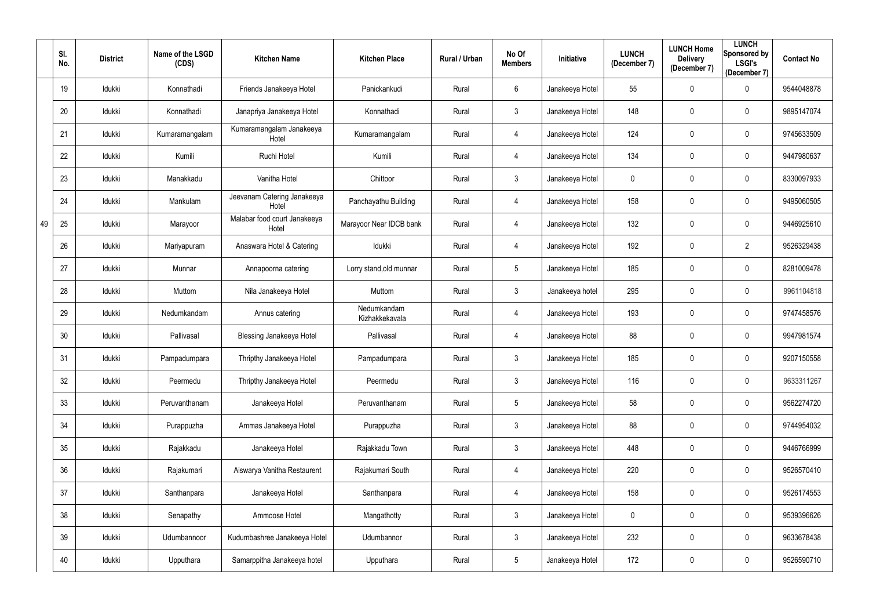|    | SI.<br>No. | <b>District</b> | Name of the LSGD<br>(CDS) | <b>Kitchen Name</b>                   | <b>Kitchen Place</b>          | Rural / Urban | No Of<br><b>Members</b> | <b>Initiative</b> | <b>LUNCH</b><br>(December 7) | <b>LUNCH Home</b><br><b>Delivery</b><br>(December 7) | <b>LUNCH</b><br>Sponsored by<br><b>LSGI's</b><br>(December 7) | <b>Contact No</b> |
|----|------------|-----------------|---------------------------|---------------------------------------|-------------------------------|---------------|-------------------------|-------------------|------------------------------|------------------------------------------------------|---------------------------------------------------------------|-------------------|
|    | 19         | Idukki          | Konnathadi                | Friends Janakeeya Hotel               | Panickankudi                  | Rural         | 6                       | Janakeeya Hotel   | 55                           | $\mathbf 0$                                          | $\mathbf 0$                                                   | 9544048878        |
|    | 20         | Idukki          | Konnathadi                | Janapriya Janakeeya Hotel             | Konnathadi                    | Rural         | $\mathfrak{Z}$          | Janakeeya Hotel   | 148                          | $\mathbf 0$                                          | $\mathbf 0$                                                   | 9895147074        |
|    | 21         | Idukki          | Kumaramangalam            | Kumaramangalam Janakeeya<br>Hotel     | Kumaramangalam                | Rural         | 4                       | Janakeeya Hotel   | 124                          | $\mathbf 0$                                          | $\overline{0}$                                                | 9745633509        |
|    | 22         | Idukki          | Kumili                    | Ruchi Hotel                           | Kumili                        | Rural         | 4                       | Janakeeya Hotel   | 134                          | $\mathbf 0$                                          | $\mathbf 0$                                                   | 9447980637        |
|    | 23         | Idukki          | Manakkadu                 | Vanitha Hotel                         | Chittoor                      | Rural         | $\mathfrak{Z}$          | Janakeeya Hotel   | $\mathbf 0$                  | $\mathbf 0$                                          | $\overline{0}$                                                | 8330097933        |
|    | 24         | Idukki          | Mankulam                  | Jeevanam Catering Janakeeya<br>Hotel  | Panchayathu Building          | Rural         | 4                       | Janakeeya Hotel   | 158                          | $\mathbf 0$                                          | $\mathbf 0$                                                   | 9495060505        |
| 49 | 25         | Idukki          | Marayoor                  | Malabar food court Janakeeya<br>Hotel | Marayoor Near IDCB bank       | Rural         | 4                       | Janakeeya Hotel   | 132                          | $\mathbf 0$                                          | $\mathbf 0$                                                   | 9446925610        |
|    | 26         | Idukki          | Mariyapuram               | Anaswara Hotel & Catering             | Idukki                        | Rural         | 4                       | Janakeeya Hotel   | 192                          | $\mathbf 0$                                          | $\overline{2}$                                                | 9526329438        |
|    | 27         | Idukki          | Munnar                    | Annapoorna catering                   | Lorry stand, old munnar       | Rural         | $5\phantom{.0}$         | Janakeeya Hotel   | 185                          | $\mathbf 0$                                          | $\mathbf 0$                                                   | 8281009478        |
|    | 28         | Idukki          | Muttom                    | Nila Janakeeya Hotel                  | Muttom                        | Rural         | $\mathfrak{Z}$          | Janakeeya hotel   | 295                          | $\mathbf 0$                                          | $\mathbf 0$                                                   | 9961104818        |
|    | 29         | Idukki          | Nedumkandam               | Annus catering                        | Nedumkandam<br>Kizhakkekavala | Rural         | 4                       | Janakeeya Hotel   | 193                          | $\mathbf 0$                                          | $\mathbf 0$                                                   | 9747458576        |
|    | 30         | Idukki          | Pallivasal                | <b>Blessing Janakeeya Hotel</b>       | Pallivasal                    | Rural         | 4                       | Janakeeya Hotel   | 88                           | $\mathbf 0$                                          | $\overline{0}$                                                | 9947981574        |
|    | 31         | Idukki          | Pampadumpara              | Thripthy Janakeeya Hotel              | Pampadumpara                  | Rural         | $\mathfrak{Z}$          | Janakeeya Hotel   | 185                          | $\mathbf 0$                                          | $\mathbf 0$                                                   | 9207150558        |
|    | 32         | Idukki          | Peermedu                  | Thripthy Janakeeya Hotel              | Peermedu                      | Rural         | $\mathfrak{Z}$          | Janakeeya Hotel   | 116                          | $\mathbf 0$                                          | $\overline{0}$                                                | 9633311267        |
|    | 33         | ldukki          | Peruvanthanam             | Janakeeya Hotel                       | Peruvanthanam                 | Rural         | $5\phantom{.0}$         | Janakeeya Hotel   | 58                           | $\mathbf 0$                                          | $\overline{0}$                                                | 9562274720        |
|    | 34         | Idukki          | Purappuzha                | Ammas Janakeeya Hotel                 | Purappuzha                    | Rural         | $\mathfrak{Z}$          | Janakeeya Hotel   | 88                           | $\mathbf 0$                                          | $\mathbf 0$                                                   | 9744954032        |
|    | 35         | Idukki          | Rajakkadu                 | Janakeeya Hotel                       | Rajakkadu Town                | Rural         | $\mathbf{3}$            | Janakeeya Hotel   | 448                          | $\pmb{0}$                                            | $\mathbf 0$                                                   | 9446766999        |
|    | 36         | Idukki          | Rajakumari                | Aiswarya Vanitha Restaurent           | Rajakumari South              | Rural         | 4                       | Janakeeya Hotel   | 220                          | $\mathbf 0$                                          | $\mathbf 0$                                                   | 9526570410        |
|    | 37         | Idukki          | Santhanpara               | Janakeeya Hotel                       | Santhanpara                   | Rural         | 4                       | Janakeeya Hotel   | 158                          | $\mathbf 0$                                          | $\mathbf 0$                                                   | 9526174553        |
|    | 38         | Idukki          | Senapathy                 | Ammoose Hotel                         | Mangathotty                   | Rural         | $\mathfrak{Z}$          | Janakeeya Hotel   | $\mathbf 0$                  | $\mathbf 0$                                          | $\mathbf 0$                                                   | 9539396626        |
|    | 39         | Idukki          | Udumbannoor               | Kudumbashree Janakeeya Hotel          | Udumbannor                    | Rural         | $\mathfrak{Z}$          | Janakeeya Hotel   | 232                          | $\pmb{0}$                                            | $\mathbf 0$                                                   | 9633678438        |
|    | 40         | Idukki          | Upputhara                 | Samarppitha Janakeeya hotel           | Upputhara                     | Rural         | $\sqrt{5}$              | Janakeeya Hotel   | 172                          | $\pmb{0}$                                            | $\mathbf 0$                                                   | 9526590710        |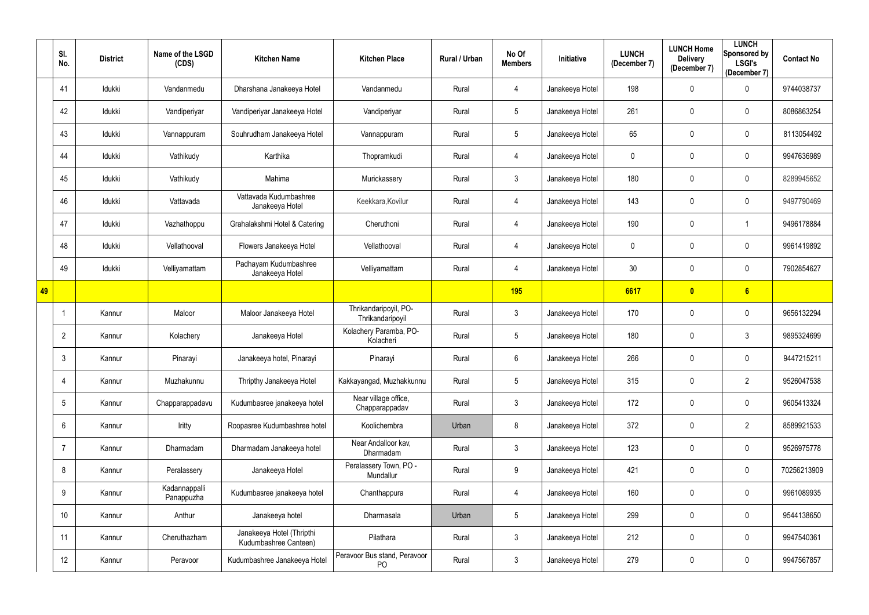|    | SI.<br>No.      | <b>District</b> | Name of the LSGD<br>(CDS)   | <b>Kitchen Name</b>                                | <b>Kitchen Place</b>                      | Rural / Urban | No Of<br><b>Members</b> | <b>Initiative</b> | <b>LUNCH</b><br>(December 7) | <b>LUNCH Home</b><br><b>Delivery</b><br>(December 7) | <b>LUNCH</b><br>Sponsored by<br><b>LSGI's</b><br>(December 7) | <b>Contact No</b> |
|----|-----------------|-----------------|-----------------------------|----------------------------------------------------|-------------------------------------------|---------------|-------------------------|-------------------|------------------------------|------------------------------------------------------|---------------------------------------------------------------|-------------------|
|    | 41              | Idukki          | Vandanmedu                  | Dharshana Janakeeya Hotel                          | Vandanmedu                                | Rural         | 4                       | Janakeeya Hotel   | 198                          | $\mathbf 0$                                          | $\mathbf 0$                                                   | 9744038737        |
|    | 42              | Idukki          | Vandiperiyar                | Vandiperiyar Janakeeya Hotel                       | Vandiperiyar                              | Rural         | $5\phantom{.0}$         | Janakeeya Hotel   | 261                          | $\mathbf 0$                                          | $\mathbf 0$                                                   | 8086863254        |
|    | 43              | Idukki          | Vannappuram                 | Souhrudham Janakeeya Hotel                         | Vannappuram                               | Rural         | $5\phantom{.0}$         | Janakeeya Hotel   | 65                           | $\mathbf{0}$                                         | $\mathbf 0$                                                   | 8113054492        |
|    | 44              | Idukki          | Vathikudy                   | Karthika                                           | Thopramkudi                               | Rural         | 4                       | Janakeeya Hotel   | 0                            | $\mathbf 0$                                          | $\mathbf 0$                                                   | 9947636989        |
|    | 45              | Idukki          | Vathikudy                   | Mahima                                             | Murickassery                              | Rural         | $\mathfrak{Z}$          | Janakeeya Hotel   | 180                          | $\mathbf 0$                                          | $\mathbf 0$                                                   | 8289945652        |
|    | 46              | Idukki          | Vattavada                   | Vattavada Kudumbashree<br>Janakeeya Hotel          | Keekkara, Kovilur                         | Rural         | 4                       | Janakeeya Hotel   | 143                          | $\mathbf 0$                                          | $\mathbf 0$                                                   | 9497790469        |
|    | 47              | Idukki          | Vazhathoppu                 | Grahalakshmi Hotel & Catering                      | Cheruthoni                                | Rural         | 4                       | Janakeeya Hotel   | 190                          | $\mathbf 0$                                          |                                                               | 9496178884        |
|    | 48              | Idukki          | Vellathooval                | Flowers Janakeeya Hotel                            | Vellathooval                              | Rural         | 4                       | Janakeeya Hotel   | 0                            | $\mathbf 0$                                          | $\mathbf 0$                                                   | 9961419892        |
|    | 49              | Idukki          | Velliyamattam               | Padhayam Kudumbashree<br>Janakeeya Hotel           | Velliyamattam                             | Rural         | 4                       | Janakeeya Hotel   | 30 <sub>o</sub>              | $\mathbf 0$                                          | $\mathbf 0$                                                   | 7902854627        |
| 49 |                 |                 |                             |                                                    |                                           |               | <b>195</b>              |                   | 6617                         | $\overline{\mathbf{0}}$                              | 6                                                             |                   |
|    |                 | Kannur          | Maloor                      | Maloor Janakeeya Hotel                             | Thrikandaripoyil, PO-<br>Thrikandaripoyil | Rural         | $\mathfrak{Z}$          | Janakeeya Hotel   | 170                          | $\mathbf 0$                                          | $\mathbf 0$                                                   | 9656132294        |
|    | $\overline{2}$  | Kannur          | Kolachery                   | Janakeeya Hotel                                    | Kolachery Paramba, PO-<br>Kolacheri       | Rural         | $5\phantom{.0}$         | Janakeeya Hotel   | 180                          | $\mathbf 0$                                          | 3                                                             | 9895324699        |
|    | 3               | Kannur          | Pinarayi                    | Janakeeya hotel, Pinarayi                          | Pinarayi                                  | Rural         | 6                       | Janakeeya Hotel   | 266                          | $\mathbf 0$                                          | $\mathbf 0$                                                   | 9447215211        |
|    | 4               | Kannur          | Muzhakunnu                  | Thripthy Janakeeya Hotel                           | Kakkayangad, Muzhakkunnu                  | Rural         | $5\phantom{.0}$         | Janakeeya Hotel   | 315                          | $\mathbf 0$                                          | $\overline{2}$                                                | 9526047538        |
|    | $5\overline{)}$ | Kannur          | Chapparappadavu             | Kudumbasree janakeeya hotel                        | Near village office,<br>Chapparappadav    | Rural         | $\mathfrak{Z}$          | Janakeeya Hotel   | 172                          | $\pmb{0}$                                            | $\mathbf 0$                                                   | 9605413324        |
|    | 6               | Kannur          | Iritty                      | Roopasree Kudumbashree hotel                       | Koolichembra                              | Urban         | 8                       | Janakeeya Hotel   | 372                          | $\mathbf 0$                                          | $\overline{2}$                                                | 8589921533        |
|    | $\overline{7}$  | Kannur          | Dharmadam                   | Dharmadam Janakeeya hotel                          | Near Andalloor kav,<br>Dharmadam          | Rural         | $\mathfrak{Z}$          | Janakeeya Hotel   | 123                          | $\pmb{0}$                                            | $\mathbf 0$                                                   | 9526975778        |
|    | 8               | Kannur          | Peralassery                 | Janakeeya Hotel                                    | Peralassery Town, PO -<br>Mundallur       | Rural         | $9\,$                   | Janakeeya Hotel   | 421                          | $\mathbf 0$                                          | $\mathbf 0$                                                   | 70256213909       |
|    | 9               | Kannur          | Kadannappalli<br>Panappuzha | Kudumbasree janakeeya hotel                        | Chanthappura                              | Rural         | 4                       | Janakeeya Hotel   | 160                          | $\mathbf 0$                                          | $\overline{0}$                                                | 9961089935        |
|    | 10              | Kannur          | Anthur                      | Janakeeya hotel                                    | Dharmasala                                | Urban         | $5\phantom{.0}$         | Janakeeya Hotel   | 299                          | $\mathbf 0$                                          | $\mathbf 0$                                                   | 9544138650        |
|    | 11              | Kannur          | Cheruthazham                | Janakeeya Hotel (Thripthi<br>Kudumbashree Canteen) | Pilathara                                 | Rural         | $\mathbf{3}$            | Janakeeya Hotel   | 212                          | $\pmb{0}$                                            | $\mathbf 0$                                                   | 9947540361        |
|    | 12              | Kannur          | Peravoor                    | Kudumbashree Janakeeya Hotel                       | Peravoor Bus stand, Peravoor<br><b>PO</b> | Rural         | $\mathfrak{Z}$          | Janakeeya Hotel   | 279                          | $\mathbf 0$                                          | $\overline{0}$                                                | 9947567857        |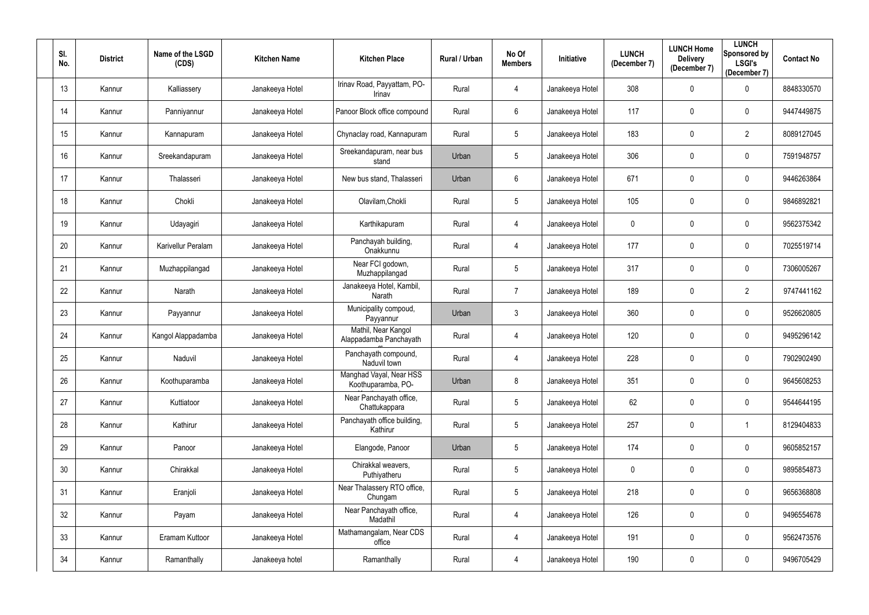| SI.<br>No. | <b>District</b> | Name of the LSGD<br>(CDS) | <b>Kitchen Name</b> | <b>Kitchen Place</b>                          | Rural / Urban | No Of<br><b>Members</b> | Initiative      | <b>LUNCH</b><br>(December 7) | <b>LUNCH Home</b><br><b>Delivery</b><br>(December 7) | <b>LUNCH</b><br>Sponsored by<br><b>LSGI's</b><br>(December 7) | <b>Contact No</b> |
|------------|-----------------|---------------------------|---------------------|-----------------------------------------------|---------------|-------------------------|-----------------|------------------------------|------------------------------------------------------|---------------------------------------------------------------|-------------------|
| 13         | Kannur          | Kalliassery               | Janakeeya Hotel     | Irinav Road, Payyattam, PO-<br>Irinav         | Rural         | 4                       | Janakeeya Hotel | 308                          | $\boldsymbol{0}$                                     | $\mathbf 0$                                                   | 8848330570        |
| 14         | Kannur          | Panniyannur               | Janakeeya Hotel     | Panoor Block office compound                  | Rural         | $6\phantom{.0}$         | Janakeeya Hotel | 117                          | $\mathbf 0$                                          | $\mathbf 0$                                                   | 9447449875        |
| 15         | Kannur          | Kannapuram                | Janakeeya Hotel     | Chynaclay road, Kannapuram                    | Rural         | $5\phantom{.0}$         | Janakeeya Hotel | 183                          | $\pmb{0}$                                            | $\overline{2}$                                                | 8089127045        |
| 16         | Kannur          | Sreekandapuram            | Janakeeya Hotel     | Sreekandapuram, near bus<br>stand             | Urban         | 5                       | Janakeeya Hotel | 306                          | $\mathbf 0$                                          | $\mathbf 0$                                                   | 7591948757        |
| 17         | Kannur          | Thalasseri                | Janakeeya Hotel     | New bus stand, Thalasseri                     | Urban         | 6                       | Janakeeya Hotel | 671                          | $\mathbf 0$                                          | $\mathbf 0$                                                   | 9446263864        |
| 18         | Kannur          | Chokli                    | Janakeeya Hotel     | Olavilam, Chokli                              | Rural         | 5                       | Janakeeya Hotel | 105                          | $\mathbf 0$                                          | $\boldsymbol{0}$                                              | 9846892821        |
| 19         | Kannur          | Udayagiri                 | Janakeeya Hotel     | Karthikapuram                                 | Rural         | 4                       | Janakeeya Hotel | 0                            | $\mathbf{0}$                                         | $\mathbf 0$                                                   | 9562375342        |
| 20         | Kannur          | Karivellur Peralam        | Janakeeya Hotel     | Panchayah building,<br>Onakkunnu              | Rural         | 4                       | Janakeeya Hotel | 177                          | $\mathbf 0$                                          | $\mathbf 0$                                                   | 7025519714        |
| 21         | Kannur          | Muzhappilangad            | Janakeeya Hotel     | Near FCI godown,<br>Muzhappilangad            | Rural         | 5                       | Janakeeya Hotel | 317                          | $\mathbf 0$                                          | $\mathbf 0$                                                   | 7306005267        |
| 22         | Kannur          | Narath                    | Janakeeya Hotel     | Janakeeya Hotel, Kambil,<br>Narath            | Rural         | $\overline{7}$          | Janakeeya Hotel | 189                          | $\pmb{0}$                                            | $\overline{2}$                                                | 9747441162        |
| 23         | Kannur          | Payyannur                 | Janakeeya Hotel     | Municipality compoud,<br>Payyannur            | Urban         | $\mathfrak{Z}$          | Janakeeya Hotel | 360                          | $\pmb{0}$                                            | $\mathbf 0$                                                   | 9526620805        |
| 24         | Kannur          | Kangol Alappadamba        | Janakeeya Hotel     | Mathil, Near Kangol<br>Alappadamba Panchayath | Rural         | 4                       | Janakeeya Hotel | 120                          | $\mathbf 0$                                          | $\mathbf 0$                                                   | 9495296142        |
| 25         | Kannur          | Naduvil                   | Janakeeya Hotel     | Panchayath compound,<br>Naduvil town          | Rural         | 4                       | Janakeeya Hotel | 228                          | $\mathbf 0$                                          | $\mathbf 0$                                                   | 7902902490        |
| 26         | Kannur          | Koothuparamba             | Janakeeya Hotel     | Manghad Vayal, Near HSS<br>Koothuparamba, PO- | Urban         | 8                       | Janakeeya Hotel | 351                          | $\overline{0}$                                       | $\bf{0}$                                                      | 9645608253        |
| 27         | Kannur          | Kuttiatoor                | Janakeeya Hotel     | Near Panchayath office,<br>Chattukappara      | Rural         | $5\phantom{.0}$         | Janakeeya Hotel | 62                           | $\mathbf 0$                                          | $\mathbf 0$                                                   | 9544644195        |
| 28         | Kannur          | Kathirur                  | Janakeeya Hotel     | Panchayath office building,<br>Kathirur       | Rural         | $5\phantom{.0}$         | Janakeeya Hotel | 257                          | $\pmb{0}$                                            |                                                               | 8129404833        |
| 29         | Kannur          | Panoor                    | Janakeeya Hotel     | Elangode, Panoor                              | Urban         | $5\phantom{.0}$         | Janakeeya Hotel | 174                          | $\pmb{0}$                                            | $\mathbf 0$                                                   | 9605852157        |
| 30         | Kannur          | Chirakkal                 | Janakeeya Hotel     | Chirakkal weavers,<br>Puthiyatheru            | Rural         | $5\phantom{.0}$         | Janakeeya Hotel | $\mathbf 0$                  | $\mathbf 0$                                          | $\mathbf 0$                                                   | 9895854873        |
| 31         | Kannur          | Eranjoli                  | Janakeeya Hotel     | Near Thalassery RTO office,<br>Chungam        | Rural         | 5                       | Janakeeya Hotel | 218                          | $\pmb{0}$                                            | $\mathbf 0$                                                   | 9656368808        |
| 32         | Kannur          | Payam                     | Janakeeya Hotel     | Near Panchayath office,<br>Madathil           | Rural         | 4                       | Janakeeya Hotel | 126                          | $\pmb{0}$                                            | $\mathbf 0$                                                   | 9496554678        |
| 33         | Kannur          | Eramam Kuttoor            | Janakeeya Hotel     | Mathamangalam, Near CDS<br>office             | Rural         | 4                       | Janakeeya Hotel | 191                          | $\overline{0}$                                       | $\mathbf 0$                                                   | 9562473576        |
| 34         | Kannur          | Ramanthally               | Janakeeya hotel     | Ramanthally                                   | Rural         | 4                       | Janakeeya Hotel | 190                          | $\boldsymbol{0}$                                     | $\overline{0}$                                                | 9496705429        |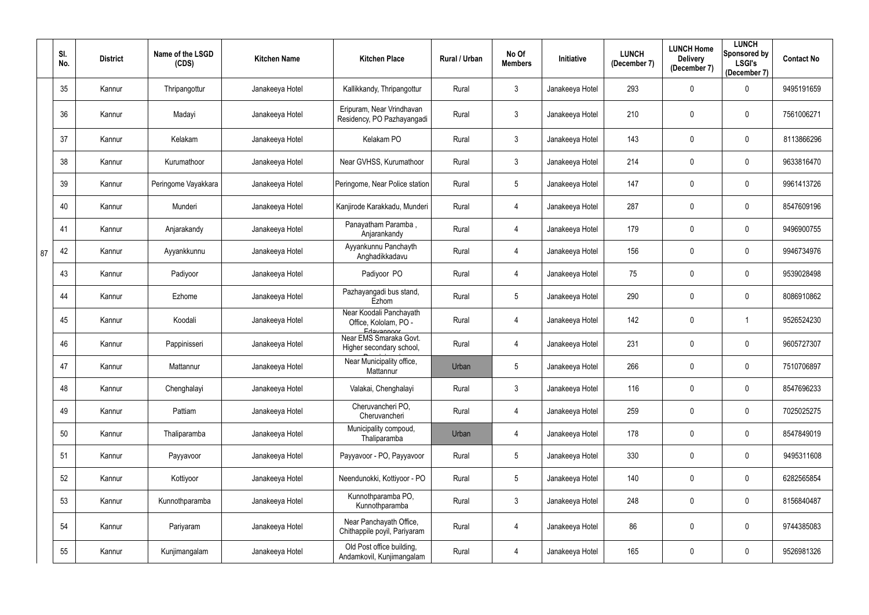|    | SI.<br>No. | <b>District</b> | Name of the LSGD<br>(CDS) | <b>Kitchen Name</b> | <b>Kitchen Place</b>                                             | Rural / Urban | No Of<br><b>Members</b> | Initiative      | <b>LUNCH</b><br>(December 7) | <b>LUNCH Home</b><br><b>Delivery</b><br>(December 7) | <b>LUNCH</b><br>Sponsored by<br><b>LSGI's</b><br>(December 7) | <b>Contact No</b> |
|----|------------|-----------------|---------------------------|---------------------|------------------------------------------------------------------|---------------|-------------------------|-----------------|------------------------------|------------------------------------------------------|---------------------------------------------------------------|-------------------|
|    | 35         | Kannur          | Thripangottur             | Janakeeya Hotel     | Kallikkandy, Thripangottur                                       | Rural         | $\mathbf{3}$            | Janakeeya Hotel | 293                          | $\mathbf 0$                                          | $\mathbf 0$                                                   | 9495191659        |
|    | 36         | Kannur          | Madayi                    | Janakeeya Hotel     | Eripuram, Near Vrindhavan<br>Residency, PO Pazhayangadi          | Rural         | $\mathbf{3}$            | Janakeeya Hotel | 210                          | $\theta$                                             | $\mathbf 0$                                                   | 7561006271        |
|    | 37         | Kannur          | Kelakam                   | Janakeeya Hotel     | Kelakam PO                                                       | Rural         | $\mathfrak{Z}$          | Janakeeya Hotel | 143                          | $\mathbf 0$                                          | $\mathbf 0$                                                   | 8113866296        |
|    | 38         | Kannur          | Kurumathoor               | Janakeeya Hotel     | Near GVHSS, Kurumathoor                                          | Rural         | $\mathbf{3}$            | Janakeeya Hotel | 214                          | $\mathbf 0$                                          | $\mathbf 0$                                                   | 9633816470        |
|    | 39         | Kannur          | Peringome Vayakkara       | Janakeeya Hotel     | Peringome, Near Police station                                   | Rural         | $5\phantom{.0}$         | Janakeeya Hotel | 147                          | $\mathbf 0$                                          | $\mathbf 0$                                                   | 9961413726        |
|    | 40         | Kannur          | Munderi                   | Janakeeya Hotel     | Kanjirode Karakkadu, Munderi                                     | Rural         | 4                       | Janakeeya Hotel | 287                          | $\mathbf 0$                                          | $\mathbf 0$                                                   | 8547609196        |
|    | 41         | Kannur          | Anjarakandy               | Janakeeya Hotel     | Panayatham Paramba,<br>Anjarankandy                              | Rural         | 4                       | Janakeeya Hotel | 179                          | $\mathbf 0$                                          | $\mathbf 0$                                                   | 9496900755        |
| 87 | 42         | Kannur          | Ayyankkunnu               | Janakeeya Hotel     | Ayyankunnu Panchayth<br>Anghadikkadavu                           | Rural         | 4                       | Janakeeya Hotel | 156                          | $\mathbf 0$                                          | $\mathbf 0$                                                   | 9946734976        |
|    | 43         | Kannur          | Padiyoor                  | Janakeeya Hotel     | Padiyoor PO                                                      | Rural         | 4                       | Janakeeya Hotel | 75                           | $\mathbf 0$                                          | $\mathbf 0$                                                   | 9539028498        |
|    | 44         | Kannur          | Ezhome                    | Janakeeya Hotel     | Pazhayangadi bus stand,<br>Ezhom                                 | Rural         | $5\phantom{.0}$         | Janakeeya Hotel | 290                          | $\mathbf 0$                                          | $\overline{0}$                                                | 8086910862        |
|    | 45         | Kannur          | Koodali                   | Janakeeya Hotel     | Near Koodali Panchayath<br>Office, Kololam, PO -                 | Rural         | 4                       | Janakeeya Hotel | 142                          | $\boldsymbol{0}$                                     |                                                               | 9526524230        |
|    | 46         | Kannur          | Pappinisseri              | Janakeeya Hotel     | Edayannoor<br>Near EMS Smaraka Govt.<br>Higher secondary school, | Rural         | 4                       | Janakeeya Hotel | 231                          | $\mathbf 0$                                          | $\mathbf 0$                                                   | 9605727307        |
|    | 47         | Kannur          | Mattannur                 | Janakeeya Hotel     | Near Municipality office,<br>Mattannur                           | Urban         | $5\overline{)}$         | Janakeeya Hotel | 266                          | $\mathbf 0$                                          | $\mathbf 0$                                                   | 7510706897        |
|    | 48         | Kannur          | Chenghalayi               | Janakeeya Hotel     | Valakai, Chenghalayi                                             | Rural         | $\mathbf{3}$            | Janakeeya Hotel | 116                          | $\pmb{0}$                                            | $\mathbf 0$                                                   | 8547696233        |
|    | 49         | Kannur          | Pattiam                   | Janakeeya Hotel     | Cheruvancheri PO.<br>Cheruvancheri                               | Rural         | 4                       | Janakeeya Hotel | 259                          | $\mathbf 0$                                          | $\mathbf 0$                                                   | 7025025275        |
|    | 50         | Kannur          | Thaliparamba              | Janakeeya Hotel     | Municipality compoud,<br>Thaliparamba                            | Urban         | 4                       | Janakeeya Hotel | 178                          | $\mathbf 0$                                          | $\mathbf 0$                                                   | 8547849019        |
|    | 51         | Kannur          | Payyavoor                 | Janakeeya Hotel     | Payyavoor - PO, Payyavoor                                        | Rural         | $5\phantom{.0}$         | Janakeeya Hotel | 330                          | $\mathbf 0$                                          | $\mathbf 0$                                                   | 9495311608        |
|    | 52         | Kannur          | Kottiyoor                 | Janakeeya Hotel     | Neendunokki, Kottiyoor - PO                                      | Rural         | $5\phantom{.0}$         | Janakeeya Hotel | 140                          | $\mathbf 0$                                          | $\mathbf 0$                                                   | 6282565854        |
|    | 53         | Kannur          | Kunnothparamba            | Janakeeya Hotel     | Kunnothparamba PO,<br>Kunnothparamba                             | Rural         | $\mathfrak{Z}$          | Janakeeya Hotel | 248                          | $\mathbf 0$                                          | $\mathbf 0$                                                   | 8156840487        |
|    | 54         | Kannur          | Pariyaram                 | Janakeeya Hotel     | Near Panchayath Office,<br>Chithappile poyil, Pariyaram          | Rural         | 4                       | Janakeeya Hotel | 86                           | $\boldsymbol{0}$                                     | $\mathbf 0$                                                   | 9744385083        |
|    | 55         | Kannur          | Kunjimangalam             | Janakeeya Hotel     | Old Post office building,<br>Andamkovil, Kunjimangalam           | Rural         | 4                       | Janakeeya Hotel | 165                          | $\boldsymbol{0}$                                     | $\mathbf 0$                                                   | 9526981326        |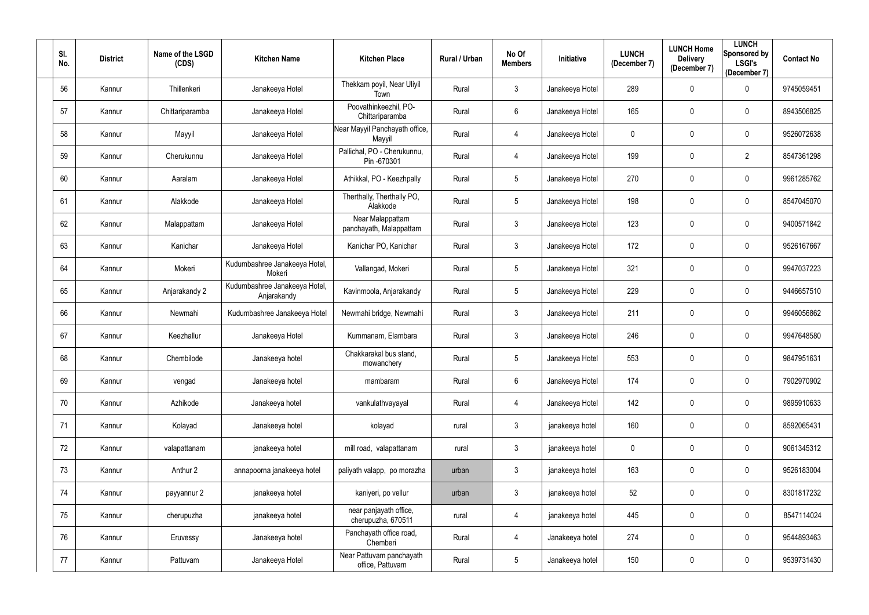| SI.<br>No. | <b>District</b> | Name of the LSGD<br>(CDS) | <b>Kitchen Name</b>                          | <b>Kitchen Place</b>                         | Rural / Urban | No Of<br><b>Members</b> | Initiative      | <b>LUNCH</b><br>(December 7) | <b>LUNCH Home</b><br><b>Delivery</b><br>(December 7) | <b>LUNCH</b><br>Sponsored by<br><b>LSGI's</b><br>(December 7) | <b>Contact No</b> |
|------------|-----------------|---------------------------|----------------------------------------------|----------------------------------------------|---------------|-------------------------|-----------------|------------------------------|------------------------------------------------------|---------------------------------------------------------------|-------------------|
| 56         | Kannur          | Thillenkeri               | Janakeeya Hotel                              | Thekkam poyil, Near Uliyil<br>Town           | Rural         | $\mathfrak{Z}$          | Janakeeya Hotel | 289                          | $\mathbf 0$                                          | $\mathbf 0$                                                   | 9745059451        |
| 57         | Kannur          | Chittariparamba           | Janakeeya Hotel                              | Poovathinkeezhil, PO-<br>Chittariparamba     | Rural         | $6\phantom{.0}$         | Janakeeya Hotel | 165                          | $\mathbf 0$                                          | $\mathbf 0$                                                   | 8943506825        |
| 58         | Kannur          | Mayyil                    | Janakeeya Hotel                              | Near Mayyil Panchayath office,<br>Mayyil     | Rural         | 4                       | Janakeeya Hotel | 0                            | $\pmb{0}$                                            | $\mathbf 0$                                                   | 9526072638        |
| 59         | Kannur          | Cherukunnu                | Janakeeya Hotel                              | Pallichal, PO - Cherukunnu,<br>Pin -670301   | Rural         | 4                       | Janakeeya Hotel | 199                          | $\mathbf 0$                                          | $\overline{2}$                                                | 8547361298        |
| 60         | Kannur          | Aaralam                   | Janakeeya Hotel                              | Athikkal, PO - Keezhpally                    | Rural         | $5\phantom{.0}$         | Janakeeya Hotel | 270                          | $\mathbf 0$                                          | $\mathbf 0$                                                   | 9961285762        |
| 61         | Kannur          | Alakkode                  | Janakeeya Hotel                              | Therthally, Therthally PO,<br>Alakkode       | Rural         | $5\overline{)}$         | Janakeeya Hotel | 198                          | $\mathbf 0$                                          | $\boldsymbol{0}$                                              | 8547045070        |
| 62         | Kannur          | Malappattam               | Janakeeya Hotel                              | Near Malappattam<br>panchayath, Malappattam  | Rural         | $\mathfrak{Z}$          | Janakeeya Hotel | 123                          | $\mathbf 0$                                          | $\mathbf 0$                                                   | 9400571842        |
| 63         | Kannur          | Kanichar                  | Janakeeya Hotel                              | Kanichar PO, Kanichar                        | Rural         | $\mathfrak{Z}$          | Janakeeya Hotel | 172                          | $\mathbf 0$                                          | $\mathbf 0$                                                   | 9526167667        |
| 64         | Kannur          | Mokeri                    | Kudumbashree Janakeeya Hotel,<br>Mokeri      | Vallangad, Mokeri                            | Rural         | $5\phantom{.0}$         | Janakeeya Hotel | 321                          | $\mathbf 0$                                          | $\mathbf 0$                                                   | 9947037223        |
| 65         | Kannur          | Anjarakandy 2             | Kudumbashree Janakeeya Hotel,<br>Anjarakandy | Kavinmoola, Anjarakandy                      | Rural         | 5 <sub>5</sub>          | Janakeeya Hotel | 229                          | $\mathbf 0$                                          | $\mathbf 0$                                                   | 9446657510        |
| 66         | Kannur          | Newmahi                   | Kudumbashree Janakeeya Hotel                 | Newmahi bridge, Newmahi                      | Rural         | $\mathfrak{Z}$          | Janakeeya Hotel | 211                          | $\pmb{0}$                                            | $\mathbf 0$                                                   | 9946056862        |
| 67         | Kannur          | Keezhallur                | Janakeeya Hotel                              | Kummanam, Elambara                           | Rural         | $\mathfrak{Z}$          | Janakeeya Hotel | 246                          | $\mathbf 0$                                          | $\mathbf 0$                                                   | 9947648580        |
| 68         | Kannur          | Chembilode                | Janakeeya hotel                              | Chakkarakal bus stand,<br>mowanchery         | Rural         | $5\phantom{.0}$         | Janakeeya Hotel | 553                          | $\mathbf 0$                                          | 0                                                             | 9847951631        |
| 69         | Kannur          | vengad                    | Janakeeya hotel                              | mambaram                                     | Rural         | 6                       | Janakeeya Hotel | 174                          | $\overline{0}$                                       | $\bf{0}$                                                      | 7902970902        |
| 70         | Kannur          | Azhikode                  | Janakeeya hotel                              | vankulathvayayal                             | Rural         | 4                       | Janakeeya Hotel | 142                          | $\pmb{0}$                                            | $\mathbf 0$                                                   | 9895910633        |
| 71         | Kannur          | Kolayad                   | Janakeeya hotel                              | kolayad                                      | rural         | $\mathfrak{Z}$          | janakeeya hotel | 160                          | $\mathbf 0$                                          | $\mathbf 0$                                                   | 8592065431        |
| 72         | Kannur          | valapattanam              | janakeeya hotel                              | mill road, valapattanam                      | rural         | $\mathfrak{Z}$          | janakeeya hotel | 0                            | $\pmb{0}$                                            | $\mathbf 0$                                                   | 9061345312        |
| 73         | Kannur          | Anthur 2                  | annapoorna janakeeya hotel                   | paliyath valapp, po morazha                  | urban         | $\mathfrak{Z}$          | janakeeya hotel | 163                          | $\mathbf 0$                                          | $\mathbf 0$                                                   | 9526183004        |
| 74         | Kannur          | payyannur 2               | janakeeya hotel                              | kaniyeri, po vellur                          | urban         | $\mathfrak{Z}$          | janakeeya hotel | 52                           | $\pmb{0}$                                            | $\mathbf 0$                                                   | 8301817232        |
| 75         | Kannur          | cherupuzha                | janakeeya hotel                              | near panjayath office,<br>cherupuzha, 670511 | rural         | 4                       | janakeeya hotel | 445                          | $\mathbf 0$                                          | $\mathbf 0$                                                   | 8547114024        |
| 76         | Kannur          | Eruvessy                  | Janakeeya hotel                              | Panchayath office road,<br>Chemberi          | Rural         | 4                       | Janakeeya hotel | 274                          | $\overline{0}$                                       | $\mathbf 0$                                                   | 9544893463        |
| 77         | Kannur          | Pattuvam                  | Janakeeya Hotel                              | Near Pattuvam panchayath<br>office, Pattuvam | Rural         | $5\phantom{.0}$         | Janakeeya hotel | 150                          | $\pmb{0}$                                            | $\mathbf 0$                                                   | 9539731430        |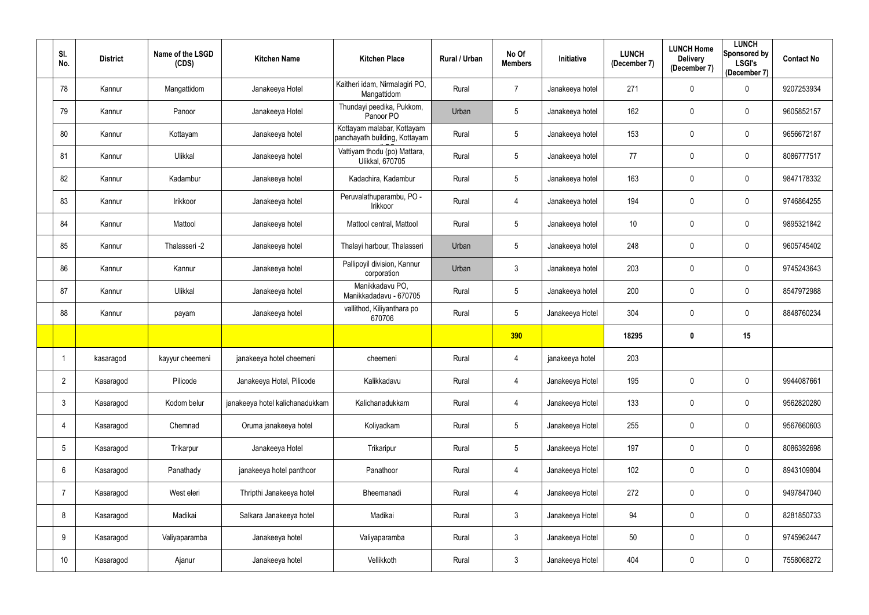| SI.<br>No.      | <b>District</b> | Name of the LSGD<br>(CDS) | <b>Kitchen Name</b>             | <b>Kitchen Place</b>                                        | Rural / Urban | No Of<br><b>Members</b> | Initiative      | <b>LUNCH</b><br>(December 7) | <b>LUNCH Home</b><br><b>Delivery</b><br>(December 7) | <b>LUNCH</b><br>Sponsored by<br><b>LSGI's</b><br>(December 7) | <b>Contact No</b> |
|-----------------|-----------------|---------------------------|---------------------------------|-------------------------------------------------------------|---------------|-------------------------|-----------------|------------------------------|------------------------------------------------------|---------------------------------------------------------------|-------------------|
| 78              | Kannur          | Mangattidom               | Janakeeya Hotel                 | Kaitheri idam, Nirmalagiri PO,<br>Mangattidom               | Rural         | $\overline{7}$          | Janakeeya hotel | 271                          | $\mathbf 0$                                          | $\mathbf 0$                                                   | 9207253934        |
| 79              | Kannur          | Panoor                    | Janakeeya Hotel                 | Thundayi peedika, Pukkom,<br>Panoor PO                      | Urban         | 5                       | Janakeeya hotel | 162                          | $\mathbf 0$                                          | $\mathbf 0$                                                   | 9605852157        |
| 80              | Kannur          | Kottayam                  | Janakeeya hotel                 | Kottayam malabar, Kottayam<br>panchayath building, Kottayam | Rural         | $5\phantom{.0}$         | Janakeeya hotel | 153                          | $\mathbf 0$                                          | $\overline{0}$                                                | 9656672187        |
| 81              | Kannur          | Ulikkal                   | Janakeeya hotel                 | Vattiyam thodu (po) Mattara,<br><b>Ulikkal, 670705</b>      | Rural         | $5\phantom{.0}$         | Janakeeya hotel | 77                           | $\mathbf 0$                                          | $\mathbf 0$                                                   | 8086777517        |
| 82              | Kannur          | Kadambur                  | Janakeeya hotel                 | Kadachira, Kadambur                                         | Rural         | $5\phantom{.0}$         | Janakeeya hotel | 163                          | $\mathbf{0}$                                         | $\overline{0}$                                                | 9847178332        |
| 83              | Kannur          | Irikkoor                  | Janakeeya hotel                 | Peruvalathuparambu, PO -<br>Irikkoor                        | Rural         | 4                       | Janakeeya hotel | 194                          | $\mathbf 0$                                          | $\mathbf 0$                                                   | 9746864255        |
| 84              | Kannur          | Mattool                   | Janakeeya hotel                 | Mattool central, Mattool                                    | Rural         | $5\phantom{.0}$         | Janakeeya hotel | 10 <sup>°</sup>              | $\mathbf 0$                                          | $\mathbf 0$                                                   | 9895321842        |
| 85              | Kannur          | Thalasseri -2             | Janakeeya hotel                 | Thalayi harbour, Thalasseri                                 | Urban         | $5\phantom{.0}$         | Janakeeya hotel | 248                          | $\mathbf 0$                                          | $\overline{0}$                                                | 9605745402        |
| 86              | Kannur          | Kannur                    | Janakeeya hotel                 | Pallipoyil division, Kannur<br>corporation                  | Urban         | $\mathbf{3}$            | Janakeeya hotel | 203                          | $\mathbf 0$                                          | $\mathbf 0$                                                   | 9745243643        |
| 87              | Kannur          | Ulikkal                   | Janakeeya hotel                 | Manikkadavu PO,<br>Manikkadadavu - 670705                   | Rural         | $\overline{5}$          | Janakeeya hotel | 200                          | $\mathbf 0$                                          | $\mathbf 0$                                                   | 8547972988        |
| 88              | Kannur          | payam                     | Janakeeya hotel                 | vallithod, Kiliyanthara po<br>670706                        | Rural         | $5\phantom{.0}$         | Janakeeya Hotel | 304                          | $\mathbf 0$                                          | $\mathbf 0$                                                   | 8848760234        |
|                 |                 |                           |                                 |                                                             |               | 390                     |                 | 18295                        | 0                                                    | 15                                                            |                   |
|                 | kasaragod       | kayyur cheemeni           | janakeeya hotel cheemeni        | cheemeni                                                    | Rural         | 4                       | janakeeya hotel | 203                          |                                                      |                                                               |                   |
| $\overline{2}$  | Kasaragod       | Pilicode                  | Janakeeya Hotel, Pilicode       | Kalikkadavu                                                 | Rural         | 4                       | Janakeeya Hotel | 195                          | $\mathbf 0$                                          | $\mathbf 0$                                                   | 9944087661        |
| $\mathbf{3}$    | Kasaragod       | Kodom belur               | janakeeya hotel kalichanadukkam | Kalichanadukkam                                             | Rural         | $\overline{4}$          | Janakeeya Hotel | 133                          | $\mathbf 0$                                          | $\mathbf 0$                                                   | 9562820280        |
| $\overline{4}$  | Kasaragod       | Chemnad                   | Oruma janakeeya hotel           | Koliyadkam                                                  | Rural         | $5\phantom{.0}$         | Janakeeya Hotel | 255                          | $\pmb{0}$                                            | $\mathbf 0$                                                   | 9567660603        |
| $5\overline{)}$ | Kasaragod       | Trikarpur                 | Janakeeya Hotel                 | Trikaripur                                                  | Rural         | $5\phantom{.0}$         | Janakeeya Hotel | 197                          | $\mathbf 0$                                          | $\mathbf 0$                                                   | 8086392698        |
| $6\overline{6}$ | Kasaragod       | Panathady                 | janakeeya hotel panthoor        | Panathoor                                                   | Rural         | $\overline{4}$          | Janakeeya Hotel | 102                          | $\mathbf 0$                                          | $\mathbf 0$                                                   | 8943109804        |
| $\overline{7}$  | Kasaragod       | West eleri                | Thripthi Janakeeya hotel        | Bheemanadi                                                  | Rural         | $\overline{4}$          | Janakeeya Hotel | 272                          | $\mathbf 0$                                          | $\mathbf 0$                                                   | 9497847040        |
| 8               | Kasaragod       | Madikai                   | Salkara Janakeeya hotel         | Madikai                                                     | Rural         | $\mathbf{3}$            | Janakeeya Hotel | 94                           | $\pmb{0}$                                            | $\mathbf 0$                                                   | 8281850733        |
| 9               | Kasaragod       | Valiyaparamba             | Janakeeya hotel                 | Valiyaparamba                                               | Rural         | $\mathbf{3}$            | Janakeeya Hotel | 50                           | $\mathbf 0$                                          | $\mathbf 0$                                                   | 9745962447        |
| 10              | Kasaragod       | Ajanur                    | Janakeeya hotel                 | Vellikkoth                                                  | Rural         | $\mathfrak{Z}$          | Janakeeya Hotel | 404                          | $\boldsymbol{0}$                                     | $\pmb{0}$                                                     | 7558068272        |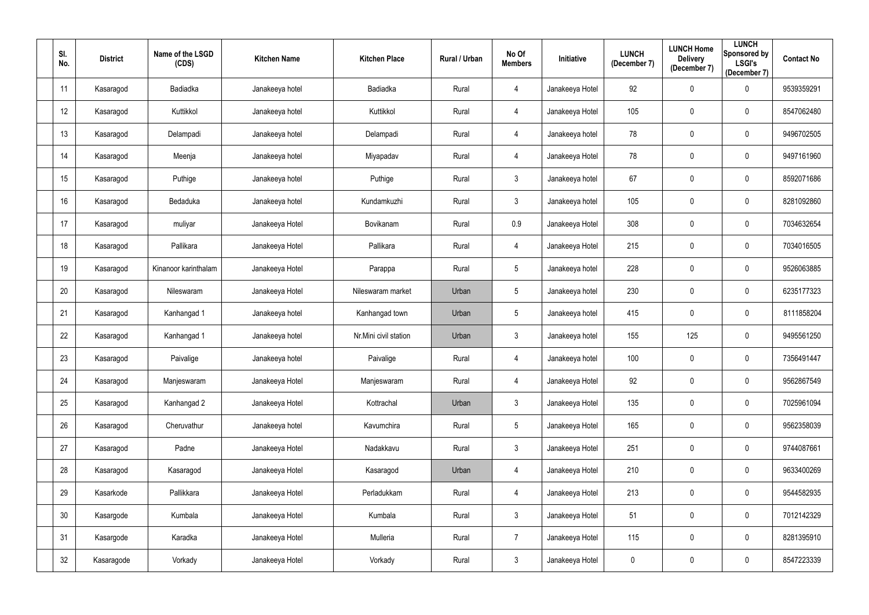| SI.<br>No. | <b>District</b> | Name of the LSGD<br>(CDS) | <b>Kitchen Name</b> | <b>Kitchen Place</b>  | Rural / Urban | No Of<br><b>Members</b> | Initiative      | <b>LUNCH</b><br>(December 7) | <b>LUNCH Home</b><br><b>Delivery</b><br>(December 7) | <b>LUNCH</b><br>Sponsored by<br><b>LSGI's</b><br>(December 7) | <b>Contact No</b> |
|------------|-----------------|---------------------------|---------------------|-----------------------|---------------|-------------------------|-----------------|------------------------------|------------------------------------------------------|---------------------------------------------------------------|-------------------|
| 11         | Kasaragod       | Badiadka                  | Janakeeya hotel     | Badiadka              | Rural         | 4                       | Janakeeya Hotel | 92                           | $\mathbf 0$                                          | $\overline{0}$                                                | 9539359291        |
| 12         | Kasaragod       | Kuttikkol                 | Janakeeya hotel     | Kuttikkol             | Rural         | 4                       | Janakeeya Hotel | 105                          | $\mathbf 0$                                          | $\overline{0}$                                                | 8547062480        |
| 13         | Kasaragod       | Delampadi                 | Janakeeya hotel     | Delampadi             | Rural         | 4                       | Janakeeya hotel | 78                           | $\mathbf 0$                                          | $\overline{0}$                                                | 9496702505        |
| 14         | Kasaragod       | Meenja                    | Janakeeya hotel     | Miyapadav             | Rural         | 4                       | Janakeeya Hotel | 78                           | $\boldsymbol{0}$                                     | $\overline{0}$                                                | 9497161960        |
| 15         | Kasaragod       | Puthige                   | Janakeeya hotel     | Puthige               | Rural         | $\mathfrak{Z}$          | Janakeeya hotel | 67                           | $\mathbf 0$                                          | $\overline{0}$                                                | 8592071686        |
| 16         | Kasaragod       | Bedaduka                  | Janakeeya hotel     | Kundamkuzhi           | Rural         | $\mathfrak{Z}$          | Janakeeya hotel | 105                          | $\mathbf 0$                                          | $\pmb{0}$                                                     | 8281092860        |
| 17         | Kasaragod       | muliyar                   | Janakeeya Hotel     | Bovikanam             | Rural         | 0.9                     | Janakeeya Hotel | 308                          | $\boldsymbol{0}$                                     | $\overline{0}$                                                | 7034632654        |
| 18         | Kasaragod       | Pallikara                 | Janakeeya Hotel     | Pallikara             | Rural         | $\overline{4}$          | Janakeeya Hotel | 215                          | $\mathbf 0$                                          | $\overline{0}$                                                | 7034016505        |
| 19         | Kasaragod       | Kinanoor karinthalam      | Janakeeya Hotel     | Parappa               | Rural         | $5\phantom{.0}$         | Janakeeya hotel | 228                          | $\mathbf 0$                                          | $\overline{0}$                                                | 9526063885        |
| 20         | Kasaragod       | Nileswaram                | Janakeeya Hotel     | Nileswaram market     | Urban         | 5                       | Janakeeya hotel | 230                          | $\mathbf 0$                                          | $\overline{0}$                                                | 6235177323        |
| 21         | Kasaragod       | Kanhangad 1               | Janakeeya hotel     | Kanhangad town        | Urban         | $5\phantom{.0}$         | Janakeeya hotel | 415                          | $\boldsymbol{0}$                                     | $\overline{0}$                                                | 8111858204        |
| 22         | Kasaragod       | Kanhangad 1               | Janakeeya hotel     | Nr.Mini civil station | Urban         | $\mathfrak{Z}$          | Janakeeya hotel | 155                          | 125                                                  | $\overline{0}$                                                | 9495561250        |
| 23         | Kasaragod       | Paivalige                 | Janakeeya hotel     | Paivalige             | Rural         | $\overline{4}$          | Janakeeya hotel | 100                          | $\mathbf 0$                                          | $\mathbf 0$                                                   | 7356491447        |
| 24         | Kasaragod       | Manjeswaram               | Janakeeya Hotel     | Manjeswaram           | Rural         | $\overline{4}$          | Janakeeya Hotel | 92                           | $\mathbf 0$                                          | $\pmb{0}$                                                     | 9562867549        |
| 25         | Kasaragod       | Kanhangad 2               | Janakeeya Hotel     | Kottrachal            | Urban         | $\mathbf{3}$            | Janakeeya Hotel | 135                          | $\mathbf 0$                                          | $\mathbf 0$                                                   | 7025961094        |
| 26         | Kasaragod       | Cheruvathur               | Janakeeya hotel     | Kavumchira            | Rural         | $5\phantom{.0}$         | Janakeeya Hotel | 165                          | $\pmb{0}$                                            | $\mathbf 0$                                                   | 9562358039        |
| 27         | Kasaragod       | Padne                     | Janakeeya Hotel     | Nadakkavu             | Rural         | $\mathfrak{Z}$          | Janakeeya Hotel | 251                          | $\boldsymbol{0}$                                     | $\mathbf 0$                                                   | 9744087661        |
| 28         | Kasaragod       | Kasaragod                 | Janakeeya Hotel     | Kasaragod             | Urban         | $\overline{4}$          | Janakeeya Hotel | 210                          | $\boldsymbol{0}$                                     | $\mathbf 0$                                                   | 9633400269        |
| 29         | Kasarkode       | Pallikkara                | Janakeeya Hotel     | Perladukkam           | Rural         | $\overline{4}$          | Janakeeya Hotel | 213                          | $\mathbf 0$                                          | $\mathbf 0$                                                   | 9544582935        |
| 30         | Kasargode       | Kumbala                   | Janakeeya Hotel     | Kumbala               | Rural         | $\mathbf{3}$            | Janakeeya Hotel | 51                           | $\pmb{0}$                                            | $\overline{0}$                                                | 7012142329        |
| 31         | Kasargode       | Karadka                   | Janakeeya Hotel     | Mulleria              | Rural         | $\overline{7}$          | Janakeeya Hotel | 115                          | $\boldsymbol{0}$                                     | $\mathbf 0$                                                   | 8281395910        |
| 32         | Kasaragode      | Vorkady                   | Janakeeya Hotel     | Vorkady               | Rural         | $\mathfrak{Z}$          | Janakeeya Hotel | 0                            | $\boldsymbol{0}$                                     | $\overline{0}$                                                | 8547223339        |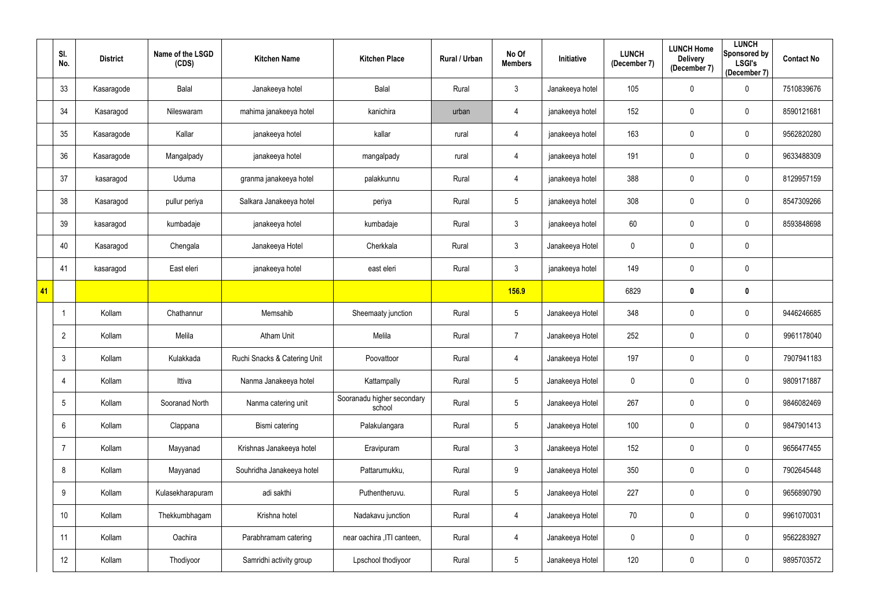|    | SI.<br>No.        | <b>District</b> | Name of the LSGD<br>(CDS) | <b>Kitchen Name</b>          | <b>Kitchen Place</b>                 | Rural / Urban | No Of<br><b>Members</b> | Initiative      | <b>LUNCH</b><br>(December 7) | <b>LUNCH Home</b><br><b>Delivery</b><br>(December 7) | <b>LUNCH</b><br>Sponsored by<br><b>LSGI's</b><br>(December 7) | <b>Contact No</b> |
|----|-------------------|-----------------|---------------------------|------------------------------|--------------------------------------|---------------|-------------------------|-----------------|------------------------------|------------------------------------------------------|---------------------------------------------------------------|-------------------|
|    | 33                | Kasaragode      | Balal                     | Janakeeya hotel              | <b>Balal</b>                         | Rural         | $\mathfrak{Z}$          | Janakeeya hotel | 105                          | $\mathbf 0$                                          | $\overline{0}$                                                | 7510839676        |
|    | 34                | Kasaragod       | Nileswaram                | mahima janakeeya hotel       | kanichira                            | urban         | 4                       | janakeeya hotel | 152                          | $\mathbf 0$                                          | $\mathbf 0$                                                   | 8590121681        |
|    | 35                | Kasaragode      | Kallar                    | janakeeya hotel              | kallar                               | rural         | 4                       | janakeeya hotel | 163                          | $\mathbf 0$                                          | $\overline{0}$                                                | 9562820280        |
|    | 36                | Kasaragode      | Mangalpady                | janakeeya hotel              | mangalpady                           | rural         | 4                       | janakeeya hotel | 191                          | $\mathbf 0$                                          | $\mathbf 0$                                                   | 9633488309        |
|    | 37                | kasaragod       | Uduma                     | granma janakeeya hotel       | palakkunnu                           | Rural         | 4                       | janakeeya hotel | 388                          | $\mathbf 0$                                          | $\overline{0}$                                                | 8129957159        |
|    | 38                | Kasaragod       | pullur periya             | Salkara Janakeeya hotel      | periya                               | Rural         | $5\phantom{.0}$         | janakeeya hotel | 308                          | $\mathbf 0$                                          | $\mathbf 0$                                                   | 8547309266        |
|    | 39                | kasaragod       | kumbadaje                 | janakeeya hotel              | kumbadaje                            | Rural         | $\mathfrak{Z}$          | janakeeya hotel | 60                           | $\mathbf 0$                                          | $\overline{0}$                                                | 8593848698        |
|    | 40                | Kasaragod       | Chengala                  | Janakeeya Hotel              | Cherkkala                            | Rural         | $\mathfrak{Z}$          | Janakeeya Hotel | $\mathbf 0$                  | $\mathbf 0$                                          | $\overline{0}$                                                |                   |
|    | 41                | kasaragod       | East eleri                | janakeeya hotel              | east eleri                           | Rural         | $\mathfrak{Z}$          | janakeeya hotel | 149                          | $\mathbf 0$                                          | $\overline{0}$                                                |                   |
| 41 |                   |                 |                           |                              |                                      |               | <b>156.9</b>            |                 | 6829                         | $\boldsymbol{0}$                                     | $\mathbf 0$                                                   |                   |
|    | -1                | Kollam          | Chathannur                | Memsahib                     | Sheemaaty junction                   | Rural         | $5\phantom{.0}$         | Janakeeya Hotel | 348                          | $\mathbf 0$                                          | $\mathbf 0$                                                   | 9446246685        |
|    | $\overline{2}$    | Kollam          | Melila                    | <b>Atham Unit</b>            | Melila                               | Rural         | $\overline{7}$          | Janakeeya Hotel | 252                          | $\mathbf 0$                                          | $\mathbf 0$                                                   | 9961178040        |
|    | 3                 | Kollam          | Kulakkada                 | Ruchi Snacks & Catering Unit | Poovattoor                           | Rural         | 4                       | Janakeeya Hotel | 197                          | $\mathbf 0$                                          | $\mathbf 0$                                                   | 7907941183        |
|    | 4                 | Kollam          | Ittiva                    | Nanma Janakeeya hotel        | Kattampally                          | Rural         | $5\phantom{.0}$         | Janakeeya Hotel | $\mathbf 0$                  | $\mathbf 0$                                          | $\mathbf 0$                                                   | 9809171887        |
|    | 5                 | Kollam          | Sooranad North            | Nanma catering unit          | Sooranadu higher secondary<br>school | Rural         | $5\phantom{.0}$         | Janakeeya Hotel | 267                          | $\mathbf 0$                                          | $\overline{0}$                                                | 9846082469        |
|    | $6\phantom{.}$    | Kollam          | Clappana                  | Bismi catering               | Palakulangara                        | Rural         | $5\,$                   | Janakeeya Hotel | 100                          | $\mathbf 0$                                          | $\mathbf 0$                                                   | 9847901413        |
|    | 7                 | Kollam          | Mayyanad                  | Krishnas Janakeeya hotel     | Eravipuram                           | Rural         | $\mathfrak{Z}$          | Janakeeya Hotel | 152                          | $\pmb{0}$                                            | $\mathbf 0$                                                   | 9656477455        |
|    | 8                 | Kollam          | Mayyanad                  | Souhridha Janakeeya hotel    | Pattarumukku,                        | Rural         | $9\,$                   | Janakeeya Hotel | 350                          | $\mathbf 0$                                          | $\overline{0}$                                                | 7902645448        |
|    | 9                 | Kollam          | Kulasekharapuram          | adi sakthi                   | Puthentheruvu.                       | Rural         | $5\phantom{.0}$         | Janakeeya Hotel | 227                          | $\mathbf 0$                                          | $\overline{0}$                                                | 9656890790        |
|    | 10                | Kollam          | Thekkumbhagam             | Krishna hotel                | Nadakavu junction                    | Rural         | 4                       | Janakeeya Hotel | 70                           | $\mathbf 0$                                          | $\overline{0}$                                                | 9961070031        |
|    | 11                | Kollam          | Oachira                   | Parabhramam catering         | near oachira , ITI canteen,          | Rural         | 4                       | Janakeeya Hotel | $\boldsymbol{0}$             | $\pmb{0}$                                            | $\mathbf 0$                                                   | 9562283927        |
|    | $12 \overline{ }$ | Kollam          | Thodiyoor                 | Samridhi activity group      | Lpschool thodiyoor                   | Rural         | $\sqrt{5}$              | Janakeeya Hotel | 120                          | $\pmb{0}$                                            | $\overline{0}$                                                | 9895703572        |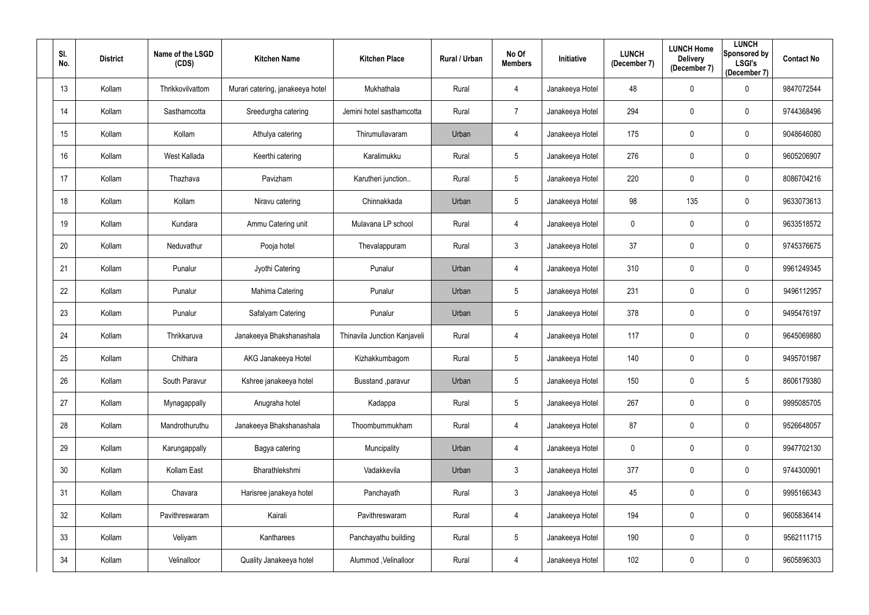| SI.<br>No.      | <b>District</b> | Name of the LSGD<br>(CDS) | <b>Kitchen Name</b>              | <b>Kitchen Place</b>         | Rural / Urban | No Of<br><b>Members</b> | Initiative      | <b>LUNCH</b><br>(December 7) | <b>LUNCH Home</b><br><b>Delivery</b><br>(December 7) | <b>LUNCH</b><br>Sponsored by<br><b>LSGI's</b><br>(December 7) | <b>Contact No</b> |
|-----------------|-----------------|---------------------------|----------------------------------|------------------------------|---------------|-------------------------|-----------------|------------------------------|------------------------------------------------------|---------------------------------------------------------------|-------------------|
| 13              | Kollam          | Thrikkovilvattom          | Murari catering, janakeeya hotel | Mukhathala                   | Rural         | 4                       | Janakeeya Hotel | 48                           | $\pmb{0}$                                            | $\mathbf 0$                                                   | 9847072544        |
| 14              | Kollam          | Sasthamcotta              | Sreedurgha catering              | Jemini hotel sasthamcotta    | Rural         | $\overline{7}$          | Janakeeya Hotel | 294                          | $\mathbf 0$                                          | $\mathbf 0$                                                   | 9744368496        |
| 15              | Kollam          | Kollam                    | Athulya catering                 | Thirumullavaram              | Urban         | 4                       | Janakeeya Hotel | 175                          | $\pmb{0}$                                            | $\overline{0}$                                                | 9048646080        |
| 16              | Kollam          | West Kallada              | Keerthi catering                 | Karalimukku                  | Rural         | $5\phantom{.0}$         | Janakeeya Hotel | 276                          | $\mathbf 0$                                          | $\overline{0}$                                                | 9605206907        |
| 17              | Kollam          | Thazhava                  | Pavizham                         | Karutheri junction           | Rural         | $5\phantom{.0}$         | Janakeeya Hotel | 220                          | $\mathbf 0$                                          | $\overline{0}$                                                | 8086704216        |
| 18              | Kollam          | Kollam                    | Niravu catering                  | Chinnakkada                  | Urban         | 5                       | Janakeeya Hotel | 98                           | 135                                                  | $\mathbf 0$                                                   | 9633073613        |
| 19              | Kollam          | Kundara                   | Ammu Catering unit               | Mulavana LP school           | Rural         | 4                       | Janakeeya Hotel | $\mathbf 0$                  | $\mathbf 0$                                          | $\mathbf 0$                                                   | 9633518572        |
| 20              | Kollam          | Neduvathur                | Pooja hotel                      | Thevalappuram                | Rural         | 3 <sup>1</sup>          | Janakeeya Hotel | 37                           | $\mathbf 0$                                          | $\overline{0}$                                                | 9745376675        |
| 21              | Kollam          | Punalur                   | Jyothi Catering                  | Punalur                      | Urban         | 4                       | Janakeeya Hotel | 310                          | $\mathbf 0$                                          | $\mathbf 0$                                                   | 9961249345        |
| 22              | Kollam          | Punalur                   | Mahima Catering                  | Punalur                      | Urban         | 5 <sub>5</sub>          | Janakeeya Hotel | 231                          | $\pmb{0}$                                            | $\overline{0}$                                                | 9496112957        |
| 23              | Kollam          | Punalur                   | Safalyam Catering                | Punalur                      | Urban         | $5\phantom{.0}$         | Janakeeya Hotel | 378                          | $\mathbf 0$                                          | $\mathbf 0$                                                   | 9495476197        |
| 24              | Kollam          | Thrikkaruva               | Janakeeya Bhakshanashala         | Thinavila Junction Kanjaveli | Rural         | 4                       | Janakeeya Hotel | 117                          | $\mathbf 0$                                          | $\overline{0}$                                                | 9645069880        |
| 25              | Kollam          | Chithara                  | AKG Janakeeya Hotel              | Kizhakkumbagom               | Rural         | $5\phantom{.0}$         | Janakeeya Hotel | 140                          | $\boldsymbol{0}$                                     | $\mathbf 0$                                                   | 9495701987        |
| 26              | Kollam          | South Paravur             | Kshree janakeeya hotel           | Busstand , paravur           | Urban         | 5                       | Janakeeya Hotel | 150                          | $\mathbf 0$                                          | $\overline{5}$                                                | 8606179380        |
| 27              | Kollam          | Mynagappally              | Anugraha hotel                   | Kadappa                      | Rural         | $5\phantom{.0}$         | Janakeeya Hotel | 267                          | $\pmb{0}$                                            | $\overline{0}$                                                | 9995085705        |
| 28              | Kollam          | Mandrothuruthu            | Janakeeya Bhakshanashala         | Thoombummukham               | Rural         | $\overline{4}$          | Janakeeya Hotel | 87                           | $\pmb{0}$                                            | $\mathbf 0$                                                   | 9526648057        |
| 29              | Kollam          | Karungappally             | Bagya catering                   | Muncipality                  | Urban         | 4                       | Janakeeya Hotel | 0                            | $\pmb{0}$                                            | $\overline{0}$                                                | 9947702130        |
| 30 <sub>o</sub> | Kollam          | Kollam East               | Bharathlekshmi                   | Vadakkevila                  | Urban         | $\mathfrak{Z}$          | Janakeeya Hotel | 377                          | $\pmb{0}$                                            | $\mathbf 0$                                                   | 9744300901        |
| 31              | Kollam          | Chavara                   | Harisree janakeya hotel          | Panchayath                   | Rural         | $\mathbf{3}$            | Janakeeya Hotel | 45                           | $\pmb{0}$                                            | $\mathbf 0$                                                   | 9995166343        |
| 32              | Kollam          | Pavithreswaram            | Kairali                          | Pavithreswaram               | Rural         | 4                       | Janakeeya Hotel | 194                          | $\pmb{0}$                                            | $\mathbf 0$                                                   | 9605836414        |
| 33              | Kollam          | Veliyam                   | Kantharees                       | Panchayathu building         | Rural         | $5\phantom{.0}$         | Janakeeya Hotel | 190                          | $\pmb{0}$                                            | $\mathbf 0$                                                   | 9562111715        |
| 34              | Kollam          | Velinalloor               | Quality Janakeeya hotel          | Alummod, Velinalloor         | Rural         | 4                       | Janakeeya Hotel | 102                          | $\boldsymbol{0}$                                     | $\overline{0}$                                                | 9605896303        |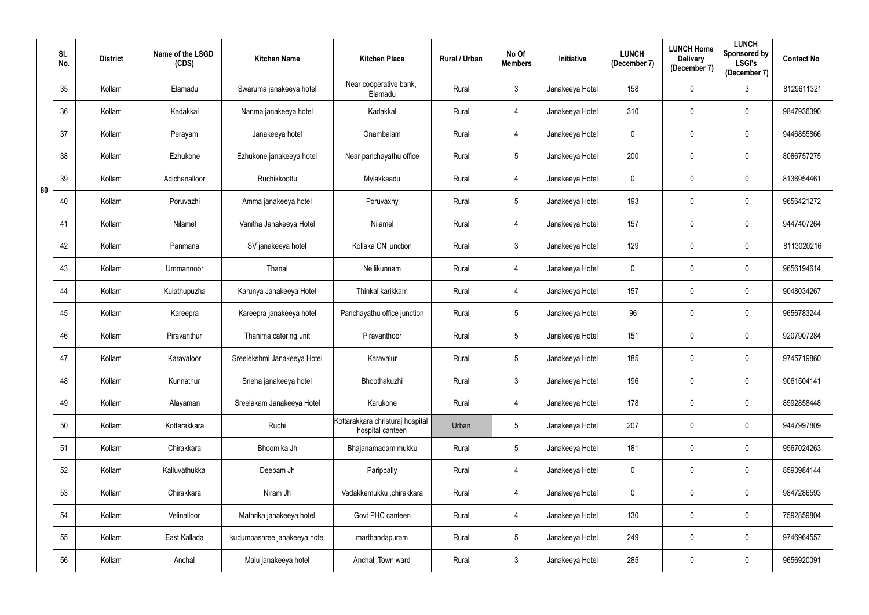|    | SI.<br>No. | <b>District</b> | Name of the LSGD<br>(CDS) | <b>Kitchen Name</b>          | <b>Kitchen Place</b>                                 | Rural / Urban | No Of<br><b>Members</b> | Initiative      | <b>LUNCH</b><br>(December 7) | <b>LUNCH Home</b><br><b>Delivery</b><br>(December 7) | <b>LUNCH</b><br>Sponsored by<br><b>LSGI's</b><br>(December 7) | <b>Contact No</b> |
|----|------------|-----------------|---------------------------|------------------------------|------------------------------------------------------|---------------|-------------------------|-----------------|------------------------------|------------------------------------------------------|---------------------------------------------------------------|-------------------|
|    | 35         | Kollam          | Elamadu                   | Swaruma janakeeya hotel      | Near cooperative bank,<br>Elamadu                    | Rural         | $\mathfrak{Z}$          | Janakeeya Hotel | 158                          | $\mathbf 0$                                          | $\mathfrak{Z}$                                                | 8129611321        |
|    | 36         | Kollam          | Kadakkal                  | Nanma janakeeya hotel        | Kadakkal                                             | Rural         | 4                       | Janakeeya Hotel | 310                          | $\mathbf 0$                                          | $\mathbf 0$                                                   | 9847936390        |
|    | 37         | Kollam          | Perayam                   | Janakeeya hotel              | Onambalam                                            | Rural         | 4                       | Janakeeya Hotel | 0                            | $\pmb{0}$                                            | $\mathbf 0$                                                   | 9446855866        |
|    | 38         | Kollam          | Ezhukone                  | Ezhukone janakeeya hotel     | Near panchayathu office                              | Rural         | 5                       | Janakeeya Hotel | 200                          | $\mathbf 0$                                          | $\mathbf 0$                                                   | 8086757275        |
| 80 | 39         | Kollam          | Adichanalloor             | Ruchikkoottu                 | Mylakkaadu                                           | Rural         | 4                       | Janakeeya Hotel | 0                            | $\mathbf 0$                                          | $\overline{0}$                                                | 8136954461        |
|    | 40         | Kollam          | Poruvazhi                 | Amma janakeeya hotel         | Poruvaxhy                                            | Rural         | $5\phantom{.0}$         | Janakeeya Hotel | 193                          | $\mathbf 0$                                          | $\boldsymbol{0}$                                              | 9656421272        |
|    | 41         | Kollam          | Nilamel                   | Vanitha Janakeeya Hotel      | Nilamel                                              | Rural         | 4                       | Janakeeya Hotel | 157                          | $\mathbf 0$                                          | $\mathbf 0$                                                   | 9447407264        |
|    | 42         | Kollam          | Panmana                   | SV janakeeya hotel           | Kollaka CN junction                                  | Rural         | $\mathfrak{Z}$          | Janakeeya Hotel | 129                          | $\mathbf 0$                                          | $\mathbf 0$                                                   | 8113020216        |
|    | 43         | Kollam          | Ummannoor                 | Thanal                       | Nellikunnam                                          | Rural         | 4                       | Janakeeya Hotel | 0                            | $\mathbf 0$                                          | $\mathbf 0$                                                   | 9656194614        |
|    | 44         | Kollam          | Kulathupuzha              | Karunya Janakeeya Hotel      | Thinkal karikkam                                     | Rural         | 4                       | Janakeeya Hotel | 157                          | $\mathbf 0$                                          | $\mathbf 0$                                                   | 9048034267        |
|    | 45         | Kollam          | Kareepra                  | Kareepra janakeeya hotel     | Panchayathu office junction                          | Rural         | $5\phantom{.0}$         | Janakeeya Hotel | 96                           | $\pmb{0}$                                            | $\mathbf 0$                                                   | 9656783244        |
|    | 46         | Kollam          | Piravanthur               | Thanima catering unit        | Piravanthoor                                         | Rural         | 5                       | Janakeeya Hotel | 151                          | $\mathbf 0$                                          | $\mathbf 0$                                                   | 9207907284        |
|    | 47         | Kollam          | Karavaloor                | Sreelekshmi Janakeeya Hotel  | Karavalur                                            | Rural         | $5\phantom{.0}$         | Janakeeya Hotel | 185                          | $\mathbf 0$                                          | $\mathbf 0$                                                   | 9745719860        |
|    | 48         | Kollam          | Kunnathur                 | Sneha janakeeya hotel        | Bhoothakuzhi                                         | Rural         | $\mathfrak{Z}$          | Janakeeya Hotel | 196                          | $\mathbf 0$                                          | $\mathbf 0$                                                   | 9061504141        |
|    | 49         | Kollam          | Alayaman                  | Sreelakam Janakeeya Hotel    | Karukone                                             | Rural         | 4                       | Janakeeya Hotel | 178                          | $\pmb{0}$                                            | $\overline{0}$                                                | 8592858448        |
|    | 50         | Kollam          | Kottarakkara              | Ruchi                        | Kottarakkara christuraj hospital<br>hospital canteen | Urban         | $5\phantom{.0}$         | Janakeeya Hotel | 207                          | $\mathbf 0$                                          | $\mathbf 0$                                                   | 9447997809        |
|    | 51         | Kollam          | Chirakkara                | Bhoomika Jh                  | Bhajanamadam mukku                                   | Rural         | $5\phantom{.0}$         | Janakeeya Hotel | 181                          | $\pmb{0}$                                            | $\overline{0}$                                                | 9567024263        |
|    | 52         | Kollam          | Kalluvathukkal            | Deepam Jh                    | Parippally                                           | Rural         | 4                       | Janakeeya Hotel | $\mathbf 0$                  | $\mathbf 0$                                          | $\mathbf 0$                                                   | 8593984144        |
|    | 53         | Kollam          | Chirakkara                | Niram Jh                     | Vadakkemukku ,chirakkara                             | Rural         | 4                       | Janakeeya Hotel | $\mathbf 0$                  | $\pmb{0}$                                            | $\mathbf 0$                                                   | 9847286593        |
|    | 54         | Kollam          | Velinalloor               | Mathrika janakeeya hotel     | Govt PHC canteen                                     | Rural         | 4                       | Janakeeya Hotel | 130                          | $\mathbf 0$                                          | $\mathbf 0$                                                   | 7592859804        |
|    | 55         | Kollam          | East Kallada              | kudumbashree janakeeya hotel | marthandapuram                                       | Rural         | $5\phantom{.0}$         | Janakeeya Hotel | 249                          | $\mathbf 0$                                          | $\mathbf 0$                                                   | 9746964557        |
|    | 56         | Kollam          | Anchal                    | Malu janakeeya hotel         | Anchal, Town ward                                    | Rural         | $\mathfrak{Z}$          | Janakeeya Hotel | 285                          | $\pmb{0}$                                            | $\overline{0}$                                                | 9656920091        |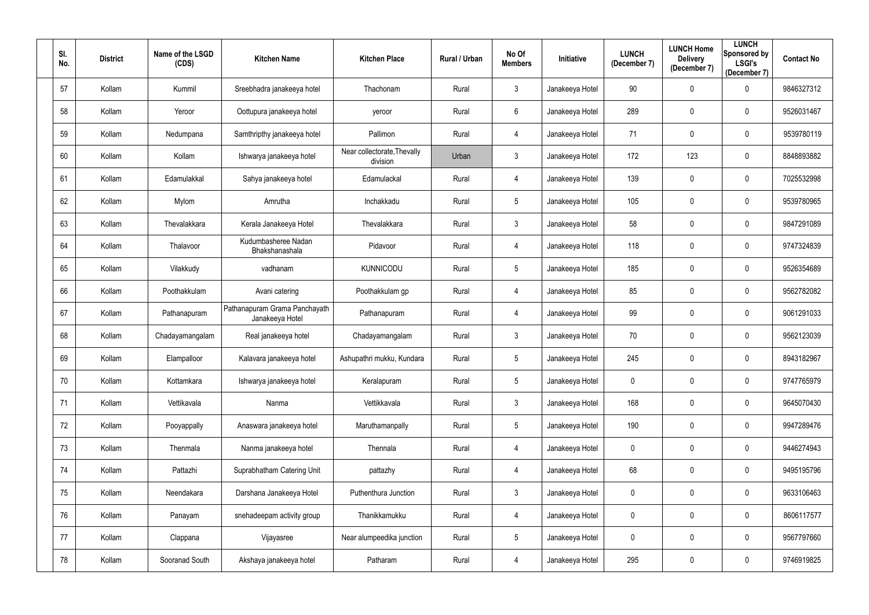| SI.<br>No. | <b>District</b> | Name of the LSGD<br>(CDS) | <b>Kitchen Name</b>                              | <b>Kitchen Place</b>                    | Rural / Urban | No Of<br><b>Members</b> | <b>Initiative</b> | <b>LUNCH</b><br>(December 7) | <b>LUNCH Home</b><br><b>Delivery</b><br>(December 7) | <b>LUNCH</b><br>Sponsored by<br><b>LSGI's</b><br>(December 7) | <b>Contact No</b> |
|------------|-----------------|---------------------------|--------------------------------------------------|-----------------------------------------|---------------|-------------------------|-------------------|------------------------------|------------------------------------------------------|---------------------------------------------------------------|-------------------|
| 57         | Kollam          | Kummil                    | Sreebhadra janakeeya hotel                       | Thachonam                               | Rural         | 3                       | Janakeeya Hotel   | 90                           | $\mathbf 0$                                          | $\mathbf 0$                                                   | 9846327312        |
| 58         | Kollam          | Yeroor                    | Oottupura janakeeya hotel                        | yeroor                                  | Rural         | $6\phantom{.}$          | Janakeeya Hotel   | 289                          | $\mathbf 0$                                          | $\mathbf 0$                                                   | 9526031467        |
| 59         | Kollam          | Nedumpana                 | Samthripthy janakeeya hotel                      | Pallimon                                | Rural         | 4                       | Janakeeya Hotel   | 71                           | $\mathbf 0$                                          | $\mathbf 0$                                                   | 9539780119        |
| 60         | Kollam          | Kollam                    | Ishwarya janakeeya hotel                         | Near collectorate, Thevally<br>division | Urban         | $\mathfrak{Z}$          | Janakeeya Hotel   | 172                          | 123                                                  | $\mathbf 0$                                                   | 8848893882        |
| 61         | Kollam          | Edamulakkal               | Sahya janakeeya hotel                            | Edamulackal                             | Rural         | 4                       | Janakeeya Hotel   | 139                          | $\mathbf 0$                                          | $\overline{0}$                                                | 7025532998        |
| 62         | Kollam          | Mylom                     | Amrutha                                          | Inchakkadu                              | Rural         | $5\phantom{.0}$         | Janakeeya Hotel   | 105                          | $\mathbf 0$                                          | $\mathbf 0$                                                   | 9539780965        |
| 63         | Kollam          | Thevalakkara              | Kerala Janakeeya Hotel                           | Thevalakkara                            | Rural         | $\mathfrak{Z}$          | Janakeeya Hotel   | 58                           | $\mathbf 0$                                          | $\mathbf 0$                                                   | 9847291089        |
| 64         | Kollam          | Thalavoor                 | Kudumbasheree Nadan<br>Bhakshanashala            | Pidavoor                                | Rural         | 4                       | Janakeeya Hotel   | 118                          | $\overline{0}$                                       | $\mathbf 0$                                                   | 9747324839        |
| 65         | Kollam          | Vilakkudy                 | vadhanam                                         | <b>KUNNICODU</b>                        | Rural         | $5\phantom{.0}$         | Janakeeya Hotel   | 185                          | $\mathbf 0$                                          | $\mathbf 0$                                                   | 9526354689        |
| 66         | Kollam          | Poothakkulam              | Avani catering                                   | Poothakkulam gp                         | Rural         | 4                       | Janakeeya Hotel   | 85                           | $\mathbf 0$                                          | $\mathbf 0$                                                   | 9562782082        |
| 67         | Kollam          | Pathanapuram              | Pathanapuram Grama Panchayath<br>Janakeeya Hotel | Pathanapuram                            | Rural         | 4                       | Janakeeya Hotel   | 99                           | $\mathbf 0$                                          | $\mathbf 0$                                                   | 9061291033        |
| 68         | Kollam          | Chadayamangalam           | Real janakeeya hotel                             | Chadayamangalam                         | Rural         | $\mathfrak{Z}$          | Janakeeya Hotel   | 70                           | $\mathbf 0$                                          | $\mathbf 0$                                                   | 9562123039        |
| 69         | Kollam          | Elampalloor               | Kalavara janakeeya hotel                         | Ashupathri mukku, Kundara               | Rural         | $5\phantom{.0}$         | Janakeeya Hotel   | 245                          | $\mathbf 0$                                          | $\mathbf 0$                                                   | 8943182967        |
| 70         | Kollam          | Kottamkara                | Ishwarya janakeeya hotel                         | Keralapuram                             | Rural         | $5\phantom{.0}$         | Janakeeya Hotel   | $\mathbf 0$                  | $\mathbf 0$                                          | $\mathbf 0$                                                   | 9747765979        |
| 71         | Kollam          | Vettikavala               | Nanma                                            | Vettikkavala                            | Rural         | $\mathfrak{Z}$          | Janakeeya Hotel   | 168                          | $\mathbf 0$                                          | $\overline{0}$                                                | 9645070430        |
| 72         | Kollam          | Pooyappally               | Anaswara janakeeya hotel                         | Maruthamanpally                         | Rural         | $5\,$                   | Janakeeya Hotel   | 190                          | $\mathbf 0$                                          | $\mathbf 0$                                                   | 9947289476        |
| 73         | Kollam          | Thenmala                  | Nanma janakeeya hotel                            | Thennala                                | Rural         | 4                       | Janakeeya Hotel   | $\mathbf 0$                  | $\pmb{0}$                                            | $\mathbf 0$                                                   | 9446274943        |
| 74         | Kollam          | Pattazhi                  | Suprabhatham Catering Unit                       | pattazhy                                | Rural         | 4                       | Janakeeya Hotel   | 68                           | $\mathbf 0$                                          | $\mathbf 0$                                                   | 9495195796        |
| 75         | Kollam          | Neendakara                | Darshana Janakeeya Hotel                         | Puthenthura Junction                    | Rural         | $\mathfrak{Z}$          | Janakeeya Hotel   | $\mathbf 0$                  | $\mathbf 0$                                          | $\overline{0}$                                                | 9633106463        |
| 76         | Kollam          | Panayam                   | snehadeepam activity group                       | Thanikkamukku                           | Rural         | 4                       | Janakeeya Hotel   | $\mathbf 0$                  | $\mathbf 0$                                          | $\mathbf 0$                                                   | 8606117577        |
| 77         | Kollam          | Clappana                  | Vijayasree                                       | Near alumpeedika junction               | Rural         | $\sqrt{5}$              | Janakeeya Hotel   | $\boldsymbol{0}$             | $\pmb{0}$                                            | $\overline{0}$                                                | 9567797660        |
| 78         | Kollam          | Sooranad South            | Akshaya janakeeya hotel                          | Patharam                                | Rural         | 4                       | Janakeeya Hotel   | 295                          | $\mathbf 0$                                          | $\overline{0}$                                                | 9746919825        |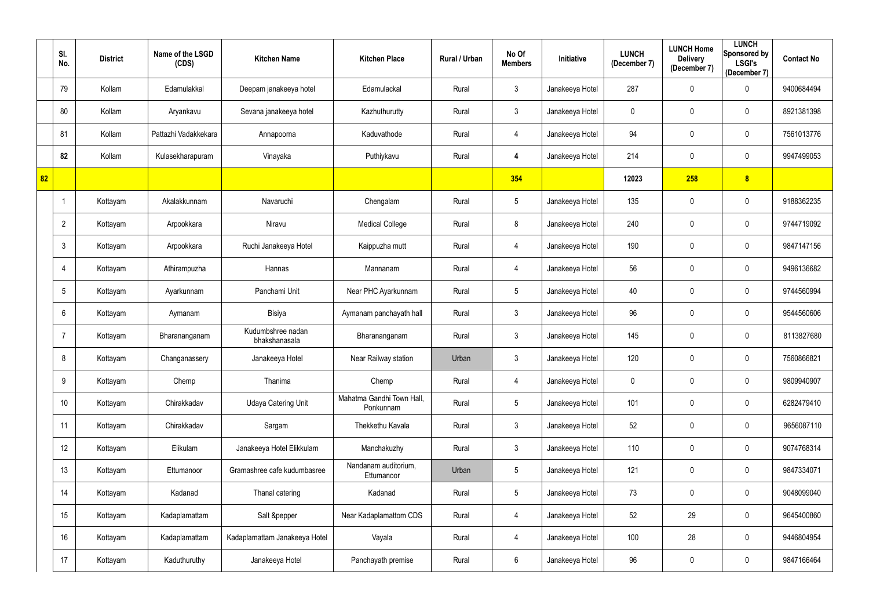|    | SI.<br>No. | <b>District</b> | Name of the LSGD<br>(CDS) | <b>Kitchen Name</b>                | <b>Kitchen Place</b>                   | Rural / Urban | No Of<br><b>Members</b> | Initiative      | <b>LUNCH</b><br>(December 7) | <b>LUNCH Home</b><br><b>Delivery</b><br>(December 7) | <b>LUNCH</b><br>Sponsored by<br><b>LSGI's</b><br>(December 7) | <b>Contact No</b> |
|----|------------|-----------------|---------------------------|------------------------------------|----------------------------------------|---------------|-------------------------|-----------------|------------------------------|------------------------------------------------------|---------------------------------------------------------------|-------------------|
|    | 79         | Kollam          | Edamulakkal               | Deepam janakeeya hotel             | Edamulackal                            | Rural         | $\mathfrak{Z}$          | Janakeeya Hotel | 287                          | $\mathbf 0$                                          | $\mathbf 0$                                                   | 9400684494        |
|    | 80         | Kollam          | Aryankavu                 | Sevana janakeeya hotel             | Kazhuthurutty                          | Rural         | $\mathfrak{Z}$          | Janakeeya Hotel | 0                            | $\mathbf 0$                                          | $\mathbf 0$                                                   | 8921381398        |
|    | 81         | Kollam          | Pattazhi Vadakkekara      | Annapoorna                         | Kaduvathode                            | Rural         | 4                       | Janakeeya Hotel | 94                           | $\mathbf 0$                                          | $\mathbf 0$                                                   | 7561013776        |
|    | 82         | Kollam          | Kulasekharapuram          | Vinayaka                           | Puthiykavu                             | Rural         | 4                       | Janakeeya Hotel | 214                          | $\mathbf 0$                                          | $\mathbf 0$                                                   | 9947499053        |
| 82 |            |                 |                           |                                    |                                        |               | 354                     |                 | 12023                        | 258                                                  | 8                                                             |                   |
|    |            | Kottayam        | Akalakkunnam              | Navaruchi                          | Chengalam                              | Rural         | $5\phantom{.0}$         | Janakeeya Hotel | 135                          | $\mathbf 0$                                          | $\mathbf 0$                                                   | 9188362235        |
|    | 2          | Kottayam        | Arpookkara                | Niravu                             | <b>Medical College</b>                 | Rural         | 8                       | Janakeeya Hotel | 240                          | $\mathbf 0$                                          | $\overline{0}$                                                | 9744719092        |
|    | 3          | Kottayam        | Arpookkara                | Ruchi Janakeeya Hotel              | Kaippuzha mutt                         | Rural         | 4                       | Janakeeya Hotel | 190                          | $\mathbf 0$                                          | $\overline{0}$                                                | 9847147156        |
|    | 4          | Kottayam        | Athirampuzha              | Hannas                             | Mannanam                               | Rural         | 4                       | Janakeeya Hotel | 56                           | $\mathbf 0$                                          | $\mathbf 0$                                                   | 9496136682        |
|    | 5          | Kottayam        | Ayarkunnam                | Panchami Unit                      | Near PHC Ayarkunnam                    | Rural         | $5\phantom{.0}$         | Janakeeya Hotel | 40                           | $\mathbf 0$                                          | $\mathbf 0$                                                   | 9744560994        |
|    | 6          | Kottayam        | Aymanam                   | Bisiya                             | Aymanam panchayath hall                | Rural         | $\mathfrak{Z}$          | Janakeeya Hotel | 96                           | $\boldsymbol{0}$                                     | $\mathbf 0$                                                   | 9544560606        |
|    |            | Kottayam        | Bharananganam             | Kudumbshree nadan<br>bhakshanasala | Bharananganam                          | Rural         | $\mathfrak{Z}$          | Janakeeya Hotel | 145                          | $\mathbf 0$                                          | $\mathbf 0$                                                   | 8113827680        |
|    | 8          | Kottayam        | Changanassery             | Janakeeya Hotel                    | Near Railway station                   | Urban         | 3                       | Janakeeya Hotel | 120                          | $\mathbf 0$                                          | $\mathbf 0$                                                   | 7560866821        |
|    | 9          | Kottayam        | Chemp                     | Thanima                            | Chemp                                  | Rural         | 4                       | Janakeeya Hotel | $\mathbf 0$                  | $\mathbf 0$                                          | $\mathbf 0$                                                   | 9809940907        |
|    | 10         | Kottayam        | Chirakkadav               | <b>Udaya Catering Unit</b>         | Mahatma Gandhi Town Hall,<br>Ponkunnam | Rural         | 5                       | Janakeeya Hotel | 101                          | $\mathbf 0$                                          | $\mathbf 0$                                                   | 6282479410        |
|    | 11         | Kottayam        | Chirakkadav               | Sargam                             | Thekkethu Kavala                       | Rural         | $\mathfrak{Z}$          | Janakeeya Hotel | 52                           | $\pmb{0}$                                            | $\mathbf 0$                                                   | 9656087110        |
|    | 12         | Kottayam        | Elikulam                  | Janakeeya Hotel Elikkulam          | Manchakuzhy                            | Rural         | $\mathbf{3}$            | Janakeeya Hotel | 110                          | $\mathbf 0$                                          | $\mathbf 0$                                                   | 9074768314        |
|    | 13         | Kottayam        | Ettumanoor                | Gramashree cafe kudumbasree        | Nandanam auditorium,<br>Ettumanoor     | Urban         | 5                       | Janakeeya Hotel | 121                          | $\mathbf 0$                                          | $\mathbf 0$                                                   | 9847334071        |
|    | 14         | Kottayam        | Kadanad                   | Thanal catering                    | Kadanad                                | Rural         | $5\phantom{.0}$         | Janakeeya Hotel | 73                           | $\mathbf 0$                                          | $\mathbf 0$                                                   | 9048099040        |
|    | 15         | Kottayam        | Kadaplamattam             | Salt &pepper                       | Near Kadaplamattom CDS                 | Rural         | 4                       | Janakeeya Hotel | 52                           | 29                                                   | $\mathbf 0$                                                   | 9645400860        |
|    | 16         | Kottayam        | Kadaplamattam             | Kadaplamattam Janakeeya Hotel      | Vayala                                 | Rural         | 4                       | Janakeeya Hotel | 100                          | 28                                                   | $\mathbf 0$                                                   | 9446804954        |
|    | 17         | Kottayam        | Kaduthuruthy              | Janakeeya Hotel                    | Panchayath premise                     | Rural         | $6\phantom{.}$          | Janakeeya Hotel | 96                           | $\boldsymbol{0}$                                     | $\mathbf 0$                                                   | 9847166464        |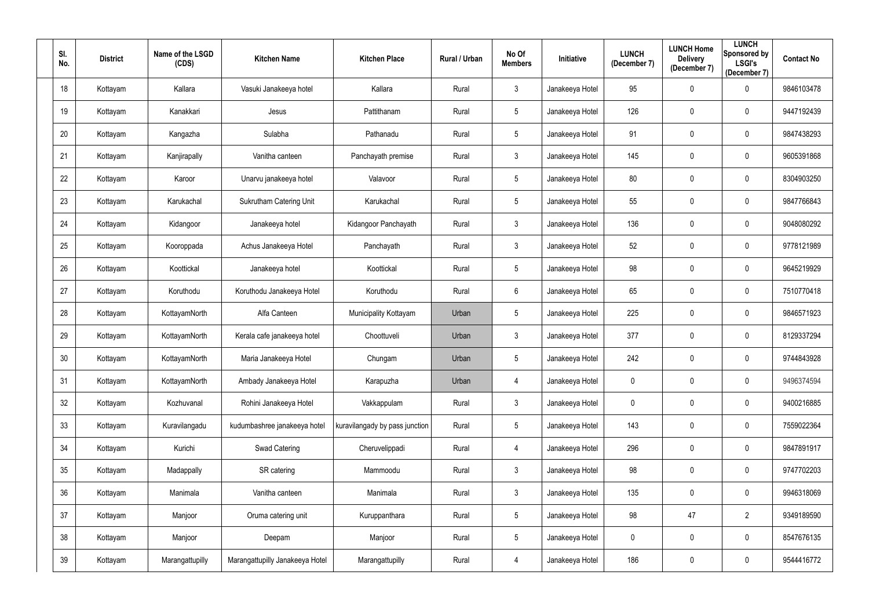| SI.<br>No. | <b>District</b> | Name of the LSGD<br>(CDS) | <b>Kitchen Name</b>             | <b>Kitchen Place</b>           | Rural / Urban | No Of<br><b>Members</b> | Initiative      | <b>LUNCH</b><br>(December 7) | <b>LUNCH Home</b><br><b>Delivery</b><br>(December 7) | <b>LUNCH</b><br>Sponsored by<br><b>LSGI's</b><br>(December 7) | <b>Contact No</b> |
|------------|-----------------|---------------------------|---------------------------------|--------------------------------|---------------|-------------------------|-----------------|------------------------------|------------------------------------------------------|---------------------------------------------------------------|-------------------|
| 18         | Kottayam        | Kallara                   | Vasuki Janakeeya hotel          | Kallara                        | Rural         | $\mathfrak{Z}$          | Janakeeya Hotel | 95                           | $\pmb{0}$                                            | $\mathbf 0$                                                   | 9846103478        |
| 19         | Kottayam        | Kanakkari                 | Jesus                           | Pattithanam                    | Rural         | $5\overline{)}$         | Janakeeya Hotel | 126                          | $\mathbf 0$                                          | $\mathbf 0$                                                   | 9447192439        |
| 20         | Kottayam        | Kangazha                  | Sulabha                         | Pathanadu                      | Rural         | $5\phantom{.0}$         | Janakeeya Hotel | 91                           | $\pmb{0}$                                            | $\overline{0}$                                                | 9847438293        |
| 21         | Kottayam        | Kanjirapally              | Vanitha canteen                 | Panchayath premise             | Rural         | $\mathfrak{Z}$          | Janakeeya Hotel | 145                          | $\mathbf 0$                                          | $\mathbf 0$                                                   | 9605391868        |
| 22         | Kottayam        | Karoor                    | Unarvu janakeeya hotel          | Valavoor                       | Rural         | $5\phantom{.0}$         | Janakeeya Hotel | 80                           | $\mathbf 0$                                          | $\overline{0}$                                                | 8304903250        |
| 23         | Kottayam        | Karukachal                | Sukrutham Catering Unit         | Karukachal                     | Rural         | 5                       | Janakeeya Hotel | 55                           | $\mathbf 0$                                          | $\mathbf 0$                                                   | 9847766843        |
| 24         | Kottayam        | Kidangoor                 | Janakeeya hotel                 | Kidangoor Panchayath           | Rural         | $\mathfrak{Z}$          | Janakeeya Hotel | 136                          | $\mathbf 0$                                          | $\mathbf 0$                                                   | 9048080292        |
| 25         | Kottayam        | Kooroppada                | Achus Janakeeya Hotel           | Panchayath                     | Rural         | 3 <sup>1</sup>          | Janakeeya Hotel | $52\,$                       | $\mathbf 0$                                          | $\mathbf 0$                                                   | 9778121989        |
| 26         | Kottayam        | Koottickal                | Janakeeya hotel                 | Koottickal                     | Rural         | $5\phantom{.0}$         | Janakeeya Hotel | 98                           | $\mathbf 0$                                          | $\mathbf 0$                                                   | 9645219929        |
| 27         | Kottayam        | Koruthodu                 | Koruthodu Janakeeya Hotel       | Koruthodu                      | Rural         | $6\phantom{.0}$         | Janakeeya Hotel | 65                           | $\pmb{0}$                                            | $\overline{0}$                                                | 7510770418        |
| 28         | Kottayam        | KottayamNorth             | Alfa Canteen                    | Municipality Kottayam          | Urban         | $5\phantom{.0}$         | Janakeeya Hotel | 225                          | $\pmb{0}$                                            | $\mathbf 0$                                                   | 9846571923        |
| 29         | Kottayam        | KottayamNorth             | Kerala cafe janakeeya hotel     | Choottuveli                    | Urban         | $\mathfrak{Z}$          | Janakeeya Hotel | 377                          | $\mathbf 0$                                          | $\mathbf 0$                                                   | 8129337294        |
| 30         | Kottayam        | KottayamNorth             | Maria Janakeeya Hotel           | Chungam                        | Urban         | $5\phantom{.0}$         | Janakeeya Hotel | 242                          | $\mathbf 0$                                          | $\mathbf 0$                                                   | 9744843928        |
| 31         | Kottayam        | KottayamNorth             | Ambady Janakeeya Hotel          | Karapuzha                      | Urban         | 4                       | Janakeeya Hotel | 0                            | $\mathbf 0$                                          | $\bf{0}$                                                      | 9496374594        |
| 32         | Kottayam        | Kozhuvanal                | Rohini Janakeeya Hotel          | Vakkappulam                    | Rural         | 3 <sup>1</sup>          | Janakeeya Hotel | $\mathbf 0$                  | $\pmb{0}$                                            | $\overline{0}$                                                | 9400216885        |
| 33         | Kottayam        | Kuravilangadu             | kudumbashree janakeeya hotel    | kuravilangady by pass junction | Rural         | $5\phantom{.0}$         | Janakeeya Hotel | 143                          | $\pmb{0}$                                            | $\mathbf 0$                                                   | 7559022364        |
| 34         | Kottayam        | Kurichi                   | Swad Catering                   | Cheruvelippadi                 | Rural         | 4                       | Janakeeya Hotel | 296                          | $\pmb{0}$                                            | $\overline{0}$                                                | 9847891917        |
| 35         | Kottayam        | Madappally                | SR catering                     | Mammoodu                       | Rural         | $\mathfrak{Z}$          | Janakeeya Hotel | 98                           | $\pmb{0}$                                            | $\mathbf 0$                                                   | 9747702203        |
| 36         | Kottayam        | Manimala                  | Vanitha canteen                 | Manimala                       | Rural         | $\mathbf{3}$            | Janakeeya Hotel | 135                          | $\pmb{0}$                                            | $\mathbf 0$                                                   | 9946318069        |
| 37         | Kottayam        | Manjoor                   | Oruma catering unit             | Kuruppanthara                  | Rural         | $5\phantom{.0}$         | Janakeeya Hotel | 98                           | 47                                                   | $\overline{2}$                                                | 9349189590        |
| 38         | Kottayam        | Manjoor                   | Deepam                          | Manjoor                        | Rural         | $5\phantom{.0}$         | Janakeeya Hotel | $\mathbf 0$                  | $\pmb{0}$                                            | $\mathbf 0$                                                   | 8547676135        |
| 39         | Kottayam        | Marangattupilly           | Marangattupilly Janakeeya Hotel | Marangattupilly                | Rural         | 4                       | Janakeeya Hotel | 186                          | $\boldsymbol{0}$                                     | $\overline{0}$                                                | 9544416772        |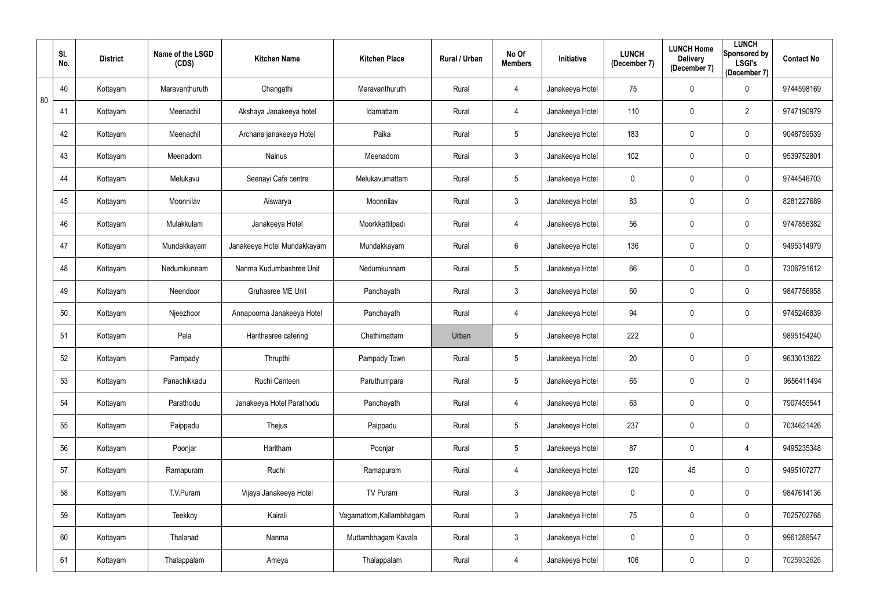|    | SI.<br>No. | <b>District</b> | Name of the LSGD<br>(CDS) | <b>Kitchen Name</b>         | <b>Kitchen Place</b>     | Rural / Urban | No Of<br><b>Members</b> | Initiative      | <b>LUNCH</b><br>(December 7) | <b>LUNCH Home</b><br><b>Delivery</b><br>(December 7) | <b>LUNCH</b><br>Sponsored by<br><b>LSGI's</b><br>(December 7) | <b>Contact No</b> |
|----|------------|-----------------|---------------------------|-----------------------------|--------------------------|---------------|-------------------------|-----------------|------------------------------|------------------------------------------------------|---------------------------------------------------------------|-------------------|
| 80 | 40         | Kottayam        | Maravanthuruth            | Changathi                   | Maravanthuruth           | Rural         | 4                       | Janakeeya Hotel | 75                           | $\pmb{0}$                                            | $\mathbf 0$                                                   | 9744598169        |
|    | 41         | Kottayam        | Meenachil                 | Akshaya Janakeeya hotel     | Idamattam                | Rural         | 4                       | Janakeeya Hotel | 110                          | $\mathbf 0$                                          | $\overline{2}$                                                | 9747190979        |
|    | 42         | Kottayam        | Meenachil                 | Archana janakeeya Hotel     | Paika                    | Rural         | $5\phantom{.0}$         | Janakeeya Hotel | 183                          | $\mathbf 0$                                          | $\overline{0}$                                                | 9048759539        |
|    | 43         | Kottayam        | Meenadom                  | Nainus                      | Meenadom                 | Rural         | $\mathfrak{Z}$          | Janakeeya Hotel | 102                          | $\mathbf 0$                                          | $\overline{0}$                                                | 9539752801        |
|    | 44         | Kottayam        | Melukavu                  | Seenayi Cafe centre         | Melukavumattam           | Rural         | $5\phantom{.0}$         | Janakeeya Hotel | $\mathbf 0$                  | $\mathbf 0$                                          | $\overline{0}$                                                | 9744546703        |
|    | 45         | Kottayam        | Moonnilav                 | Aiswarya                    | Moonnilav                | Rural         | $\mathfrak{Z}$          | Janakeeya Hotel | 83                           | $\mathbf 0$                                          | $\mathbf 0$                                                   | 8281227689        |
|    | 46         | Kottayam        | Mulakkulam                | Janakeeya Hotel             | Moorkkattilpadi          | Rural         | 4                       | Janakeeya Hotel | 56                           | $\mathbf 0$                                          | $\mathbf 0$                                                   | 9747856382        |
|    | 47         | Kottayam        | Mundakkayam               | Janakeeya Hotel Mundakkayam | Mundakkayam              | Rural         | 6                       | Janakeeya Hotel | 136                          | $\mathbf 0$                                          | $\mathbf 0$                                                   | 9495314979        |
|    | 48         | Kottayam        | Nedumkunnam               | Nanma Kudumbashree Unit     | Nedumkunnam              | Rural         | $5\phantom{.0}$         | Janakeeya Hotel | 66                           | $\mathbf 0$                                          | $\mathbf 0$                                                   | 7306791612        |
|    | 49         | Kottayam        | Neendoor                  | Gruhasree ME Unit           | Panchayath               | Rural         | $\mathfrak{Z}$          | Janakeeya Hotel | 60                           | $\pmb{0}$                                            | $\overline{0}$                                                | 9847756958        |
|    | 50         | Kottayam        | Njeezhoor                 | Annapoorna Janakeeya Hotel  | Panchayath               | Rural         | 4                       | Janakeeya Hotel | 94                           | $\mathbf 0$                                          | $\mathbf 0$                                                   | 9745246839        |
|    | 51         | Kottayam        | Pala                      | Harithasree catering        | Chethimattam             | Urban         | 5                       | Janakeeya Hotel | 222                          | $\mathbf 0$                                          |                                                               | 9895154240        |
|    | 52         | Kottayam        | Pampady                   | Thrupthi                    | Pampady Town             | Rural         | $5\phantom{.0}$         | Janakeeya Hotel | 20                           | $\mathbf 0$                                          | $\mathbf 0$                                                   | 9633013622        |
|    | 53         | Kottayam        | Panachikkadu              | Ruchi Canteen               | Paruthumpara             | Rural         | 5                       | Janakeeya Hotel | 65                           | $\mathbf 0$                                          | $\boldsymbol{0}$                                              | 9656411494        |
|    | 54         | Kottayam        | Parathodu                 | Janakeeya Hotel Parathodu   | Panchayath               | Rural         | 4                       | Janakeeya Hotel | 63                           | $\pmb{0}$                                            | $\mathbf 0$                                                   | 7907455541        |
|    | 55         | Kottayam        | Paippadu                  | Thejus                      | Paippadu                 | Rural         | 5                       | Janakeeya Hotel | 237                          | $\mathbf 0$                                          | $\mathbf 0$                                                   | 7034621426        |
|    | 56         | Kottayam        | Poonjar                   | Haritham                    | Poonjar                  | Rural         | $5\phantom{.0}$         | Janakeeya Hotel | 87                           | $\pmb{0}$                                            | $\overline{4}$                                                | 9495235348        |
|    | 57         | Kottayam        | Ramapuram                 | Ruchi                       | Ramapuram                | Rural         | 4                       | Janakeeya Hotel | 120                          | 45                                                   | $\mathbf 0$                                                   | 9495107277        |
|    | 58         | Kottayam        | T.V.Puram                 | Vijaya Janakeeya Hotel      | TV Puram                 | Rural         | $\mathbf{3}$            | Janakeeya Hotel | $\mathbf 0$                  | $\pmb{0}$                                            | $\mathbf 0$                                                   | 9847614136        |
|    | 59         | Kottayam        | Teekkoy                   | Kairali                     | Vagamattom, Kallambhagam | Rural         | 3 <sup>1</sup>          | Janakeeya Hotel | 75                           | $\pmb{0}$                                            | $\mathbf 0$                                                   | 7025702768        |
|    | 60         | Kottayam        | Thalanad                  | Nanma                       | Muttambhagam Kavala      | Rural         | $\mathfrak{Z}$          | Janakeeya Hotel | $\mathbf 0$                  | $\pmb{0}$                                            | $\mathbf 0$                                                   | 9961289547        |
|    | 61         | Kottayam        | Thalappalam               | Ameya                       | Thalappalam              | Rural         | 4                       | Janakeeya Hotel | 106                          | $\boldsymbol{0}$                                     | $\overline{0}$                                                | 7025932626        |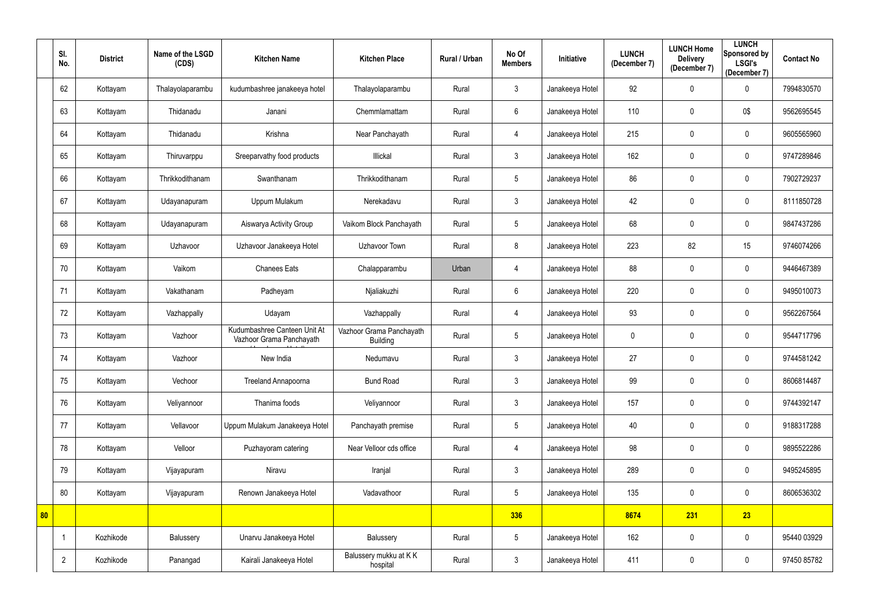|    | SI.<br>No.     | <b>District</b> | Name of the LSGD<br>(CDS) | <b>Kitchen Name</b>                                      | <b>Kitchen Place</b>                        | Rural / Urban | No Of<br><b>Members</b> | Initiative      | <b>LUNCH</b><br>(December 7) | <b>LUNCH Home</b><br><b>Delivery</b><br>(December 7) | <b>LUNCH</b><br>Sponsored by<br><b>LSGI's</b><br>(December 7) | <b>Contact No</b> |
|----|----------------|-----------------|---------------------------|----------------------------------------------------------|---------------------------------------------|---------------|-------------------------|-----------------|------------------------------|------------------------------------------------------|---------------------------------------------------------------|-------------------|
|    | 62             | Kottayam        | Thalayolaparambu          | kudumbashree janakeeya hotel                             | Thalayolaparambu                            | Rural         | $\mathfrak{Z}$          | Janakeeya Hotel | 92                           | $\mathbf 0$                                          | $\mathbf 0$                                                   | 7994830570        |
|    | 63             | Kottayam        | Thidanadu                 | Janani                                                   | Chemmlamattam                               | Rural         | $6\phantom{.}6$         | Janakeeya Hotel | 110                          | $\mathbf 0$                                          | 0\$                                                           | 9562695545        |
|    | 64             | Kottayam        | Thidanadu                 | Krishna                                                  | Near Panchayath                             | Rural         | 4                       | Janakeeya Hotel | 215                          | $\mathbf 0$                                          | $\mathbf 0$                                                   | 9605565960        |
|    | 65             | Kottayam        | Thiruvarppu               | Sreeparvathy food products                               | Illickal                                    | Rural         | $\mathfrak{Z}$          | Janakeeya Hotel | 162                          | $\mathbf 0$                                          | $\mathbf 0$                                                   | 9747289846        |
|    | 66             | Kottayam        | Thrikkodithanam           | Swanthanam                                               | Thrikkodithanam                             | Rural         | $\overline{5}$          | Janakeeya Hotel | 86                           | $\mathbf 0$                                          | $\mathbf 0$                                                   | 7902729237        |
|    | 67             | Kottayam        | Udayanapuram              | Uppum Mulakum                                            | Nerekadavu                                  | Rural         | $\mathfrak{Z}$          | Janakeeya Hotel | 42                           | $\mathbf 0$                                          | $\mathbf 0$                                                   | 8111850728        |
|    | 68             | Kottayam        | Udayanapuram              | Aiswarya Activity Group                                  | Vaikom Block Panchayath                     | Rural         | $\overline{5}$          | Janakeeya Hotel | 68                           | $\mathbf 0$                                          | $\mathbf 0$                                                   | 9847437286        |
|    | 69             | Kottayam        | Uzhavoor                  | Uzhavoor Janakeeya Hotel                                 | Uzhavoor Town                               | Rural         | 8                       | Janakeeya Hotel | 223                          | 82                                                   | 15                                                            | 9746074266        |
|    | 70             | Kottayam        | Vaikom                    | <b>Chanees Eats</b>                                      | Chalapparambu                               | Urban         | 4                       | Janakeeya Hotel | 88                           | $\mathbf 0$                                          | $\mathbf 0$                                                   | 9446467389        |
|    | 71             | Kottayam        | Vakathanam                | Padheyam                                                 | Njaliakuzhi                                 | Rural         | $6\phantom{.}6$         | Janakeeya Hotel | 220                          | $\mathbf 0$                                          | $\mathbf 0$                                                   | 9495010073        |
|    | 72             | Kottayam        | Vazhappally               | Udayam                                                   | Vazhappally                                 | Rural         | 4                       | Janakeeya Hotel | 93                           | $\mathbf 0$                                          | $\mathbf 0$                                                   | 9562267564        |
|    | 73             | Kottayam        | Vazhoor                   | Kudumbashree Canteen Unit At<br>Vazhoor Grama Panchayath | Vazhoor Grama Panchayath<br><b>Building</b> | Rural         | $\overline{5}$          | Janakeeya Hotel | $\mathbf 0$                  | $\mathbf 0$                                          | $\mathbf 0$                                                   | 9544717796        |
|    | 74             | Kottayam        | Vazhoor                   | New India                                                | Nedumavu                                    | Rural         | $\mathbf{3}$            | Janakeeya Hotel | 27                           | $\mathbf{0}$                                         | $\mathbf 0$                                                   | 9744581242        |
|    | 75             | Kottayam        | Vechoor                   | Treeland Annapoorna                                      | <b>Bund Road</b>                            | Rural         | $\mathfrak{Z}$          | Janakeeya Hotel | 99                           | $\mathbf 0$                                          | $\mathbf 0$                                                   | 8606814487        |
|    | 76             | Kottayam        | Veliyannoor               | Thanima foods                                            | Veliyannoor                                 | Rural         | $\mathfrak{Z}$          | Janakeeya Hotel | 157                          | $\mathbf 0$                                          | $\mathbf 0$                                                   | 9744392147        |
|    | 77             | Kottayam        | Vellavoor                 | Uppum Mulakum Janakeeya Hotel                            | Panchayath premise                          | Rural         | $\sqrt{5}$              | Janakeeya Hotel | 40                           | $\pmb{0}$                                            | $\mathbf 0$                                                   | 9188317288        |
|    | 78             | Kottayam        | Velloor                   | Puzhayoram catering                                      | Near Velloor cds office                     | Rural         | $\overline{4}$          | Janakeeya Hotel | 98                           | $\mathbf 0$                                          | $\mathbf 0$                                                   | 9895522286        |
|    | 79             | Kottayam        | Vijayapuram               | Niravu                                                   | Iranjal                                     | Rural         | $\mathfrak{Z}$          | Janakeeya Hotel | 289                          | $\mathbf 0$                                          | $\mathbf 0$                                                   | 9495245895        |
|    | 80             | Kottayam        | Vijayapuram               | Renown Janakeeya Hotel                                   | Vadavathoor                                 | Rural         | $\sqrt{5}$              | Janakeeya Hotel | 135                          | $\mathbf 0$                                          | $\mathbf 0$                                                   | 8606536302        |
| 80 |                |                 |                           |                                                          |                                             |               | 336                     |                 | 8674                         | 231                                                  | 23                                                            |                   |
|    |                | Kozhikode       | Balussery                 | Unarvu Janakeeya Hotel                                   | Balussery                                   | Rural         | $\sqrt{5}$              | Janakeeya Hotel | 162                          | $\boldsymbol{0}$                                     | $\mathbf 0$                                                   | 95440 03929       |
|    | $\overline{2}$ | Kozhikode       | Panangad                  | Kairali Janakeeya Hotel                                  | Balussery mukku at KK<br>hospital           | Rural         | $\mathfrak{Z}$          | Janakeeya Hotel | 411                          | $\boldsymbol{0}$                                     | $\mathbf 0$                                                   | 97450 85782       |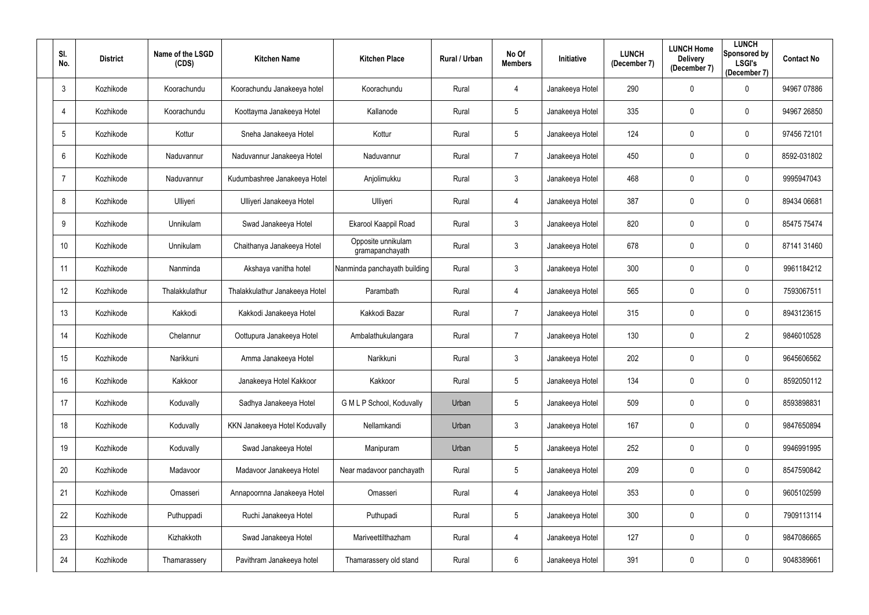| SI.<br>No.      | <b>District</b> | Name of the LSGD<br>(CDS) | <b>Kitchen Name</b>            | <b>Kitchen Place</b>                  | Rural / Urban | No Of<br><b>Members</b> | Initiative      | <b>LUNCH</b><br>(December 7) | <b>LUNCH Home</b><br><b>Delivery</b><br>(December 7) | <b>LUNCH</b><br><b>Sponsored by</b><br><b>LSGI's</b><br>(December 7) | <b>Contact No</b> |
|-----------------|-----------------|---------------------------|--------------------------------|---------------------------------------|---------------|-------------------------|-----------------|------------------------------|------------------------------------------------------|----------------------------------------------------------------------|-------------------|
| $\mathbf{3}$    | Kozhikode       | Koorachundu               | Koorachundu Janakeeya hotel    | Koorachundu                           | Rural         | 4                       | Janakeeya Hotel | 290                          | $\mathbf 0$                                          | 0                                                                    | 94967 07886       |
| $\overline{4}$  | Kozhikode       | Koorachundu               | Koottayma Janakeeya Hotel      | Kallanode                             | Rural         | 5                       | Janakeeya Hotel | 335                          | $\mathbf 0$                                          | 0                                                                    | 94967 26850       |
| $5\phantom{.0}$ | Kozhikode       | Kottur                    | Sneha Janakeeya Hotel          | Kottur                                | Rural         | 5 <sup>5</sup>          | Janakeeya Hotel | 124                          | $\mathbf 0$                                          | $\mathbf 0$                                                          | 97456 72101       |
| 6               | Kozhikode       | Naduvannur                | Naduvannur Janakeeya Hotel     | Naduvannur                            | Rural         | 7                       | Janakeeya Hotel | 450                          | $\mathbf 0$                                          | $\mathbf 0$                                                          | 8592-031802       |
| $\overline{7}$  | Kozhikode       | Naduvannur                | Kudumbashree Janakeeya Hotel   | Anjolimukku                           | Rural         | $\mathfrak{Z}$          | Janakeeya Hotel | 468                          | $\mathbf 0$                                          | $\boldsymbol{0}$                                                     | 9995947043        |
| 8               | Kozhikode       | Ulliyeri                  | Ulliyeri Janakeeya Hotel       | Ulliyeri                              | Rural         | 4                       | Janakeeya Hotel | 387                          | $\mathbf 0$                                          | $\mathbf 0$                                                          | 89434 06681       |
| 9               | Kozhikode       | Unnikulam                 | Swad Janakeeya Hotel           | Ekarool Kaappil Road                  | Rural         | 3 <sup>1</sup>          | Janakeeya Hotel | 820                          | $\mathbf 0$                                          | $\mathbf 0$                                                          | 85475 75474       |
| 10 <sup>°</sup> | Kozhikode       | Unnikulam                 | Chaithanya Janakeeya Hotel     | Opposite unnikulam<br>gramapanchayath | Rural         | $\mathfrak{Z}$          | Janakeeya Hotel | 678                          | $\mathbf 0$                                          | $\mathbf 0$                                                          | 87141 31460       |
| 11              | Kozhikode       | Nanminda                  | Akshaya vanitha hotel          | Nanminda panchayath building          | Rural         | 3 <sup>1</sup>          | Janakeeya Hotel | 300                          | $\boldsymbol{0}$                                     | $\mathbf 0$                                                          | 9961184212        |
| 12              | Kozhikode       | Thalakkulathur            | Thalakkulathur Janakeeya Hotel | Parambath                             | Rural         | 4                       | Janakeeya Hotel | 565                          | $\mathbf 0$                                          | $\boldsymbol{0}$                                                     | 7593067511        |
| 13              | Kozhikode       | Kakkodi                   | Kakkodi Janakeeya Hotel        | Kakkodi Bazar                         | Rural         | $\overline{7}$          | Janakeeya Hotel | 315                          | $\mathbf 0$                                          | $\mathbf 0$                                                          | 8943123615        |
| 14              | Kozhikode       | Chelannur                 | Oottupura Janakeeya Hotel      | Ambalathukulangara                    | Rural         | 7                       | Janakeeya Hotel | 130                          | $\mathbf 0$                                          | $\overline{2}$                                                       | 9846010528        |
| 15              | Kozhikode       | Narikkuni                 | Amma Janakeeya Hotel           | Narikkuni                             | Rural         | 3                       | Janakeeya Hotel | 202                          | $\mathbf 0$                                          | 0                                                                    | 9645606562        |
| 16              | Kozhikode       | Kakkoor                   | Janakeeya Hotel Kakkoor        | Kakkoor                               | Rural         | 5                       | Janakeeya Hotel | 134                          | $\mathbf 0$                                          | 0                                                                    | 8592050112        |
| 17              | Kozhikode       | Koduvally                 | Sadhya Janakeeya Hotel         | G M L P School, Koduvally             | Urban         | 5 <sup>5</sup>          | Janakeeya Hotel | 509                          | $\mathbf 0$                                          | $\mathbf 0$                                                          | 8593898831        |
| 18              | Kozhikode       | Koduvally                 | KKN Janakeeya Hotel Koduvally  | Nellamkandi                           | Urban         | 3 <sup>1</sup>          | Janakeeya Hotel | 167                          | $\pmb{0}$                                            | $\mathbf 0$                                                          | 9847650894        |
| 19              | Kozhikode       | Koduvally                 | Swad Janakeeya Hotel           | Manipuram                             | Urban         | 5                       | Janakeeya Hotel | 252                          | $\pmb{0}$                                            | $\mathbf 0$                                                          | 9946991995        |
| 20              | Kozhikode       | Madavoor                  | Madavoor Janakeeya Hotel       | Near madavoor panchayath              | Rural         | 5                       | Janakeeya Hotel | 209                          | $\pmb{0}$                                            | $\bf{0}$                                                             | 8547590842        |
| 21              | Kozhikode       | Omasseri                  | Annapoornna Janakeeya Hotel    | Omasseri                              | Rural         | 4                       | Janakeeya Hotel | 353                          | $\boldsymbol{0}$                                     | $\mathbf 0$                                                          | 9605102599        |
| 22              | Kozhikode       | Puthuppadi                | Ruchi Janakeeya Hotel          | Puthupadi                             | Rural         | $5\phantom{.0}$         | Janakeeya Hotel | 300                          | $\mathbf 0$                                          | $\overline{0}$                                                       | 7909113114        |
| 23              | Kozhikode       | Kizhakkoth                | Swad Janakeeya Hotel           | Mariveettilthazham                    | Rural         | 4                       | Janakeeya Hotel | 127                          | $\pmb{0}$                                            | $\bf{0}$                                                             | 9847086665        |
| 24              | Kozhikode       | Thamarassery              | Pavithram Janakeeya hotel      | Thamarassery old stand                | Rural         | $6\overline{6}$         | Janakeeya Hotel | 391                          | $\boldsymbol{0}$                                     | $\bf{0}$                                                             | 9048389661        |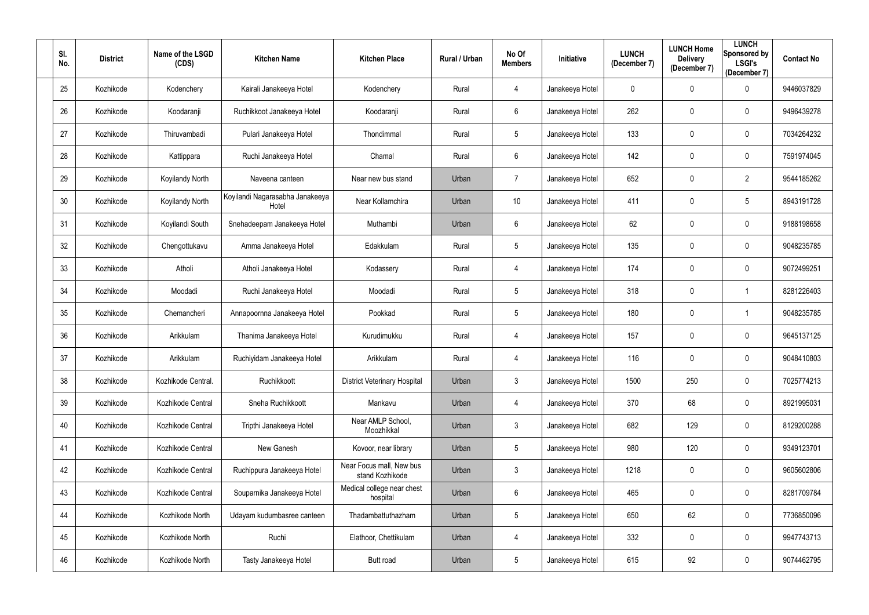| SI.<br>No. | <b>District</b> | Name of the LSGD<br>(CDS) | <b>Kitchen Name</b>                      | <b>Kitchen Place</b>                        | Rural / Urban | No Of<br><b>Members</b> | Initiative      | <b>LUNCH</b><br>(December 7) | <b>LUNCH Home</b><br><b>Delivery</b><br>(December 7) | <b>LUNCH</b><br><b>Sponsored by</b><br><b>LSGI's</b><br>(December 7) | <b>Contact No</b> |
|------------|-----------------|---------------------------|------------------------------------------|---------------------------------------------|---------------|-------------------------|-----------------|------------------------------|------------------------------------------------------|----------------------------------------------------------------------|-------------------|
| 25         | Kozhikode       | Kodenchery                | Kairali Janakeeya Hotel                  | Kodenchery                                  | Rural         | 4                       | Janakeeya Hotel | 0                            | $\mathbf 0$                                          | 0                                                                    | 9446037829        |
| 26         | Kozhikode       | Koodaranji                | Ruchikkoot Janakeeya Hotel               | Koodaranji                                  | Rural         | 6                       | Janakeeya Hotel | 262                          | $\mathbf 0$                                          | 0                                                                    | 9496439278        |
| 27         | Kozhikode       | Thiruvambadi              | Pulari Janakeeya Hotel                   | Thondimmal                                  | Rural         | 5 <sup>5</sup>          | Janakeeya Hotel | 133                          | $\mathbf{0}$                                         | $\mathbf 0$                                                          | 7034264232        |
| 28         | Kozhikode       | Kattippara                | Ruchi Janakeeya Hotel                    | Chamal                                      | Rural         | $6^{\circ}$             | Janakeeya Hotel | 142                          | $\mathbf 0$                                          | $\mathbf 0$                                                          | 7591974045        |
| 29         | Kozhikode       | Koyilandy North           | Naveena canteen                          | Near new bus stand                          | Urban         | $\overline{7}$          | Janakeeya Hotel | 652                          | $\mathbf 0$                                          | $\overline{2}$                                                       | 9544185262        |
| 30         | Kozhikode       | Koyilandy North           | Koyilandi Nagarasabha Janakeeya<br>Hotel | Near Kollamchira                            | Urban         | 10 <sup>°</sup>         | Janakeeya Hotel | 411                          | $\mathbf 0$                                          | 5                                                                    | 8943191728        |
| 31         | Kozhikode       | Koyilandi South           | Snehadeepam Janakeeya Hotel              | Muthambi                                    | Urban         | $6^{\circ}$             | Janakeeya Hotel | 62                           | $\mathbf 0$                                          | $\mathbf 0$                                                          | 9188198658        |
| 32         | Kozhikode       | Chengottukavu             | Amma Janakeeya Hotel                     | Edakkulam                                   | Rural         | 5                       | Janakeeya Hotel | 135                          | $\mathbf 0$                                          | $\mathbf 0$                                                          | 9048235785        |
| 33         | Kozhikode       | Atholi                    | Atholi Janakeeya Hotel                   | Kodassery                                   | Rural         | 4                       | Janakeeya Hotel | 174                          | $\mathbf 0$                                          | $\mathbf 0$                                                          | 9072499251        |
| 34         | Kozhikode       | Moodadi                   | Ruchi Janakeeya Hotel                    | Moodadi                                     | Rural         | 5                       | Janakeeya Hotel | 318                          | $\mathbf 0$                                          |                                                                      | 8281226403        |
| 35         | Kozhikode       | Chemancheri               | Annapoornna Janakeeya Hotel              | Pookkad                                     | Rural         | 5                       | Janakeeya Hotel | 180                          | $\mathbf 0$                                          |                                                                      | 9048235785        |
| 36         | Kozhikode       | Arikkulam                 | Thanima Janakeeya Hotel                  | Kurudimukku                                 | Rural         | 4                       | Janakeeya Hotel | 157                          | 0                                                    | $\mathbf 0$                                                          | 9645137125        |
| 37         | Kozhikode       | Arikkulam                 | Ruchiyidam Janakeeya Hotel               | Arikkulam                                   | Rural         | 4                       | Janakeeya Hotel | 116                          | $\mathbf 0$                                          | 0                                                                    | 9048410803        |
| 38         | Kozhikode       | Kozhikode Central.        | Ruchikkoott                              | <b>District Veterinary Hospital</b>         | Urban         | $\mathfrak{Z}$          | Janakeeya Hotel | 1500                         | 250                                                  | $\mathbf 0$                                                          | 7025774213        |
| 39         | Kozhikode       | Kozhikode Central         | Sneha Ruchikkoott                        | Mankavu                                     | Urban         | $\overline{4}$          | Janakeeya Hotel | 370                          | 68                                                   | $\overline{0}$                                                       | 8921995031        |
| 40         | Kozhikode       | Kozhikode Central         | Tripthi Janakeeya Hotel                  | Near AMLP School,<br>Moozhikkal             | Urban         | 3 <sup>1</sup>          | Janakeeya Hotel | 682                          | 129                                                  | $\mathbf 0$                                                          | 8129200288        |
| 41         | Kozhikode       | Kozhikode Central         | New Ganesh                               | Kovoor, near library                        | Urban         | $5\phantom{.0}$         | Janakeeya Hotel | 980                          | 120                                                  | $\mathbf 0$                                                          | 9349123701        |
| 42         | Kozhikode       | Kozhikode Central         | Ruchippura Janakeeya Hotel               | Near Focus mall, New bus<br>stand Kozhikode | Urban         | $\mathbf{3}$            | Janakeeya Hotel | 1218                         | $\boldsymbol{0}$                                     | $\mathbf 0$                                                          | 9605602806        |
| 43         | Kozhikode       | Kozhikode Central         | Souparnika Janakeeya Hotel               | Medical college near chest<br>hospital      | Urban         | 6                       | Janakeeya Hotel | 465                          | $\boldsymbol{0}$                                     | $\overline{0}$                                                       | 8281709784        |
| 44         | Kozhikode       | Kozhikode North           | Udayam kudumbasree canteen               | Thadambattuthazham                          | Urban         | $5\phantom{.0}$         | Janakeeya Hotel | 650                          | 62                                                   | $\overline{0}$                                                       | 7736850096        |
| 45         | Kozhikode       | Kozhikode North           | Ruchi                                    | Elathoor, Chettikulam                       | Urban         | $\overline{4}$          | Janakeeya Hotel | 332                          | $\pmb{0}$                                            | $\overline{0}$                                                       | 9947743713        |
| 46         | Kozhikode       | Kozhikode North           | Tasty Janakeeya Hotel                    | Butt road                                   | Urban         | $5\phantom{.0}$         | Janakeeya Hotel | 615                          | 92                                                   | $\mathbf 0$                                                          | 9074462795        |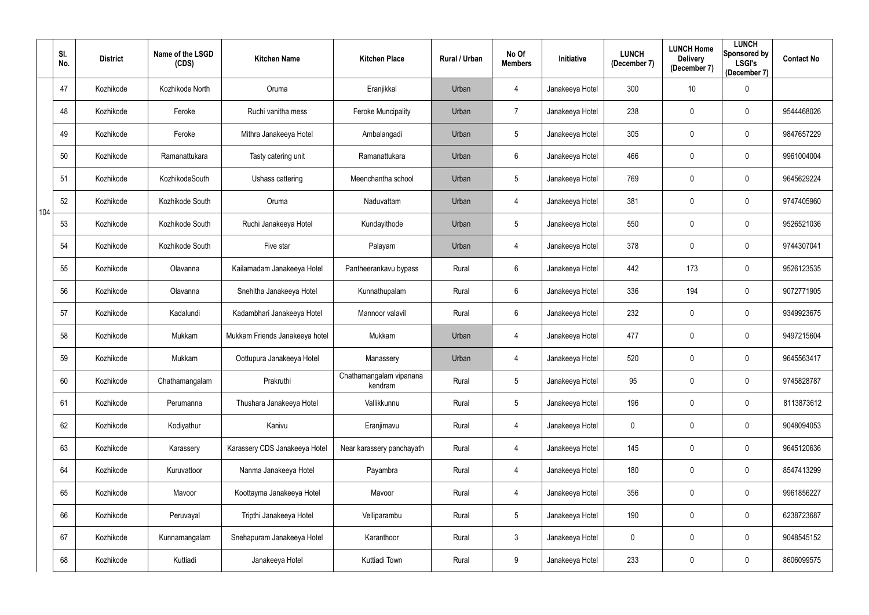|     | SI.<br>No. | <b>District</b> | Name of the LSGD<br>(CDS) | <b>Kitchen Name</b>            | <b>Kitchen Place</b>               | Rural / Urban | No Of<br><b>Members</b> | Initiative      | <b>LUNCH</b><br>(December 7) | <b>LUNCH Home</b><br><b>Delivery</b><br>(December 7) | <b>LUNCH</b><br>Sponsored by<br><b>LSGI's</b><br>(December 7) | <b>Contact No</b> |
|-----|------------|-----------------|---------------------------|--------------------------------|------------------------------------|---------------|-------------------------|-----------------|------------------------------|------------------------------------------------------|---------------------------------------------------------------|-------------------|
|     | 47         | Kozhikode       | Kozhikode North           | Oruma                          | Eranjikkal                         | Urban         | 4                       | Janakeeya Hotel | 300                          | 10                                                   | $\mathbf 0$                                                   |                   |
|     | 48         | Kozhikode       | Feroke                    | Ruchi vanitha mess             | <b>Feroke Muncipality</b>          | Urban         | $\overline{7}$          | Janakeeya Hotel | 238                          | $\mathbf 0$                                          | $\mathbf 0$                                                   | 9544468026        |
|     | 49         | Kozhikode       | Feroke                    | Mithra Janakeeya Hotel         | Ambalangadi                        | Urban         | $5\phantom{.0}$         | Janakeeya Hotel | 305                          | $\pmb{0}$                                            | $\mathbf 0$                                                   | 9847657229        |
|     | 50         | Kozhikode       | Ramanattukara             | Tasty catering unit            | Ramanattukara                      | Urban         | 6                       | Janakeeya Hotel | 466                          | $\mathbf 0$                                          | $\mathbf 0$                                                   | 9961004004        |
|     | 51         | Kozhikode       | KozhikodeSouth            | Ushass cattering               | Meenchantha school                 | Urban         | $5\phantom{.0}$         | Janakeeya Hotel | 769                          | $\mathbf 0$                                          | $\mathbf 0$                                                   | 9645629224        |
| 104 | 52         | Kozhikode       | Kozhikode South           | Oruma                          | Naduvattam                         | Urban         | 4                       | Janakeeya Hotel | 381                          | $\mathbf 0$                                          | $\boldsymbol{0}$                                              | 9747405960        |
|     | 53         | Kozhikode       | Kozhikode South           | Ruchi Janakeeya Hotel          | Kundayithode                       | Urban         | 5 <sub>5</sub>          | Janakeeya Hotel | 550                          | $\mathbf 0$                                          | $\mathbf 0$                                                   | 9526521036        |
|     | 54         | Kozhikode       | Kozhikode South           | Five star                      | Palayam                            | Urban         | 4                       | Janakeeya Hotel | 378                          | $\mathbf 0$                                          | $\mathbf 0$                                                   | 9744307041        |
|     | 55         | Kozhikode       | Olavanna                  | Kailamadam Janakeeya Hotel     | Pantheerankavu bypass              | Rural         | 6                       | Janakeeya Hotel | 442                          | 173                                                  | $\mathbf 0$                                                   | 9526123535        |
|     | 56         | Kozhikode       | Olavanna                  | Snehitha Janakeeya Hotel       | Kunnathupalam                      | Rural         | $6\phantom{.0}$         | Janakeeya Hotel | 336                          | 194                                                  | $\mathbf 0$                                                   | 9072771905        |
|     | 57         | Kozhikode       | Kadalundi                 | Kadambhari Janakeeya Hotel     | Mannoor valavil                    | Rural         | 6                       | Janakeeya Hotel | 232                          | $\mathbf 0$                                          | $\mathbf 0$                                                   | 9349923675        |
|     | 58         | Kozhikode       | Mukkam                    | Mukkam Friends Janakeeya hotel | Mukkam                             | Urban         | 4                       | Janakeeya Hotel | 477                          | $\mathbf 0$                                          | $\mathbf 0$                                                   | 9497215604        |
|     | 59         | Kozhikode       | Mukkam                    | Oottupura Janakeeya Hotel      | Manassery                          | Urban         | 4                       | Janakeeya Hotel | 520                          | $\mathbf 0$                                          | $\mathbf 0$                                                   | 9645563417        |
|     | 60         | Kozhikode       | Chathamangalam            | Prakruthi                      | Chathamangalam vipanana<br>kendram | Rural         | 5                       | Janakeeya Hotel | 95                           | $\mathbf 0$                                          | $\mathbf 0$                                                   | 9745828787        |
|     | 61         | Kozhikode       | Perumanna                 | Thushara Janakeeya Hotel       | Vallikkunnu                        | Rural         | 5                       | Janakeeya Hotel | 196                          | $\pmb{0}$                                            | $\overline{0}$                                                | 8113873612        |
|     | 62         | Kozhikode       | Kodiyathur                | Kanivu                         | Eranjimavu                         | Rural         | $\overline{4}$          | Janakeeya Hotel | $\mathbf 0$                  | $\mathbf 0$                                          | $\mathbf 0$                                                   | 9048094053        |
|     | 63         | Kozhikode       | Karassery                 | Karassery CDS Janakeeya Hotel  | Near karassery panchayath          | Rural         | 4                       | Janakeeya Hotel | 145                          | $\pmb{0}$                                            | $\mathbf 0$                                                   | 9645120636        |
|     | 64         | Kozhikode       | Kuruvattoor               | Nanma Janakeeya Hotel          | Payambra                           | Rural         | 4                       | Janakeeya Hotel | 180                          | $\mathbf 0$                                          | $\mathbf 0$                                                   | 8547413299        |
|     | 65         | Kozhikode       | Mavoor                    | Koottayma Janakeeya Hotel      | Mavoor                             | Rural         | 4                       | Janakeeya Hotel | 356                          | $\pmb{0}$                                            | $\mathbf 0$                                                   | 9961856227        |
|     | 66         | Kozhikode       | Peruvayal                 | Tripthi Janakeeya Hotel        | Velliparambu                       | Rural         | $5\phantom{.0}$         | Janakeeya Hotel | 190                          | $\mathbf 0$                                          | $\mathbf 0$                                                   | 6238723687        |
|     | 67         | Kozhikode       | Kunnamangalam             | Snehapuram Janakeeya Hotel     | Karanthoor                         | Rural         | $\mathfrak{Z}$          | Janakeeya Hotel | 0                            | $\mathbf 0$                                          | $\mathbf 0$                                                   | 9048545152        |
|     | 68         | Kozhikode       | Kuttiadi                  | Janakeeya Hotel                | Kuttiadi Town                      | Rural         | 9                       | Janakeeya Hotel | 233                          | $\pmb{0}$                                            | $\overline{0}$                                                | 8606099575        |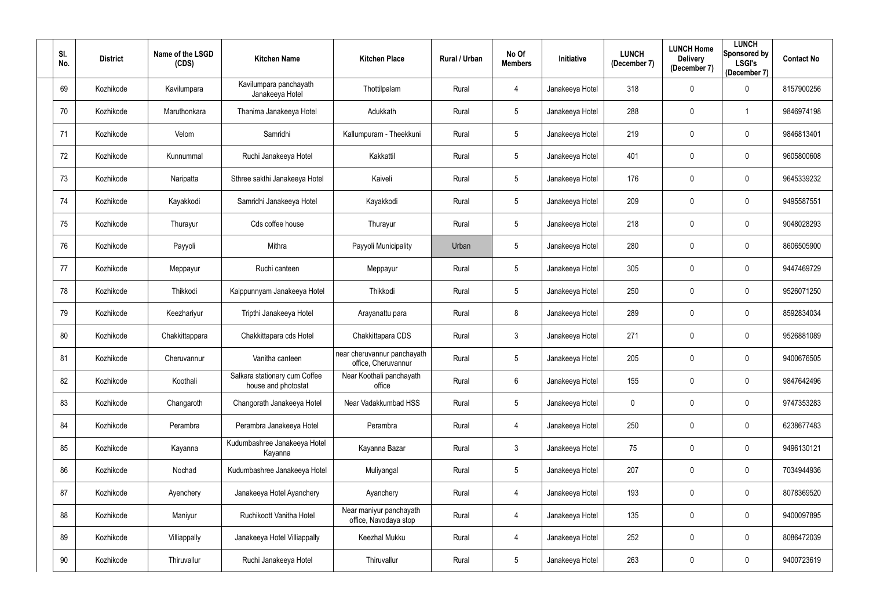| SI.<br>No. | <b>District</b> | Name of the LSGD<br>(CDS) | <b>Kitchen Name</b>                                  | <b>Kitchen Place</b>                               | Rural / Urban | No Of<br><b>Members</b> | Initiative      | <b>LUNCH</b><br>(December 7) | <b>LUNCH Home</b><br><b>Delivery</b><br>(December 7) | <b>LUNCH</b><br><b>Sponsored by</b><br><b>LSGI's</b><br>(December 7) | <b>Contact No</b> |
|------------|-----------------|---------------------------|------------------------------------------------------|----------------------------------------------------|---------------|-------------------------|-----------------|------------------------------|------------------------------------------------------|----------------------------------------------------------------------|-------------------|
| 69         | Kozhikode       | Kavilumpara               | Kavilumpara panchayath<br>Janakeeya Hotel            | Thottilpalam                                       | Rural         | 4                       | Janakeeya Hotel | 318                          | $\boldsymbol{0}$                                     | 0                                                                    | 8157900256        |
| 70         | Kozhikode       | Maruthonkara              | Thanima Janakeeya Hotel                              | Adukkath                                           | Rural         | 5                       | Janakeeya Hotel | 288                          | $\mathbf 0$                                          |                                                                      | 9846974198        |
| 71         | Kozhikode       | Velom                     | Samridhi                                             | Kallumpuram - Theekkuni                            | Rural         | 5 <sup>5</sup>          | Janakeeya Hotel | 219                          | $\mathbf 0$                                          | $\mathbf 0$                                                          | 9846813401        |
| 72         | Kozhikode       | Kunnummal                 | Ruchi Janakeeya Hotel                                | Kakkattil                                          | Rural         | 5                       | Janakeeya Hotel | 401                          | $\mathbf 0$                                          | $\mathbf 0$                                                          | 9605800608        |
| 73         | Kozhikode       | Naripatta                 | Sthree sakthi Janakeeya Hotel                        | Kaiveli                                            | Rural         | 5                       | Janakeeya Hotel | 176                          | $\mathbf 0$                                          | $\mathbf 0$                                                          | 9645339232        |
| 74         | Kozhikode       | Kayakkodi                 | Samridhi Janakeeya Hotel                             | Kayakkodi                                          | Rural         | 5                       | Janakeeya Hotel | 209                          | $\mathbf 0$                                          | 0                                                                    | 9495587551        |
| 75         | Kozhikode       | Thurayur                  | Cds coffee house                                     | Thurayur                                           | Rural         | 5                       | Janakeeya Hotel | 218                          | $\mathbf 0$                                          | $\mathbf 0$                                                          | 9048028293        |
| 76         | Kozhikode       | Payyoli                   | Mithra                                               | Payyoli Municipality                               | Urban         | 5                       | Janakeeya Hotel | 280                          | $\mathbf 0$                                          | $\mathbf 0$                                                          | 8606505900        |
| 77         | Kozhikode       | Meppayur                  | Ruchi canteen                                        | Meppayur                                           | Rural         | 5                       | Janakeeya Hotel | 305                          | $\mathbf 0$                                          | $\mathbf 0$                                                          | 9447469729        |
| 78         | Kozhikode       | Thikkodi                  | Kaippunnyam Janakeeya Hotel                          | Thikkodi                                           | Rural         | 5                       | Janakeeya Hotel | 250                          | $\mathbf 0$                                          | $\mathbf 0$                                                          | 9526071250        |
| 79         | Kozhikode       | Keezhariyur               | Tripthi Janakeeya Hotel                              | Arayanattu para                                    | Rural         | 8                       | Janakeeya Hotel | 289                          | $\mathbf 0$                                          | $\mathbf 0$                                                          | 8592834034        |
| 80         | Kozhikode       | Chakkittappara            | Chakkittapara cds Hotel                              | Chakkittapara CDS                                  | Rural         | $\mathfrak{Z}$          | Janakeeya Hotel | 271                          | $\mathbf 0$                                          | $\mathbf 0$                                                          | 9526881089        |
| 81         | Kozhikode       | Cheruvannur               | Vanitha canteen                                      | near cheruvannur panchayath<br>office, Cheruvannur | Rural         | 5                       | Janakeeya Hotel | 205                          | $\mathbf 0$                                          | 0                                                                    | 9400676505        |
| 82         | Kozhikode       | Koothali                  | Salkara stationary cum Coffee<br>house and photostat | Near Koothali panchayath<br>office                 | Rural         | $6\overline{6}$         | Janakeeya Hotel | 155                          | $\mathbf 0$                                          | $\bf{0}$                                                             | 9847642496        |
| 83         | Kozhikode       | Changaroth                | Changorath Janakeeya Hotel                           | Near Vadakkumbad HSS                               | Rural         | $5\phantom{.0}$         | Janakeeya Hotel | $\mathbf 0$                  | $\mathbf 0$                                          | $\overline{0}$                                                       | 9747353283        |
| 84         | Kozhikode       | Perambra                  | Perambra Janakeeya Hotel                             | Perambra                                           | Rural         | 4                       | Janakeeya Hotel | 250                          | $\pmb{0}$                                            | $\mathbf 0$                                                          | 6238677483        |
| 85         | Kozhikode       | Kayanna                   | Kudumbashree Janakeeya Hotel<br>Kayanna              | Kayanna Bazar                                      | Rural         | $\mathfrak{Z}$          | Janakeeya Hotel | 75                           | $\pmb{0}$                                            | $\bf{0}$                                                             | 9496130121        |
| 86         | Kozhikode       | Nochad                    | Kudumbashree Janakeeya Hotel                         | Muliyangal                                         | Rural         | 5                       | Janakeeya Hotel | 207                          | $\boldsymbol{0}$                                     | $\bf{0}$                                                             | 7034944936        |
| 87         | Kozhikode       | Ayenchery                 | Janakeeya Hotel Ayanchery                            | Ayanchery                                          | Rural         | 4                       | Janakeeya Hotel | 193                          | $\boldsymbol{0}$                                     | $\bf{0}$                                                             | 8078369520        |
| 88         | Kozhikode       | Maniyur                   | Ruchikoott Vanitha Hotel                             | Near maniyur panchayath<br>office, Navodaya stop   | Rural         | 4                       | Janakeeya Hotel | 135                          | $\pmb{0}$                                            | $\overline{0}$                                                       | 9400097895        |
| 89         | Kozhikode       | Villiappally              | Janakeeya Hotel Villiappally                         | Keezhal Mukku                                      | Rural         | 4                       | Janakeeya Hotel | 252                          | $\boldsymbol{0}$                                     | $\overline{0}$                                                       | 8086472039        |
| 90         | Kozhikode       | Thiruvallur               | Ruchi Janakeeya Hotel                                | Thiruvallur                                        | Rural         | $5\phantom{.0}$         | Janakeeya Hotel | 263                          | $\boldsymbol{0}$                                     | $\mathbf 0$                                                          | 9400723619        |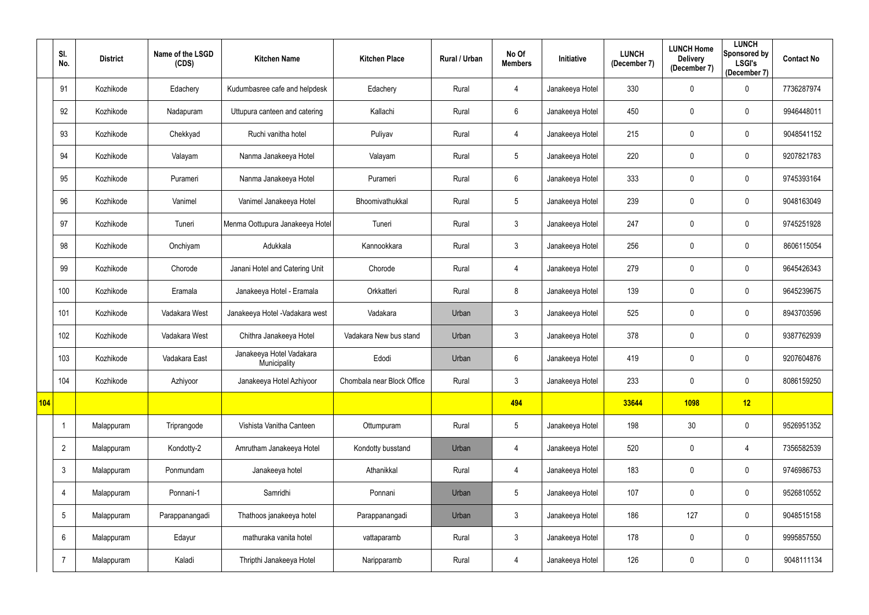|     | SI.<br>No.      | <b>District</b> | Name of the LSGD<br>(CDS) | <b>Kitchen Name</b>                      | <b>Kitchen Place</b>       | Rural / Urban | No Of<br><b>Members</b> | <b>Initiative</b> | <b>LUNCH</b><br>(December 7) | <b>LUNCH Home</b><br><b>Delivery</b><br>(December 7) | <b>LUNCH</b><br>Sponsored by<br><b>LSGI's</b><br>(December 7) | <b>Contact No</b> |
|-----|-----------------|-----------------|---------------------------|------------------------------------------|----------------------------|---------------|-------------------------|-------------------|------------------------------|------------------------------------------------------|---------------------------------------------------------------|-------------------|
|     | 91              | Kozhikode       | Edachery                  | Kudumbasree cafe and helpdesk            | Edachery                   | Rural         | 4                       | Janakeeya Hotel   | 330                          | $\mathbf 0$                                          | $\overline{0}$                                                | 7736287974        |
|     | 92              | Kozhikode       | Nadapuram                 | Uttupura canteen and catering            | Kallachi                   | Rural         | $6\phantom{.}$          | Janakeeya Hotel   | 450                          | $\mathbf 0$                                          | $\overline{0}$                                                | 9946448011        |
|     | 93              | Kozhikode       | Chekkyad                  | Ruchi vanitha hotel                      | Puliyav                    | Rural         | 4                       | Janakeeya Hotel   | 215                          | $\mathbf 0$                                          | $\overline{0}$                                                | 9048541152        |
|     | 94              | Kozhikode       | Valayam                   | Nanma Janakeeya Hotel                    | Valayam                    | Rural         | 5                       | Janakeeya Hotel   | 220                          | $\mathbf 0$                                          | $\overline{0}$                                                | 9207821783        |
|     | 95              | Kozhikode       | Purameri                  | Nanma Janakeeya Hotel                    | Purameri                   | Rural         | $6\phantom{.}$          | Janakeeya Hotel   | 333                          | $\mathbf 0$                                          | $\mathbf 0$                                                   | 9745393164        |
|     | 96              | Kozhikode       | Vanimel                   | Vanimel Janakeeya Hotel                  | Bhoomivathukkal            | Rural         | $5\phantom{.0}$         | Janakeeya Hotel   | 239                          | $\mathbf 0$                                          | $\overline{0}$                                                | 9048163049        |
|     | 97              | Kozhikode       | Tuneri                    | Menma Oottupura Janakeeya Hotel          | Tuneri                     | Rural         | $\mathfrak{Z}$          | Janakeeya Hotel   | 247                          | $\mathbf 0$                                          | $\overline{0}$                                                | 9745251928        |
|     | 98              | Kozhikode       | Onchiyam                  | Adukkala                                 | Kannookkara                | Rural         | $\mathfrak{Z}$          | Janakeeya Hotel   | 256                          | $\mathbf 0$                                          | $\overline{0}$                                                | 8606115054        |
|     | 99              | Kozhikode       | Chorode                   | Janani Hotel and Catering Unit           | Chorode                    | Rural         | 4                       | Janakeeya Hotel   | 279                          | $\mathbf 0$                                          | $\overline{0}$                                                | 9645426343        |
|     | 100             | Kozhikode       | Eramala                   | Janakeeya Hotel - Eramala                | Orkkatteri                 | Rural         | 8                       | Janakeeya Hotel   | 139                          | $\mathbf 0$                                          | $\overline{0}$                                                | 9645239675        |
|     | 101             | Kozhikode       | Vadakara West             | Janakeeya Hotel - Vadakara west          | Vadakara                   | Urban         | $\mathfrak{Z}$          | Janakeeya Hotel   | 525                          | $\mathbf 0$                                          | $\overline{0}$                                                | 8943703596        |
|     | 102             | Kozhikode       | Vadakara West             | Chithra Janakeeya Hotel                  | Vadakara New bus stand     | Urban         | $\mathfrak{Z}$          | Janakeeya Hotel   | 378                          | $\mathbf 0$                                          | $\overline{0}$                                                | 9387762939        |
|     | 103             | Kozhikode       | Vadakara East             | Janakeeya Hotel Vadakara<br>Municipality | Edodi                      | Urban         | 6                       | Janakeeya Hotel   | 419                          | $\mathbf 0$                                          | $\mathbf 0$                                                   | 9207604876        |
|     | 104             | Kozhikode       | Azhiyoor                  | Janakeeya Hotel Azhiyoor                 | Chombala near Block Office | Rural         | $\mathfrak{Z}$          | Janakeeya Hotel   | 233                          | $\mathbf 0$                                          | $\overline{0}$                                                | 8086159250        |
| 104 |                 |                 |                           |                                          |                            |               | 494                     |                   | 33644                        | 1098                                                 | 12                                                            |                   |
|     |                 | Malappuram      | Triprangode               | Vishista Vanitha Canteen                 | Ottumpuram                 | Rural         | $\sqrt{5}$              | Janakeeya Hotel   | 198                          | 30                                                   | $\overline{0}$                                                | 9526951352        |
|     | $\overline{2}$  | Malappuram      | Kondotty-2                | Amrutham Janakeeya Hotel                 | Kondotty busstand          | Urban         | 4                       | Janakeeya Hotel   | 520                          | $\mathbf 0$                                          | 4                                                             | 7356582539        |
|     | $\mathfrak{Z}$  | Malappuram      | Ponmundam                 | Janakeeya hotel                          | Athanikkal                 | Rural         | 4                       | Janakeeya Hotel   | 183                          | $\pmb{0}$                                            | $\mathbf 0$                                                   | 9746986753        |
|     | 4               | Malappuram      | Ponnani-1                 | Samridhi                                 | Ponnani                    | Urban         | $5\phantom{.0}$         | Janakeeya Hotel   | 107                          | $\pmb{0}$                                            | $\overline{0}$                                                | 9526810552        |
|     | $5\phantom{.0}$ | Malappuram      | Parappanangadi            | Thathoos janakeeya hotel                 | Parappanangadi             | Urban         | $\mathfrak{Z}$          | Janakeeya Hotel   | 186                          | 127                                                  | $\mathbf 0$                                                   | 9048515158        |
|     | $6\phantom{.}6$ | Malappuram      | Edayur                    | mathuraka vanita hotel                   | vattaparamb                | Rural         | $\mathfrak{Z}$          | Janakeeya Hotel   | 178                          | $\pmb{0}$                                            | $\mathbf 0$                                                   | 9995857550        |
|     | $\overline{7}$  | Malappuram      | Kaladi                    | Thripthi Janakeeya Hotel                 | Naripparamb                | Rural         | 4                       | Janakeeya Hotel   | 126                          | $\boldsymbol{0}$                                     | $\overline{0}$                                                | 9048111134        |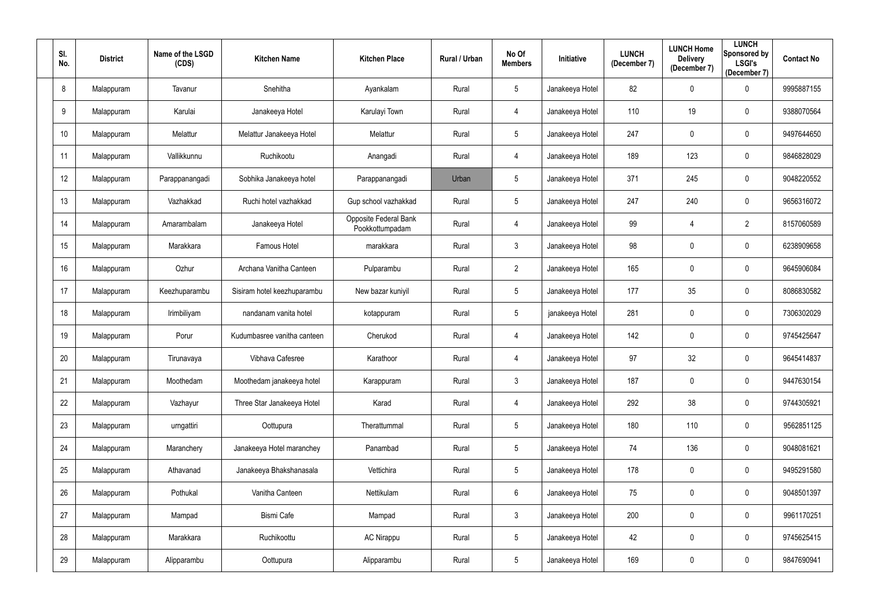| SI.<br>No.      | <b>District</b> | Name of the LSGD<br>(CDS) | <b>Kitchen Name</b>         | <b>Kitchen Place</b>                     | Rural / Urban | No Of<br><b>Members</b> | Initiative      | <b>LUNCH</b><br>(December 7) | <b>LUNCH Home</b><br><b>Delivery</b><br>(December 7) | <b>LUNCH</b><br><b>Sponsored by</b><br><b>LSGI's</b><br>(December 7) | <b>Contact No</b> |
|-----------------|-----------------|---------------------------|-----------------------------|------------------------------------------|---------------|-------------------------|-----------------|------------------------------|------------------------------------------------------|----------------------------------------------------------------------|-------------------|
| 8               | Malappuram      | Tavanur                   | Snehitha                    | Ayankalam                                | Rural         | 5                       | Janakeeya Hotel | 82                           | $\mathbf 0$                                          | 0                                                                    | 9995887155        |
| 9               | Malappuram      | Karulai                   | Janakeeya Hotel             | Karulayi Town                            | Rural         | 4                       | Janakeeya Hotel | 110                          | 19                                                   | 0                                                                    | 9388070564        |
| 10 <sup>°</sup> | Malappuram      | Melattur                  | Melattur Janakeeya Hotel    | Melattur                                 | Rural         | 5 <sup>5</sup>          | Janakeeya Hotel | 247                          | $\mathbf{0}$                                         | $\mathbf 0$                                                          | 9497644650        |
| 11              | Malappuram      | Vallikkunnu               | Ruchikootu                  | Anangadi                                 | Rural         | 4                       | Janakeeya Hotel | 189                          | 123                                                  | $\mathbf 0$                                                          | 9846828029        |
| 12              | Malappuram      | Parappanangadi            | Sobhika Janakeeya hotel     | Parappanangadi                           | Urban         | 5 <sup>5</sup>          | Janakeeya Hotel | 371                          | 245                                                  | $\mathbf 0$                                                          | 9048220552        |
| 13              | Malappuram      | Vazhakkad                 | Ruchi hotel vazhakkad       | Gup school vazhakkad                     | Rural         | 5                       | Janakeeya Hotel | 247                          | 240                                                  | 0                                                                    | 9656316072        |
| 14              | Malappuram      | Amarambalam               | Janakeeya Hotel             | Opposite Federal Bank<br>Pookkottumpadam | Rural         | 4                       | Janakeeya Hotel | 99                           | 4                                                    | $\overline{2}$                                                       | 8157060589        |
| 15              | Malappuram      | Marakkara                 | Famous Hotel                | marakkara                                | Rural         | $\mathfrak{Z}$          | Janakeeya Hotel | 98                           | $\mathbf 0$                                          | $\mathbf 0$                                                          | 6238909658        |
| 16              | Malappuram      | Ozhur                     | Archana Vanitha Canteen     | Pulparambu                               | Rural         | $2^{\circ}$             | Janakeeya Hotel | 165                          | $\mathbf 0$                                          | $\mathbf 0$                                                          | 9645906084        |
| 17              | Malappuram      | Keezhuparambu             | Sisiram hotel keezhuparambu | New bazar kuniyil                        | Rural         | 5                       | Janakeeya Hotel | 177                          | 35                                                   | $\mathbf 0$                                                          | 8086830582        |
| 18              | Malappuram      | Irimbiliyam               | nandanam vanita hotel       | kotappuram                               | Rural         | 5                       | janakeeya Hotel | 281                          | $\mathbf 0$                                          | 0                                                                    | 7306302029        |
| 19              | Malappuram      | Porur                     | Kudumbasree vanitha canteen | Cherukod                                 | Rural         | 4                       | Janakeeya Hotel | 142                          | $\mathbf 0$                                          | $\mathbf 0$                                                          | 9745425647        |
| 20              | Malappuram      | Tirunavaya                | Vibhava Cafesree            | Karathoor                                | Rural         | 4                       | Janakeeya Hotel | 97                           | 32                                                   | 0                                                                    | 9645414837        |
| 21              | Malappuram      | Moothedam                 | Moothedam janakeeya hotel   | Karappuram                               | Rural         | $\mathfrak{Z}$          | Janakeeya Hotel | 187                          | $\pmb{0}$                                            | $\bf{0}$                                                             | 9447630154        |
| 22              | Malappuram      | Vazhayur                  | Three Star Janakeeya Hotel  | Karad                                    | Rural         | $\overline{4}$          | Janakeeya Hotel | 292                          | 38                                                   | $\overline{0}$                                                       | 9744305921        |
| 23              | Malappuram      | urngattiri                | Oottupura                   | Therattummal                             | Rural         | $5\phantom{.0}$         | Janakeeya Hotel | 180                          | 110                                                  | $\mathbf 0$                                                          | 9562851125        |
| 24              | Malappuram      | Maranchery                | Janakeeya Hotel maranchey   | Panambad                                 | Rural         | 5                       | Janakeeya Hotel | 74                           | 136                                                  | $\mathbf 0$                                                          | 9048081621        |
| 25              | Malappuram      | Athavanad                 | Janakeeya Bhakshanasala     | Vettichira                               | Rural         | $5\phantom{.0}$         | Janakeeya Hotel | 178                          | $\pmb{0}$                                            | $\mathbf 0$                                                          | 9495291580        |
| 26              | Malappuram      | Pothukal                  | Vanitha Canteen             | Nettikulam                               | Rural         | $6\overline{6}$         | Janakeeya Hotel | 75                           | $\pmb{0}$                                            | $\mathbf 0$                                                          | 9048501397        |
| 27              | Malappuram      | Mampad                    | <b>Bismi Cafe</b>           | Mampad                                   | Rural         | $\mathbf{3}$            | Janakeeya Hotel | 200                          | $\pmb{0}$                                            | $\overline{0}$                                                       | 9961170251        |
| 28              | Malappuram      | Marakkara                 | Ruchikoottu                 | <b>AC Nirappu</b>                        | Rural         | $5\phantom{.0}$         | Janakeeya Hotel | 42                           | $\pmb{0}$                                            | $\mathbf 0$                                                          | 9745625415        |
| 29              | Malappuram      | Alipparambu               | Oottupura                   | Alipparambu                              | Rural         | $5\phantom{.0}$         | Janakeeya Hotel | 169                          | $\boldsymbol{0}$                                     | $\overline{0}$                                                       | 9847690941        |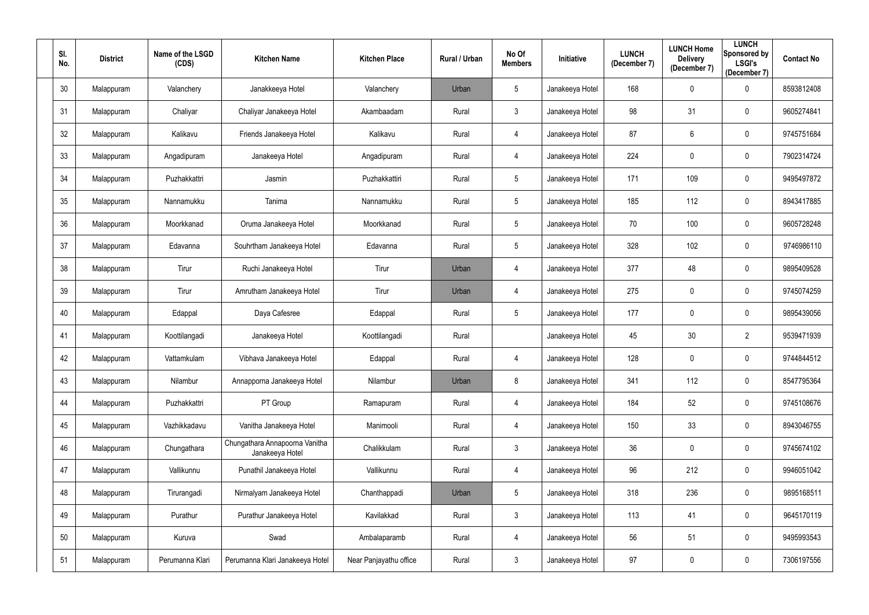| SI.<br>No. | <b>District</b> | Name of the LSGD<br>(CDS) | <b>Kitchen Name</b>                               | <b>Kitchen Place</b>   | Rural / Urban | No Of<br><b>Members</b> | Initiative      | <b>LUNCH</b><br>(December 7) | <b>LUNCH Home</b><br><b>Delivery</b><br>(December 7) | <b>LUNCH</b><br><b>Sponsored by</b><br><b>LSGI's</b><br>(December 7) | <b>Contact No</b> |
|------------|-----------------|---------------------------|---------------------------------------------------|------------------------|---------------|-------------------------|-----------------|------------------------------|------------------------------------------------------|----------------------------------------------------------------------|-------------------|
| 30         | Malappuram      | Valanchery                | Janakkeeya Hotel                                  | Valanchery             | Urban         | 5                       | Janakeeya Hotel | 168                          | $\pmb{0}$                                            | $\mathbf 0$                                                          | 8593812408        |
| 31         | Malappuram      | Chaliyar                  | Chaliyar Janakeeya Hotel                          | Akambaadam             | Rural         | 3                       | Janakeeya Hotel | 98                           | 31                                                   | 0                                                                    | 9605274841        |
| 32         | Malappuram      | Kalikavu                  | Friends Janakeeya Hotel                           | Kalikavu               | Rural         | 4                       | Janakeeya Hotel | 87                           | 6                                                    | $\mathbf 0$                                                          | 9745751684        |
| 33         | Malappuram      | Angadipuram               | Janakeeya Hotel                                   | Angadipuram            | Rural         | 4                       | Janakeeya Hotel | 224                          | $\mathbf 0$                                          | $\mathbf 0$                                                          | 7902314724        |
| 34         | Malappuram      | Puzhakkattri              | Jasmin                                            | Puzhakkattiri          | Rural         | 5 <sup>5</sup>          | Janakeeya Hotel | 171                          | 109                                                  | $\mathbf 0$                                                          | 9495497872        |
| 35         | Malappuram      | Nannamukku                | Tanima                                            | Nannamukku             | Rural         | 5 <sup>5</sup>          | Janakeeya Hotel | 185                          | 112                                                  | 0                                                                    | 8943417885        |
| 36         | Malappuram      | Moorkkanad                | Oruma Janakeeya Hotel                             | Moorkkanad             | Rural         | 5 <sup>5</sup>          | Janakeeya Hotel | 70                           | 100                                                  | $\mathbf 0$                                                          | 9605728248        |
| 37         | Malappuram      | Edavanna                  | Souhrtham Janakeeya Hotel                         | Edavanna               | Rural         | 5 <sup>5</sup>          | Janakeeya Hotel | 328                          | 102                                                  | $\mathbf 0$                                                          | 9746986110        |
| 38         | Malappuram      | Tirur                     | Ruchi Janakeeya Hotel                             | Tirur                  | Urban         | 4                       | Janakeeya Hotel | 377                          | 48                                                   | $\mathbf 0$                                                          | 9895409528        |
| 39         | Malappuram      | Tirur                     | Amrutham Janakeeya Hotel                          | Tirur                  | Urban         | 4                       | Janakeeya Hotel | 275                          | $\pmb{0}$                                            | $\mathbf 0$                                                          | 9745074259        |
| 40         | Malappuram      | Edappal                   | Daya Cafesree                                     | Edappal                | Rural         | 5 <sup>5</sup>          | Janakeeya Hotel | 177                          | $\boldsymbol{0}$                                     | $\mathbf 0$                                                          | 9895439056        |
| 41         | Malappuram      | Koottilangadi             | Janakeeya Hotel                                   | Koottilangadi          | Rural         |                         | Janakeeya Hotel | 45                           | 30                                                   | $\overline{2}$                                                       | 9539471939        |
| 42         | Malappuram      | Vattamkulam               | Vibhava Janakeeya Hotel                           | Edappal                | Rural         | 4                       | Janakeeya Hotel | 128                          | $\mathbf 0$                                          | 0                                                                    | 9744844512        |
| 43         | Malappuram      | Nilambur                  | Annapporna Janakeeya Hotel                        | Nilambur               | Urban         | 8                       | Janakeeya Hotel | 341                          | 112                                                  | $\bf{0}$                                                             | 8547795364        |
| 44         | Malappuram      | Puzhakkattri              | PT Group                                          | Ramapuram              | Rural         | $\overline{4}$          | Janakeeya Hotel | 184                          | 52                                                   | $\overline{0}$                                                       | 9745108676        |
| 45         | Malappuram      | Vazhikkadavu              | Vanitha Janakeeya Hotel                           | Manimooli              | Rural         | 4                       | Janakeeya Hotel | 150                          | 33                                                   | $\mathbf 0$                                                          | 8943046755        |
| 46         | Malappuram      | Chungathara               | Chungathara Annapoorna Vanitha<br>Janakeeya Hotel | Chalikkulam            | Rural         | $\mathfrak{Z}$          | Janakeeya Hotel | 36                           | $\pmb{0}$                                            | $\mathbf 0$                                                          | 9745674102        |
| 47         | Malappuram      | Vallikunnu                | Punathil Janakeeya Hotel                          | Vallikunnu             | Rural         | $\overline{4}$          | Janakeeya Hotel | 96                           | 212                                                  | $\mathbf 0$                                                          | 9946051042        |
| 48         | Malappuram      | Tirurangadi               | Nirmalyam Janakeeya Hotel                         | Chanthappadi           | Urban         | $5\phantom{.0}$         | Janakeeya Hotel | 318                          | 236                                                  | $\mathbf 0$                                                          | 9895168511        |
| 49         | Malappuram      | Purathur                  | Purathur Janakeeya Hotel                          | Kavilakkad             | Rural         | $\mathbf{3}$            | Janakeeya Hotel | 113                          | 41                                                   | $\overline{0}$                                                       | 9645170119        |
| 50         | Malappuram      | Kuruva                    | Swad                                              | Ambalaparamb           | Rural         | $\overline{4}$          | Janakeeya Hotel | 56                           | 51                                                   | $\mathbf 0$                                                          | 9495993543        |
| 51         | Malappuram      | Perumanna Klari           | Perumanna Klari Janakeeya Hotel                   | Near Panjayathu office | Rural         | $\mathfrak{Z}$          | Janakeeya Hotel | 97                           | $\boldsymbol{0}$                                     | $\boldsymbol{0}$                                                     | 7306197556        |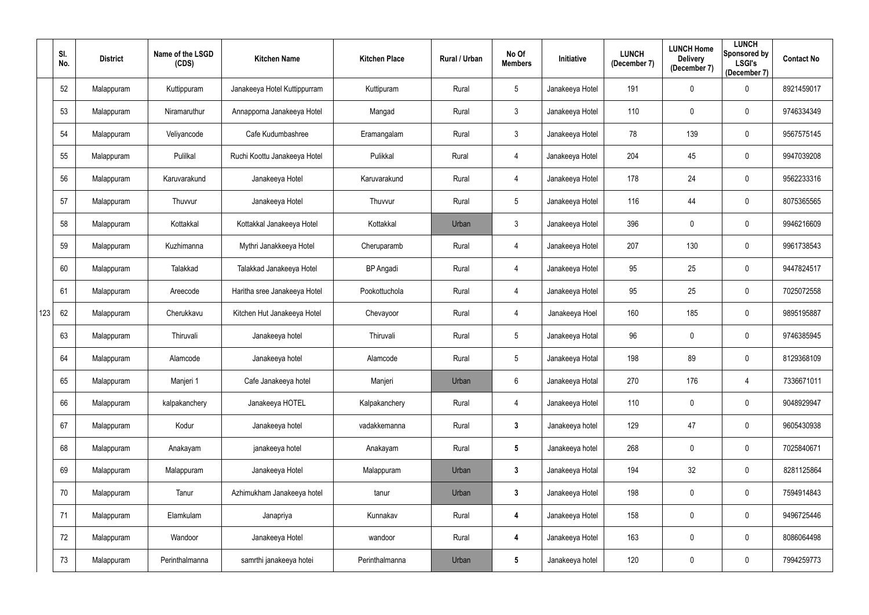|     | SI.<br>No. | <b>District</b> | Name of the LSGD<br>(CDS) | <b>Kitchen Name</b>          | <b>Kitchen Place</b> | Rural / Urban | No Of<br><b>Members</b> | Initiative      | <b>LUNCH</b><br>(December 7) | <b>LUNCH Home</b><br><b>Delivery</b><br>(December 7) | <b>LUNCH</b><br>Sponsored by<br><b>LSGI's</b><br>(December 7) | <b>Contact No</b> |
|-----|------------|-----------------|---------------------------|------------------------------|----------------------|---------------|-------------------------|-----------------|------------------------------|------------------------------------------------------|---------------------------------------------------------------|-------------------|
|     | 52         | Malappuram      | Kuttippuram               | Janakeeya Hotel Kuttippurram | Kuttipuram           | Rural         | $5\phantom{.0}$         | Janakeeya Hotel | 191                          | $\overline{0}$                                       | $\mathbf 0$                                                   | 8921459017        |
|     | 53         | Malappuram      | Niramaruthur              | Annapporna Janakeeya Hotel   | Mangad               | Rural         | $\mathfrak{Z}$          | Janakeeya Hotel | 110                          | $\mathbf 0$                                          | $\mathbf 0$                                                   | 9746334349        |
|     | 54         | Malappuram      | Veliyancode               | Cafe Kudumbashree            | Eramangalam          | Rural         | $\mathfrak{Z}$          | Janakeeya Hotel | 78                           | 139                                                  | $\mathbf 0$                                                   | 9567575145        |
|     | 55         | Malappuram      | Pulilkal                  | Ruchi Koottu Janakeeya Hotel | Pulikkal             | Rural         | 4                       | Janakeeya Hotel | 204                          | 45                                                   | $\mathbf 0$                                                   | 9947039208        |
|     | 56         | Malappuram      | Karuvarakund              | Janakeeya Hotel              | Karuvarakund         | Rural         | 4                       | Janakeeya Hotel | 178                          | 24                                                   | $\overline{0}$                                                | 9562233316        |
|     | 57         | Malappuram      | Thuvvur                   | Janakeeya Hotel              | Thuvvur              | Rural         | $5\phantom{.0}$         | Janakeeya Hotel | 116                          | 44                                                   | $\boldsymbol{0}$                                              | 8075365565        |
|     | 58         | Malappuram      | Kottakkal                 | Kottakkal Janakeeya Hotel    | Kottakkal            | Urban         | $\mathfrak{Z}$          | Janakeeya Hotel | 396                          | $\mathbf 0$                                          | $\mathbf 0$                                                   | 9946216609        |
|     | 59         | Malappuram      | Kuzhimanna                | Mythri Janakkeeya Hotel      | Cheruparamb          | Rural         | 4                       | Janakeeya Hotel | 207                          | 130                                                  | $\mathbf 0$                                                   | 9961738543        |
|     | 60         | Malappuram      | Talakkad                  | Talakkad Janakeeya Hotel     | <b>BP</b> Angadi     | Rural         | 4                       | Janakeeya Hotel | 95                           | 25                                                   | $\mathbf 0$                                                   | 9447824517        |
|     | 61         | Malappuram      | Areecode                  | Haritha sree Janakeeya Hotel | Pookottuchola        | Rural         | 4                       | Janakeeya Hotel | 95                           | 25                                                   | $\mathbf 0$                                                   | 7025072558        |
| 123 | 62         | Malappuram      | Cherukkavu                | Kitchen Hut Janakeeya Hotel  | Chevayoor            | Rural         | 4                       | Janakeeya Hoel  | 160                          | 185                                                  | $\mathbf 0$                                                   | 9895195887        |
|     | 63         | Malappuram      | Thiruvali                 | Janakeeya hotel              | Thiruvali            | Rural         | 5                       | Janakeeya Hotal | 96                           | $\mathbf 0$                                          | $\mathbf 0$                                                   | 9746385945        |
|     | 64         | Malappuram      | Alamcode                  | Janakeeya hotel              | Alamcode             | Rural         | $5\phantom{.0}$         | Janakeeya Hotal | 198                          | 89                                                   | $\mathbf 0$                                                   | 8129368109        |
|     | 65         | Malappuram      | Manjeri 1                 | Cafe Janakeeya hotel         | Manjeri              | Urban         | 6                       | Janakeeya Hotal | 270                          | 176                                                  | $\overline{4}$                                                | 7336671011        |
|     | 66         | Malappuram      | kalpakanchery             | Janakeeya HOTEL              | Kalpakanchery        | Rural         | 4                       | Janakeeya Hotel | 110                          | $\pmb{0}$                                            | $\overline{0}$                                                | 9048929947        |
|     | 67         | Malappuram      | Kodur                     | Janakeeya hotel              | vadakkemanna         | Rural         | $\mathbf{3}$            | Janakeeya hotel | 129                          | 47                                                   | $\overline{0}$                                                | 9605430938        |
|     | 68         | Malappuram      | Anakayam                  | janakeeya hotel              | Anakayam             | Rural         | $5\phantom{.0}$         | Janakeeya hotel | 268                          | $\pmb{0}$                                            | $\mathbf 0$                                                   | 7025840671        |
|     | 69         | Malappuram      | Malappuram                | Janakeeya Hotel              | Malappuram           | Urban         | $\mathbf{3}$            | Janakeeya Hotal | 194                          | 32                                                   | $\mathbf 0$                                                   | 8281125864        |
|     | 70         | Malappuram      | Tanur                     | Azhimukham Janakeeya hotel   | tanur                | Urban         | $\mathbf{3}$            | Janakeeya Hotel | 198                          | $\mathbf 0$                                          | $\mathbf 0$                                                   | 7594914843        |
|     | 71         | Malappuram      | Elamkulam                 | Janapriya                    | Kunnakav             | Rural         | 4                       | Janakeeya Hotel | 158                          | $\mathbf 0$                                          | $\mathbf 0$                                                   | 9496725446        |
|     | 72         | Malappuram      | Wandoor                   | Janakeeya Hotel              | wandoor              | Rural         | 4                       | Janakeeya Hotel | 163                          | $\mathbf 0$                                          | $\mathbf 0$                                                   | 8086064498        |
|     | 73         | Malappuram      | Perinthalmanna            | samrthi janakeeya hotei      | Perinthalmanna       | Urban         | $5\phantom{.0}$         | Janakeeya hotel | 120                          | $\pmb{0}$                                            | $\mathbf 0$                                                   | 7994259773        |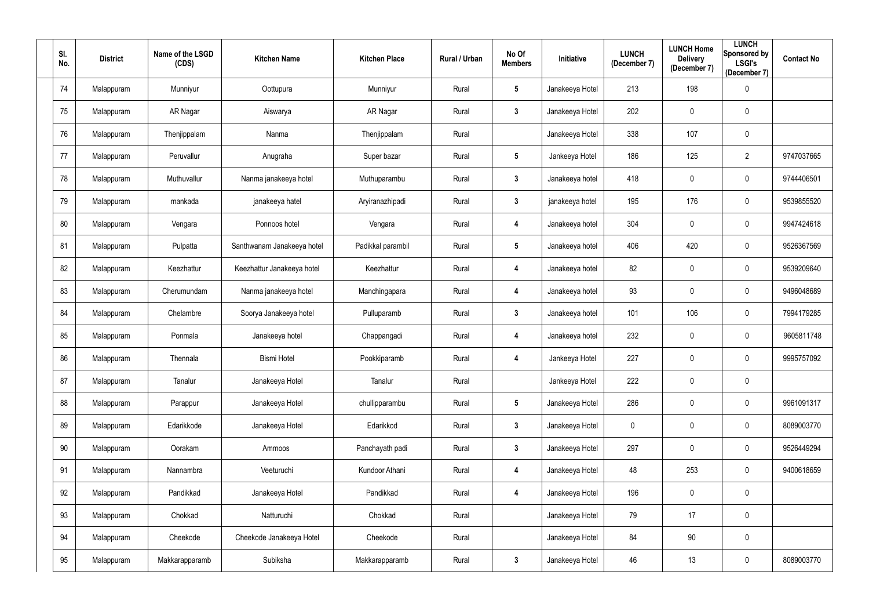| SI.<br>No. | <b>District</b> | Name of the LSGD<br>(CDS) | <b>Kitchen Name</b>        | <b>Kitchen Place</b> | Rural / Urban | No Of<br><b>Members</b> | Initiative      | <b>LUNCH</b><br>(December 7) | <b>LUNCH Home</b><br><b>Delivery</b><br>(December 7) | <b>LUNCH</b><br>Sponsored by<br><b>LSGI's</b><br>(December 7) | <b>Contact No</b> |
|------------|-----------------|---------------------------|----------------------------|----------------------|---------------|-------------------------|-----------------|------------------------------|------------------------------------------------------|---------------------------------------------------------------|-------------------|
| 74         | Malappuram      | Munniyur                  | Oottupura                  | Munniyur             | Rural         | $5\phantom{.0}$         | Janakeeya Hotel | 213                          | 198                                                  | $\overline{0}$                                                |                   |
| 75         | Malappuram      | AR Nagar                  | Aiswarya                   | AR Nagar             | Rural         | $\mathbf{3}$            | Janakeeya Hotel | 202                          | $\mathbf 0$                                          | $\mathbf 0$                                                   |                   |
| 76         | Malappuram      | Thenjippalam              | Nanma                      | Thenjippalam         | Rural         |                         | Janakeeya Hotel | 338                          | 107                                                  | $\mathbf 0$                                                   |                   |
| 77         | Malappuram      | Peruvallur                | Anugraha                   | Super bazar          | Rural         | $5\phantom{.0}$         | Jankeeya Hotel  | 186                          | 125                                                  | $\overline{2}$                                                | 9747037665        |
| 78         | Malappuram      | Muthuvallur               | Nanma janakeeya hotel      | Muthuparambu         | Rural         | $\mathbf{3}$            | Janakeeya hotel | 418                          | $\overline{0}$                                       | $\mathbf 0$                                                   | 9744406501        |
| 79         | Malappuram      | mankada                   | janakeeya hatel            | Aryiranazhipadi      | Rural         | $\mathbf{3}$            | janakeeya hotel | 195                          | 176                                                  | $\overline{0}$                                                | 9539855520        |
| 80         | Malappuram      | Vengara                   | Ponnoos hotel              | Vengara              | Rural         | 4                       | Janakeeya hotel | 304                          | $\overline{0}$                                       | $\overline{0}$                                                | 9947424618        |
| 81         | Malappuram      | Pulpatta                  | Santhwanam Janakeeya hotel | Padikkal parambil    | Rural         | $5\phantom{.0}$         | Janakeeya hotel | 406                          | 420                                                  | $\overline{0}$                                                | 9526367569        |
| 82         | Malappuram      | Keezhattur                | Keezhattur Janakeeya hotel | Keezhattur           | Rural         | 4                       | Janakeeya hotel | 82                           | $\overline{0}$                                       | $\overline{0}$                                                | 9539209640        |
| 83         | Malappuram      | Cherumundam               | Nanma janakeeya hotel      | Manchingapara        | Rural         | 4                       | Janakeeya hotel | 93                           | $\mathbf 0$                                          | $\overline{0}$                                                | 9496048689        |
| 84         | Malappuram      | Chelambre                 | Soorya Janakeeya hotel     | Pulluparamb          | Rural         | $\mathbf{3}$            | Janakeeya hotel | 101                          | 106                                                  | $\overline{0}$                                                | 7994179285        |
| 85         | Malappuram      | Ponmala                   | Janakeeya hotel            | Chappangadi          | Rural         | 4                       | Janakeeya hotel | 232                          | $\overline{0}$                                       | $\mathbf 0$                                                   | 9605811748        |
| 86         | Malappuram      | Thennala                  | <b>Bismi Hotel</b>         | Pookkiparamb         | Rural         | 4                       | Jankeeya Hotel  | 227                          | $\mathbf 0$                                          | $\overline{0}$                                                | 9995757092        |
| 87         | Malappuram      | Tanalur                   | Janakeeya Hotel            | Tanalur              | Rural         |                         | Jankeeya Hotel  | 222                          | $\mathbf 0$                                          | $\mathbf 0$                                                   |                   |
| 88         | Malappuram      | Parappur                  | Janakeeya Hotel            | chullipparambu       | Rural         | $5\phantom{.0}$         | Janakeeya Hotel | 286                          | $\mathbf 0$                                          | $\overline{0}$                                                | 9961091317        |
| 89         | Malappuram      | Edarikkode                | Janakeeya Hotel            | Edarikkod            | Rural         | 3 <sup>1</sup>          | Janakeeya Hotel | $\mathbf 0$                  | $\mathbf 0$                                          | $\mathbf 0$                                                   | 8089003770        |
| 90         | Malappuram      | Oorakam                   | Ammoos                     | Panchayath padi      | Rural         | $3\phantom{a}$          | Janakeeya Hotel | 297                          | $\mathbf 0$                                          | $\mathbf 0$                                                   | 9526449294        |
| 91         | Malappuram      | Nannambra                 | Veeturuchi                 | Kundoor Athani       | Rural         | 4                       | Janakeeya Hotel | 48                           | 253                                                  | $\mathbf 0$                                                   | 9400618659        |
| 92         | Malappuram      | Pandikkad                 | Janakeeya Hotel            | Pandikkad            | Rural         | 4                       | Janakeeya Hotel | 196                          | $\mathbf 0$                                          | $\overline{0}$                                                |                   |
| 93         | Malappuram      | Chokkad                   | Natturuchi                 | Chokkad              | Rural         |                         | Janakeeya Hotel | 79                           | 17                                                   | $\mathbf 0$                                                   |                   |
| 94         | Malappuram      | Cheekode                  | Cheekode Janakeeya Hotel   | Cheekode             | Rural         |                         | Janakeeya Hotel | 84                           | 90                                                   | $\mathbf 0$                                                   |                   |
| 95         | Malappuram      | Makkarapparamb            | Subiksha                   | Makkarapparamb       | Rural         | $3\phantom{a}$          | Janakeeya Hotel | 46                           | 13                                                   | $\boldsymbol{0}$                                              | 8089003770        |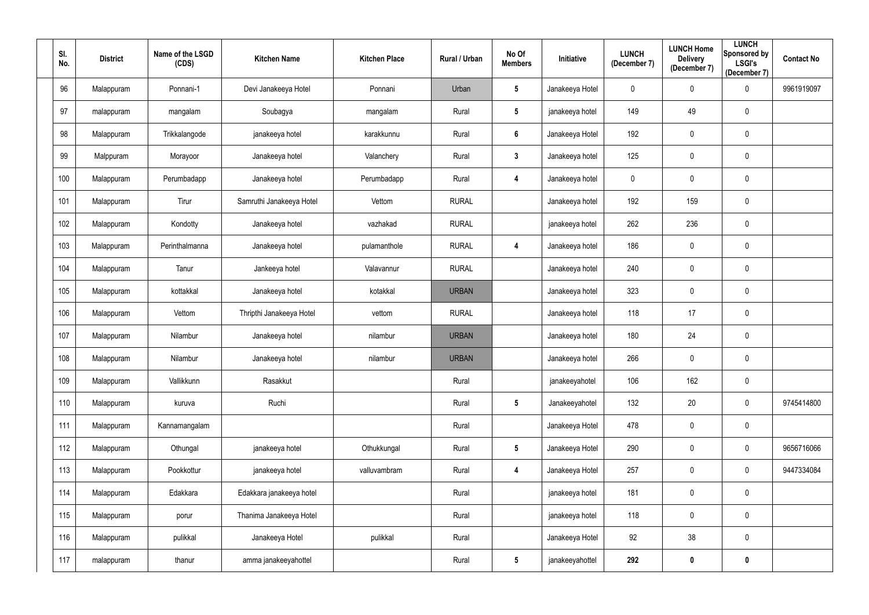| SI.<br>No. |     | <b>District</b> | Name of the LSGD<br>(CDS) | <b>Kitchen Name</b>      | <b>Kitchen Place</b> | Rural / Urban | No Of<br><b>Members</b> | Initiative      | <b>LUNCH</b><br>(December 7) | <b>LUNCH Home</b><br><b>Delivery</b><br>(December 7) | <b>LUNCH</b><br><b>Sponsored by</b><br><b>LSGI's</b><br>(December 7) | <b>Contact No</b> |
|------------|-----|-----------------|---------------------------|--------------------------|----------------------|---------------|-------------------------|-----------------|------------------------------|------------------------------------------------------|----------------------------------------------------------------------|-------------------|
|            | 96  | Malappuram      | Ponnani-1                 | Devi Janakeeya Hotel     | Ponnani              | Urban         | $5\phantom{.0}$         | Janakeeya Hotel | $\mathbf 0$                  | $\pmb{0}$                                            | $\mathbf 0$                                                          | 9961919097        |
|            | 97  | malappuram      | mangalam                  | Soubagya                 | mangalam             | Rural         | $5\phantom{.0}$         | janakeeya hotel | 149                          | 49                                                   | $\mathbf 0$                                                          |                   |
|            | 98  | Malappuram      | Trikkalangode             | janakeeya hotel          | karakkunnu           | Rural         | $6\phantom{a}$          | Janakeeya Hotel | 192                          | $\pmb{0}$                                            | $\mathbf 0$                                                          |                   |
|            | 99  | Malppuram       | Morayoor                  | Janakeeya hotel          | Valanchery           | Rural         | $3\phantom{a}$          | Janakeeya hotel | 125                          | $\pmb{0}$                                            | $\mathbf 0$                                                          |                   |
| 100        |     | Malappuram      | Perumbadapp               | Janakeeya hotel          | Perumbadapp          | Rural         | 4                       | Janakeeya hotel | 0                            | $\pmb{0}$                                            | $\overline{0}$                                                       |                   |
| 101        |     | Malappuram      | Tirur                     | Samruthi Janakeeya Hotel | Vettom               | <b>RURAL</b>  |                         | Janakeeya hotel | 192                          | 159                                                  | $\mathbf 0$                                                          |                   |
|            | 102 | Malappuram      | Kondotty                  | Janakeeya hotel          | vazhakad             | <b>RURAL</b>  |                         | janakeeya hotel | 262                          | 236                                                  | $\mathbf 0$                                                          |                   |
|            | 103 | Malappuram      | Perinthalmanna            | Janakeeya hotel          | pulamanthole         | <b>RURAL</b>  | 4                       | Janakeeya hotel | 186                          | $\pmb{0}$                                            | $\mathbf 0$                                                          |                   |
|            | 104 | Malappuram      | Tanur                     | Jankeeya hotel           | Valavannur           | <b>RURAL</b>  |                         | Janakeeya hotel | 240                          | $\pmb{0}$                                            | $\mathbf 0$                                                          |                   |
|            | 105 | Malappuram      | kottakkal                 | Janakeeya hotel          | kotakkal             | <b>URBAN</b>  |                         | Janakeeya hotel | 323                          | $\pmb{0}$                                            | $\overline{0}$                                                       |                   |
|            | 106 | Malappuram      | Vettom                    | Thripthi Janakeeya Hotel | vettom               | <b>RURAL</b>  |                         | Janakeeya hotel | 118                          | 17                                                   | $\mathbf 0$                                                          |                   |
| 107        |     | Malappuram      | Nilambur                  | Janakeeya hotel          | nilambur             | <b>URBAN</b>  |                         | Janakeeya hotel | 180                          | 24                                                   | $\mathbf 0$                                                          |                   |
|            | 108 | Malappuram      | Nilambur                  | Janakeeya hotel          | nilambur             | <b>URBAN</b>  |                         | Janakeeya hotel | 266                          | $\pmb{0}$                                            | $\mathbf 0$                                                          |                   |
|            | 109 | Malappuram      | Vallikkunn                | Rasakkut                 |                      | Rural         |                         | janakeeyahotel  | 106                          | 162                                                  | $\mathbf 0$                                                          |                   |
|            | 110 | Malappuram      | kuruva                    | Ruchi                    |                      | Rural         | $5\phantom{.0}$         | Janakeeyahotel  | 132                          | 20                                                   | $\mathbf 0$                                                          | 9745414800        |
|            | 111 | Malappuram      | Kannamangalam             |                          |                      | Rural         |                         | Janakeeya Hotel | 478                          | $\pmb{0}$                                            | $\mathbf 0$                                                          |                   |
|            | 112 | Malappuram      | Othungal                  | janakeeya hotel          | Othukkungal          | Rural         | $5\phantom{.0}$         | Janakeeya Hotel | 290                          | $\pmb{0}$                                            | $\mathbf 0$                                                          | 9656716066        |
|            | 113 | Malappuram      | Pookkottur                | janakeeya hotel          | valluvambram         | Rural         | $\overline{\mathbf{4}}$ | Janakeeya Hotel | 257                          | $\pmb{0}$                                            | $\mathbf 0$                                                          | 9447334084        |
|            | 114 | Malappuram      | Edakkara                  | Edakkara janakeeya hotel |                      | Rural         |                         | janakeeya hotel | 181                          | $\pmb{0}$                                            | $\overline{0}$                                                       |                   |
|            | 115 | Malappuram      | porur                     | Thanima Janakeeya Hotel  |                      | Rural         |                         | janakeeya hotel | 118                          | $\pmb{0}$                                            | $\mathbf 0$                                                          |                   |
|            | 116 | Malappuram      | pulikkal                  | Janakeeya Hotel          | pulikkal             | Rural         |                         | Janakeeya Hotel | 92                           | 38                                                   | $\mathbf 0$                                                          |                   |
|            | 117 | malappuram      | thanur                    | amma janakeeyahottel     |                      | Rural         | $5\phantom{.0}$         | janakeeyahottel | 292                          | $\boldsymbol{0}$                                     | $\bm{0}$                                                             |                   |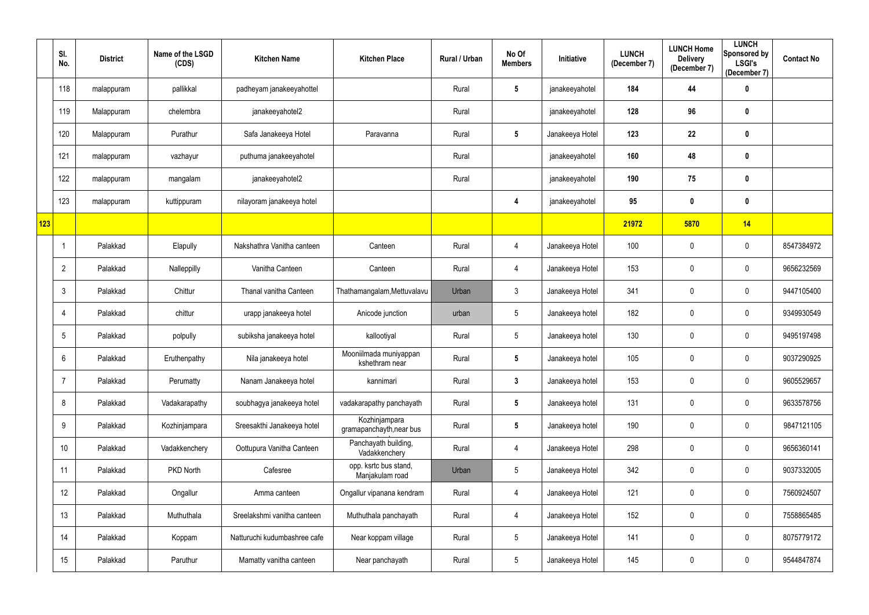|     | SI.<br>No.      | <b>District</b> | Name of the LSGD<br>(CDS) | <b>Kitchen Name</b>          | <b>Kitchen Place</b>                      | Rural / Urban | No Of<br><b>Members</b> | Initiative      | <b>LUNCH</b><br>(December 7) | <b>LUNCH Home</b><br><b>Delivery</b><br>(December 7) | <b>LUNCH</b><br>Sponsored by<br><b>LSGI's</b><br>(December 7) | <b>Contact No</b> |
|-----|-----------------|-----------------|---------------------------|------------------------------|-------------------------------------------|---------------|-------------------------|-----------------|------------------------------|------------------------------------------------------|---------------------------------------------------------------|-------------------|
|     | 118             | malappuram      | pallikkal                 | padheyam janakeeyahottel     |                                           | Rural         | $5\phantom{.0}$         | janakeeyahotel  | 184                          | 44                                                   | $\boldsymbol{0}$                                              |                   |
|     | 119             | Malappuram      | chelembra                 | janakeeyahotel2              |                                           | Rural         |                         | janakeeyahotel  | 128                          | 96                                                   | $\boldsymbol{0}$                                              |                   |
|     | 120             | Malappuram      | Purathur                  | Safa Janakeeya Hotel         | Paravanna                                 | Rural         | $5\phantom{.0}$         | Janakeeya Hotel | 123                          | 22                                                   | $\mathbf 0$                                                   |                   |
|     | 121             | malappuram      | vazhayur                  | puthuma janakeeyahotel       |                                           | Rural         |                         | janakeeyahotel  | 160                          | 48                                                   | $\bm{0}$                                                      |                   |
|     | 122             | malappuram      | mangalam                  | janakeeyahotel2              |                                           | Rural         |                         | janakeeyahotel  | 190                          | 75                                                   | $\boldsymbol{0}$                                              |                   |
|     | 123             | malappuram      | kuttippuram               | nilayoram janakeeya hotel    |                                           |               | 4                       | janakeeyahotel  | 95                           | $\mathbf 0$                                          | $\mathbf 0$                                                   |                   |
| 123 |                 |                 |                           |                              |                                           |               |                         |                 | 21972                        | 5870                                                 | 14                                                            |                   |
|     | -1              | Palakkad        | Elapully                  | Nakshathra Vanitha canteen   | Canteen                                   | Rural         | 4                       | Janakeeya Hotel | 100                          | $\mathbf 0$                                          | $\mathbf 0$                                                   | 8547384972        |
|     | $\overline{2}$  | Palakkad        | Nalleppilly               | Vanitha Canteen              | Canteen                                   | Rural         | 4                       | Janakeeya Hotel | 153                          | $\mathbf 0$                                          | $\mathbf 0$                                                   | 9656232569        |
|     | $\mathbf{3}$    | Palakkad        | Chittur                   | Thanal vanitha Canteen       | Thathamangalam, Mettuvalavu               | Urban         | $\mathbf{3}$            | Janakeeya Hotel | 341                          | $\mathbf 0$                                          | $\mathbf 0$                                                   | 9447105400        |
|     | 4               | Palakkad        | chittur                   | urapp janakeeya hotel        | Anicode junction                          | urban         | $5\phantom{.0}$         | Janakeeya hotel | 182                          | $\mathbf 0$                                          | $\mathbf 0$                                                   | 9349930549        |
|     | 5               | Palakkad        | polpully                  | subiksha janakeeya hotel     | kallootiyal                               | Rural         | $5\phantom{.0}$         | Janakeeya hotel | 130                          | $\mathbf 0$                                          | $\mathbf 0$                                                   | 9495197498        |
|     | 6               | Palakkad        | Eruthenpathy              | Nila janakeeya hotel         | Mooniilmada muniyappan<br>kshethram near  | Rural         | $5\phantom{.0}$         | Janakeeya hotel | 105                          | $\mathbf 0$                                          | $\mathbf 0$                                                   | 9037290925        |
|     | 7               | Palakkad        | Perumatty                 | Nanam Janakeeya hotel        | kannimari                                 | Rural         | $\mathbf{3}$            | Janakeeya hotel | 153                          | $\mathbf 0$                                          | $\mathbf 0$                                                   | 9605529657        |
|     | 8               | Palakkad        | Vadakarapathy             | soubhagya janakeeya hotel    | vadakarapathy panchayath                  | Rural         | $5\phantom{.0}$         | Janakeeya hotel | 131                          | $\mathbf 0$                                          | $\overline{0}$                                                | 9633578756        |
|     | 9               | Palakkad        | Kozhinjampara             | Sreesakthi Janakeeya hotel   | Kozhinjampara<br>gramapanchayth, near bus | Rural         | $5\phantom{.0}$         | Janakeeya hotel | 190                          | $\mathbf 0$                                          | $\overline{0}$                                                | 9847121105        |
|     | 10 <sup>°</sup> | Palakkad        | Vadakkenchery             | Oottupura Vanitha Canteen    | Panchayath building,<br>Vadakkenchery     | Rural         | 4                       | Janakeeya Hotel | 298                          | $\mathbf 0$                                          | $\overline{0}$                                                | 9656360141        |
|     | 11              | Palakkad        | PKD North                 | Cafesree                     | opp. ksrtc bus stand,<br>Manjakulam road  | Urban         | 5                       | Janakeeya Hotel | 342                          | $\mathbf 0$                                          | $\overline{0}$                                                | 9037332005        |
|     | 12              | Palakkad        | Ongallur                  | Amma canteen                 | Ongallur vipanana kendram                 | Rural         | 4                       | Janakeeya Hotel | 121                          | $\mathbf 0$                                          | $\overline{0}$                                                | 7560924507        |
|     | 13              | Palakkad        | Muthuthala                | Sreelakshmi vanitha canteen  | Muthuthala panchayath                     | Rural         | 4                       | Janakeeya Hotel | 152                          | $\mathbf 0$                                          | $\overline{0}$                                                | 7558865485        |
|     | 14              | Palakkad        | Koppam                    | Natturuchi kudumbashree cafe | Near koppam village                       | Rural         | $\sqrt{5}$              | Janakeeya Hotel | 141                          | $\pmb{0}$                                            | $\mathbf 0$                                                   | 8075779172        |
|     | 15              | Palakkad        | Paruthur                  | Mamatty vanitha canteen      | Near panchayath                           | Rural         | $\sqrt{5}$              | Janakeeya Hotel | 145                          | $\mathbf 0$                                          | $\mathbf 0$                                                   | 9544847874        |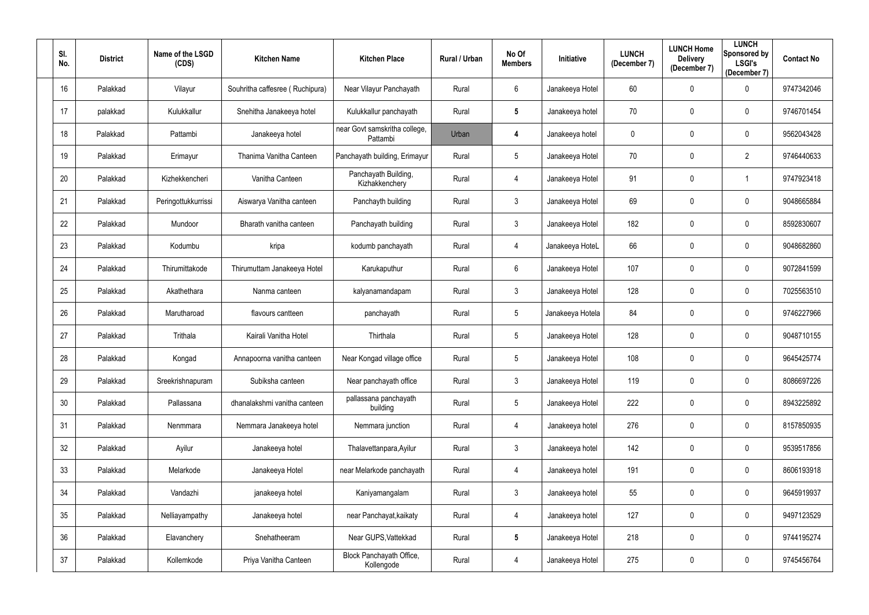| SI.<br>No. | <b>District</b> | Name of the LSGD<br>(CDS) | <b>Kitchen Name</b>             | <b>Kitchen Place</b>                      | <b>Rural / Urban</b> | No Of<br><b>Members</b> | Initiative       | <b>LUNCH</b><br>(December 7) | <b>LUNCH Home</b><br><b>Delivery</b><br>(December 7) | <b>LUNCH</b><br>Sponsored by<br><b>LSGI's</b><br>(December 7) | <b>Contact No</b> |
|------------|-----------------|---------------------------|---------------------------------|-------------------------------------------|----------------------|-------------------------|------------------|------------------------------|------------------------------------------------------|---------------------------------------------------------------|-------------------|
| 16         | Palakkad        | Vilayur                   | Souhritha caffesree (Ruchipura) | Near Vilayur Panchayath                   | Rural                | 6                       | Janakeeya Hotel  | 60                           | $\mathbf 0$                                          | $\mathbf 0$                                                   | 9747342046        |
| 17         | palakkad        | Kulukkallur               | Snehitha Janakeeya hotel        | Kulukkallur panchayath                    | Rural                | $5\phantom{.0}$         | Janakeeya hotel  | 70                           | $\mathbf 0$                                          | $\mathbf 0$                                                   | 9746701454        |
| 18         | Palakkad        | Pattambi                  | Janakeeya hotel                 | near Govt samskritha college,<br>Pattambi | Urban                | 4                       | Janakeeya hotel  | 0                            | $\pmb{0}$                                            | $\mathbf 0$                                                   | 9562043428        |
| 19         | Palakkad        | Erimayur                  | Thanima Vanitha Canteen         | Panchayath building, Erimayur             | Rural                | 5                       | Janakeeya Hotel  | 70                           | $\mathbf 0$                                          | $\overline{2}$                                                | 9746440633        |
| 20         | Palakkad        | Kizhekkencheri            | Vanitha Canteen                 | Panchayath Building,<br>Kizhakkenchery    | Rural                | 4                       | Janakeeya Hotel  | 91                           | $\mathbf 0$                                          |                                                               | 9747923418        |
| 21         | Palakkad        | Peringottukkurrissi       | Aiswarya Vanitha canteen        | Panchayth building                        | Rural                | $\mathfrak{Z}$          | Janakeeya Hotel  | 69                           | $\mathbf 0$                                          | $\boldsymbol{0}$                                              | 9048665884        |
| 22         | Palakkad        | Mundoor                   | Bharath vanitha canteen         | Panchayath building                       | Rural                | $\mathfrak{Z}$          | Janakeeya Hotel  | 182                          | $\mathbf{0}$                                         | $\mathbf 0$                                                   | 8592830607        |
| 23         | Palakkad        | Kodumbu                   | kripa                           | kodumb panchayath                         | Rural                | 4                       | Janakeeya HoteL  | 66                           | $\mathbf 0$                                          | $\mathbf 0$                                                   | 9048682860        |
| 24         | Palakkad        | Thirumittakode            | Thirumuttam Janakeeya Hotel     | Karukaputhur                              | Rural                | 6                       | Janakeeya Hotel  | 107                          | $\mathbf 0$                                          | $\mathbf 0$                                                   | 9072841599        |
| 25         | Palakkad        | Akathethara               | Nanma canteen                   | kalyanamandapam                           | Rural                | $\mathfrak{Z}$          | Janakeeya Hotel  | 128                          | $\mathbf 0$                                          | $\mathbf 0$                                                   | 7025563510        |
| 26         | Palakkad        | Marutharoad               | flavours cantteen               | panchayath                                | Rural                | $5\phantom{.0}$         | Janakeeya Hotela | 84                           | $\mathbf 0$                                          | $\mathbf 0$                                                   | 9746227966        |
| 27         | Palakkad        | Trithala                  | Kairali Vanitha Hotel           | Thirthala                                 | Rural                | 5                       | Janakeeya Hotel  | 128                          | $\mathbf 0$                                          | $\mathbf 0$                                                   | 9048710155        |
| 28         | Palakkad        | Kongad                    | Annapoorna vanitha canteen      | Near Kongad village office                | Rural                | 5 <sub>5</sub>          | Janakeeya Hotel  | 108                          | $\mathbf 0$                                          | 0                                                             | 9645425774        |
| 29         | Palakkad        | Sreekrishnapuram          | Subiksha canteen                | Near panchayath office                    | Rural                | $\mathfrak{Z}$          | Janakeeya Hotel  | 119                          | $\mathbf 0$                                          | $\mathbf 0$                                                   | 8086697226        |
| 30         | Palakkad        | Pallassana                | dhanalakshmi vanitha canteen    | pallassana panchayath<br>building         | Rural                | 5                       | Janakeeya Hotel  | 222                          | $\pmb{0}$                                            | $\overline{0}$                                                | 8943225892        |
| 31         | Palakkad        | Nenmmara                  | Nemmara Janakeeya hotel         | Nemmara junction                          | Rural                | $\overline{4}$          | Janakeeya hotel  | 276                          | $\mathbf 0$                                          | $\mathbf 0$                                                   | 8157850935        |
| 32         | Palakkad        | Ayilur                    | Janakeeya hotel                 | Thalavettanpara, Ayilur                   | Rural                | $\mathfrak{Z}$          | Janakeeya hotel  | 142                          | $\pmb{0}$                                            | $\overline{0}$                                                | 9539517856        |
| 33         | Palakkad        | Melarkode                 | Janakeeya Hotel                 | near Melarkode panchayath                 | Rural                | 4                       | Janakeeya hotel  | 191                          | $\pmb{0}$                                            | $\overline{0}$                                                | 8606193918        |
| 34         | Palakkad        | Vandazhi                  | janakeeya hotel                 | Kaniyamangalam                            | Rural                | $\mathfrak{Z}$          | Janakeeya hotel  | 55                           | $\pmb{0}$                                            | $\overline{0}$                                                | 9645919937        |
| 35         | Palakkad        | Nelliayampathy            | Janakeeya hotel                 | near Panchayat, kaikaty                   | Rural                | 4                       | Janakeeya hotel  | 127                          | $\pmb{0}$                                            | $\mathbf 0$                                                   | 9497123529        |
| 36         | Palakkad        | Elavanchery               | Snehatheeram                    | Near GUPS, Vattekkad                      | Rural                | $5\phantom{.0}$         | Janakeeya Hotel  | 218                          | $\pmb{0}$                                            | $\mathbf 0$                                                   | 9744195274        |
| 37         | Palakkad        | Kollemkode                | Priya Vanitha Canteen           | Block Panchayath Office,<br>Kollengode    | Rural                | 4                       | Janakeeya Hotel  | 275                          | $\pmb{0}$                                            | $\overline{0}$                                                | 9745456764        |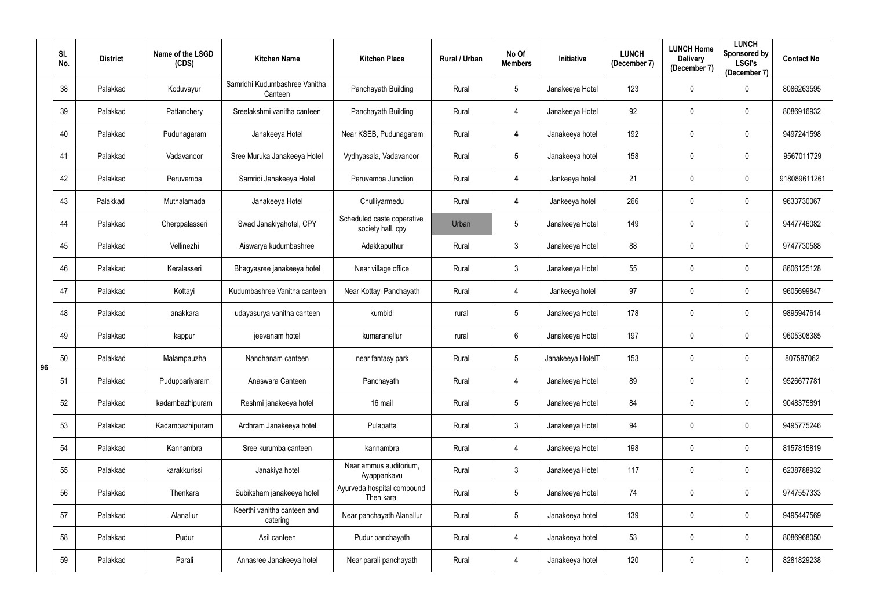|    | SI.<br>No. | <b>District</b> | Name of the LSGD<br>(CDS) | <b>Kitchen Name</b>                      | <b>Kitchen Place</b>                            | Rural / Urban | No Of<br><b>Members</b> | <b>Initiative</b> | <b>LUNCH</b><br>(December 7) | <b>LUNCH Home</b><br><b>Delivery</b><br>(December 7) | <b>LUNCH</b><br>Sponsored by<br><b>LSGI's</b><br>(December 7) | <b>Contact No</b> |
|----|------------|-----------------|---------------------------|------------------------------------------|-------------------------------------------------|---------------|-------------------------|-------------------|------------------------------|------------------------------------------------------|---------------------------------------------------------------|-------------------|
|    | 38         | Palakkad        | Koduvayur                 | Samridhi Kudumbashree Vanitha<br>Canteen | Panchayath Building                             | Rural         | $5\phantom{.0}$         | Janakeeya Hotel   | 123                          | $\mathbf 0$                                          | $\mathbf 0$                                                   | 8086263595        |
|    | 39         | Palakkad        | Pattanchery               | Sreelakshmi vanitha canteen              | Panchayath Building                             | Rural         | 4                       | Janakeeya Hotel   | 92                           | $\mathbf{0}$                                         | 0                                                             | 8086916932        |
|    | 40         | Palakkad        | Pudunagaram               | Janakeeya Hotel                          | Near KSEB, Pudunagaram                          | Rural         | 4                       | Janakeeya hotel   | 192                          | $\mathbf{0}$                                         | $\mathbf 0$                                                   | 9497241598        |
|    | 41         | Palakkad        | Vadavanoor                | Sree Muruka Janakeeya Hotel              | Vydhyasala, Vadavanoor                          | Rural         | $5\phantom{.0}$         | Janakeeya hotel   | 158                          | $\mathbf 0$                                          | $\mathbf 0$                                                   | 9567011729        |
|    | 42         | Palakkad        | Peruvemba                 | Samridi Janakeeya Hotel                  | Peruvemba Junction                              | Rural         | 4                       | Jankeeya hotel    | 21                           | $\mathbf{0}$                                         | $\mathbf 0$                                                   | 918089611261      |
|    | 43         | Palakkad        | Muthalamada               | Janakeeya Hotel                          | Chulliyarmedu                                   | Rural         | 4                       | Jankeeya hotel    | 266                          | $\mathbf{0}$                                         | $\mathbf 0$                                                   | 9633730067        |
|    | 44         | Palakkad        | Cherppalasseri            | Swad Janakiyahotel, CPY                  | Scheduled caste coperative<br>society hall, cpy | Urban         | $5\phantom{.0}$         | Janakeeya Hotel   | 149                          | $\mathbf{0}$                                         | $\mathbf 0$                                                   | 9447746082        |
|    | 45         | Palakkad        | Vellinezhi                | Aiswarya kudumbashree                    | Adakkaputhur                                    | Rural         | $\mathfrak{Z}$          | Janakeeya Hotel   | 88                           | $\mathbf 0$                                          | $\mathbf 0$                                                   | 9747730588        |
|    | 46         | Palakkad        | Keralasseri               | Bhagyasree janakeeya hotel               | Near village office                             | Rural         | $\mathfrak{Z}$          | Janakeeya Hotel   | 55                           | $\mathbf 0$                                          | $\mathbf 0$                                                   | 8606125128        |
|    | 47         | Palakkad        | Kottayi                   | Kudumbashree Vanitha canteen             | Near Kottayi Panchayath                         | Rural         | 4                       | Jankeeya hotel    | 97                           | $\mathbf{0}$                                         | $\mathbf 0$                                                   | 9605699847        |
|    | 48         | Palakkad        | anakkara                  | udayasurya vanitha canteen               | kumbidi                                         | rural         | $5\phantom{.0}$         | Janakeeya Hotel   | 178                          | $\mathbf{0}$                                         | $\mathbf 0$                                                   | 9895947614        |
|    | 49         | Palakkad        | kappur                    | jeevanam hotel                           | kumaranellur                                    | rural         | $6\phantom{.}$          | Janakeeya Hotel   | 197                          | $\mathbf 0$                                          | $\mathbf 0$                                                   | 9605308385        |
| 96 | 50         | Palakkad        | Malampauzha               | Nandhanam canteen                        | near fantasy park                               | Rural         | $5\phantom{.0}$         | Janakeeya HotelT  | 153                          | $\mathbf 0$                                          | $\mathbf 0$                                                   | 807587062         |
|    | 51         | Palakkad        | Puduppariyaram            | Anaswara Canteen                         | Panchayath                                      | Rural         | 4                       | Janakeeya Hotel   | 89                           | $\mathbf 0$                                          | $\overline{0}$                                                | 9526677781        |
|    | 52         | Palakkad        | kadambazhipuram           | Reshmi janakeeya hotel                   | 16 mail                                         | Rural         | $5\phantom{.0}$         | Janakeeya Hotel   | 84                           | $\mathbf 0$                                          | $\overline{0}$                                                | 9048375891        |
|    | 53         | Palakkad        | Kadambazhipuram           | Ardhram Janakeeya hotel                  | Pulapatta                                       | Rural         | $\mathfrak{Z}$          | Janakeeya Hotel   | 94                           | $\mathbf 0$                                          | $\mathbf 0$                                                   | 9495775246        |
|    | 54         | Palakkad        | Kannambra                 | Sree kurumba canteen                     | kannambra                                       | Rural         | $\overline{4}$          | Janakeeya Hotel   | 198                          | $\pmb{0}$                                            | $\mathbf 0$                                                   | 8157815819        |
|    | 55         | Palakkad        | karakkurissi              | Janakiya hotel                           | Near ammus auditorium,<br>Ayappankavu           | Rural         | $\mathfrak{Z}$          | Janakeeya Hotel   | 117                          | $\mathbf 0$                                          | $\overline{0}$                                                | 6238788932        |
|    | 56         | Palakkad        | Thenkara                  | Subiksham janakeeya hotel                | Ayurveda hospital compound<br>Then kara         | Rural         | $5\phantom{.0}$         | Janakeeya Hotel   | 74                           | $\mathbf 0$                                          | $\overline{0}$                                                | 9747557333        |
|    | 57         | Palakkad        | Alanallur                 | Keerthi vanitha canteen and<br>catering  | Near panchayath Alanallur                       | Rural         | $5\phantom{.0}$         | Janakeeya hotel   | 139                          | $\mathbf 0$                                          | $\mathbf 0$                                                   | 9495447569        |
|    | 58         | Palakkad        | Pudur                     | Asil canteen                             | Pudur panchayath                                | Rural         | 4                       | Janakeeya hotel   | 53                           | $\pmb{0}$                                            | $\mathbf 0$                                                   | 8086968050        |
|    | 59         | Palakkad        | Parali                    | Annasree Janakeeya hotel                 | Near parali panchayath                          | Rural         | 4                       | Janakeeya hotel   | 120                          | $\mathbf 0$                                          | $\mathbf 0$                                                   | 8281829238        |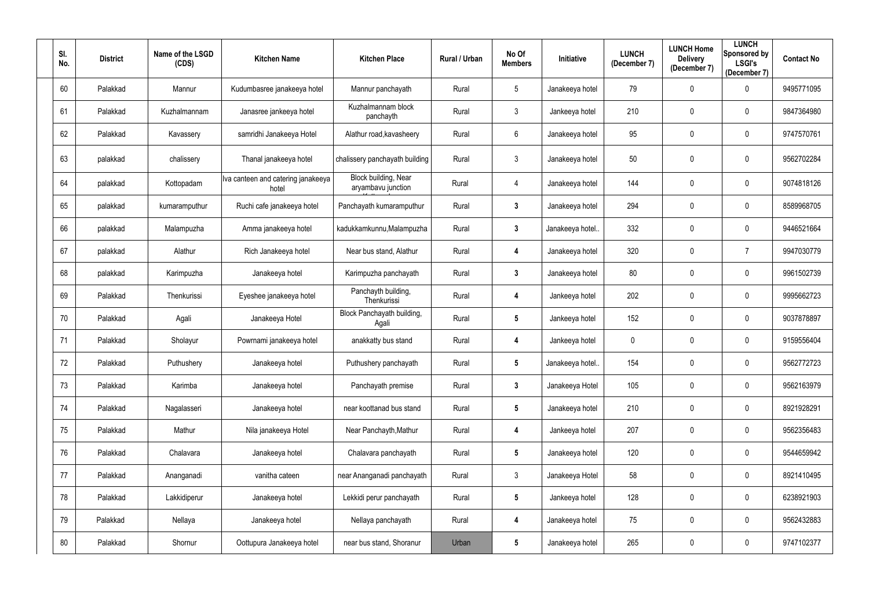| SI.<br>No. | <b>District</b> | Name of the LSGD<br>(CDS) | <b>Kitchen Name</b>                         | <b>Kitchen Place</b>                       | Rural / Urban | No Of<br><b>Members</b> | Initiative      | <b>LUNCH</b><br>(December 7) | <b>LUNCH Home</b><br><b>Delivery</b><br>(December 7) | <b>LUNCH</b><br>Sponsored by<br><b>LSGI's</b><br>(December 7) | <b>Contact No</b> |
|------------|-----------------|---------------------------|---------------------------------------------|--------------------------------------------|---------------|-------------------------|-----------------|------------------------------|------------------------------------------------------|---------------------------------------------------------------|-------------------|
| 60         | Palakkad        | Mannur                    | Kudumbasree janakeeya hotel                 | Mannur panchayath                          | Rural         | $5\phantom{.0}$         | Janakeeya hotel | 79                           | $\mathbf 0$                                          | $\mathbf 0$                                                   | 9495771095        |
| 61         | Palakkad        | Kuzhalmannam              | Janasree jankeeya hotel                     | Kuzhalmannam block<br>panchayth            | Rural         | $\mathbf{3}$            | Jankeeya hotel  | 210                          | $\mathbf 0$                                          | $\mathbf 0$                                                   | 9847364980        |
| 62         | Palakkad        | Kavassery                 | samridhi Janakeeya Hotel                    | Alathur road, kavasheery                   | Rural         | $6\phantom{.}$          | Janakeeya hotel | 95                           | $\mathbf 0$                                          | $\mathbf 0$                                                   | 9747570761        |
| 63         | palakkad        | chalissery                | Thanal janakeeya hotel                      | chalissery panchayath building             | Rural         | $\mathfrak{Z}$          | Janakeeya hotel | 50                           | $\mathbf 0$                                          | $\pmb{0}$                                                     | 9562702284        |
| 64         | palakkad        | Kottopadam                | Iva canteen and catering janakeeya<br>hotel | Block building, Near<br>aryambavu junction | Rural         | 4                       | Janakeeya hotel | 144                          | $\mathbf 0$                                          | $\mathbf 0$                                                   | 9074818126        |
| 65         | palakkad        | kumaramputhur             | Ruchi cafe janakeeya hotel                  | Panchayath kumaramputhur                   | Rural         | $\mathbf{3}$            | Janakeeya hotel | 294                          | $\mathbf 0$                                          | $\mathbf 0$                                                   | 8589968705        |
| 66         | palakkad        | Malampuzha                | Amma janakeeya hotel                        | kadukkamkunnu, Malampuzha                  | Rural         | $3\phantom{.0}$         | Janakeeya hotel | 332                          | $\mathbf 0$                                          | $\mathbf 0$                                                   | 9446521664        |
| 67         | palakkad        | Alathur                   | Rich Janakeeya hotel                        | Near bus stand, Alathur                    | Rural         | $\overline{\mathbf{4}}$ | Janakeeya hotel | 320                          | $\mathbf 0$                                          | $\overline{7}$                                                | 9947030779        |
| 68         | palakkad        | Karimpuzha                | Janakeeya hotel                             | Karimpuzha panchayath                      | Rural         | $\mathbf{3}$            | Janakeeya hotel | 80                           | $\mathbf 0$                                          | $\mathbf 0$                                                   | 9961502739        |
| 69         | Palakkad        | Thenkurissi               | Eyeshee janakeeya hotel                     | Panchayth building,<br>Thenkurissi         | Rural         | 4                       | Jankeeya hotel  | 202                          | $\boldsymbol{0}$                                     | $\mathbf 0$                                                   | 9995662723        |
| 70         | Palakkad        | Agali                     | Janakeeya Hotel                             | Block Panchayath building,<br>Agali        | Rural         | $5\phantom{.0}$         | Jankeeya hotel  | 152                          | $\mathbf 0$                                          | $\overline{0}$                                                | 9037878897        |
| 71         | Palakkad        | Sholayur                  | Powrnami janakeeya hotel                    | anakkatty bus stand                        | Rural         | 4                       | Jankeeya hotel  | 0                            | $\pmb{0}$                                            | $\mathbf 0$                                                   | 9159556404        |
| 72         | Palakkad        | Puthushery                | Janakeeya hotel                             | Puthushery panchayath                      | Rural         | 5                       | Janakeeya hotel | 154                          | $\Omega$                                             | 0                                                             | 9562772723        |
| 73         | Palakkad        | Karimba                   | Janakeeya hotel                             | Panchayath premise                         | Rural         | $3\phantom{a}$          | Janakeeya Hotel | 105                          | $\pmb{0}$                                            | $\mathbf 0$                                                   | 9562163979        |
| 74         | Palakkad        | Nagalasseri               | Janakeeya hotel                             | near koottanad bus stand                   | Rural         | $5\phantom{.0}$         | Janakeeya hotel | 210                          | $\pmb{0}$                                            | $\mathbf 0$                                                   | 8921928291        |
| 75         | Palakkad        | Mathur                    | Nila janakeeya Hotel                        | Near Panchayth, Mathur                     | Rural         | $\overline{\mathbf{4}}$ | Jankeeya hotel  | 207                          | $\mathbf 0$                                          | $\mathbf 0$                                                   | 9562356483        |
| 76         | Palakkad        | Chalavara                 | Janakeeya hotel                             | Chalavara panchayath                       | Rural         | $5\phantom{.0}$         | Janakeeya hotel | 120                          | $\mathbf 0$                                          | $\mathbf 0$                                                   | 9544659942        |
| 77         | Palakkad        | Ananganadi                | vanitha cateen                              | near Ananganadi panchayath                 | Rural         | $\mathfrak{Z}$          | Janakeeya Hotel | 58                           | $\mathbf 0$                                          | $\mathbf 0$                                                   | 8921410495        |
| 78         | Palakkad        | Lakkidiperur              | Janakeeya hotel                             | Lekkidi perur panchayath                   | Rural         | $5\phantom{.0}$         | Jankeeya hotel  | 128                          | $\mathbf 0$                                          | $\mathbf 0$                                                   | 6238921903        |
| 79         | Palakkad        | Nellaya                   | Janakeeya hotel                             | Nellaya panchayath                         | Rural         | $\overline{\mathbf{4}}$ | Janakeeya hotel | 75                           | $\boldsymbol{0}$                                     | $\mathbf 0$                                                   | 9562432883        |
| 80         | Palakkad        | Shornur                   | Oottupura Janakeeya hotel                   | near bus stand, Shoranur                   | Urban         | $5\phantom{.0}$         | Janakeeya hotel | 265                          | $\boldsymbol{0}$                                     | $\mathbf 0$                                                   | 9747102377        |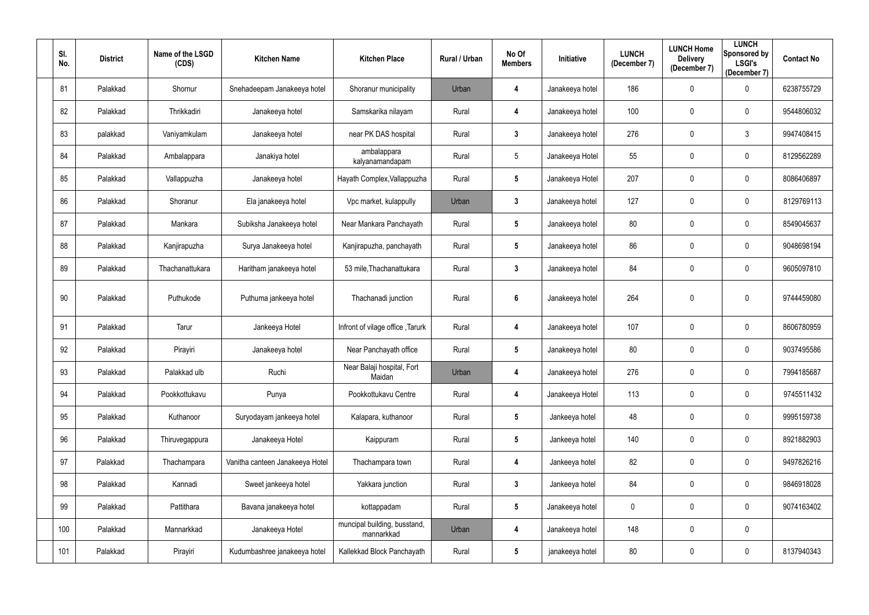| SI.<br>No. | <b>District</b> | Name of the LSGD<br>(CDS) | <b>Kitchen Name</b>             | <b>Kitchen Place</b>                       | <b>Rural / Urban</b> | No Of<br><b>Members</b> | Initiative      | <b>LUNCH</b><br>(December 7) | <b>LUNCH Home</b><br><b>Delivery</b><br>(December 7) | <b>LUNCH</b><br>Sponsored by<br><b>LSGI's</b><br>(December 7) | <b>Contact No</b> |
|------------|-----------------|---------------------------|---------------------------------|--------------------------------------------|----------------------|-------------------------|-----------------|------------------------------|------------------------------------------------------|---------------------------------------------------------------|-------------------|
| 81         | Palakkad        | Shornur                   | Snehadeepam Janakeeya hotel     | Shoranur municipality                      | Urban                | 4                       | Janakeeya hotel | 186                          | $\mathbf 0$                                          | $\mathbf 0$                                                   | 6238755729        |
| 82         | Palakkad        | Thrikkadiri               | Janakeeya hotel                 | Samskarika nilayam                         | Rural                | 4                       | Janakeeya hotel | 100                          | $\mathbf 0$                                          | $\mathbf 0$                                                   | 9544806032        |
| 83         | palakkad        | Vaniyamkulam              | Janakeeya hotel                 | near PK DAS hospital                       | Rural                | $\mathbf{3}$            | Janakeeya hotel | 276                          | $\mathbf 0$                                          | $\mathbf{3}$                                                  | 9947408415        |
| 84         | Palakkad        | Ambalappara               | Janakiya hotel                  | ambalappara<br>kalyanamandapam             | Rural                | $\overline{5}$          | Janakeeya Hotel | 55                           | $\mathbf 0$                                          | $\mathbf 0$                                                   | 8129562289        |
| 85         | Palakkad        | Vallappuzha               | Janakeeya hotel                 | Hayath Complex, Vallappuzha                | Rural                | $5\phantom{.0}$         | Janakeeya Hotel | 207                          | $\mathbf{0}$                                         | $\mathbf 0$                                                   | 8086406897        |
| 86         | Palakkad        | Shoranur                  | Ela janakeeya hotel             | Vpc market, kulappully                     | Urban                | $\mathbf{3}$            | Janakeeya hotel | 127                          | $\mathbf 0$                                          | $\mathbf 0$                                                   | 8129769113        |
| 87         | Palakkad        | Mankara                   | Subiksha Janakeeya hotel        | Near Mankara Panchayath                    | Rural                | $5\phantom{.0}$         | Janakeeya hotel | 80                           | $\mathbf 0$                                          | $\mathbf 0$                                                   | 8549045637        |
| 88         | Palakkad        | Kanjirapuzha              | Surya Janakeeya hotel           | Kanjirapuzha, panchayath                   | Rural                | $5\phantom{.0}$         | Janakeeya hotel | 86                           | $\mathbf 0$                                          | $\mathbf 0$                                                   | 9048698194        |
| 89         | Palakkad        | Thachanattukara           | Haritham janakeeya hotel        | 53 mile, Thachanattukara                   | Rural                | $\mathbf{3}$            | Janakeeya hotel | 84                           | $\mathbf 0$                                          | $\mathbf 0$                                                   | 9605097810        |
| 90         | Palakkad        | Puthukode                 | Puthuma jankeeya hotel          | Thachanadi junction                        | Rural                | $6\phantom{1}6$         | Janakeeya hotel | 264                          | $\mathbf 0$                                          | $\mathbf 0$                                                   | 9744459080        |
| 91         | Palakkad        | Tarur                     | Jankeeya Hotel                  | Infront of vilage office, Tarurk           | Rural                | 4                       | Janakeeya hotel | 107                          | $\mathbf 0$                                          | $\mathbf 0$                                                   | 8606780959        |
| 92         | Palakkad        | Pirayiri                  | Janakeeya hotel                 | Near Panchayath office                     | Rural                | $5\phantom{.0}$         | Janakeeya hotel | 80                           | $\mathbf 0$                                          | $\mathbf 0$                                                   | 9037495586        |
| 93         | Palakkad        | Palakkad ulb              | Ruchi                           | Near Balaji hospital, Fort<br>Maidan       | Urban                | 4                       | Janakeeya hotel | 276                          | $\boldsymbol{0}$                                     | $\pmb{0}$                                                     | 7994185687        |
| 94         | Palakkad        | Pookkottukavu             | Punya                           | Pookkottukavu Centre                       | Rural                | 4                       | Janakeeya Hotel | 113                          | $\mathbf 0$                                          | $\mathbf 0$                                                   | 9745511432        |
| 95         | Palakkad        | Kuthanoor                 | Suryodayam jankeeya hotel       | Kalapara, kuthanoor                        | Rural                | $5\phantom{.0}$         | Jankeeya hotel  | 48                           | $\boldsymbol{0}$                                     | $\mathbf 0$                                                   | 9995159738        |
| 96         | Palakkad        | Thiruvegappura            | Janakeeya Hotel                 | Kaippuram                                  | Rural                | $\sqrt{5}$              | Jankeeya hotel  | 140                          | $\mathbf 0$                                          | $\mathbf 0$                                                   | 8921882903        |
| 97         | Palakkad        | Thachampara               | Vanitha canteen Janakeeya Hotel | Thachampara town                           | Rural                | 4                       | Jankeeya hotel  | 82                           | $\mathbf 0$                                          | $\mathbf 0$                                                   | 9497826216        |
| 98         | Palakkad        | Kannadi                   | Sweet jankeeya hotel            | Yakkara junction                           | Rural                | $\mathbf{3}$            | Jankeeya hotel  | 84                           | $\mathbf 0$                                          | $\mathbf 0$                                                   | 9846918028        |
| 99         | Palakkad        | Pattithara                | Bavana janakeeya hotel          | kottappadam                                | Rural                | $5\phantom{.0}$         | Janakeeya hotel | 0                            | $\mathbf 0$                                          | $\mathbf 0$                                                   | 9074163402        |
| 100        | Palakkad        | Mannarkkad                | Janakeeya Hotel                 | muncipal building, busstand,<br>mannarkkad | Urban                | 4                       | Janakeeya hotel | 148                          | $\mathbf 0$                                          | $\mathbf 0$                                                   |                   |
| 101        | Palakkad        | Pirayiri                  | Kudumbashree janakeeya hotel    | Kallekkad Block Panchayath                 | Rural                | $5\phantom{.0}$         | janakeeya hotel | 80                           | $\boldsymbol{0}$                                     | $\boldsymbol{0}$                                              | 8137940343        |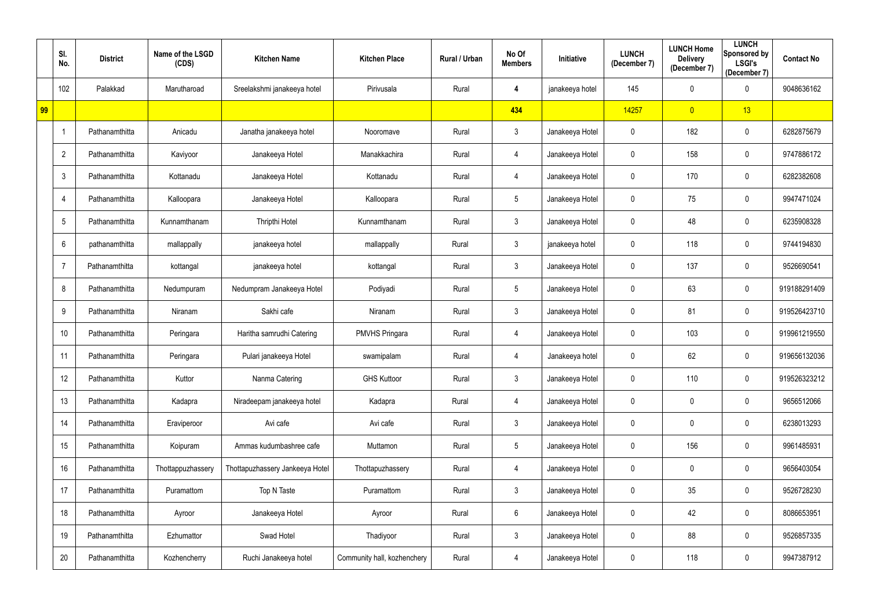|    | SI.<br>No.     | <b>District</b> | Name of the LSGD<br>(CDS) | <b>Kitchen Name</b>             | <b>Kitchen Place</b>        | Rural / Urban | No Of<br><b>Members</b> | Initiative      | <b>LUNCH</b><br>(December 7) | <b>LUNCH Home</b><br><b>Delivery</b><br>(December 7) | <b>LUNCH</b><br>Sponsored by<br><b>LSGI's</b><br>(December 7) | <b>Contact No</b> |
|----|----------------|-----------------|---------------------------|---------------------------------|-----------------------------|---------------|-------------------------|-----------------|------------------------------|------------------------------------------------------|---------------------------------------------------------------|-------------------|
|    | 102            | Palakkad        | Marutharoad               | Sreelakshmi janakeeya hotel     | Pirivusala                  | Rural         | 4                       | janakeeya hotel | 145                          | $\pmb{0}$                                            | $\mathbf 0$                                                   | 9048636162        |
| 99 |                |                 |                           |                                 |                             |               | 434                     |                 | 14257                        | $\overline{0}$                                       | 13                                                            |                   |
|    |                | Pathanamthitta  | Anicadu                   | Janatha janakeeya hotel         | Nooromave                   | Rural         | $\mathfrak{Z}$          | Janakeeya Hotel | $\mathbf 0$                  | 182                                                  | $\overline{0}$                                                | 6282875679        |
|    | $\overline{2}$ | Pathanamthitta  | Kaviyoor                  | Janakeeya Hotel                 | Manakkachira                | Rural         | 4                       | Janakeeya Hotel | 0                            | 158                                                  | $\overline{0}$                                                | 9747886172        |
|    | 3              | Pathanamthitta  | Kottanadu                 | Janakeeya Hotel                 | Kottanadu                   | Rural         | 4                       | Janakeeya Hotel | $\mathbf 0$                  | 170                                                  | $\mathbf 0$                                                   | 6282382608        |
|    | 4              | Pathanamthitta  | Kalloopara                | Janakeeya Hotel                 | Kalloopara                  | Rural         | $5\phantom{.0}$         | Janakeeya Hotel | $\mathbf 0$                  | 75                                                   | $\mathbf 0$                                                   | 9947471024        |
|    | 5              | Pathanamthitta  | Kunnamthanam              | Thripthi Hotel                  | Kunnamthanam                | Rural         | $\mathfrak{Z}$          | Janakeeya Hotel | $\mathbf 0$                  | 48                                                   | $\overline{0}$                                                | 6235908328        |
|    | 6              | pathanamthitta  | mallappally               | janakeeya hotel                 | mallappally                 | Rural         | $\mathfrak{Z}$          | janakeeya hotel | 0                            | 118                                                  | $\overline{0}$                                                | 9744194830        |
|    | 7              | Pathanamthitta  | kottangal                 | janakeeya hotel                 | kottangal                   | Rural         | $\mathfrak{Z}$          | Janakeeya Hotel | 0                            | 137                                                  | $\overline{0}$                                                | 9526690541        |
|    | 8              | Pathanamthitta  | Nedumpuram                | Nedumpram Janakeeya Hotel       | Podiyadi                    | Rural         | $5\phantom{.0}$         | Janakeeya Hotel | $\mathbf 0$                  | 63                                                   | $\overline{0}$                                                | 919188291409      |
|    | 9              | Pathanamthitta  | Niranam                   | Sakhi cafe                      | Niranam                     | Rural         | $\mathfrak{Z}$          | Janakeeya Hotel | $\mathbf 0$                  | 81                                                   | $\mathbf 0$                                                   | 919526423710      |
|    | 10             | Pathanamthitta  | Peringara                 | Haritha samrudhi Catering       | <b>PMVHS Pringara</b>       | Rural         | 4                       | Janakeeya Hotel | 0                            | 103                                                  | $\mathbf 0$                                                   | 919961219550      |
|    | 11             | Pathanamthitta  | Peringara                 | Pulari janakeeya Hotel          | swamipalam                  | Rural         | 4                       | Janakeeya hotel | 0                            | 62                                                   | $\mathbf 0$                                                   | 919656132036      |
|    | 12             | Pathanamthitta  | Kuttor                    | Nanma Catering                  | <b>GHS Kuttoor</b>          | Rural         | $\mathfrak{Z}$          | Janakeeya Hotel | $\mathbf 0$                  | 110                                                  | $\mathbf 0$                                                   | 919526323212      |
|    | 13             | Pathanamthitta  | Kadapra                   | Niradeepam janakeeya hotel      | Kadapra                     | Rural         | 4                       | Janakeeya Hotel | $\mathbf 0$                  | $\mathbf 0$                                          | $\mathbf 0$                                                   | 9656512066        |
|    | 14             | Pathanamthitta  | Eraviperoor               | Avi cafe                        | Avi cafe                    | Rural         | $\mathfrak{Z}$          | Janakeeya Hotel | $\mathbf 0$                  | $\pmb{0}$                                            | $\mathbf 0$                                                   | 6238013293        |
|    | 15             | Pathanamthitta  | Koipuram                  | Ammas kudumbashree cafe         | Muttamon                    | Rural         | $5\phantom{.0}$         | Janakeeya Hotel | $\mathbf 0$                  | 156                                                  | $\mathbf 0$                                                   | 9961485931        |
|    | 16             | Pathanamthitta  | Thottappuzhassery         | Thottapuzhassery Jankeeya Hotel | Thottapuzhassery            | Rural         | 4                       | Janakeeya Hotel | $\mathbf 0$                  | $\pmb{0}$                                            | $\mathbf 0$                                                   | 9656403054        |
|    | 17             | Pathanamthitta  | Puramattom                | Top N Taste                     | Puramattom                  | Rural         | $\mathfrak{Z}$          | Janakeeya Hotel | 0                            | 35                                                   | $\mathbf 0$                                                   | 9526728230        |
|    | 18             | Pathanamthitta  | Ayroor                    | Janakeeya Hotel                 | Ayroor                      | Rural         | $6\,$                   | Janakeeya Hotel | $\mathbf 0$                  | 42                                                   | $\mathbf 0$                                                   | 8086653951        |
|    | 19             | Pathanamthitta  | Ezhumattor                | Swad Hotel                      | Thadiyoor                   | Rural         | $\mathfrak{Z}$          | Janakeeya Hotel | 0                            | 88                                                   | $\pmb{0}$                                                     | 9526857335        |
|    | 20             | Pathanamthitta  | Kozhencherry              | Ruchi Janakeeya hotel           | Community hall, kozhenchery | Rural         | 4                       | Janakeeya Hotel | $\mathbf 0$                  | 118                                                  | $\mathbf 0$                                                   | 9947387912        |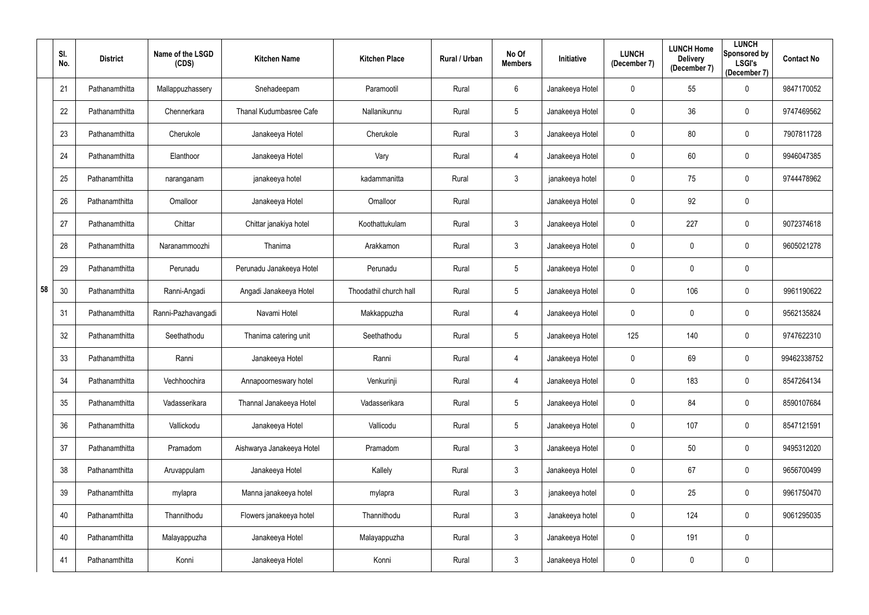|    | SI.<br>No. | <b>District</b> | Name of the LSGD<br>(CDS) | <b>Kitchen Name</b>            | <b>Kitchen Place</b>   | Rural / Urban | No Of<br><b>Members</b> | Initiative      | <b>LUNCH</b><br>(December 7) | <b>LUNCH Home</b><br><b>Delivery</b><br>(December 7) | <b>LUNCH</b><br>Sponsored by<br><b>LSGI's</b><br>(December 7) | <b>Contact No</b> |
|----|------------|-----------------|---------------------------|--------------------------------|------------------------|---------------|-------------------------|-----------------|------------------------------|------------------------------------------------------|---------------------------------------------------------------|-------------------|
|    | 21         | Pathanamthitta  | Mallappuzhassery          | Snehadeepam                    | Paramootil             | Rural         | 6                       | Janakeeya Hotel | 0                            | 55                                                   | $\mathbf 0$                                                   | 9847170052        |
|    | 22         | Pathanamthitta  | Chennerkara               | <b>Thanal Kudumbasree Cafe</b> | Nallanikunnu           | Rural         | 5                       | Janakeeya Hotel | 0                            | 36                                                   | $\mathbf 0$                                                   | 9747469562        |
|    | 23         | Pathanamthitta  | Cherukole                 | Janakeeya Hotel                | Cherukole              | Rural         | $\mathbf{3}$            | Janakeeya Hotel | $\mathbf 0$                  | 80                                                   | $\overline{0}$                                                | 7907811728        |
|    | 24         | Pathanamthitta  | Elanthoor                 | Janakeeya Hotel                | Vary                   | Rural         | 4                       | Janakeeya Hotel | 0                            | 60                                                   | $\overline{0}$                                                | 9946047385        |
|    | 25         | Pathanamthitta  | naranganam                | janakeeya hotel                | kadammanitta           | Rural         | $\mathfrak{Z}$          | janakeeya hotel | 0                            | 75                                                   | $\overline{0}$                                                | 9744478962        |
|    | 26         | Pathanamthitta  | Omalloor                  | Janakeeya Hotel                | Omalloor               | Rural         |                         | Janakeeya Hotel | 0                            | 92                                                   | $\overline{0}$                                                |                   |
|    | 27         | Pathanamthitta  | Chittar                   | Chittar janakiya hotel         | Koothattukulam         | Rural         | 3                       | Janakeeya Hotel | 0                            | 227                                                  | $\overline{0}$                                                | 9072374618        |
|    | 28         | Pathanamthitta  | Naranammoozhi             | Thanima                        | Arakkamon              | Rural         | $\mathfrak{Z}$          | Janakeeya Hotel | 0                            | $\mathbf 0$                                          | $\overline{0}$                                                | 9605021278        |
|    | 29         | Pathanamthitta  | Perunadu                  | Perunadu Janakeeya Hotel       | Perunadu               | Rural         | 5                       | Janakeeya Hotel | $\mathbf 0$                  | $\mathbf 0$                                          | $\overline{0}$                                                |                   |
| 58 | 30         | Pathanamthitta  | Ranni-Angadi              | Angadi Janakeeya Hotel         | Thoodathil church hall | Rural         | $5\phantom{.0}$         | Janakeeya Hotel | $\mathbf 0$                  | 106                                                  | $\overline{0}$                                                | 9961190622        |
|    | 31         | Pathanamthitta  | Ranni-Pazhavangadi        | Navami Hotel                   | Makkappuzha            | Rural         | 4                       | Janakeeya Hotel | 0                            | $\mathbf 0$                                          | $\mathbf 0$                                                   | 9562135824        |
|    | 32         | Pathanamthitta  | Seethathodu               | Thanima catering unit          | Seethathodu            | Rural         | 5                       | Janakeeya Hotel | 125                          | 140                                                  | $\overline{0}$                                                | 9747622310        |
|    | 33         | Pathanamthitta  | Ranni                     | Janakeeya Hotel                | Ranni                  | Rural         | 4                       | Janakeeya Hotel | 0                            | 69                                                   | $\mathbf 0$                                                   | 99462338752       |
|    | 34         | Pathanamthitta  | Vechhoochira              | Annapoorneswary hotel          | Venkurinji             | Rural         | 4                       | Janakeeya Hotel | $\pmb{0}$                    | 183                                                  | $\overline{0}$                                                | 8547264134        |
|    | 35         | Pathanamthitta  | Vadasserikara             | Thannal Janakeeya Hotel        | Vadasserikara          | Rural         | $5\phantom{.0}$         | Janakeeya Hotel | $\mathbf 0$                  | 84                                                   | $\mathbf 0$                                                   | 8590107684        |
|    | 36         | Pathanamthitta  | Vallickodu                | Janakeeya Hotel                | Vallicodu              | Rural         | $5\phantom{.0}$         | Janakeeya Hotel | $\mathbf 0$                  | 107                                                  | $\mathbf 0$                                                   | 8547121591        |
|    | 37         | Pathanamthitta  | Pramadom                  | Aishwarya Janakeeya Hotel      | Pramadom               | Rural         | $\mathfrak{Z}$          | Janakeeya Hotel | 0                            | 50                                                   | $\mathbf 0$                                                   | 9495312020        |
|    | 38         | Pathanamthitta  | Aruvappulam               | Janakeeya Hotel                | Kallely                | Rural         | $\mathfrak{Z}$          | Janakeeya Hotel | $\mathbf 0$                  | 67                                                   | $\mathbf 0$                                                   | 9656700499        |
|    | 39         | Pathanamthitta  | mylapra                   | Manna janakeeya hotel          | mylapra                | Rural         | $\mathbf{3}$            | janakeeya hotel | $\mathbf 0$                  | 25                                                   | $\mathbf 0$                                                   | 9961750470        |
|    | 40         | Pathanamthitta  | Thannithodu               | Flowers janakeeya hotel        | Thannithodu            | Rural         | $\mathfrak{Z}$          | Janakeeya hotel | $\mathbf 0$                  | 124                                                  | $\mathbf 0$                                                   | 9061295035        |
|    | 40         | Pathanamthitta  | Malayappuzha              | Janakeeya Hotel                | Malayappuzha           | Rural         | $\mathfrak{Z}$          | Janakeeya Hotel | $\pmb{0}$                    | 191                                                  | $\mathbf 0$                                                   |                   |
|    | 41         | Pathanamthitta  | Konni                     | Janakeeya Hotel                | Konni                  | Rural         | $\mathfrak{Z}$          | Janakeeya Hotel | 0                            | $\pmb{0}$                                            | $\overline{0}$                                                |                   |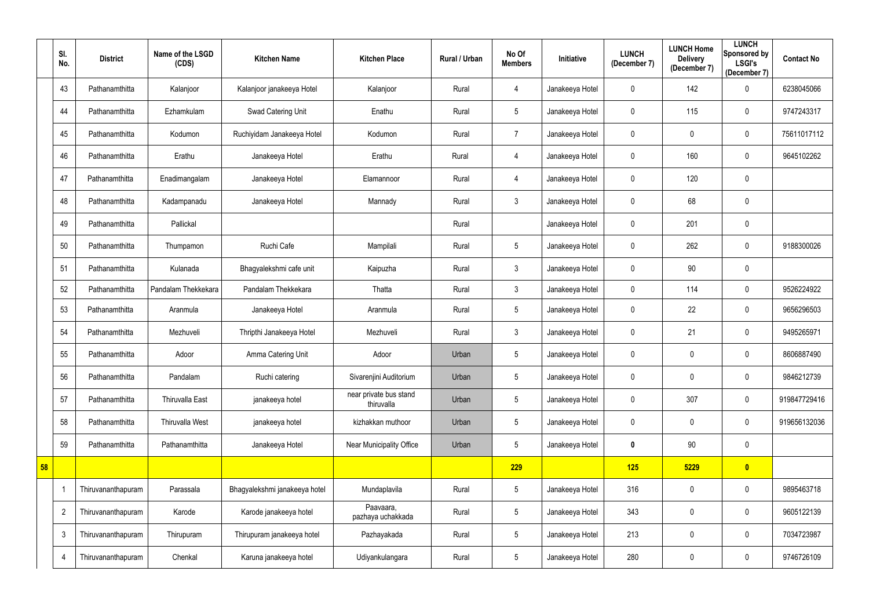|    | SI.<br>No.     | <b>District</b>    | Name of the LSGD<br>(CDS) | <b>Kitchen Name</b>           | <b>Kitchen Place</b>                 | Rural / Urban | No Of<br><b>Members</b> | Initiative      | <b>LUNCH</b><br>(December 7) | <b>LUNCH Home</b><br><b>Delivery</b><br>(December 7) | <b>LUNCH</b><br>Sponsored by<br><b>LSGI's</b><br>(December 7) | <b>Contact No</b> |
|----|----------------|--------------------|---------------------------|-------------------------------|--------------------------------------|---------------|-------------------------|-----------------|------------------------------|------------------------------------------------------|---------------------------------------------------------------|-------------------|
|    | 43             | Pathanamthitta     | Kalanjoor                 | Kalanjoor janakeeya Hotel     | Kalanjoor                            | Rural         | 4                       | Janakeeya Hotel | $\mathbf 0$                  | 142                                                  | 0                                                             | 6238045066        |
|    | 44             | Pathanamthitta     | Ezhamkulam                | Swad Catering Unit            | Enathu                               | Rural         | $5\phantom{.0}$         | Janakeeya Hotel | $\mathbf 0$                  | 115                                                  | $\overline{0}$                                                | 9747243317        |
|    | 45             | Pathanamthitta     | Kodumon                   | Ruchiyidam Janakeeya Hotel    | Kodumon                              | Rural         | $\overline{7}$          | Janakeeya Hotel | 0                            | $\mathbf 0$                                          | $\overline{0}$                                                | 75611017112       |
|    | 46             | Pathanamthitta     | Erathu                    | Janakeeya Hotel               | Erathu                               | Rural         | 4                       | Janakeeya Hotel | 0                            | 160                                                  | $\overline{0}$                                                | 9645102262        |
|    | 47             | Pathanamthitta     | Enadimangalam             | Janakeeya Hotel               | Elamannoor                           | Rural         | 4                       | Janakeeya Hotel | 0                            | 120                                                  | $\overline{0}$                                                |                   |
|    | 48             | Pathanamthitta     | Kadampanadu               | Janakeeya Hotel               | Mannady                              | Rural         | $\mathfrak{Z}$          | Janakeeya Hotel | 0                            | 68                                                   | $\overline{0}$                                                |                   |
|    | 49             | Pathanamthitta     | Pallickal                 |                               |                                      | Rural         |                         | Janakeeya Hotel | $\mathbf 0$                  | 201                                                  | $\overline{0}$                                                |                   |
|    | 50             | Pathanamthitta     | Thumpamon                 | Ruchi Cafe                    | Mampilali                            | Rural         | $\sqrt{5}$              | Janakeeya Hotel | $\mathbf 0$                  | 262                                                  | $\overline{0}$                                                | 9188300026        |
|    | 51             | Pathanamthitta     | Kulanada                  | Bhagyalekshmi cafe unit       | Kaipuzha                             | Rural         | $\mathfrak{Z}$          | Janakeeya Hotel | 0                            | 90                                                   | $\overline{0}$                                                |                   |
|    | 52             | Pathanamthitta     | Pandalam Thekkekara       | Pandalam Thekkekara           | Thatta                               | Rural         | $\mathbf{3}$            | Janakeeya Hotel | $\mathbf 0$                  | 114                                                  | $\mathbf 0$                                                   | 9526224922        |
|    | 53             | Pathanamthitta     | Aranmula                  | Janakeeya Hotel               | Aranmula                             | Rural         | 5                       | Janakeeya Hotel | $\mathbf 0$                  | 22                                                   | $\mathbf 0$                                                   | 9656296503        |
|    | 54             | Pathanamthitta     | Mezhuveli                 | Thripthi Janakeeya Hotel      | Mezhuveli                            | Rural         | $\mathbf{3}$            | Janakeeya Hotel | 0                            | 21                                                   | $\overline{0}$                                                | 9495265971        |
|    | 55             | Pathanamthitta     | Adoor                     | Amma Catering Unit            | Adoor                                | Urban         | $5\phantom{.0}$         | Janakeeya Hotel | 0                            | $\overline{0}$                                       | $\mathbf 0$                                                   | 8606887490        |
|    | 56             | Pathanamthitta     | Pandalam                  | Ruchi catering                | Sivarenjini Auditorium               | Urban         | 5                       | Janakeeya Hotel | $\mathbf 0$                  | $\mathbf 0$                                          | $\overline{0}$                                                | 9846212739        |
|    | 57             | Pathanamthitta     | Thiruvalla East           | janakeeya hotel               | near private bus stand<br>thiruvalla | Urban         | $\overline{5}$          | Janakeeya Hotel | $\mathbf 0$                  | 307                                                  | $\mathbf 0$                                                   | 919847729416      |
|    | 58             | Pathanamthitta     | <b>Thiruvalla West</b>    | janakeeya hotel               | kizhakkan muthoor                    | Urban         | 5                       | Janakeeya Hotel | 0                            | $\mathbf 0$                                          | $\mathbf 0$                                                   | 919656132036      |
|    | 59             | Pathanamthitta     | Pathanamthitta            | Janakeeya Hotel               | <b>Near Municipality Office</b>      | Urban         | 5                       | Janakeeya Hotel | 0                            | 90                                                   | $\overline{0}$                                                |                   |
| 58 |                |                    |                           |                               |                                      |               | 229                     |                 | 125                          | 5229                                                 | $\bullet$                                                     |                   |
|    |                | Thiruvananthapuram | Parassala                 | Bhagyalekshmi janakeeya hotel | Mundaplavila                         | Rural         | 5                       | Janakeeya Hotel | 316                          | $\mathbf 0$                                          | $\overline{0}$                                                | 9895463718        |
|    | $\overline{2}$ | Thiruvananthapuram | Karode                    | Karode janakeeya hotel        | Paavaara,<br>pazhaya uchakkada       | Rural         | $5\,$                   | Janakeeya Hotel | 343                          | $\mathbf 0$                                          | $\overline{0}$                                                | 9605122139        |
|    | $\mathfrak{Z}$ | Thiruvananthapuram | Thirupuram                | Thirupuram janakeeya hotel    | Pazhayakada                          | Rural         | $5\phantom{.0}$         | Janakeeya Hotel | 213                          | $\mathbf 0$                                          | $\overline{0}$                                                | 7034723987        |
|    | 4              | Thiruvananthapuram | Chenkal                   | Karuna janakeeya hotel        | Udiyankulangara                      | Rural         | $5\,$                   | Janakeeya Hotel | 280                          | $\overline{0}$                                       | $\mathbf 0$                                                   | 9746726109        |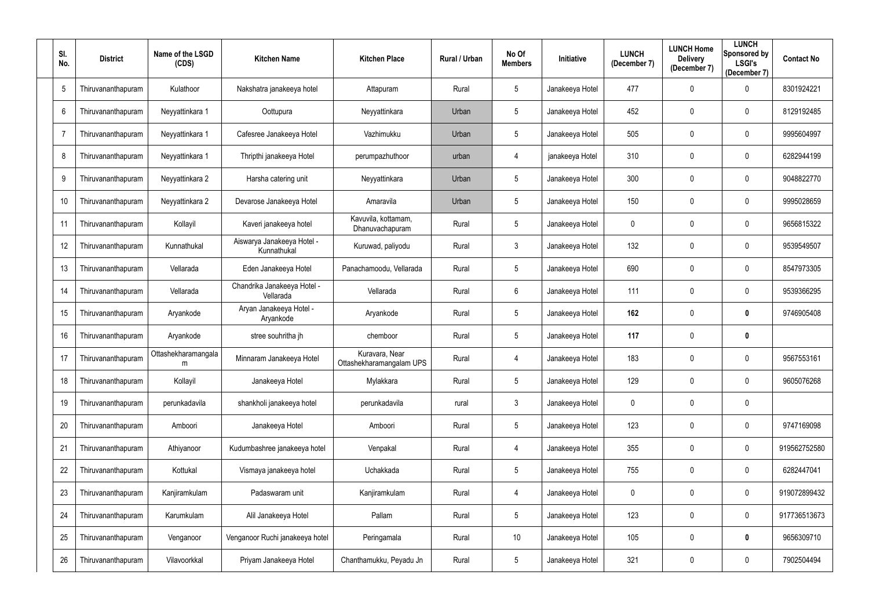| SI.<br>No.     | <b>District</b>    | Name of the LSGD<br>(CDS) | <b>Kitchen Name</b>                       | <b>Kitchen Place</b>                       | Rural / Urban | No Of<br><b>Members</b> | Initiative      | <b>LUNCH</b><br>(December 7) | <b>LUNCH Home</b><br><b>Delivery</b><br>(December 7) | <b>LUNCH</b><br><b>Sponsored by</b><br><b>LSGI's</b><br>(December 7) | <b>Contact No</b> |
|----------------|--------------------|---------------------------|-------------------------------------------|--------------------------------------------|---------------|-------------------------|-----------------|------------------------------|------------------------------------------------------|----------------------------------------------------------------------|-------------------|
| 5              | Thiruvananthapuram | Kulathoor                 | Nakshatra janakeeya hotel                 | Attapuram                                  | Rural         | 5                       | Janakeeya Hotel | 477                          | $\boldsymbol{0}$                                     | 0                                                                    | 8301924221        |
| 6              | Thiruvananthapuram | Neyyattinkara 1           | Oottupura                                 | Neyyattinkara                              | Urban         | 5                       | Janakeeya Hotel | 452                          | $\mathbf 0$                                          | 0                                                                    | 8129192485        |
| $\overline{7}$ | Thiruvananthapuram | Neyyattinkara 1           | Cafesree Janakeeya Hotel                  | Vazhimukku                                 | Urban         | $5\phantom{.0}$         | Janakeeya Hotel | 505                          | $\mathbf 0$                                          | $\mathbf 0$                                                          | 9995604997        |
| 8              | Thiruvananthapuram | Neyyattinkara 1           | Thripthi janakeeya Hotel                  | perumpazhuthoor                            | urban         | 4                       | janakeeya Hotel | 310                          | 0                                                    | $\mathbf 0$                                                          | 6282944199        |
| 9              | Thiruvananthapuram | Neyyattinkara 2           | Harsha catering unit                      | Neyyattinkara                              | Urban         | $5\phantom{.0}$         | Janakeeya Hotel | 300                          | $\mathbf 0$                                          | $\mathbf 0$                                                          | 9048822770        |
| 10             | Thiruvananthapuram | Neyyattinkara 2           | Devarose Janakeeya Hotel                  | Amaravila                                  | Urban         | $5\phantom{.0}$         | Janakeeya Hotel | 150                          | $\mathbf 0$                                          | 0                                                                    | 9995028659        |
| 11             | Thiruvananthapuram | Kollayil                  | Kaveri janakeeya hotel                    | Kavuvila, kottamam,<br>Dhanuvachapuram     | Rural         | 5 <sup>5</sup>          | Janakeeya Hotel | 0                            | $\mathbf 0$                                          | $\mathbf 0$                                                          | 9656815322        |
| 12             | Thiruvananthapuram | Kunnathukal               | Aiswarya Janakeeya Hotel -<br>Kunnathukal | Kuruwad, paliyodu                          | Rural         | 3                       | Janakeeya Hotel | 132                          | 0                                                    | $\mathbf 0$                                                          | 9539549507        |
| 13             | Thiruvananthapuram | Vellarada                 | Eden Janakeeya Hotel                      | Panachamoodu, Vellarada                    | Rural         | $5\phantom{.0}$         | Janakeeya Hotel | 690                          | $\mathbf 0$                                          | $\mathbf 0$                                                          | 8547973305        |
| 14             | Thiruvananthapuram | Vellarada                 | Chandrika Janakeeya Hotel -<br>Vellarada  | Vellarada                                  | Rural         | $6\phantom{.}$          | Janakeeya Hotel | 111                          | $\mathbf 0$                                          | $\mathbf 0$                                                          | 9539366295        |
| 15             | Thiruvananthapuram | Aryankode                 | Aryan Janakeeya Hotel -<br>Aryankode      | Aryankode                                  | Rural         | $5\phantom{.0}$         | Janakeeya Hotel | 162                          | $\boldsymbol{0}$                                     | 0                                                                    | 9746905408        |
| 16             | Thiruvananthapuram | Aryankode                 | stree souhritha jh                        | chemboor                                   | Rural         | 5                       | Janakeeya Hotel | 117                          | $\mathbf 0$                                          | 0                                                                    |                   |
| 17             | Thiruvananthapuram | Ottashekharamangala<br>m  | Minnaram Janakeeya Hotel                  | Kuravara, Near<br>Ottashekharamangalam UPS | Rural         | 4                       | Janakeeya Hotel | 183                          | $\mathbf 0$                                          | 0                                                                    | 9567553161        |
| 18             | Thiruvananthapuram | Kollayil                  | Janakeeya Hotel                           | Mylakkara                                  | Rural         | $5\phantom{.0}$         | Janakeeya Hotel | 129                          | 0                                                    | $\bf{0}$                                                             | 9605076268        |
| 19             | Thiruvananthapuram | perunkadavila             | shankholi janakeeya hotel                 | perunkadavila                              | rural         | $\mathbf{3}$            | Janakeeya Hotel | 0                            | $\boldsymbol{0}$                                     | $\overline{0}$                                                       |                   |
| 20             | Thiruvananthapuram | Amboori                   | Janakeeya Hotel                           | Amboori                                    | Rural         | $5\phantom{.0}$         | Janakeeya Hotel | 123                          | $\boldsymbol{0}$                                     | $\boldsymbol{0}$                                                     | 9747169098        |
| 21             | Thiruvananthapuram | Athiyanoor                | Kudumbashree janakeeya hotel              | Venpakal                                   | Rural         | 4                       | Janakeeya Hotel | 355                          | $\boldsymbol{0}$                                     | $\boldsymbol{0}$                                                     | 919562752580      |
| 22             | Thiruvananthapuram | Kottukal                  | Vismaya janakeeya hotel                   | Uchakkada                                  | Rural         | $\overline{5}$          | Janakeeya Hotel | 755                          | $\boldsymbol{0}$                                     | $\boldsymbol{0}$                                                     | 6282447041        |
| 23             | Thiruvananthapuram | Kanjiramkulam             | Padaswaram unit                           | Kanjiramkulam                              | Rural         | 4                       | Janakeeya Hotel | 0                            | $\boldsymbol{0}$                                     | $\boldsymbol{0}$                                                     | 919072899432      |
| 24             | Thiruvananthapuram | Karumkulam                | Alil Janakeeya Hotel                      | Pallam                                     | Rural         | $5\phantom{.0}$         | Janakeeya Hotel | 123                          | $\boldsymbol{0}$                                     | $\mathbf{0}$                                                         | 917736513673      |
| 25             | Thiruvananthapuram | Venganoor                 | Venganoor Ruchi janakeeya hotel           | Peringamala                                | Rural         | 10                      | Janakeeya Hotel | 105                          | $\boldsymbol{0}$                                     | $\bm{0}$                                                             | 9656309710        |
| 26             | Thiruvananthapuram | Vilavoorkkal              | Priyam Janakeeya Hotel                    | Chanthamukku, Peyadu Jn                    | Rural         | $5\phantom{.0}$         | Janakeeya Hotel | 321                          | $\boldsymbol{0}$                                     | $\boldsymbol{0}$                                                     | 7902504494        |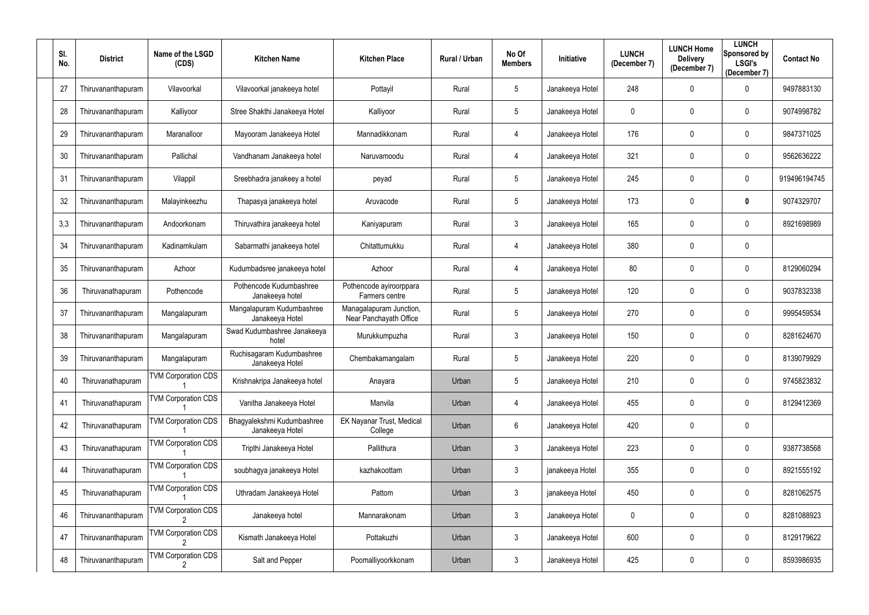| SI.<br>No. | <b>District</b>    | Name of the LSGD<br>(CDS)  | <b>Kitchen Name</b>                           | <b>Kitchen Place</b>                              | Rural / Urban | No Of<br><b>Members</b> | Initiative      | <b>LUNCH</b><br>(December 7) | <b>LUNCH Home</b><br><b>Delivery</b><br>(December 7) | <b>LUNCH</b><br>Sponsored by<br><b>LSGI's</b><br>(December 7) | <b>Contact No</b> |
|------------|--------------------|----------------------------|-----------------------------------------------|---------------------------------------------------|---------------|-------------------------|-----------------|------------------------------|------------------------------------------------------|---------------------------------------------------------------|-------------------|
| 27         | Thiruvananthapuram | Vilavoorkal                | Vilavoorkal janakeeya hotel                   | Pottayil                                          | Rural         | 5                       | Janakeeya Hotel | 248                          | $\mathbf 0$                                          | 0                                                             | 9497883130        |
| 28         | Thiruvananthapuram | Kalliyoor                  | Stree Shakthi Janakeeya Hotel                 | Kalliyoor                                         | Rural         | 5                       | Janakeeya Hotel | 0                            | $\mathbf{0}$                                         | 0                                                             | 9074998782        |
| 29         | Thiruvananthapuram | Maranalloor                | Mayooram Janakeeya Hotel                      | Mannadikkonam                                     | Rural         | 4                       | Janakeeya Hotel | 176                          | $\mathbf{0}$                                         | $\mathbf 0$                                                   | 9847371025        |
| 30         | Thiruvananthapuram | Pallichal                  | Vandhanam Janakeeya hotel                     | Naruvamoodu                                       | Rural         | 4                       | Janakeeya Hotel | 321                          | 0                                                    | $\mathbf 0$                                                   | 9562636222        |
| 31         | Thiruvananthapuram | Vilappil                   | Sreebhadra janakeey a hotel                   | peyad                                             | Rural         | $5\phantom{.0}$         | Janakeeya Hotel | 245                          | $\mathbf 0$                                          | $\mathbf 0$                                                   | 919496194745      |
| 32         | Thiruvananthapuram | Malayinkeezhu              | Thapasya janakeeya hotel                      | Aruvacode                                         | Rural         | 5                       | Janakeeya Hotel | 173                          | $\mathbf 0$                                          | 0                                                             | 9074329707        |
| 3,3        | Thiruvananthapuram | Andoorkonam                | Thiruvathira janakeeya hotel                  | Kaniyapuram                                       | Rural         | 3 <sup>1</sup>          | Janakeeya Hotel | 165                          | $\mathbf 0$                                          | 0                                                             | 8921698989        |
| 34         | Thiruvananthapuram | Kadinamkulam               | Sabarmathi janakeeya hotel                    | Chitattumukku                                     | Rural         | 4                       | Janakeeya Hotel | 380                          | 0                                                    | $\mathbf 0$                                                   |                   |
| 35         | Thiruvananthapuram | Azhoor                     | Kudumbadsree janakeeya hotel                  | Azhoor                                            | Rural         | 4                       | Janakeeya Hotel | 80                           | $\mathbf 0$                                          | $\mathbf 0$                                                   | 8129060294        |
| 36         | Thiruvanathapuram  | Pothencode                 | Pothencode Kudumbashree<br>Janakeeya hotel    | Pothencode ayiroorppara<br>Farmers centre         | Rural         | 5                       | Janakeeya Hotel | 120                          | $\mathbf 0$                                          | $\mathbf 0$                                                   | 9037832338        |
| 37         | Thiruvananthapuram | Mangalapuram               | Mangalapuram Kudumbashree<br>Janakeeya Hotel  | Managalapuram Junction,<br>Near Panchayath Office | Rural         | 5                       | Janakeeya Hotel | 270                          | $\mathbf 0$                                          | 0                                                             | 9995459534        |
| 38         | Thiruvananthapuram | Mangalapuram               | Swad Kudumbashree Janakeeya<br>hotel          | Murukkumpuzha                                     | Rural         | 3                       | Janakeeya Hotel | 150                          | 0                                                    | 0                                                             | 8281624670        |
| 39         | Thiruvananthapuram | Mangalapuram               | Ruchisagaram Kudumbashree<br>Janakeeya Hotel  | Chembakamangalam                                  | Rural         | 5                       | Janakeeya Hotel | 220                          | $\mathbf 0$                                          | 0                                                             | 8139079929        |
| 40         | Thiruvanathapuram  | <b>TVM Corporation CDS</b> | Krishnakripa Janakeeya hotel                  | Anayara                                           | Urban         | 5 <sup>5</sup>          | Janakeeya Hotel | 210                          | 0                                                    | $\boldsymbol{0}$                                              | 9745823832        |
| 41         | Thiruvanathapuram  | <b>TVM Corporation CDS</b> | Vanitha Janakeeya Hotel                       | Manvila                                           | Urban         | 4                       | Janakeeya Hotel | 455                          | $\mathbf 0$                                          | $\overline{0}$                                                | 8129412369        |
| 42         | Thiruvanathapuram  | <b>TVM Corporation CDS</b> | Bhagyalekshmi Kudumbashree<br>Janakeeya Hotel | EK Nayanar Trust, Medical<br>College              | Urban         | $6\overline{6}$         | Janakeeya Hotel | 420                          | $\boldsymbol{0}$                                     | $\boldsymbol{0}$                                              |                   |
| 43         | Thiruvanathapuram  | <b>TVM Corporation CDS</b> | Tripthi Janakeeya Hotel                       | Pallithura                                        | Urban         | $\mathfrak{Z}$          | Janakeeya Hotel | 223                          | $\boldsymbol{0}$                                     | $\mathbf 0$                                                   | 9387738568        |
| 44         | Thiruvanathapuram  | <b>TVM Corporation CDS</b> | soubhagya janakeeya Hotel                     | kazhakoottam                                      | Urban         | $\mathfrak{Z}$          | janakeeya Hotel | 355                          | $\boldsymbol{0}$                                     | $\mathbf 0$                                                   | 8921555192        |
| 45         | Thiruvanathapuram  | <b>TVM Corporation CDS</b> | Uthradam Janakeeya Hotel                      | Pattom                                            | Urban         | $\mathbf{3}$            | janakeeya Hotel | 450                          | $\boldsymbol{0}$                                     | $\mathbf 0$                                                   | 8281062575        |
| 46         | Thiruvananthapuram | <b>TVM Corporation CDS</b> | Janakeeya hotel                               | Mannarakonam                                      | Urban         | $\mathbf{3}$            | Janakeeya Hotel | 0                            | $\boldsymbol{0}$                                     | $\overline{0}$                                                | 8281088923        |
| 47         | Thiruvananthapuram | <b>TVM Corporation CDS</b> | Kismath Janakeeya Hotel                       | Pottakuzhi                                        | Urban         | $\mathfrak{Z}$          | Janakeeya Hotel | 600                          | $\boldsymbol{0}$                                     | $\mathbf 0$                                                   | 8129179622        |
| 48         | Thiruvananthapuram | <b>TVM Corporation CDS</b> | Salt and Pepper                               | Poomalliyoorkkonam                                | Urban         | $\mathfrak{Z}$          | Janakeeya Hotel | 425                          | $\boldsymbol{0}$                                     | $\mathbf 0$                                                   | 8593986935        |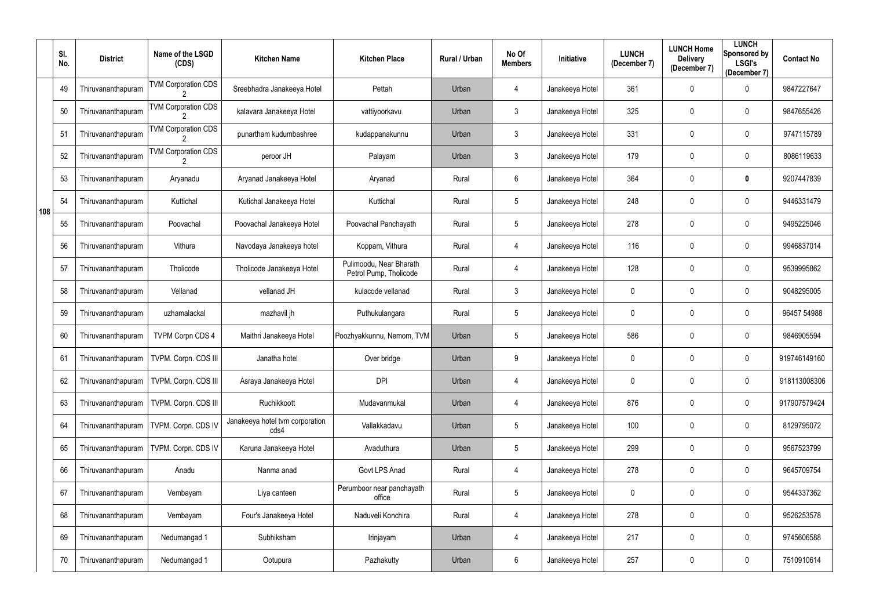|     | SI.<br>No. | <b>District</b>    | Name of the LSGD<br>(CDS)                   | <b>Kitchen Name</b>                     | <b>Kitchen Place</b>                              | Rural / Urban | No Of<br><b>Members</b> | Initiative      | <b>LUNCH</b><br>(December 7) | <b>LUNCH Home</b><br><b>Delivery</b><br>(December 7) | <b>LUNCH</b><br><b>Sponsored by</b><br><b>LSGI's</b><br>(December 7) | <b>Contact No</b> |
|-----|------------|--------------------|---------------------------------------------|-----------------------------------------|---------------------------------------------------|---------------|-------------------------|-----------------|------------------------------|------------------------------------------------------|----------------------------------------------------------------------|-------------------|
|     | 49         | Thiruvananthapuram | <b>TVM Corporation CDS</b>                  | Sreebhadra Janakeeya Hotel              | Pettah                                            | Urban         | 4                       | Janakeeya Hotel | 361                          | $\mathbf 0$                                          | $\mathbf 0$                                                          | 9847227647        |
|     | 50         | Thiruvananthapuram | <b>TVM Corporation CDS</b>                  | kalavara Janakeeya Hotel                | vattiyoorkavu                                     | Urban         | $\mathbf{3}$            | Janakeeya Hotel | 325                          | $\mathbf 0$                                          | $\mathbf 0$                                                          | 9847655426        |
|     | 51         | Thiruvananthapuram | <b>TVM Corporation CDS</b>                  | punartham kudumbashree                  | kudappanakunnu                                    | Urban         | $\mathfrak{Z}$          | Janakeeya Hotel | 331                          | $\mathbf 0$                                          | $\overline{0}$                                                       | 9747115789        |
|     | 52         | Thiruvananthapuram | <b>TVM Corporation CDS</b><br>$\mathcal{P}$ | peroor JH                               | Palayam                                           | Urban         | $\mathbf{3}$            | Janakeeya Hotel | 179                          | $\mathbf 0$                                          | $\mathbf 0$                                                          | 8086119633        |
|     | 53         | Thiruvananthapuram | Aryanadu                                    | Aryanad Janakeeya Hotel                 | Aryanad                                           | Rural         | 6                       | Janakeeya Hotel | 364                          | $\mathbf 0$                                          | $\mathbf 0$                                                          | 9207447839        |
| 108 | 54         | Thiruvananthapuram | Kuttichal                                   | Kutichal Janakeeya Hotel                | Kuttichal                                         | Rural         | $5\phantom{.0}$         | Janakeeya Hotel | 248                          | $\mathbf 0$                                          | $\boldsymbol{0}$                                                     | 9446331479        |
|     | 55         | Thiruvananthapuram | Poovachal                                   | Poovachal Janakeeya Hotel               | Poovachal Panchayath                              | Rural         | $5\phantom{.0}$         | Janakeeya Hotel | 278                          | $\mathbf 0$                                          | $\mathbf 0$                                                          | 9495225046        |
|     | 56         | Thiruvananthapuram | Vithura                                     | Navodaya Janakeeya hotel                | Koppam, Vithura                                   | Rural         | 4                       | Janakeeya Hotel | 116                          | $\mathbf 0$                                          | $\mathbf 0$                                                          | 9946837014        |
|     | 57         | Thiruvananthapuram | Tholicode                                   | Tholicode Janakeeya Hotel               | Pulimoodu, Near Bharath<br>Petrol Pump, Tholicode | Rural         | 4                       | Janakeeya Hotel | 128                          | $\mathbf 0$                                          | $\mathbf 0$                                                          | 9539995862        |
|     | 58         | Thiruvananthapuram | Vellanad                                    | vellanad JH                             | kulacode vellanad                                 | Rural         | $\mathbf{3}$            | Janakeeya Hotel | $\mathbf 0$                  | $\mathbf 0$                                          | $\mathbf 0$                                                          | 9048295005        |
|     | 59         | Thiruvananthapuram | uzhamalackal                                | mazhavil jh                             | Puthukulangara                                    | Rural         | $5\phantom{.0}$         | Janakeeya Hotel | 0                            | $\mathbf 0$                                          | $\mathbf 0$                                                          | 96457 54988       |
|     | 60         | Thiruvananthapuram | <b>TVPM Corpn CDS 4</b>                     | Maithri Janakeeya Hotel                 | Poozhyakkunnu, Nemom, TVM                         | Urban         | $5\phantom{.0}$         | Janakeeya Hotel | 586                          | $\mathbf 0$                                          | $\overline{0}$                                                       | 9846905594        |
|     | 61         | Thiruvananthapuram | TVPM. Corpn. CDS III                        | Janatha hotel                           | Over bridge                                       | Urban         | 9                       | Janakeeya Hotel | 0                            | $\mathbf 0$                                          | $\mathbf 0$                                                          | 919746149160      |
|     | 62         | Thiruvananthapuram | TVPM. Corpn. CDS III                        | Asraya Janakeeya Hotel                  | <b>DPI</b>                                        | Urban         | 4                       | Janakeeya Hotel | 0                            | $\mathbf 0$                                          | $\mathbf 0$                                                          | 918113008306      |
|     | 63         | Thiruvananthapuram | TVPM. Corpn. CDS III                        | Ruchikkoott                             | Mudavanmukal                                      | Urban         | 4                       | Janakeeya Hotel | 876                          | $\mathbf 0$                                          | $\overline{0}$                                                       | 917907579424      |
|     | 64         | Thiruvananthapuram | TVPM. Corpn. CDS IV                         | Janakeeya hotel tvm corporation<br>cds4 | Vallakkadavu                                      | Urban         | $\overline{5}$          | Janakeeya Hotel | 100                          | $\overline{0}$                                       | $\overline{0}$                                                       | 8129795072        |
|     | 65         | Thiruvananthapuram | TVPM. Corpn. CDS IV                         | Karuna Janakeeya Hotel                  | Avaduthura                                        | Urban         | $5\phantom{.0}$         | Janakeeya Hotel | 299                          | $\mathbf 0$                                          | $\overline{0}$                                                       | 9567523799        |
|     | 66         | Thiruvananthapuram | Anadu                                       | Nanma anad                              | Govt LPS Anad                                     | Rural         | 4                       | Janakeeya Hotel | 278                          | $\mathbf 0$                                          | $\overline{0}$                                                       | 9645709754        |
|     | 67         | Thiruvananthapuram | Vembayam                                    | Liya canteen                            | Perumboor near panchayath<br>office               | Rural         | $5\phantom{.0}$         | Janakeeya Hotel | 0                            | $\mathbf 0$                                          | $\overline{0}$                                                       | 9544337362        |
|     | 68         | Thiruvananthapuram | Vembayam                                    | Four's Janakeeya Hotel                  | Naduveli Konchira                                 | Rural         | 4                       | Janakeeya Hotel | 278                          | $\overline{0}$                                       | $\overline{0}$                                                       | 9526253578        |
|     | 69         | Thiruvananthapuram | Nedumangad 1                                | Subhiksham                              | Irinjayam                                         | Urban         | 4                       | Janakeeya Hotel | 217                          | $\mathbf 0$                                          | $\overline{0}$                                                       | 9745606588        |
|     | 70         | Thiruvananthapuram | Nedumangad 1                                | Ootupura                                | Pazhakutty                                        | Urban         | 6                       | Janakeeya Hotel | 257                          | $\boldsymbol{0}$                                     | $\overline{0}$                                                       | 7510910614        |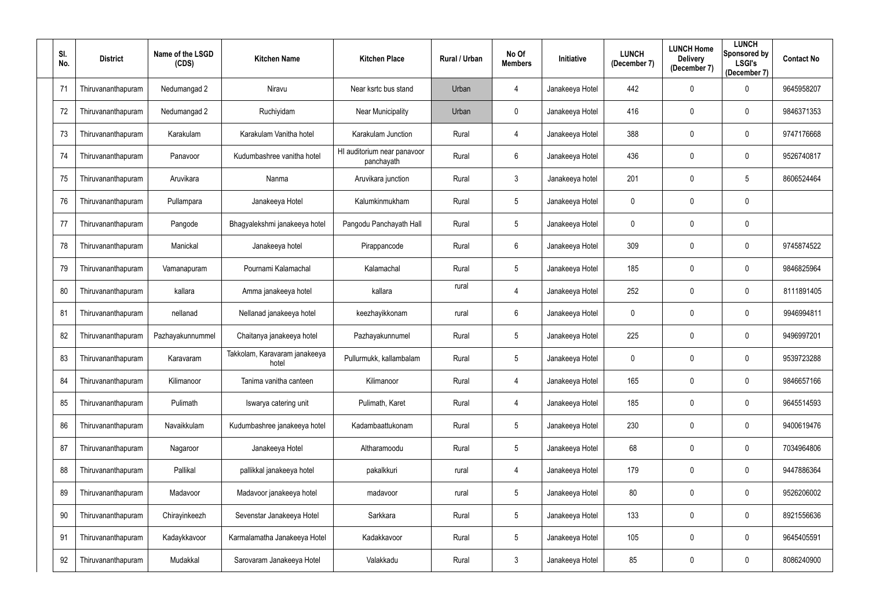| SI.<br>No. | <b>District</b>    | Name of the LSGD<br>(CDS) | <b>Kitchen Name</b>                    | <b>Kitchen Place</b>                      | Rural / Urban | No Of<br><b>Members</b> | Initiative      | <b>LUNCH</b><br>(December 7) | <b>LUNCH Home</b><br><b>Delivery</b><br>(December 7) | <b>LUNCH</b><br><b>Sponsored by</b><br><b>LSGI's</b><br>(December 7) | <b>Contact No</b> |
|------------|--------------------|---------------------------|----------------------------------------|-------------------------------------------|---------------|-------------------------|-----------------|------------------------------|------------------------------------------------------|----------------------------------------------------------------------|-------------------|
| 71         | Thiruvananthapuram | Nedumangad 2              | Niravu                                 | Near ksrtc bus stand                      | Urban         | 4                       | Janakeeya Hotel | 442                          | $\boldsymbol{0}$                                     | 0                                                                    | 9645958207        |
| 72         | Thiruvananthapuram | Nedumangad 2              | Ruchiyidam                             | <b>Near Municipality</b>                  | Urban         | 0                       | Janakeeya Hotel | 416                          | $\mathbf 0$                                          | 0                                                                    | 9846371353        |
| 73         | Thiruvananthapuram | Karakulam                 | Karakulam Vanitha hotel                | Karakulam Junction                        | Rural         | 4                       | Janakeeya Hotel | 388                          | $\mathbf 0$                                          | $\mathbf 0$                                                          | 9747176668        |
| 74         | Thiruvananthapuram | Panavoor                  | Kudumbashree vanitha hotel             | HI auditorium near panavoor<br>panchayath | Rural         | $6\phantom{.}$          | Janakeeya Hotel | 436                          | 0                                                    | $\mathbf 0$                                                          | 9526740817        |
| 75         | Thiruvananthapuram | Aruvikara                 | Nanma                                  | Aruvikara junction                        | Rural         | $\mathfrak{Z}$          | Janakeeya hotel | 201                          | $\mathbf 0$                                          | 5                                                                    | 8606524464        |
| 76         | Thiruvananthapuram | Pullampara                | Janakeeya Hotel                        | Kalumkinmukham                            | Rural         | 5 <sup>5</sup>          | Janakeeya Hotel | 0                            | $\mathbf 0$                                          | $\mathbf 0$                                                          |                   |
| 77         | Thiruvananthapuram | Pangode                   | Bhagyalekshmi janakeeya hotel          | Pangodu Panchayath Hall                   | Rural         | $5\phantom{.0}$         | Janakeeya Hotel | 0                            | $\mathbf 0$                                          | $\boldsymbol{0}$                                                     |                   |
| 78         | Thiruvananthapuram | Manickal                  | Janakeeya hotel                        | Pirappancode                              | Rural         | 6                       | Janakeeya Hotel | 309                          | 0                                                    | $\mathbf 0$                                                          | 9745874522        |
| 79         | Thiruvananthapuram | Vamanapuram               | Pournami Kalamachal                    | Kalamachal                                | Rural         | $5\phantom{.0}$         | Janakeeya Hotel | 185                          | $\mathbf 0$                                          | $\mathbf 0$                                                          | 9846825964        |
| 80         | Thiruvananthapuram | kallara                   | Amma janakeeya hotel                   | kallara                                   | rural         | 4                       | Janakeeya Hotel | 252                          | $\mathbf 0$                                          | $\mathbf 0$                                                          | 8111891405        |
| 81         | Thiruvananthapuram | nellanad                  | Nellanad janakeeya hotel               | keezhayikkonam                            | rural         | 6                       | Janakeeya Hotel | 0                            | $\mathbf 0$                                          | 0                                                                    | 9946994811        |
| 82         | Thiruvananthapuram | Pazhayakunnummel          | Chaitanya janakeeya hotel              | Pazhayakunnumel                           | Rural         | 5                       | Janakeeya Hotel | 225                          | $\mathbf 0$                                          | $\mathbf 0$                                                          | 9496997201        |
| 83         | Thiruvananthapuram | Karavaram                 | Takkolam, Karavaram janakeeya<br>hotel | Pullurmukk, kallambalam                   | Rural         | 5                       | Janakeeya Hotel | 0                            | $\mathbf 0$                                          | 0                                                                    | 9539723288        |
| 84         | Thiruvananthapuram | Kilimanoor                | Tanima vanitha canteen                 | Kilimanoor                                | Rural         | 4                       | Janakeeya Hotel | 165                          | 0                                                    | $\mathbf 0$                                                          | 9846657166        |
| 85         | Thiruvananthapuram | Pulimath                  | Iswarya catering unit                  | Pulimath, Karet                           | Rural         | 4                       | Janakeeya Hotel | 185                          | $\boldsymbol{0}$                                     | $\overline{0}$                                                       | 9645514593        |
| 86         | Thiruvananthapuram | Navaikkulam               | Kudumbashree janakeeya hotel           | Kadambaattukonam                          | Rural         | $5\phantom{.0}$         | Janakeeya Hotel | 230                          | $\boldsymbol{0}$                                     | $\mathbf 0$                                                          | 9400619476        |
| 87         | Thiruvananthapuram | Nagaroor                  | Janakeeya Hotel                        | Altharamoodu                              | Rural         | $5\phantom{.0}$         | Janakeeya Hotel | 68                           | $\pmb{0}$                                            | $\mathbf 0$                                                          | 7034964806        |
| 88         | Thiruvananthapuram | Pallikal                  | pallikkal janakeeya hotel              | pakalkkuri                                | rural         | 4                       | Janakeeya Hotel | 179                          | $\boldsymbol{0}$                                     | $\boldsymbol{0}$                                                     | 9447886364        |
| 89         | Thiruvananthapuram | Madavoor                  | Madavoor janakeeya hotel               | madavoor                                  | rural         | $5\phantom{.0}$         | Janakeeya Hotel | 80                           | $\boldsymbol{0}$                                     | $\mathbf 0$                                                          | 9526206002        |
| 90         | Thiruvananthapuram | Chirayinkeezh             | Sevenstar Janakeeya Hotel              | Sarkkara                                  | Rural         | $5\phantom{.0}$         | Janakeeya Hotel | 133                          | $\pmb{0}$                                            | $\overline{0}$                                                       | 8921556636        |
| 91         | Thiruvananthapuram | Kadaykkavoor              | Karmalamatha Janakeeya Hotel           | Kadakkavoor                               | Rural         | $5\phantom{.0}$         | Janakeeya Hotel | 105                          | $\boldsymbol{0}$                                     | $\mathbf 0$                                                          | 9645405591        |
| 92         | Thiruvananthapuram | Mudakkal                  | Sarovaram Janakeeya Hotel              | Valakkadu                                 | Rural         | $\mathfrak{Z}$          | Janakeeya Hotel | 85                           | $\boldsymbol{0}$                                     | $\mathbf 0$                                                          | 8086240900        |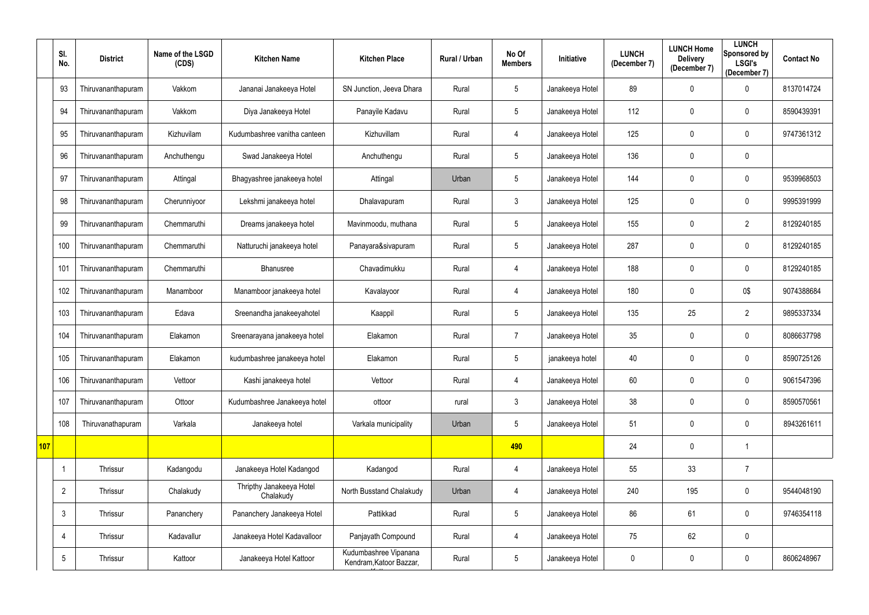|            | SI.<br>No.     | <b>District</b>    | Name of the LSGD<br>(CDS) | <b>Kitchen Name</b>                   | <b>Kitchen Place</b>                             | Rural / Urban | No Of<br><b>Members</b> | Initiative      | <b>LUNCH</b><br>(December 7) | <b>LUNCH Home</b><br><b>Delivery</b><br>(December 7) | <b>LUNCH</b><br>Sponsored by<br><b>LSGI's</b><br>(December 7) | <b>Contact No</b> |
|------------|----------------|--------------------|---------------------------|---------------------------------------|--------------------------------------------------|---------------|-------------------------|-----------------|------------------------------|------------------------------------------------------|---------------------------------------------------------------|-------------------|
|            | 93             | Thiruvananthapuram | Vakkom                    | Jananai Janakeeya Hotel               | SN Junction, Jeeva Dhara                         | Rural         | 5                       | Janakeeya Hotel | 89                           | $\mathbf 0$                                          | $\pmb{0}$                                                     | 8137014724        |
|            | 94             | Thiruvananthapuram | Vakkom                    | Diya Janakeeya Hotel                  | Panayile Kadavu                                  | Rural         | $5\phantom{.0}$         | Janakeeya Hotel | 112                          | $\mathbf 0$                                          | $\mathbf 0$                                                   | 8590439391        |
|            | 95             | Thiruvananthapuram | Kizhuvilam                | Kudumbashree vanitha canteen          | Kizhuvillam                                      | Rural         | 4                       | Janakeeya Hotel | 125                          | $\mathbf 0$                                          | $\mathbf 0$                                                   | 9747361312        |
|            | 96             | Thiruvananthapuram | Anchuthengu               | Swad Janakeeya Hotel                  | Anchuthengu                                      | Rural         | $\overline{5}$          | Janakeeya Hotel | 136                          | $\mathbf 0$                                          | $\mathbf 0$                                                   |                   |
|            | 97             | Thiruvananthapuram | Attingal                  | Bhagyashree janakeeya hotel           | Attingal                                         | Urban         | $5\phantom{.0}$         | Janakeeya Hotel | 144                          | $\mathbf 0$                                          | $\mathbf 0$                                                   | 9539968503        |
|            | 98             | Thiruvananthapuram | Cherunniyoor              | Lekshmi janakeeya hotel               | Dhalavapuram                                     | Rural         | $\mathfrak{Z}$          | Janakeeya Hotel | 125                          | $\mathbf 0$                                          | $\mathbf 0$                                                   | 9995391999        |
|            | 99             | Thiruvananthapuram | Chemmaruthi               | Dreams janakeeya hotel                | Mavinmoodu, muthana                              | Rural         | $5\phantom{.0}$         | Janakeeya Hotel | 155                          | $\mathbf 0$                                          | $\overline{2}$                                                | 8129240185        |
|            | 100            | Thiruvananthapuram | Chemmaruthi               | Natturuchi janakeeya hotel            | Panayara&sivapuram                               | Rural         | $5\,$                   | Janakeeya Hotel | 287                          | $\mathbf 0$                                          | $\mathbf 0$                                                   | 8129240185        |
|            | 101            | Thiruvananthapuram | Chemmaruthi               | Bhanusree                             | Chavadimukku                                     | Rural         | 4                       | Janakeeya Hotel | 188                          | $\mathbf 0$                                          | $\mathbf 0$                                                   | 8129240185        |
|            | 102            | Thiruvananthapuram | Manamboor                 | Manamboor janakeeya hotel             | Kavalayoor                                       | Rural         | $\overline{4}$          | Janakeeya Hotel | 180                          | $\mathbf 0$                                          | 0\$                                                           | 9074388684        |
|            | 103            | Thiruvananthapuram | Edava                     | Sreenandha janakeeyahotel             | Kaappil                                          | Rural         | $5\phantom{.0}$         | Janakeeya Hotel | 135                          | 25                                                   | $\overline{2}$                                                | 9895337334        |
|            | 104            | Thiruvananthapuram | Elakamon                  | Sreenarayana janakeeya hotel          | Elakamon                                         | Rural         | $\overline{7}$          | Janakeeya Hotel | 35                           | $\mathbf 0$                                          | $\mathbf 0$                                                   | 8086637798        |
|            | 105            | Thiruvananthapuram | Elakamon                  | kudumbashree janakeeya hotel          | Elakamon                                         | Rural         | 5                       | janakeeya hotel | 40                           | $\mathbf{0}$                                         | 0                                                             | 8590725126        |
|            | 106            | Thiruvananthapuram | Vettoor                   | Kashi janakeeya hotel                 | Vettoor                                          | Rural         | $\overline{4}$          | Janakeeya Hotel | 60                           | $\mathbf 0$                                          | $\mathbf 0$                                                   | 9061547396        |
|            | 107            | Thiruvananthapuram | Ottoor                    | Kudumbashree Janakeeya hotel          | ottoor                                           | rural         | $\mathfrak{Z}$          | Janakeeya Hotel | 38                           | $\mathbf 0$                                          | $\mathbf 0$                                                   | 8590570561        |
|            | 108            | Thiruvanathapuram  | Varkala                   | Janakeeya hotel                       | Varkala municipality                             | Urban         | $\sqrt{5}$              | Janakeeya Hotel | 51                           | $\mathbf 0$                                          | $\mathbf 0$                                                   | 8943261611        |
| <b>107</b> |                |                    |                           |                                       |                                                  |               | 490                     |                 | 24                           | $\mathbf 0$                                          | $\mathbf 1$                                                   |                   |
|            | $\overline{1}$ | Thrissur           | Kadangodu                 | Janakeeya Hotel Kadangod              | Kadangod                                         | Rural         | $\overline{4}$          | Janakeeya Hotel | 55                           | 33                                                   | $\overline{7}$                                                |                   |
|            | $\overline{2}$ | Thrissur           | Chalakudy                 | Thripthy Janakeeya Hotel<br>Chalakudy | North Busstand Chalakudy                         | Urban         | 4                       | Janakeeya Hotel | 240                          | 195                                                  | $\mathbf 0$                                                   | 9544048190        |
|            | $\mathfrak{Z}$ | Thrissur           | Pananchery                | Pananchery Janakeeya Hotel            | Pattikkad                                        | Rural         | $\sqrt{5}$              | Janakeeya Hotel | 86                           | 61                                                   | $\mathbf 0$                                                   | 9746354118        |
|            | $\overline{4}$ | Thrissur           | Kadavallur                | Janakeeya Hotel Kadavalloor           | Panjayath Compound                               | Rural         | 4                       | Janakeeya Hotel | 75                           | 62                                                   | $\pmb{0}$                                                     |                   |
|            | 5              | Thrissur           | Kattoor                   | Janakeeya Hotel Kattoor               | Kudumbashree Vipanana<br>Kendram, Katoor Bazzar, | Rural         | $\sqrt{5}$              | Janakeeya Hotel | 0                            | $\boldsymbol{0}$                                     | $\mathbf 0$                                                   | 8606248967        |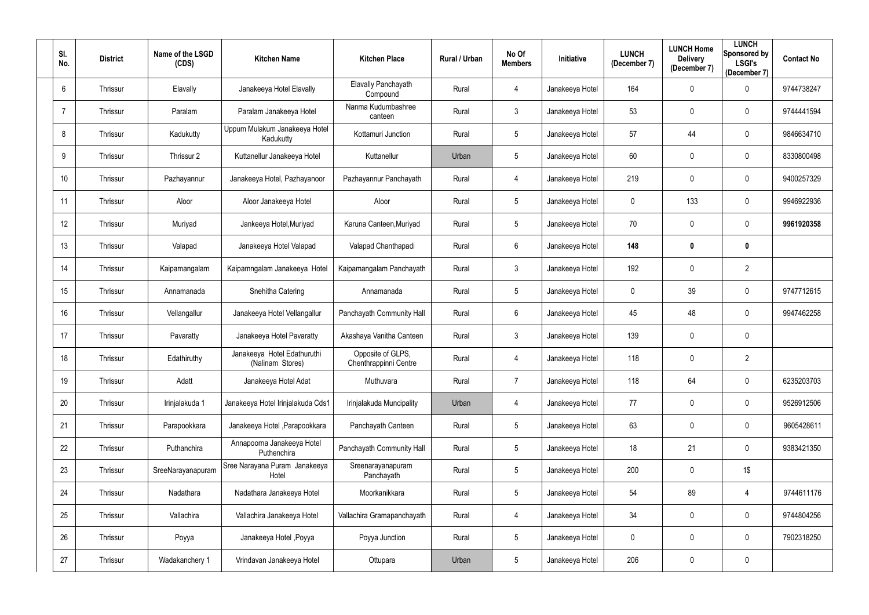| SI.<br>No.      | <b>District</b> | Name of the LSGD<br>(CDS) | <b>Kitchen Name</b>                             | <b>Kitchen Place</b>                       | <b>Rural / Urban</b> | No Of<br><b>Members</b> | Initiative      | <b>LUNCH</b><br>(December 7) | <b>LUNCH Home</b><br><b>Delivery</b><br>(December 7) | <b>LUNCH</b><br>Sponsored by<br><b>LSGI's</b><br>(December 7) | <b>Contact No</b> |
|-----------------|-----------------|---------------------------|-------------------------------------------------|--------------------------------------------|----------------------|-------------------------|-----------------|------------------------------|------------------------------------------------------|---------------------------------------------------------------|-------------------|
| $6\overline{6}$ | Thrissur        | Elavally                  | Janakeeya Hotel Elavally                        | Elavally Panchayath<br>Compound            | Rural                | 4                       | Janakeeya Hotel | 164                          | $\mathbf 0$                                          | $\mathbf 0$                                                   | 9744738247        |
|                 | Thrissur        | Paralam                   | Paralam Janakeeya Hotel                         | Nanma Kudumbashree<br>canteen              | Rural                | $\mathfrak{Z}$          | Janakeeya Hotel | 53                           | $\mathbf 0$                                          | $\mathbf 0$                                                   | 9744441594        |
| 8               | Thrissur        | Kadukutty                 | Uppum Mulakum Janakeeya Hotel<br>Kadukutty      | Kottamuri Junction                         | Rural                | $5\phantom{.0}$         | Janakeeya Hotel | 57                           | 44                                                   | $\mathbf 0$                                                   | 9846634710        |
| 9               | Thrissur        | Thrissur 2                | Kuttanellur Janakeeya Hotel                     | Kuttanellur                                | Urban                | $5\overline{)}$         | Janakeeya Hotel | 60                           | $\mathbf 0$                                          | $\mathbf 0$                                                   | 8330800498        |
| 10              | Thrissur        | Pazhayannur               | Janakeeya Hotel, Pazhayanoor                    | Pazhayannur Panchayath                     | Rural                | 4                       | Janakeeya Hotel | 219                          | $\mathbf 0$                                          | $\mathbf 0$                                                   | 9400257329        |
| 11              | Thrissur        | Aloor                     | Aloor Janakeeya Hotel                           | Aloor                                      | Rural                | 5                       | Janakeeya Hotel | 0                            | 133                                                  | $\mathbf 0$                                                   | 9946922936        |
| 12              | Thrissur        | Muriyad                   | Jankeeya Hotel, Muriyad                         | Karuna Canteen, Muriyad                    | Rural                | $5\phantom{.0}$         | Janakeeya Hotel | 70                           | $\mathbf 0$                                          | $\mathbf 0$                                                   | 9961920358        |
| 13              | Thrissur        | Valapad                   | Janakeeya Hotel Valapad                         | Valapad Chanthapadi                        | Rural                | 6                       | Janakeeya Hotel | 148                          | $\boldsymbol{0}$                                     | $\mathbf 0$                                                   |                   |
| 14              | Thrissur        | Kaipamangalam             | Kaipamngalam Janakeeya Hotel                    | Kaipamangalam Panchayath                   | Rural                | $\mathfrak{Z}$          | Janakeeya Hotel | 192                          | $\mathbf 0$                                          | $\overline{2}$                                                |                   |
| 15              | Thrissur        | Annamanada                | Snehitha Catering                               | Annamanada                                 | Rural                | 5 <sub>5</sub>          | Janakeeya Hotel | $\mathbf 0$                  | 39                                                   | $\mathbf 0$                                                   | 9747712615        |
| 16              | Thrissur        | Vellangallur              | Janakeeya Hotel Vellangallur                    | Panchayath Community Hall                  | Rural                | 6                       | Janakeeya Hotel | 45                           | 48                                                   | $\mathbf 0$                                                   | 9947462258        |
| 17              | Thrissur        | Pavaratty                 | Janakeeya Hotel Pavaratty                       | Akashaya Vanitha Canteen                   | Rural                | $\mathfrak{Z}$          | Janakeeya Hotel | 139                          | $\mathbf 0$                                          | $\mathbf 0$                                                   |                   |
| 18              | Thrissur        | Edathiruthy               | Janakeeya Hotel Edathuruthi<br>(Nalinam Stores) | Opposite of GLPS,<br>Chenthrappinni Centre | Rural                | 4                       | Janakeeya Hotel | 118                          | $\mathbf 0$                                          | $\overline{2}$                                                |                   |
| 19              | Thrissur        | Adatt                     | Janakeeya Hotel Adat                            | Muthuvara                                  | Rural                | $\overline{7}$          | Janakeeya Hotel | 118                          | 64                                                   | $\bf{0}$                                                      | 6235203703        |
| 20              | Thrissur        | Irinjalakuda 1            | Janakeeya Hotel Irinjalakuda Cds1               | Irinjalakuda Muncipality                   | Urban                | 4                       | Janakeeya Hotel | 77                           | $\pmb{0}$                                            | $\mathbf 0$                                                   | 9526912506        |
| 21              | Thrissur        | Parapookkara              | Janakeeya Hotel , Parapookkara                  | Panchayath Canteen                         | Rural                | $5\phantom{.0}$         | Janakeeya Hotel | 63                           | $\pmb{0}$                                            | $\mathbf 0$                                                   | 9605428611        |
| 22              | Thrissur        | Puthanchira               | Annapoorna Janakeeya Hotel<br>Puthenchira       | Panchayath Community Hall                  | Rural                | $5\phantom{.0}$         | Janakeeya Hotel | 18                           | 21                                                   | $\mathbf 0$                                                   | 9383421350        |
| 23              | Thrissur        | SreeNarayanapuram         | Sree Narayana Puram Janakeeya<br>Hotel          | Sreenarayanapuram<br>Panchayath            | Rural                | $5\phantom{.0}$         | Janakeeya Hotel | 200                          | $\pmb{0}$                                            | $1\$                                                          |                   |
| 24              | Thrissur        | Nadathara                 | Nadathara Janakeeya Hotel                       | Moorkanikkara                              | Rural                | $5\phantom{.0}$         | Janakeeya Hotel | 54                           | 89                                                   | $\overline{4}$                                                | 9744611176        |
| 25              | Thrissur        | Vallachira                | Vallachira Janakeeya Hotel                      | Vallachira Gramapanchayath                 | Rural                | 4                       | Janakeeya Hotel | 34                           | $\pmb{0}$                                            | $\mathbf 0$                                                   | 9744804256        |
| 26              | Thrissur        | Poyya                     | Janakeeya Hotel, Poyya                          | Poyya Junction                             | Rural                | $5\phantom{.0}$         | Janakeeya Hotel | $\mathbf 0$                  | $\pmb{0}$                                            | $\mathbf 0$                                                   | 7902318250        |
| 27              | Thrissur        | Wadakanchery 1            | Vrindavan Janakeeya Hotel                       | Ottupara                                   | Urban                | $5\phantom{.0}$         | Janakeeya Hotel | 206                          | $\boldsymbol{0}$                                     | $\overline{0}$                                                |                   |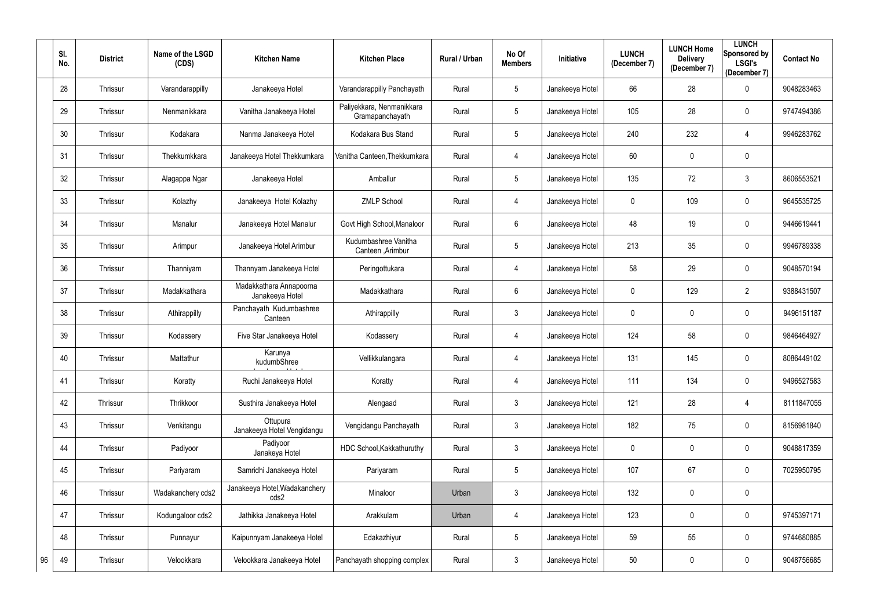|    | SI.<br>No. | <b>District</b> | Name of the LSGD<br>(CDS) | <b>Kitchen Name</b>                        | <b>Kitchen Place</b>                         | Rural / Urban | No Of<br><b>Members</b> | <b>Initiative</b> | <b>LUNCH</b><br>(December 7) | <b>LUNCH Home</b><br><b>Delivery</b><br>(December 7) | <b>LUNCH</b><br>Sponsored by<br><b>LSGI's</b><br>(December 7) | <b>Contact No</b> |
|----|------------|-----------------|---------------------------|--------------------------------------------|----------------------------------------------|---------------|-------------------------|-------------------|------------------------------|------------------------------------------------------|---------------------------------------------------------------|-------------------|
|    | 28         | Thrissur        | Varandarappilly           | Janakeeya Hotel                            | Varandarappilly Panchayath                   | Rural         | $5\phantom{.0}$         | Janakeeya Hotel   | 66                           | 28                                                   | $\mathbf 0$                                                   | 9048283463        |
|    | 29         | Thrissur        | Nenmanikkara              | Vanitha Janakeeya Hotel                    | Paliyekkara, Nenmanikkara<br>Gramapanchayath | Rural         | $5\phantom{.0}$         | Janakeeya Hotel   | 105                          | 28                                                   | $\mathbf 0$                                                   | 9747494386        |
|    | 30         | Thrissur        | Kodakara                  | Nanma Janakeeya Hotel                      | Kodakara Bus Stand                           | Rural         | 5                       | Janakeeya Hotel   | 240                          | 232                                                  | 4                                                             | 9946283762        |
|    | 31         | Thrissur        | Thekkumkkara              | Janakeeya Hotel Thekkumkara                | Vanitha Canteen, Thekkumkara                 | Rural         | 4                       | Janakeeya Hotel   | 60                           | $\mathbf 0$                                          | $\mathbf 0$                                                   |                   |
|    | 32         | Thrissur        | Alagappa Ngar             | Janakeeya Hotel                            | Amballur                                     | Rural         | 5                       | Janakeeya Hotel   | 135                          | 72                                                   | $\mathfrak{Z}$                                                | 8606553521        |
|    | 33         | Thrissur        | Kolazhy                   | Janakeeya Hotel Kolazhy                    | <b>ZMLP School</b>                           | Rural         | $\overline{4}$          | Janakeeya Hotel   | 0                            | 109                                                  | $\mathbf 0$                                                   | 9645535725        |
|    | 34         | Thrissur        | Manalur                   | Janakeeya Hotel Manalur                    | Govt High School, Manaloor                   | Rural         | $6\phantom{.}6$         | Janakeeya Hotel   | 48                           | 19                                                   | $\mathbf 0$                                                   | 9446619441        |
|    | 35         | Thrissur        | Arimpur                   | Janakeeya Hotel Arimbur                    | Kudumbashree Vanitha<br>Canteen , Arimbur    | Rural         | $\sqrt{5}$              | Janakeeya Hotel   | 213                          | 35                                                   | $\mathbf 0$                                                   | 9946789338        |
|    | 36         | Thrissur        | Thanniyam                 | Thannyam Janakeeya Hotel                   | Peringottukara                               | Rural         | 4                       | Janakeeya Hotel   | 58                           | 29                                                   | $\mathbf 0$                                                   | 9048570194        |
|    | 37         | Thrissur        | Madakkathara              | Madakkathara Annapoorna<br>Janakeeya Hotel | Madakkathara                                 | Rural         | $6\phantom{.}$          | Janakeeya Hotel   | 0                            | 129                                                  | $2^{\circ}$                                                   | 9388431507        |
|    | 38         | Thrissur        | Athirappilly              | Panchayath Kudumbashree<br>Canteen         | Athirappilly                                 | Rural         | $\mathfrak{Z}$          | Janakeeya Hotel   | 0                            | $\mathbf 0$                                          | $\mathbf 0$                                                   | 9496151187        |
|    | 39         | Thrissur        | Kodassery                 | Five Star Janakeeya Hotel                  | Kodassery                                    | Rural         | 4                       | Janakeeya Hotel   | 124                          | 58                                                   | $\mathbf 0$                                                   | 9846464927        |
|    | 40         | Thrissur        | Mattathur                 | Karunya<br>kudumbShree                     | Vellikkulangara                              | Rural         | 4                       | Janakeeya Hotel   | 131                          | 145                                                  | $\mathbf 0$                                                   | 8086449102        |
|    | 41         | Thrissur        | Koratty                   | Ruchi Janakeeya Hotel                      | Koratty                                      | Rural         | $\overline{4}$          | Janakeeya Hotel   | 111                          | 134                                                  | $\mathbf 0$                                                   | 9496527583        |
|    | 42         | Thrissur        | Thrikkoor                 | Susthira Janakeeya Hotel                   | Alengaad                                     | Rural         | $\mathfrak{Z}$          | Janakeeya Hotel   | 121                          | 28                                                   | 4                                                             | 8111847055        |
|    | 43         | Thrissur        | Venkitangu                | Ottupura<br>Janakeeya Hotel Vengidangu     | Vengidangu Panchayath                        | Rural         | $\mathfrak{Z}$          | Janakeeya Hotel   | 182                          | 75                                                   | $\mathbf 0$                                                   | 8156981840        |
|    | 44         | Thrissur        | Padiyoor                  | Padiyoor<br>Janakeya Hotel                 | HDC School, Kakkathuruthy                    | Rural         | $\mathbf{3}$            | Janakeeya Hotel   | 0                            | $\mathbf 0$                                          | $\mathbf 0$                                                   | 9048817359        |
|    | 45         | Thrissur        | Pariyaram                 | Samridhi Janakeeya Hotel                   | Pariyaram                                    | Rural         | $5\phantom{.0}$         | Janakeeya Hotel   | 107                          | 67                                                   | $\mathbf 0$                                                   | 7025950795        |
|    | 46         | Thrissur        | Wadakanchery cds2         | Janakeeya Hotel, Wadakanchery<br>cds2      | Minaloor                                     | Urban         | $\mathfrak{Z}$          | Janakeeya Hotel   | 132                          | $\mathbf 0$                                          | $\mathbf 0$                                                   |                   |
|    | 47         | Thrissur        | Kodungaloor cds2          | Jathikka Janakeeya Hotel                   | Arakkulam                                    | Urban         | 4                       | Janakeeya Hotel   | 123                          | $\mathbf 0$                                          | $\mathbf 0$                                                   | 9745397171        |
|    | 48         | Thrissur        | Punnayur                  | Kaipunnyam Janakeeya Hotel                 | Edakazhiyur                                  | Rural         | $\sqrt{5}$              | Janakeeya Hotel   | 59                           | 55                                                   | $\mathbf 0$                                                   | 9744680885        |
| 96 | 49         | Thrissur        | Velookkara                | Velookkara Janakeeya Hotel                 | Panchayath shopping complex                  | Rural         | $\mathfrak{Z}$          | Janakeeya Hotel   | 50                           | $\boldsymbol{0}$                                     | $\mathbf 0$                                                   | 9048756685        |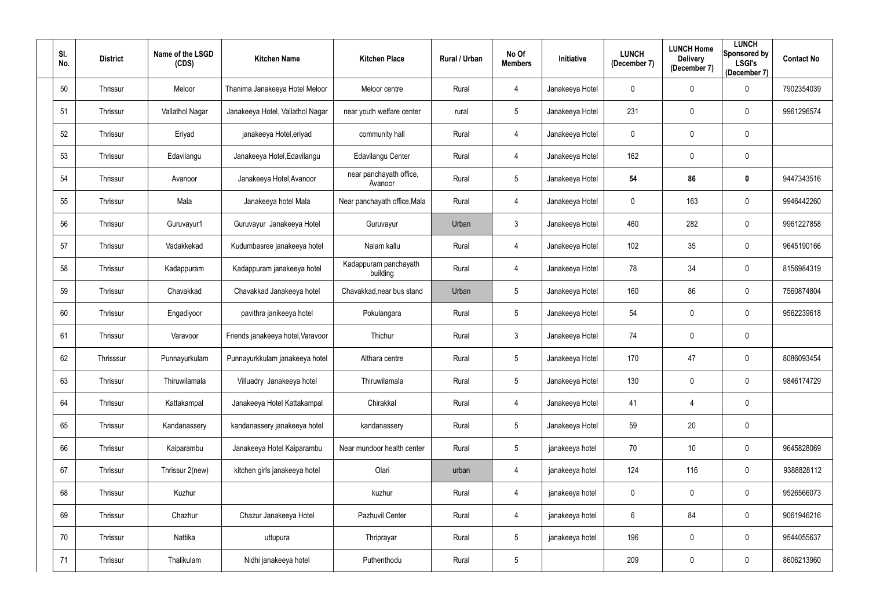| SI.<br>No. | <b>District</b> | Name of the LSGD<br>(CDS) | <b>Kitchen Name</b>               | <b>Kitchen Place</b>               | Rural / Urban | No Of<br><b>Members</b> | Initiative      | <b>LUNCH</b><br>(December 7) | <b>LUNCH Home</b><br><b>Delivery</b><br>(December 7) | <b>LUNCH</b><br>Sponsored by<br><b>LSGI's</b><br>(December 7) | <b>Contact No</b> |
|------------|-----------------|---------------------------|-----------------------------------|------------------------------------|---------------|-------------------------|-----------------|------------------------------|------------------------------------------------------|---------------------------------------------------------------|-------------------|
| 50         | Thrissur        | Meloor                    | Thanima Janakeeya Hotel Meloor    | Meloor centre                      | Rural         | 4                       | Janakeeya Hotel | 0                            | $\mathbf 0$                                          | $\mathbf 0$                                                   | 7902354039        |
| 51         | Thrissur        | Vallathol Nagar           | Janakeeya Hotel, Vallathol Nagar  | near youth welfare center          | rural         | $5\overline{)}$         | Janakeeya Hotel | 231                          | $\mathbf 0$                                          | $\mathbf 0$                                                   | 9961296574        |
| 52         | Thrissur        | Eriyad                    | janakeeya Hotel, eriyad           | community hall                     | Rural         | 4                       | Janakeeya Hotel | $\mathbf 0$                  | $\mathbf 0$                                          | $\overline{0}$                                                |                   |
| 53         | Thrissur        | Edavilangu                | Janakeeya Hotel, Edavilangu       | Edavilangu Center                  | Rural         | 4                       | Janakeeya Hotel | 162                          | $\mathbf 0$                                          | $\overline{0}$                                                |                   |
| 54         | Thrissur        | Avanoor                   | Janakeeya Hotel, Avanoor          | near panchayath office,<br>Avanoor | Rural         | $5\phantom{.0}$         | Janakeeya Hotel | 54                           | 86                                                   | $\mathbf 0$                                                   | 9447343516        |
| 55         | Thrissur        | Mala                      | Janakeeya hotel Mala              | Near panchayath office, Mala       | Rural         | 4                       | Janakeeya Hotel | 0                            | 163                                                  | $\mathbf 0$                                                   | 9946442260        |
| 56         | Thrissur        | Guruvayur1                | Guruvayur Janakeeya Hotel         | Guruvayur                          | Urban         | $\mathbf{3}$            | Janakeeya Hotel | 460                          | 282                                                  | $\overline{0}$                                                | 9961227858        |
| 57         | Thrissur        | Vadakkekad                | Kudumbasree janakeeya hotel       | Nalam kallu                        | Rural         | 4                       | Janakeeya Hotel | 102                          | 35                                                   | $\overline{0}$                                                | 9645190166        |
| 58         | Thrissur        | Kadappuram                | Kadappuram janakeeya hotel        | Kadappuram panchayath<br>building  | Rural         | 4                       | Janakeeya Hotel | 78                           | 34                                                   | $\mathbf 0$                                                   | 8156984319        |
| 59         | Thrissur        | Chavakkad                 | Chavakkad Janakeeya hotel         | Chavakkad, near bus stand          | Urban         | $5\phantom{.0}$         | Janakeeya Hotel | 160                          | 86                                                   | $\overline{0}$                                                | 7560874804        |
| 60         | Thrissur        | Engadiyoor                | pavithra janikeeya hotel          | Pokulangara                        | Rural         | $5\phantom{.0}$         | Janakeeya Hotel | 54                           | $\mathbf 0$                                          | $\mathbf 0$                                                   | 9562239618        |
| 61         | Thrissur        | Varavoor                  | Friends janakeeya hotel, Varavoor | Thichur                            | Rural         | $\mathfrak{Z}$          | Janakeeya Hotel | 74                           | $\mathbf 0$                                          | $\mathbf 0$                                                   |                   |
| 62         | Thrisssur       | Punnayurkulam             | Punnayurkkulam janakeeya hotel    | Althara centre                     | Rural         | $5\phantom{.0}$         | Janakeeya Hotel | 170                          | 47                                                   | $\mathbf 0$                                                   | 8086093454        |
| 63         | Thrissur        | Thiruwilamala             | Villuadry Janakeeya hotel         | Thiruwilamala                      | Rural         | $5\phantom{.0}$         | Janakeeya Hotel | 130                          | $\mathbf 0$                                          | $\mathbf 0$                                                   | 9846174729        |
| 64         | Thrissur        | Kattakampal               | Janakeeya Hotel Kattakampal       | Chirakkal                          | Rural         | 4                       | Janakeeya Hotel | 41                           | 4                                                    | $\mathbf 0$                                                   |                   |
| 65         | Thrissur        | Kandanassery              | kandanassery janakeeya hotel      | kandanassery                       | Rural         | $\sqrt{5}$              | Janakeeya Hotel | 59                           | 20                                                   | $\overline{0}$                                                |                   |
| 66         | Thrissur        | Kaiparambu                | Janakeeya Hotel Kaiparambu        | Near mundoor health center         | Rural         | $5\phantom{.0}$         | janakeeya hotel | 70                           | 10                                                   | $\mathbf 0$                                                   | 9645828069        |
| 67         | Thrissur        | Thrissur 2(new)           | kitchen girls janakeeya hotel     | Olari                              | urban         | 4                       | janakeeya hotel | 124                          | 116                                                  | $\mathbf 0$                                                   | 9388828112        |
| 68         | Thrissur        | Kuzhur                    |                                   | kuzhur                             | Rural         | 4                       | janakeeya hotel | $\mathbf 0$                  | $\mathbf 0$                                          | $\mathbf 0$                                                   | 9526566073        |
| 69         | Thrissur        | Chazhur                   | Chazur Janakeeya Hotel            | Pazhuvil Center                    | Rural         | 4                       | janakeeya hotel | 6                            | 84                                                   | $\overline{0}$                                                | 9061946216        |
| 70         | Thrissur        | Nattika                   | uttupura                          | Thriprayar                         | Rural         | $5\phantom{.0}$         | janakeeya hotel | 196                          | $\pmb{0}$                                            | $\mathbf 0$                                                   | 9544055637        |
| 71         | Thrissur        | Thalikulam                | Nidhi janakeeya hotel             | Puthenthodu                        | Rural         | $\overline{5}$          |                 | 209                          | $\mathbf 0$                                          | $\mathbf 0$                                                   | 8606213960        |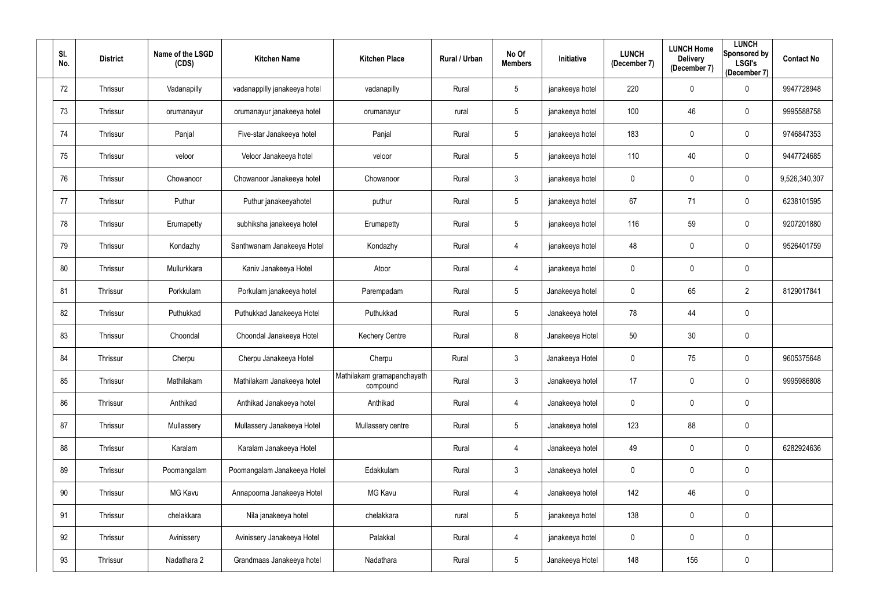| SI.<br>No. | <b>District</b> | Name of the LSGD<br>(CDS) | <b>Kitchen Name</b>          | <b>Kitchen Place</b>                   | Rural / Urban | No Of<br><b>Members</b> | Initiative      | <b>LUNCH</b><br>(December 7) | <b>LUNCH Home</b><br><b>Delivery</b><br>(December 7) | <b>LUNCH</b><br>Sponsored by<br><b>LSGI's</b><br>(December 7) | <b>Contact No</b> |
|------------|-----------------|---------------------------|------------------------------|----------------------------------------|---------------|-------------------------|-----------------|------------------------------|------------------------------------------------------|---------------------------------------------------------------|-------------------|
| 72         | Thrissur        | Vadanapilly               | vadanappilly janakeeya hotel | vadanapilly                            | Rural         | 5                       | janakeeya hotel | 220                          | $\mathbf 0$                                          | $\overline{0}$                                                | 9947728948        |
| 73         | Thrissur        | orumanayur                | orumanayur janakeeya hotel   | orumanayur                             | rural         | 5                       | janakeeya hotel | 100                          | 46                                                   | $\overline{0}$                                                | 9995588758        |
| 74         | Thrissur        | Panjal                    | Five-star Janakeeya hotel    | Panjal                                 | Rural         | $5\phantom{.0}$         | janakeeya hotel | 183                          | $\mathbf 0$                                          | $\overline{0}$                                                | 9746847353        |
| 75         | Thrissur        | veloor                    | Veloor Janakeeya hotel       | veloor                                 | Rural         | $5\phantom{.0}$         | janakeeya hotel | 110                          | 40                                                   | $\overline{0}$                                                | 9447724685        |
| 76         | Thrissur        | Chowanoor                 | Chowanoor Janakeeya hotel    | Chowanoor                              | Rural         | $\mathfrak{Z}$          | janakeeya hotel | 0                            | $\mathbf 0$                                          | $\overline{0}$                                                | 9,526,340,307     |
| 77         | Thrissur        | Puthur                    | Puthur janakeeyahotel        | puthur                                 | Rural         | 5                       | janakeeya hotel | 67                           | 71                                                   | $\overline{0}$                                                | 6238101595        |
| 78         | Thrissur        | Erumapetty                | subhiksha janakeeya hotel    | Erumapetty                             | Rural         | 5                       | janakeeya hotel | 116                          | 59                                                   | $\overline{0}$                                                | 9207201880        |
| 79         | Thrissur        | Kondazhy                  | Santhwanam Janakeeya Hotel   | Kondazhy                               | Rural         | 4                       | janakeeya hotel | 48                           | $\overline{0}$                                       | $\overline{0}$                                                | 9526401759        |
| 80         | Thrissur        | Mullurkkara               | Kaniv Janakeeya Hotel        | Atoor                                  | Rural         | 4                       | janakeeya hotel | 0                            | $\mathbf 0$                                          | $\mathbf 0$                                                   |                   |
| 81         | Thrissur        | Porkkulam                 | Porkulam janakeeya hotel     | Parempadam                             | Rural         | $5\phantom{.0}$         | Janakeeya hotel | $\mathbf 0$                  | 65                                                   | $\overline{2}$                                                | 8129017841        |
| 82         | Thrissur        | Puthukkad                 | Puthukkad Janakeeya Hotel    | Puthukkad                              | Rural         | 5                       | Janakeeya hotel | 78                           | 44                                                   | $\overline{0}$                                                |                   |
| 83         | Thrissur        | Choondal                  | Choondal Janakeeya Hotel     | <b>Kechery Centre</b>                  | Rural         | 8                       | Janakeeya Hotel | 50                           | 30                                                   | $\overline{0}$                                                |                   |
| 84         | Thrissur        | Cherpu                    | Cherpu Janakeeya Hotel       | Cherpu                                 | Rural         | $\mathfrak{Z}$          | Janakeeya Hotel | $\mathbf 0$                  | 75                                                   | $\mathbf 0$                                                   | 9605375648        |
| 85         | Thrissur        | Mathilakam                | Mathilakam Janakeeya hotel   | Mathilakam gramapanchayath<br>compound | Rural         | $\mathfrak{Z}$          | Janakeeya hotel | 17                           | $\mathbf 0$                                          | $\overline{0}$                                                | 9995986808        |
| 86         | Thrissur        | Anthikad                  | Anthikad Janakeeya hotel     | Anthikad                               | Rural         | 4                       | Janakeeya hotel | $\mathbf 0$                  | $\mathbf 0$                                          | $\mathbf 0$                                                   |                   |
| 87         | Thrissur        | Mullassery                | Mullassery Janakeeya Hotel   | Mullassery centre                      | Rural         | $\sqrt{5}$              | Janakeeya hotel | 123                          | 88                                                   | $\mathbf 0$                                                   |                   |
| 88         | Thrissur        | Karalam                   | Karalam Janakeeya Hotel      |                                        | Rural         | 4                       | Janakeeya hotel | 49                           | $\pmb{0}$                                            | $\mathbf 0$                                                   | 6282924636        |
| 89         | Thrissur        | Poomangalam               | Poomangalam Janakeeya Hotel  | Edakkulam                              | Rural         | $\mathfrak{Z}$          | Janakeeya hotel | $\mathbf 0$                  | $\mathbf 0$                                          | $\overline{0}$                                                |                   |
| 90         | Thrissur        | MG Kavu                   | Annapoorna Janakeeya Hotel   | MG Kavu                                | Rural         | 4                       | Janakeeya hotel | 142                          | 46                                                   | $\overline{0}$                                                |                   |
| 91         | Thrissur        | chelakkara                | Nila janakeeya hotel         | chelakkara                             | rural         | $5\phantom{.0}$         | janakeeya hotel | 138                          | $\mathbf 0$                                          | $\mathbf 0$                                                   |                   |
| 92         | Thrissur        | Avinissery                | Avinissery Janakeeya Hotel   | Palakkal                               | Rural         | 4                       | janakeeya hotel | $\mathbf 0$                  | $\mathbf 0$                                          | $\mathbf 0$                                                   |                   |
| 93         | Thrissur        | Nadathara 2               | Grandmaas Janakeeya hotel    | Nadathara                              | Rural         | $5\phantom{.0}$         | Janakeeya Hotel | 148                          | 156                                                  | $\boldsymbol{0}$                                              |                   |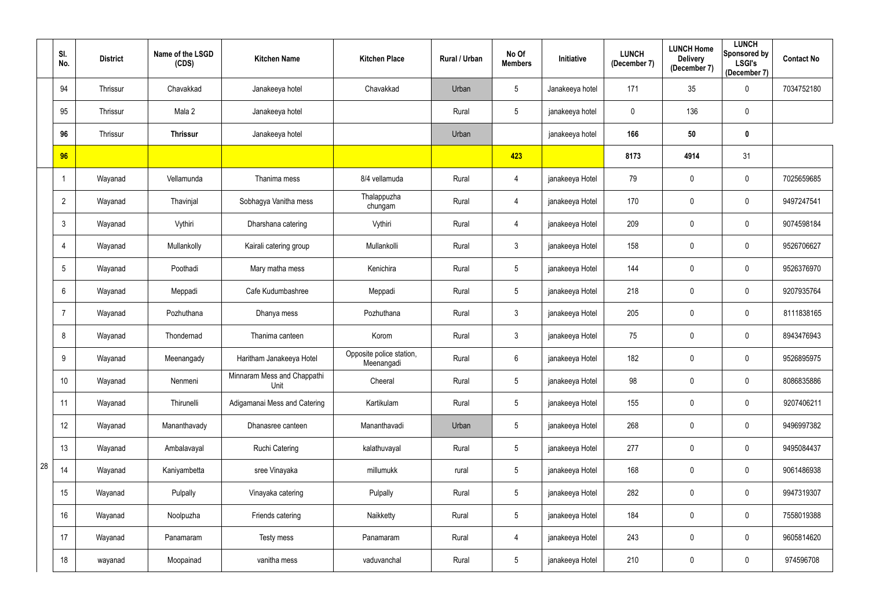|    | SI.<br>No.      | <b>District</b> | Name of the LSGD<br>(CDS) | <b>Kitchen Name</b>                 | <b>Kitchen Place</b>                   | Rural / Urban | No Of<br><b>Members</b> | <b>Initiative</b> | <b>LUNCH</b><br>(December 7) | <b>LUNCH Home</b><br><b>Delivery</b><br>(December 7) | <b>LUNCH</b><br>Sponsored by<br><b>LSGI's</b><br>(December 7) | <b>Contact No</b> |
|----|-----------------|-----------------|---------------------------|-------------------------------------|----------------------------------------|---------------|-------------------------|-------------------|------------------------------|------------------------------------------------------|---------------------------------------------------------------|-------------------|
|    | 94              | Thrissur        | Chavakkad                 | Janakeeya hotel                     | Chavakkad                              | Urban         | $5\phantom{.0}$         | Janakeeya hotel   | 171                          | 35                                                   | $\bf{0}$                                                      | 7034752180        |
|    | 95              | Thrissur        | Mala 2                    | Janakeeya hotel                     |                                        | Rural         | $5\phantom{.0}$         | janakeeya hotel   | 0                            | 136                                                  | $\pmb{0}$                                                     |                   |
|    | 96              | Thrissur        | <b>Thrissur</b>           | Janakeeya hotel                     |                                        | Urban         |                         | janakeeya hotel   | 166                          | 50                                                   | $\mathbf 0$                                                   |                   |
|    | 96              |                 |                           |                                     |                                        |               | 423                     |                   | 8173                         | 4914                                                 | 31                                                            |                   |
|    |                 | Wayanad         | Vellamunda                | Thanima mess                        | 8/4 vellamuda                          | Rural         | 4                       | janakeeya Hotel   | 79                           | $\mathbf 0$                                          | $\bf{0}$                                                      | 7025659685        |
|    | $\overline{2}$  | Wayanad         | Thavinjal                 | Sobhagya Vanitha mess               | Thalappuzha<br>chungam                 | Rural         | 4                       | janakeeya Hotel   | 170                          | $\overline{0}$                                       | $\pmb{0}$                                                     | 9497247541        |
|    | 3               | Wayanad         | Vythiri                   | Dharshana catering                  | Vythiri                                | Rural         | 4                       | janakeeya Hotel   | 209                          | $\mathbf 0$                                          | $\boldsymbol{0}$                                              | 9074598184        |
|    | 4               | Wayanad         | Mullankolly               | Kairali catering group              | Mullankolli                            | Rural         | $\mathfrak{Z}$          | janakeeya Hotel   | 158                          | $\overline{0}$                                       | $\boldsymbol{0}$                                              | 9526706627        |
|    | 5               | Wayanad         | Poothadi                  | Mary matha mess                     | Kenichira                              | Rural         | $5\phantom{.0}$         | janakeeya Hotel   | 144                          | $\overline{0}$                                       | $\mathbf 0$                                                   | 9526376970        |
|    | $6\phantom{.}6$ | Wayanad         | Meppadi                   | Cafe Kudumbashree                   | Meppadi                                | Rural         | $5\phantom{.0}$         | janakeeya Hotel   | 218                          | $\pmb{0}$                                            | $\pmb{0}$                                                     | 9207935764        |
|    | $\overline{7}$  | Wayanad         | Pozhuthana                | Dhanya mess                         | Pozhuthana                             | Rural         | $\mathfrak{Z}$          | janakeeya Hotel   | 205                          | $\mathbf 0$                                          | $\mathbf 0$                                                   | 8111838165        |
|    | 8               | Wayanad         | Thondernad                | Thanima canteen                     | Korom                                  | Rural         | $\mathfrak{Z}$          | janakeeya Hotel   | 75                           | $\mathbf 0$                                          | $\mathbf 0$                                                   | 8943476943        |
|    | 9               | Wayanad         | Meenangady                | Haritham Janakeeya Hotel            | Opposite police station,<br>Meenangadi | Rural         | $6\phantom{.}6$         | janakeeya Hotel   | 182                          | $\overline{0}$                                       | 0                                                             | 9526895975        |
|    | 10              | Wayanad         | Nenmeni                   | Minnaram Mess and Chappathi<br>Unit | Cheeral                                | Rural         | $5\phantom{.0}$         | janakeeya Hotel   | 98                           | $\mathbf 0$                                          | $\mathbf 0$                                                   | 8086835886        |
|    | 11              | Wayanad         | Thirunelli                | Adigamanai Mess and Catering        | Kartikulam                             | Rural         | $\sqrt{5}$              | janakeeya Hotel   | 155                          | $\mathbf 0$                                          | $\overline{0}$                                                | 9207406211        |
|    | 12              | Wayanad         | Mananthavady              | Dhanasree canteen                   | Mananthavadi                           | Urban         | $5\phantom{.0}$         | janakeeya Hotel   | 268                          | $\mathbf 0$                                          | $\overline{0}$                                                | 9496997382        |
|    | 13              | Wayanad         | Ambalavayal               | Ruchi Catering                      | kalathuvayal                           | Rural         | $5\,$                   | janakeeya Hotel   | 277                          | $\pmb{0}$                                            | $\overline{0}$                                                | 9495084437        |
| 28 | 14              | Wayanad         | Kaniyambetta              | sree Vinayaka                       | millumukk                              | rural         | $5\,$                   | janakeeya Hotel   | 168                          | $\pmb{0}$                                            | $\mathbf 0$                                                   | 9061486938        |
|    | 15              | Wayanad         | Pulpally                  | Vinayaka catering                   | Pulpally                               | Rural         | $5\phantom{.0}$         | janakeeya Hotel   | 282                          | $\mathbf 0$                                          | $\overline{0}$                                                | 9947319307        |
|    | 16              | Wayanad         | Noolpuzha                 | Friends catering                    | Naikketty                              | Rural         | $\sqrt{5}$              | janakeeya Hotel   | 184                          | $\mathbf 0$                                          | $\mathbf 0$                                                   | 7558019388        |
|    | 17              | Wayanad         | Panamaram                 | Testy mess                          | Panamaram                              | Rural         | 4                       | janakeeya Hotel   | 243                          | $\pmb{0}$                                            | $\overline{0}$                                                | 9605814620        |
|    | 18              | wayanad         | Moopainad                 | vanitha mess                        | vaduvanchal                            | Rural         | $\sqrt{5}$              | janakeeya Hotel   | 210                          | $\pmb{0}$                                            | $\overline{0}$                                                | 974596708         |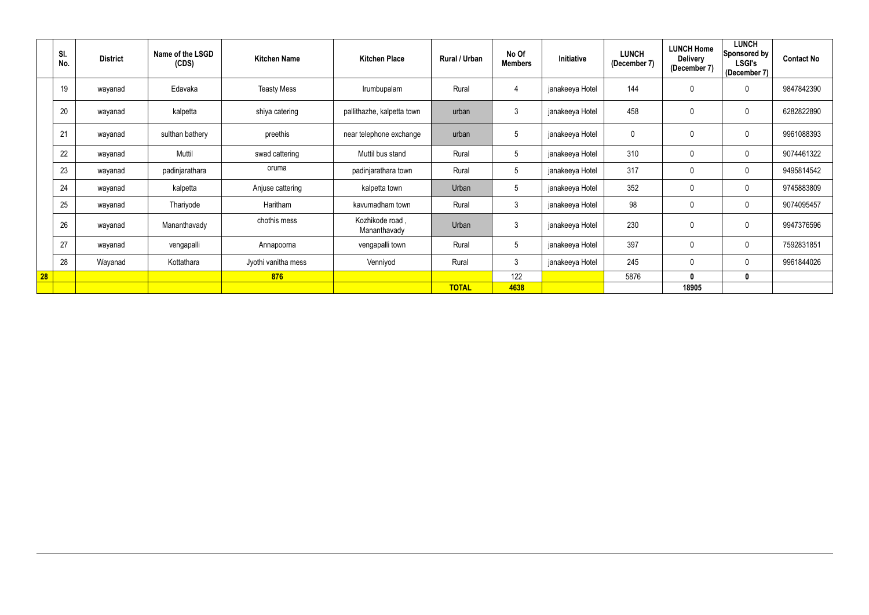|    | SI.<br>No. | <b>District</b> | Name of the LSGD<br>(CDS) | <b>Kitchen Name</b> | <b>Kitchen Place</b>            | Rural / Urban | No Of<br><b>Members</b> | Initiative      | <b>LUNCH</b><br>(December 7) | <b>LUNCH Home</b><br><b>Delivery</b><br>(December 7) | <b>LUNCH</b><br>Sponsored by<br><b>LSGI's</b><br>(December 7) | <b>Contact No</b> |
|----|------------|-----------------|---------------------------|---------------------|---------------------------------|---------------|-------------------------|-----------------|------------------------------|------------------------------------------------------|---------------------------------------------------------------|-------------------|
|    | 19         | wayanad         | Edavaka                   | <b>Teasty Mess</b>  | Irumbupalam                     | Rural         | 4                       | janakeeya Hotel | 144                          | $\mathbf 0$                                          | $\mathbf 0$                                                   | 9847842390        |
|    | 20         | wayanad         | kalpetta                  | shiya catering      | pallithazhe, kalpetta town      | urban         | 3                       | janakeeya Hotel | 458                          | $\mathbf 0$                                          | $\boldsymbol{0}$                                              | 6282822890        |
|    | 21         | wayanad         | sulthan bathery           | preethis            | near telephone exchange         | urban         | $5\phantom{.0}$         | janakeeya Hotel | 0                            | $\mathbf 0$                                          | $\mathbf 0$                                                   | 9961088393        |
|    | 22         | wayanad         | Muttil                    | swad cattering      | Muttil bus stand                | Rural         | $5\overline{)}$         | janakeeya Hotel | 310                          | $\mathbf 0$                                          | $\mathbf 0$                                                   | 9074461322        |
|    | 23         | wayanad         | padinjarathara            | oruma               | padinjarathara town             | Rural         | $5\phantom{.0}$         | janakeeya Hotel | 317                          | $\mathbf 0$                                          | $\mathbf 0$                                                   | 9495814542        |
|    | 24         | wayanad         | kalpetta                  | Anjuse cattering    | kalpetta town                   | Urban         | $5\phantom{.0}$         | janakeeya Hotel | 352                          | $\mathbf 0$                                          | $\mathbf 0$                                                   | 9745883809        |
|    | 25         | wayanad         | Thariyode                 | Haritham            | kavumadham town                 | Rural         | $\mathfrak{Z}$          | janakeeya Hotel | 98                           | $\pmb{0}$                                            | $\mathbf 0$                                                   | 9074095457        |
|    | 26         | wayanad         | Mananthavady              | chothis mess        | Kozhikode road,<br>Mananthavady | Urban         | 3                       | janakeeya Hotel | 230                          | $\mathbf 0$                                          | 0                                                             | 9947376596        |
|    | 27         | wayanad         | vengapalli                | Annapoorna          | vengapalli town                 | Rural         | $5\overline{)}$         | janakeeya Hotel | 397                          | $\mathbf 0$                                          | $\mathbf 0$                                                   | 7592831851        |
|    | 28         | Wayanad         | Kottathara                | Jyothi vanitha mess | Venniyod                        | Rural         | $\mathfrak{Z}$          | janakeeya Hotel | 245                          | $\mathbf 0$                                          | $\mathbf 0$                                                   | 9961844026        |
| 28 |            |                 |                           | 876                 |                                 |               | 122                     |                 | 5876                         | $\mathbf 0$                                          | 0                                                             |                   |
|    |            |                 |                           |                     |                                 | <b>TOTAL</b>  | 4638                    |                 |                              | 18905                                                |                                                               |                   |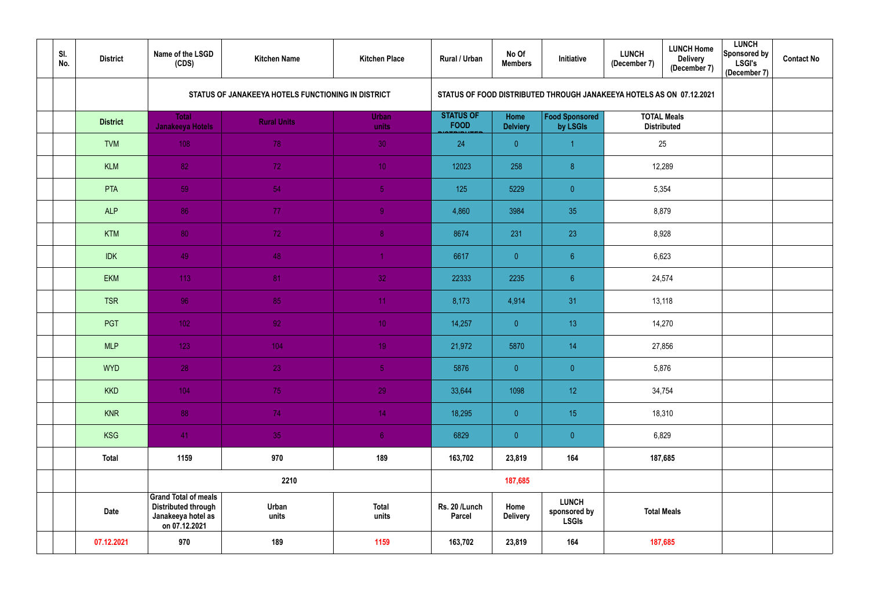| SI.<br>No. | <b>District</b> | Name of the LSGD<br>(CDS)                                                                        | <b>Kitchen Name</b>                                | <b>Kitchen Place</b>  | Rural / Urban                   | No Of<br><b>Members</b> | Initiative                                                           | <b>LUNCH</b><br>(December 7) | <b>LUNCH Home</b><br><b>Delivery</b><br>(December 7) | <b>LUNCH</b><br>Sponsored by<br><b>LSGI's</b><br>(December 7) | <b>Contact No</b> |
|------------|-----------------|--------------------------------------------------------------------------------------------------|----------------------------------------------------|-----------------------|---------------------------------|-------------------------|----------------------------------------------------------------------|------------------------------|------------------------------------------------------|---------------------------------------------------------------|-------------------|
|            |                 |                                                                                                  | STATUS OF JANAKEEYA HOTELS FUNCTIONING IN DISTRICT |                       |                                 |                         | STATUS OF FOOD DISTRIBUTED THROUGH JANAKEEYA HOTELS AS ON 07.12.2021 |                              |                                                      |                                                               |                   |
|            | <b>District</b> | <b>Total</b><br>Janakeeya Hotels                                                                 | <b>Rural Units</b>                                 | <b>Urban</b><br>units | <b>STATUS OF</b><br><b>FOOD</b> | Home<br><b>Delviery</b> | <b>Food Sponsored</b><br>by LSGIs                                    |                              | <b>TOTAL Meals</b><br><b>Distributed</b>             |                                                               |                   |
|            | <b>TVM</b>      | 108                                                                                              | 78                                                 | 30                    | 24                              | $\theta$                | 1                                                                    | 25                           |                                                      |                                                               |                   |
|            | <b>KLM</b>      | 82                                                                                               | 72                                                 | 10 <sup>°</sup>       | 12023                           | 258                     | 8 <sup>°</sup>                                                       | 12,289                       |                                                      |                                                               |                   |
|            | <b>PTA</b>      | 59                                                                                               | 54                                                 | 5 <sup>1</sup>        | 125                             | 5229                    | $\overline{0}$                                                       | 5,354                        |                                                      |                                                               |                   |
|            | <b>ALP</b>      | 86                                                                                               | 77                                                 | 9 <sup>°</sup>        | 4,860                           | 3984                    | 35                                                                   | 8,879                        |                                                      |                                                               |                   |
|            | <b>KTM</b>      | 80                                                                                               | 72                                                 | 8 <sub>1</sub>        | 8674                            | 231                     | 23                                                                   | 8,928                        |                                                      |                                                               |                   |
|            | <b>IDK</b>      | 49                                                                                               | 48                                                 | $\overline{1}$        | 6617                            | $\overline{0}$          | 6 <sup>°</sup>                                                       | 6,623                        |                                                      |                                                               |                   |
|            | <b>EKM</b>      | 113                                                                                              | 81                                                 | 32                    | 22333                           | 2235                    | 6 <sup>°</sup>                                                       | 24,574                       |                                                      |                                                               |                   |
|            | <b>TSR</b>      | 96                                                                                               | 85                                                 | 11                    | 8,173                           | 4,914                   | 31                                                                   | 13,118                       |                                                      |                                                               |                   |
|            | PGT             | 102                                                                                              | 92 <sub>1</sub>                                    | 10 <sup>°</sup>       | 14,257                          | $\overline{0}$          | 13                                                                   | 14,270                       |                                                      |                                                               |                   |
|            | <b>MLP</b>      | 123                                                                                              | 104                                                | 19                    | 21,972                          | 5870                    | 14                                                                   | 27,856                       |                                                      |                                                               |                   |
|            | <b>WYD</b>      | 28                                                                                               | 23                                                 | 5 <sub>o</sub>        | 5876                            | $\overline{0}$          | $\overline{0}$                                                       |                              | 5,876                                                |                                                               |                   |
|            | <b>KKD</b>      | 104                                                                                              | 75                                                 | 29                    | 33,644                          | 1098                    | 12                                                                   | 34,754                       |                                                      |                                                               |                   |
|            | KNR             | 88                                                                                               | 74                                                 | 14                    | 18,295                          | $\overline{0}$          | 15                                                                   |                              | 18,310                                               |                                                               |                   |
|            | <b>KSG</b>      | 41                                                                                               | 35                                                 | 6 <sub>1</sub>        | 6829                            | $\overline{0}$          | $\overline{0}$                                                       | 6,829                        |                                                      |                                                               |                   |
|            | <b>Total</b>    | 1159                                                                                             | 970                                                | 189                   | 163,702                         | 23,819                  | 164                                                                  | 187,685                      |                                                      |                                                               |                   |
|            |                 | 2210                                                                                             |                                                    |                       | 187,685                         |                         |                                                                      |                              |                                                      |                                                               |                   |
|            | <b>Date</b>     | <b>Grand Total of meals</b><br><b>Distributed through</b><br>Janakeeya hotel as<br>on 07.12.2021 | Urban<br>units                                     | <b>Total</b><br>units | Rs. 20 /Lunch<br><b>Parcel</b>  | Home<br><b>Delivery</b> | <b>LUNCH</b><br>sponsored by<br><b>LSGIs</b>                         | <b>Total Meals</b>           |                                                      |                                                               |                   |
|            | 07.12.2021      | 970                                                                                              | 189                                                | 1159                  | 163,702                         | 23,819                  | 164                                                                  |                              | 187,685                                              |                                                               |                   |